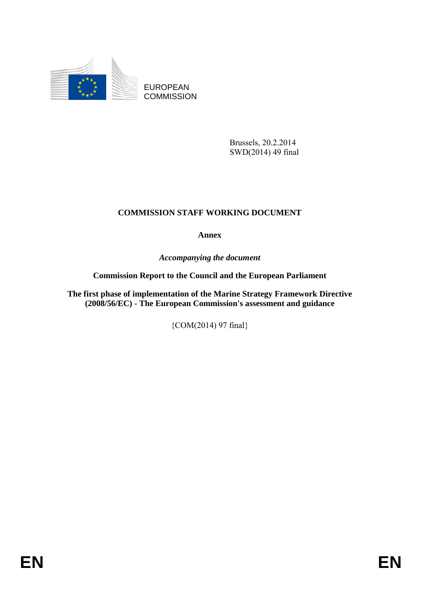

EUROPEAN **COMMISSION** 

> Brussels, 20.2.2014 SWD(2014) 49 final

# **COMMISSION STAFF WORKING DOCUMENT**

**Annex** 

*Accompanying the document* 

**Commission Report to the Council and the European Parliament** 

**The first phase of implementation of the Marine Strategy Framework Directive (2008/56/EC) - The European Commission's assessment and guidance** 

{COM(2014) 97 final}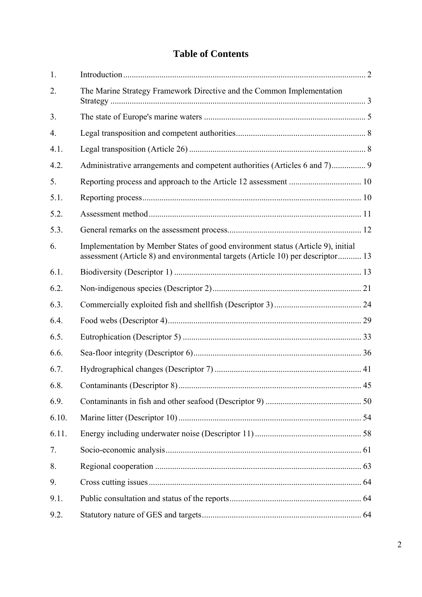# **Table of Contents**

| 1.               |                                                                                                                                                                    |  |
|------------------|--------------------------------------------------------------------------------------------------------------------------------------------------------------------|--|
| 2.               | The Marine Strategy Framework Directive and the Common Implementation                                                                                              |  |
| 3.               |                                                                                                                                                                    |  |
| $\overline{4}$ . |                                                                                                                                                                    |  |
| 4.1.             |                                                                                                                                                                    |  |
| 4.2.             | Administrative arrangements and competent authorities (Articles 6 and 7) 9                                                                                         |  |
| 5.               |                                                                                                                                                                    |  |
| 5.1.             |                                                                                                                                                                    |  |
| 5.2.             |                                                                                                                                                                    |  |
| 5.3.             |                                                                                                                                                                    |  |
| 6.               | Implementation by Member States of good environment status (Article 9), initial<br>assessment (Article 8) and environmental targets (Article 10) per descriptor 13 |  |
| 6.1.             |                                                                                                                                                                    |  |
| 6.2.             |                                                                                                                                                                    |  |
| 6.3.             |                                                                                                                                                                    |  |
| 6.4.             |                                                                                                                                                                    |  |
| 6.5.             |                                                                                                                                                                    |  |
| 6.6.             |                                                                                                                                                                    |  |
| 6.7.             |                                                                                                                                                                    |  |
| 6.8.             |                                                                                                                                                                    |  |
| 6.9.             |                                                                                                                                                                    |  |
| 6.10.            |                                                                                                                                                                    |  |
| 6.11.            |                                                                                                                                                                    |  |
| 7.               |                                                                                                                                                                    |  |
| 8.               |                                                                                                                                                                    |  |
| 9.               |                                                                                                                                                                    |  |
| 9.1.             |                                                                                                                                                                    |  |
| 9.2.             |                                                                                                                                                                    |  |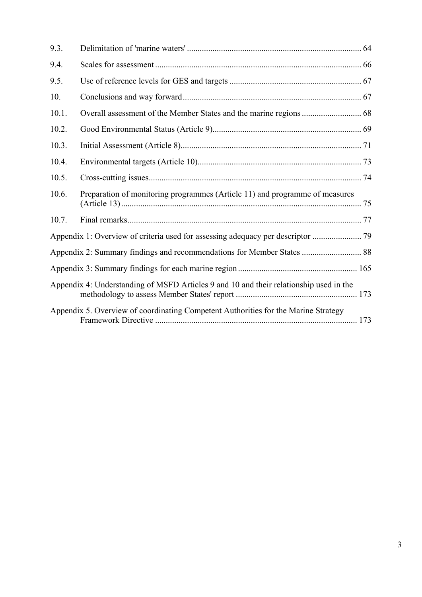| 9.3.  |                                                                                        |  |
|-------|----------------------------------------------------------------------------------------|--|
| 9.4.  |                                                                                        |  |
| 9.5.  |                                                                                        |  |
| 10.   |                                                                                        |  |
| 10.1. |                                                                                        |  |
| 10.2. |                                                                                        |  |
| 10.3. |                                                                                        |  |
| 10.4. |                                                                                        |  |
| 10.5. |                                                                                        |  |
| 10.6. | Preparation of monitoring programmes (Article 11) and programme of measures            |  |
| 10.7. |                                                                                        |  |
|       |                                                                                        |  |
|       | Appendix 2: Summary findings and recommendations for Member States  88                 |  |
|       |                                                                                        |  |
|       | Appendix 4: Understanding of MSFD Articles 9 and 10 and their relationship used in the |  |
|       | Appendix 5. Overview of coordinating Competent Authorities for the Marine Strategy     |  |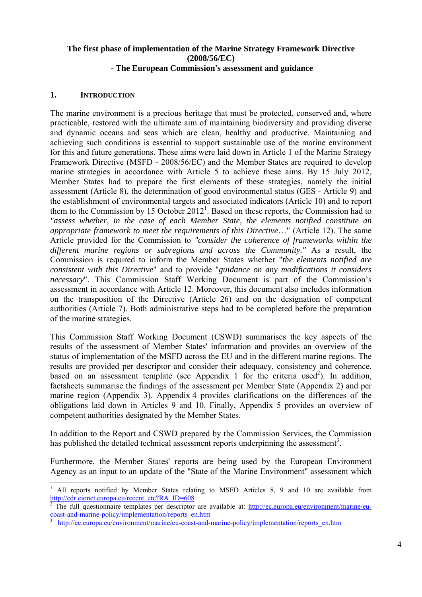#### **The first phase of implementation of the Marine Strategy Framework Directive (2008/56/EC) - The European Commission's assessment and guidance**

#### <span id="page-3-0"></span>**1. INTRODUCTION**

The marine environment is a precious heritage that must be protected, conserved and, where practicable, restored with the ultimate aim of maintaining biodiversity and providing diverse and dynamic oceans and seas which are clean, healthy and productive. Maintaining and achieving such conditions is essential to support sustainable use of the marine environment for this and future generations. These aims were laid down in Article 1 of the Marine Strategy Framework Directive (MSFD - 2008/56/EC) and the Member States are required to develop marine strategies in accordance with Article 5 to achieve these aims. By 15 July 2012, Member States had to prepare the first elements of these strategies, namely the initial assessment (Article 8), the determination of good environmental status (GES - Article 9) and the establishment of environmental targets and associated indicators (Article 10) and to report them to the Commission by 15 October 2012<sup>1</sup>. Based on these reports, the Commission had to *"assess whether, in the case of each Member State, the elements notified constitute an appropriate framework to meet the requirements of this Directive*…" (Article 12). The same Article provided for the Commission to *"consider the coherence of frameworks within the different marine regions or subregions and across the Community."* As a result, the Commission is required to inform the Member States whether "*the elements notified are consistent with this Directive*" and to provide "*guidance on any modifications it considers necessary*". This Commission Staff Working Document is part of the Commission's assessment in accordance with Article 12. Moreover, this document also includes information on the transposition of the Directive (Article 26) and on the designation of competent authorities (Article 7). Both administrative steps had to be completed before the preparation of the marine strategies.

This Commission Staff Working Document (CSWD) summarises the key aspects of the results of the assessment of Member States' information and provides an overview of the status of implementation of the MSFD across the EU and in the different marine regions. The results are provided per descriptor and consider their adequacy, consistency and coherence, based on an assessment template (see Appendix 1 for the criteria used<sup>2</sup>). In addition, factsheets summarise the findings of the assessment per Member State (Appendix 2) and per marine region (Appendix 3). Appendix 4 provides clarifications on the differences of the obligations laid down in Articles 9 and 10. Finally, Appendix 5 provides an overview of competent authorities designated by the Member States.

In addition to the Report and CSWD prepared by the Commission Services, the Commission has published the detailed technical assessment reports underpinning the assessment<sup>3</sup>.

Furthermore, the Member States' reports are being used by the European Environment Agency as an input to an update of the "State of the Marine Environment" assessment which

<sup>&</sup>lt;u>.</u> 1 All reports notified by Member States relating to MSFD Articles 8, 9 and 10 are available from [http://cdr.eionet.europa.eu/recent\\_etc?RA\\_ID=608](http://cdr.eionet.europa.eu/recent_etc?RA_ID=608)<br>
<sup>2</sup> The full questionneire templetes per descriptor

The full questionnaire templates per descriptor are available at: [http://ec.europa.eu/environment/marine/eu](http://ec.europa.eu/environment/marine/eu-coast-and-marine-policy/implementation/reports_en.htm)[coast-and-marine-policy/implementation/reports\\_en.htm](http://ec.europa.eu/environment/marine/eu-coast-and-marine-policy/implementation/reports_en.htm) 3

[http://ec.europa.eu/environment/marine/eu-coast-and-marine-policy/implementation/reports\\_en.htm](http://ec.europa.eu/environment/marine/eu-coast-and-marine-policy/implementation/reports_en.htm)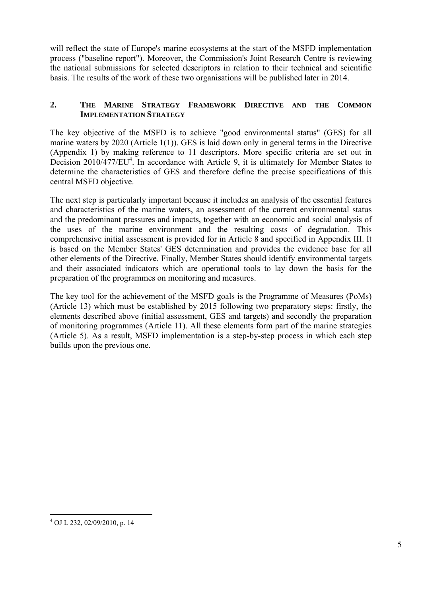will reflect the state of Europe's marine ecosystems at the start of the MSFD implementation process ("baseline report"). Moreover, the Commission's Joint Research Centre is reviewing the national submissions for selected descriptors in relation to their technical and scientific basis. The results of the work of these two organisations will be published later in 2014.

## <span id="page-4-0"></span>**2. THE MARINE STRATEGY FRAMEWORK DIRECTIVE AND THE COMMON IMPLEMENTATION STRATEGY**

The key objective of the MSFD is to achieve "good environmental status" (GES) for all marine waters by 2020 (Article 1(1)). GES is laid down only in general terms in the Directive (Appendix 1) by making reference to 11 descriptors. More specific criteria are set out in Decision 2010/477/EU<sup>4</sup>. In accordance with Article 9, it is ultimately for Member States to determine the characteristics of GES and therefore define the precise specifications of this central MSFD objective.

The next step is particularly important because it includes an analysis of the essential features and characteristics of the marine waters, an assessment of the current environmental status and the predominant pressures and impacts, together with an economic and social analysis of the uses of the marine environment and the resulting costs of degradation. This comprehensive initial assessment is provided for in Article 8 and specified in Appendix III. It is based on the Member States' GES determination and provides the evidence base for all other elements of the Directive. Finally, Member States should identify environmental targets and their associated indicators which are operational tools to lay down the basis for the preparation of the programmes on monitoring and measures.

The key tool for the achievement of the MSFD goals is the Programme of Measures (PoMs) (Article 13) which must be established by 2015 following two preparatory steps: firstly, the elements described above (initial assessment, GES and targets) and secondly the preparation of monitoring programmes (Article 11). All these elements form part of the marine strategies (Article 5). As a result, MSFD implementation is a step-by-step process in which each step builds upon the previous one.

1

<sup>4</sup> OJ L 232, 02/09/2010, p. 14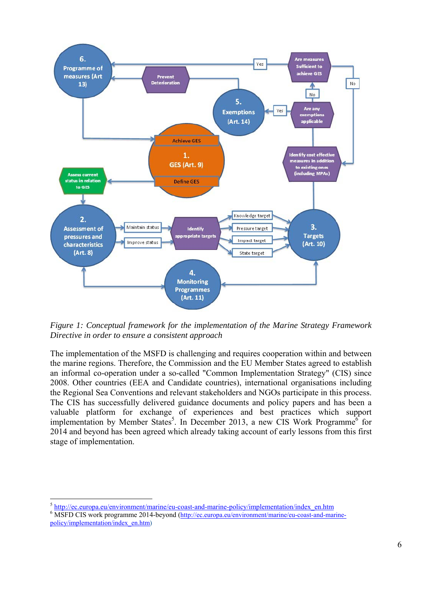

*Figure 1: Conceptual framework for the implementation of the Marine Strategy Framework Directive in order to ensure a consistent approach* 

The implementation of the MSFD is challenging and requires cooperation within and between the marine regions. Therefore, the Commission and the EU Member States agreed to establish an informal co-operation under a so-called "Common Implementation Strategy" (CIS) since 2008. Other countries (EEA and Candidate countries), international organisations including the Regional Sea Conventions and relevant stakeholders and NGOs participate in this process. The CIS has successfully delivered guidance documents and policy papers and has been a valuable platform for exchange of experiences and best practices which support implementation by Member States<sup>5</sup>. In December 2013, a new CIS Work Programme<sup>6</sup> for 2014 and beyond has been agreed which already taking account of early lessons from this first stage of implementation.

<u>.</u>

<sup>&</sup>lt;sup>5</sup> [http://ec.europa.eu/environment/marine/eu](http://ec.europa.eu/environment/marine/eu-coast-and-marine-policy/implementation/index_en.htm)-coast-and-marine-policy/implementation/index\_en.htm

<sup>&</sup>lt;sup>6</sup> MSFD CIS work programme 2014-beyond [\(http://ec.europa.eu/environment/marine/eu-coast-and-marine](http://ec.europa.eu/environment/marine/eu-coast-and-marine-policy/implementation/index_en.htm)[policy/implementation/index\\_en.htm\)](http://ec.europa.eu/environment/marine/eu-coast-and-marine-policy/implementation/index_en.htm)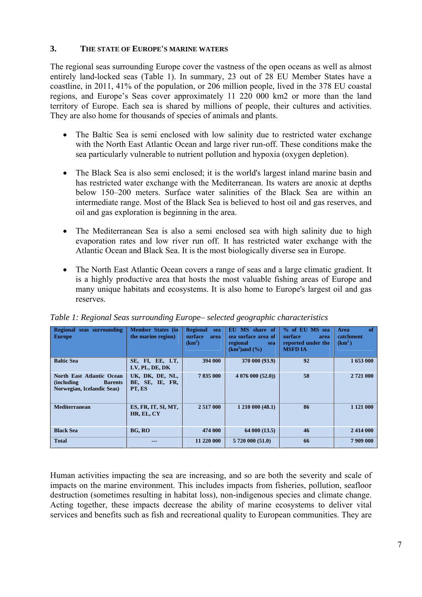#### <span id="page-6-0"></span>**3. THE STATE OF EUROPE'S MARINE WATERS**

The regional seas surrounding Europe cover the vastness of the open oceans as well as almost entirely land-locked seas (Table 1). In summary, 23 out of 28 EU Member States have a coastline, in 2011, 41% of the population, or 206 million people, lived in the 378 EU coastal regions, and Europe's Seas cover approximately 11 220 000 km2 or more than the land territory of Europe. Each sea is shared by millions of people, their cultures and activities. They are also home for thousands of species of animals and plants.

- The Baltic Sea is semi enclosed with low salinity due to restricted water exchange with the North East Atlantic Ocean and large river run-off. These conditions make the sea particularly vulnerable to nutrient pollution and hypoxia (oxygen depletion).
- The Black Sea is also semi enclosed; it is the world's largest inland marine basin and has restricted water exchange with the Mediterranean. Its waters are anoxic at depths below 150–200 meters. Surface water salinities of the Black Sea are within an intermediate range. Most of the Black Sea is believed to host oil and gas reserves, and oil and gas exploration is beginning in the area.
- The Mediterranean Sea is also a semi enclosed sea with high salinity due to high evaporation rates and low river run off. It has restricted water exchange with the Atlantic Ocean and Black Sea. It is the most biologically diverse sea in Europe.
- The North East Atlantic Ocean covers a range of seas and a large climatic gradient. It is a highly productive area that hosts the most valuable fishing areas of Europe and many unique habitats and ecosystems. It is also home to Europe's largest oil and gas reserves.

| Regional<br>seas surrounding<br><b>Europe</b>                                                   | <b>Member States (in</b><br>the marine region) | <b>Regional</b><br>sea<br>surface<br>area<br>(km <sup>2</sup> ) | EU MS share of<br>sea surface area of<br>regional<br>sea<br>$(km2)$ and $(%$ | % of EU MS sea<br>surface<br>area<br>reported under the<br><b>MSFD IA</b> | of<br>Area<br>catchment<br>(km <sup>2</sup> ) |
|-------------------------------------------------------------------------------------------------|------------------------------------------------|-----------------------------------------------------------------|------------------------------------------------------------------------------|---------------------------------------------------------------------------|-----------------------------------------------|
| <b>Baltic Sea</b>                                                                               | SE, FI, EE, LT,<br>LV, PL, DE, DK              | 394 000                                                         | 370 000 (93.9)                                                               | 92                                                                        | 1 653 000                                     |
| North East Atlantic Ocean<br><i>(including)</i><br><b>Barents</b><br>Norwegian, Icelandic Seas) | UK, DK, DE, NL,<br>BE, SE, IE, FR,<br>PT, ES   | 7835000                                                         | 4076000(52.0)                                                                | 58                                                                        | 2721 000                                      |
| <b>Mediterranean</b>                                                                            | ES, FR, IT, SI, MT,<br>HR, EL, CY              | 2 5 1 7 0 0 0                                                   | 1 210 000 (48.1)                                                             | 86                                                                        | 1 1 2 1 0 0 0                                 |
| <b>Black Sea</b>                                                                                | BG, RO                                         | 474 000                                                         | 64 000 (13.5)                                                                | 46                                                                        | 2414 000                                      |
| <b>Total</b>                                                                                    |                                                | 11 220 000                                                      | 5 720 000 (51.0)                                                             | 66                                                                        | 7909000                                       |

### *Table 1: Regional Seas surrounding Europe– selected geographic characteristics*

Human activities impacting the sea are increasing, and so are both the severity and scale of impacts on the marine environment. This includes impacts from fisheries, pollution, seafloor destruction (sometimes resulting in habitat loss), non-indigenous species and climate change. Acting together, these impacts decrease the ability of marine ecosystems to deliver vital services and benefits such as fish and recreational quality to European communities. They are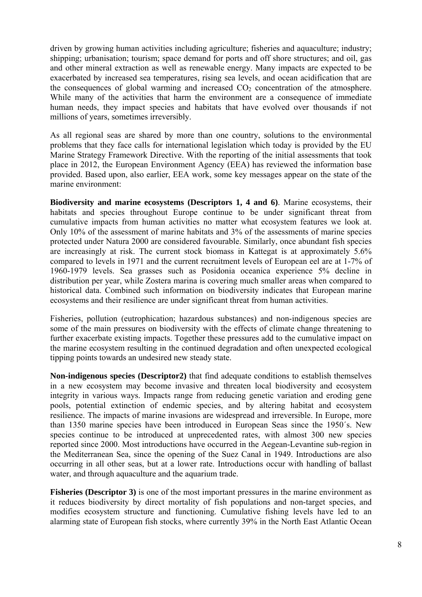driven by growing human activities including agriculture; fisheries and aquaculture; industry; shipping; urbanisation; tourism; space demand for ports and off shore structures; and oil, gas and other mineral extraction as well as renewable energy. Many impacts are expected to be exacerbated by increased sea temperatures, rising sea levels, and ocean acidification that are the consequences of global warming and increased  $CO<sub>2</sub>$  concentration of the atmosphere. While many of the activities that harm the environment are a consequence of immediate human needs, they impact species and habitats that have evolved over thousands if not millions of years, sometimes irreversibly.

As all regional seas are shared by more than one country, solutions to the environmental problems that they face calls for international legislation which today is provided by the EU Marine Strategy Framework Directive. With the reporting of the initial assessments that took place in 2012, the European Environment Agency (EEA) has reviewed the information base provided. Based upon, also earlier, EEA work, some key messages appear on the state of the marine environment:

**Biodiversity and marine ecosystems (Descriptors 1, 4 and 6)**. Marine ecosystems, their habitats and species throughout Europe continue to be under significant threat from cumulative impacts from human activities no matter what ecosystem features we look at. Only 10% of the assessment of marine habitats and 3% of the assessments of marine species protected under Natura 2000 are considered favourable. Similarly, once abundant fish species are increasingly at risk. The current stock biomass in Kattegat is at approximately 5.6% compared to levels in 1971 and the current recruitment levels of European eel are at 1-7% of 1960-1979 levels. Sea grasses such as Posidonia oceanica experience 5% decline in distribution per year, while Zostera marina is covering much smaller areas when compared to historical data. Combined such information on biodiversity indicates that European marine ecosystems and their resilience are under significant threat from human activities.

Fisheries, pollution (eutrophication; hazardous substances) and non-indigenous species are some of the main pressures on biodiversity with the effects of climate change threatening to further exacerbate existing impacts. Together these pressures add to the cumulative impact on the marine ecosystem resulting in the continued degradation and often unexpected ecological tipping points towards an undesired new steady state.

**Non-indigenous species (Descriptor2)** that find adequate conditions to establish themselves in a new ecosystem may become invasive and threaten local biodiversity and ecosystem integrity in various ways. Impacts range from reducing genetic variation and eroding gene pools, potential extinction of endemic species, and by altering habitat and ecosystem resilience. The impacts of marine invasions are widespread and irreversible. In Europe, more than 1350 marine species have been introduced in European Seas since the 1950´s. New species continue to be introduced at unprecedented rates, with almost 300 new species reported since 2000. Most introductions have occurred in the Aegean-Levantine sub-region in the Mediterranean Sea, since the opening of the Suez Canal in 1949. Introductions are also occurring in all other seas, but at a lower rate. Introductions occur with handling of ballast water, and through aquaculture and the aquarium trade.

**Fisheries (Descriptor 3)** is one of the most important pressures in the marine environment as it reduces biodiversity by direct mortality of fish populations and non-target species, and modifies ecosystem structure and functioning. Cumulative fishing levels have led to an alarming state of European fish stocks, where currently 39% in the North East Atlantic Ocean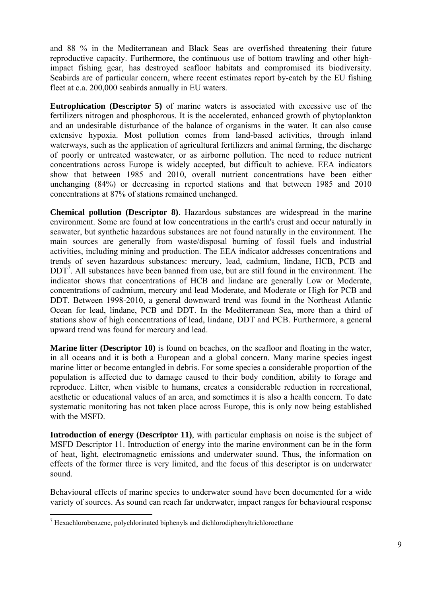and 88 % in the Mediterranean and Black Seas are overfished threatening their future reproductive capacity. Furthermore, the continuous use of bottom trawling and other highimpact fishing gear, has destroyed seafloor habitats and compromised its biodiversity. Seabirds are of particular concern, where recent estimates report by-catch by the EU fishing fleet at c.a. 200,000 seabirds annually in EU waters.

**Eutrophication (Descriptor 5)** of marine waters is associated with excessive use of the fertilizers nitrogen and phosphorous. It is the accelerated, enhanced growth of phytoplankton and an undesirable disturbance of the balance of organisms in the water. It can also cause extensive hypoxia. Most pollution comes from land-based activities, through inland waterways, such as the application of agricultural fertilizers and animal farming, the discharge of poorly or untreated wastewater, or as airborne pollution. The need to reduce nutrient concentrations across Europe is widely accepted, but difficult to achieve. EEA indicators show that between 1985 and 2010, overall nutrient concentrations have been either unchanging (84%) or decreasing in reported stations and that between 1985 and 2010 concentrations at 87% of stations remained unchanged.

**Chemical pollution (Descriptor 8)**. Hazardous substances are widespread in the marine environment. Some are found at low concentrations in the earth's crust and occur naturally in seawater, but synthetic hazardous substances are not found naturally in the environment. The main sources are generally from waste/disposal burning of fossil fuels and industrial activities, including mining and production. The EEA indicator addresses concentrations and trends of seven hazardous substances: mercury, lead, cadmium, lindane, HCB, PCB and DDT<sup>7</sup>. All substances have been banned from use, but are still found in the environment. The indicator shows that concentrations of HCB and lindane are generally Low or Moderate, concentrations of cadmium, mercury and lead Moderate, and Moderate or High for PCB and DDT. Between 1998-2010, a general downward trend was found in the Northeast Atlantic Ocean for lead, lindane, PCB and DDT. In the Mediterranean Sea, more than a third of stations show of high concentrations of lead, lindane, DDT and PCB. Furthermore, a general upward trend was found for mercury and lead.

**Marine litter (Descriptor 10)** is found on beaches, on the seafloor and floating in the water, in all oceans and it is both a European and a global concern. Many marine species ingest marine litter or become entangled in debris. For some species a considerable proportion of the population is affected due to damage caused to their body condition, ability to forage and reproduce. Litter, when visible to humans, creates a considerable reduction in recreational, aesthetic or educational values of an area, and sometimes it is also a health concern. To date systematic monitoring has not taken place across Europe, this is only now being established with the MSFD.

**Introduction of energy (Descriptor 11)**, with particular emphasis on noise is the subject of MSFD Descriptor 11. Introduction of energy into the marine environment can be in the form of heat, light, electromagnetic emissions and underwater sound. Thus, the information on effects of the former three is very limited, and the focus of this descriptor is on underwater sound.

Behavioural effects of marine species to underwater sound have been documented for a wide variety of sources. As sound can reach far underwater, impact ranges for behavioural response

1

 $<sup>7</sup>$  Hexachlorobenzene, polychlorinated biphenyls and dichlorodiphenyltrichloroethane</sup>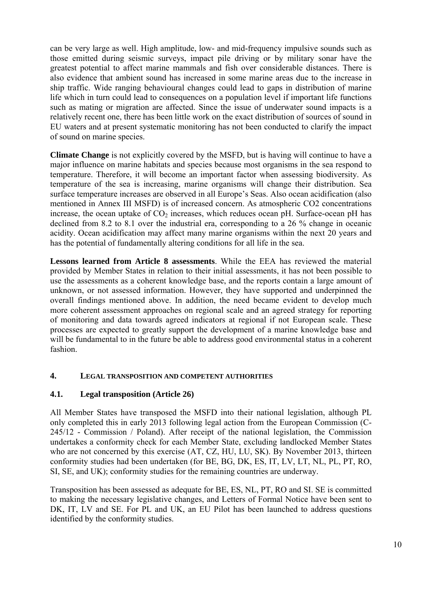can be very large as well. High amplitude, low- and mid-frequency impulsive sounds such as those emitted during seismic surveys, impact pile driving or by military sonar have the greatest potential to affect marine mammals and fish over considerable distances. There is also evidence that ambient sound has increased in some marine areas due to the increase in ship traffic. Wide ranging behavioural changes could lead to gaps in distribution of marine life which in turn could lead to consequences on a population level if important life functions such as mating or migration are affected. Since the issue of underwater sound impacts is a relatively recent one, there has been little work on the exact distribution of sources of sound in EU waters and at present systematic monitoring has not been conducted to clarify the impact of sound on marine species.

**Climate Change** is not explicitly covered by the MSFD, but is having will continue to have a major influence on marine habitats and species because most organisms in the sea respond to temperature. Therefore, it will become an important factor when assessing biodiversity. As temperature of the sea is increasing, marine organisms will change their distribution. Sea surface temperature increases are observed in all Europe's Seas. Also ocean acidification (also mentioned in Annex III MSFD) is of increased concern. As atmospheric CO2 concentrations increase, the ocean uptake of  $CO<sub>2</sub>$  increases, which reduces ocean pH. Surface-ocean pH has declined from 8.2 to 8.1 over the industrial era, corresponding to a 26 % change in oceanic acidity. Ocean acidification may affect many marine organisms within the next 20 years and has the potential of fundamentally altering conditions for all life in the sea.

**Lessons learned from Article 8 assessments**. While the EEA has reviewed the material provided by Member States in relation to their initial assessments, it has not been possible to use the assessments as a coherent knowledge base, and the reports contain a large amount of unknown, or not assessed information. However, they have supported and underpinned the overall findings mentioned above. In addition, the need became evident to develop much more coherent assessment approaches on regional scale and an agreed strategy for reporting of monitoring and data towards agreed indicators at regional if not European scale. These processes are expected to greatly support the development of a marine knowledge base and will be fundamental to in the future be able to address good environmental status in a coherent fashion.

### <span id="page-9-1"></span><span id="page-9-0"></span>**4. LEGAL TRANSPOSITION AND COMPETENT AUTHORITIES**

### **4.1. Legal transposition (Article 26)**

All Member States have transposed the MSFD into their national legislation, although PL only completed this in early 2013 following legal action from the European Commission (C-245/12 - Commission / Poland). After receipt of the national legislation, the Commission undertakes a conformity check for each Member State, excluding landlocked Member States who are not concerned by this exercise (AT, CZ, HU, LU, SK). By November 2013, thirteen conformity studies had been undertaken (for BE, BG, DK, ES, IT, LV, LT, NL, PL, PT, RO, SI, SE, and UK); conformity studies for the remaining countries are underway.

Transposition has been assessed as adequate for BE, ES, NL, PT, RO and SI. SE is committed to making the necessary legislative changes, and Letters of Formal Notice have been sent to DK, IT, LV and SE. For PL and UK, an EU Pilot has been launched to address questions identified by the conformity studies.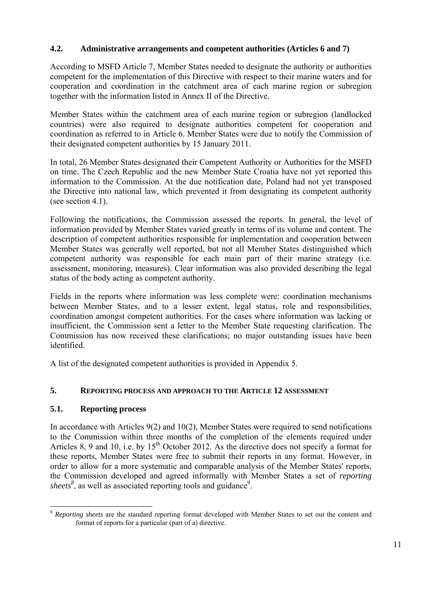## <span id="page-10-0"></span>**4.2. Administrative arrangements and competent authorities (Articles 6 and 7)**

According to MSFD Article 7, Member States needed to designate the authority or authorities competent for the implementation of this Directive with respect to their marine waters and for cooperation and coordination in the catchment area of each marine region or subregion together with the information listed in Annex II of the Directive.

Member States within the catchment area of each marine region or subregion (landlocked countries) were also required to designate authorities competent for cooperation and coordination as referred to in Article 6. Member States were due to notify the Commission of their designated competent authorities by 15 January 2011.

In total, 26 Member States designated their Competent Authority or Authorities for the MSFD on time. The Czech Republic and the new Member State Croatia have not yet reported this information to the Commission. At the due notification date, Poland had not yet transposed the Directive into national law, which prevented it from designating its competent authority (see section 4.1).

Following the notifications, the Commission assessed the reports. In general, the level of information provided by Member States varied greatly in terms of its volume and content. The description of competent authorities responsible for implementation and cooperation between Member States was generally well reported, but not all Member States distinguished which competent authority was responsible for each main part of their marine strategy (i.e. assessment, monitoring, measures). Clear information was also provided describing the legal status of the body acting as competent authority.

Fields in the reports where information was less complete were: coordination mechanisms between Member States, and to a lesser extent, legal status, role and responsibilities, coordination amongst competent authorities. For the cases where information was lacking or insufficient, the Commission sent a letter to the Member State requesting clarification. The Commission has now received these clarifications; no major outstanding issues have been identified.

A list of the designated competent authorities is provided in Appendix 5.

### <span id="page-10-2"></span><span id="page-10-1"></span>**5. REPORTING PROCESS AND APPROACH TO THE ARTICLE 12 ASSESSMENT**

### **5.1. Reporting process**

In accordance with Articles 9(2) and 10(2), Member States were required to send notifications to the Commission within three months of the completion of the elements required under Articles 8, 9 and 10, i.e. by 15<sup>th</sup> October 2012. As the directive does not specify a format for these reports, Member States were free to submit their reports in any format. However, in order to allow for a more systematic and comparable analysis of the Member States' reports, the Commission developed and agreed informally with Member States a set of *reporting*  sheets<sup>8</sup>, as well as associated reporting tools and guidance<sup>9</sup>.

<sup>&</sup>lt;u>.</u> <sup>8</sup> Reporting sheets are t[he standard reporting format developed with Member States](http://icm.eionet.europa.eu/schemas/dir200856ec/resources) to set out the content and format of reports for a particular (part of a) directive.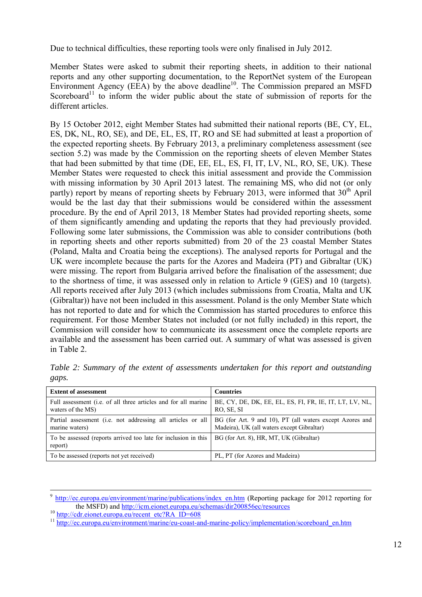Due to technical difficulties, these reporting tools were only finalised in July 2012.

Member States were asked to submit their reporting sheets, in addition to their national reports and any other supporting documentation, to the ReportNet system of the European Environment Agency (EEA) by the above deadline<sup>10</sup>. The Commission prepared an MSFD Scoreboard<sup>11</sup> to inform the wider public about the state of submission of reports for the different articles.

By 15 October 2012, eight Member States had submitted their national reports (BE, CY, EL, ES, DK, NL, RO, SE), and DE, EL, ES, IT, RO and SE had submitted at least a proportion of the expected reporting sheets. By February 2013, a preliminary completeness assessment (see section 5.2) was made by the Commission on the reporting sheets of eleven Member States that had been submitted by that time (DE, EE, EL, ES, FI, IT, LV, NL, RO, SE, UK). These Member States were requested to check this initial assessment and provide the Commission with missing information by 30 April 2013 latest. The remaining MS, who did not (or only partly) report by means of reporting sheets by February 2013, were informed that  $30<sup>th</sup>$  April would be the last day that their submissions would be considered within the assessment procedure. By the end of April 2013, 18 Member States had provided reporting sheets, some of them significantly amending and updating the reports that they had previously provided. Following some later submissions, the Commission was able to consider contributions (both in reporting sheets and other reports submitted) from 20 of the 23 coastal Member States (Poland, Malta and Croatia being the exceptions). The analysed reports for Portugal and the UK were incomplete because the parts for the Azores and Madeira (PT) and Gibraltar (UK) were missing. The report from Bulgaria arrived before the finalisation of the assessment; due to the shortness of time, it was assessed only in relation to Article 9 (GES) and 10 (targets). All reports received after July 2013 (which includes submissions from Croatia, Malta and UK (Gibraltar)) have not been included in this assessment. Poland is the only Member State which has not reported to date and for which the Commission has started procedures to enforce this requirement. For those Member States not included (or not fully included) in this report, the Commission will consider how to communicate its assessment once the complete reports are available and the assessment has been carried out. A summary of what was assessed is given in Table 2.

*Table 2: Summary of the extent of assessments undertaken for this report and outstanding gaps.* 

| <b>Extent of assessment</b>                                                         | <b>Countries</b>                                                                                       |
|-------------------------------------------------------------------------------------|--------------------------------------------------------------------------------------------------------|
| Full assessment (i.e. of all three articles and for all marine<br>waters of the MS) | BE, CY, DE, DK, EE, EL, ES, FI, FR, IE, IT, LT, LV, NL,<br>RO, SE, SI                                  |
| Partial assessment (i.e. not addressing all articles or all<br>marine waters)       | BG (for Art. 9 and 10), PT (all waters except Azores and<br>Madeira), UK (all waters except Gibraltar) |
| To be assessed (reports arrived too late for inclusion in this<br>report)           | BG (for Art. 8), HR, MT, UK (Gibraltar)                                                                |
| To be assessed (reports not yet received)                                           | PL, PT (for Azores and Madeira)                                                                        |

 $9 \frac{\text{http://ec.europa.eu/environment/marine/publications/index_en.htm}}{\text{http://ec.europa.eu/environment/marine/publications/index_en.htm}}$  (Reporting package for 2012 reporting for the MSFD) and http://icm.eionet.europa.eu/schemas/dir200856ec/resources

 $\frac{10 \text{ <http://cdr.eionet.europa.eu/recent_tec?RA_ID=608>}{http://ec.europa.eu/environment/marine/eu-coast-and-marine-policy/implementation/scoreboard en.htm}$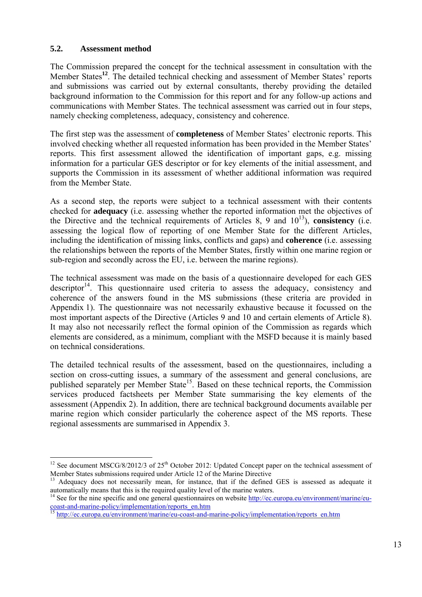#### <span id="page-12-0"></span>**5.2. Assessment method**

<u>.</u>

The Commission prepared the concept for the technical assessment in consultation with the Member States**<sup>12</sup>**. The detailed technical checking and assessment of Member States' reports and submissions was carried out by external consultants, thereby providing the detailed background information to the Commission for this report and for any follow-up actions and communications with Member States. The technical assessment was carried out in four steps, namely checking completeness, adequacy, consistency and coherence.

The first step was the assessment of **completeness** of Member States' electronic reports. This involved checking whether all requested information has been provided in the Member States' reports. This first assessment allowed the identification of important gaps, e.g. missing information for a particular GES descriptor or for key elements of the initial assessment, and supports the Commission in its assessment of whether additional information was required from the Member State.

As a second step, the reports were subject to a technical assessment with their contents checked for **adequacy** (i.e. assessing whether the reported information met the objectives of the Directive and the technical requirements of Articles 8, 9 and  $10^{13}$ ), **consistency** (i.e. assessing the logical flow of reporting of one Member State for the different Articles, including the identification of missing links, conflicts and gaps) and **coherence** (i.e. assessing the relationships between the reports of the Member States, firstly within one marine region or sub-region and secondly across the EU, i.e. between the marine regions).

The technical assessment was made on the basis of a questionnaire developed for each GES descriptor<sup>14</sup>. This questionnaire used criteria to assess the adequacy, consistency and coherence of the answers found in the MS submissions (these criteria are provided in Appendix 1). The questionnaire was not necessarily exhaustive because it focussed on the most important aspects of the Directive (Articles 9 and 10 and certain elements of Article 8). It may also not necessarily reflect the formal opinion of the Commission as regards which elements are considered, as a minimum, compliant with the MSFD because it is mainly based on technical considerations.

The detailed technical results of the assessment, based on the questionnaires, including a section on cross-cutting issues, a summary of the assessment and general conclusions, are published separately per Member State<sup>15</sup>. Based on these technical reports, the Commission services produced factsheets per Member State summarising the key elements of the assessment (Appendix 2). In addition, there are technical background documents available per marine region which consider particularly the coherence aspect of the MS reports. These regional assessments are summarised in Appendix 3.

<sup>&</sup>lt;sup>12</sup> See document MSCG/8/2012/3 of  $25<sup>th</sup>$  October 2012: Updated Concept paper on the technical assessment of Member States submissions required under Article 12 of the Marine Directive

<sup>&</sup>lt;sup>13</sup> Adequacy does not necessarily mean, for instance, that if the defined GES is assessed as adequate it automatically means that this is the required quality level of the marine waters.

<sup>&</sup>lt;sup>14</sup> See for the nine specific and one general questionnaires on website  $\frac{http://ec.europa.eu/environment/marine/eu$ [coast-and-marine-policy/implementation/reports\\_en.htm](http://ec.europa.eu/environment/marine/eu-coast-and-marine-policy/implementation/reports_en.htm)

<sup>&</sup>lt;sup>15</sup> http://ec.europa.eu/environment/marine/eu-coast-and-marine-policy/implementation/reports\_en.htm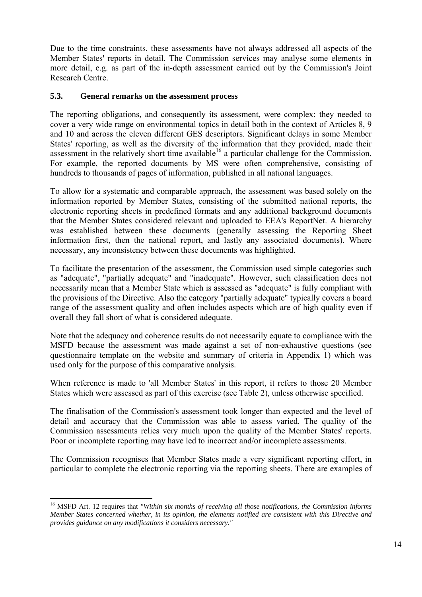Due to the time constraints, these assessments have not always addressed all aspects of the Member States' reports in detail. The Commission services may analyse some elements in more detail, e.g. as part of the in-depth assessment carried out by the Commission's Joint Research Centre.

#### <span id="page-13-0"></span>**5.3. General remarks on the assessment process**

The reporting obligations, and consequently its assessment, were complex: they needed to cover a very wide range on environmental topics in detail both in the context of Articles 8, 9 and 10 and across the eleven different GES descriptors. Significant delays in some Member States' reporting, as well as the diversity of the information that they provided, made their assessment in the relatively short time available<sup>16</sup> a particular challenge for the Commission. For example, the reported documents by MS were often comprehensive, consisting of hundreds to thousands of pages of information, published in all national languages.

To allow for a systematic and comparable approach, the assessment was based solely on the information reported by Member States, consisting of the submitted national reports, the electronic reporting sheets in predefined formats and any additional background documents that the Member States considered relevant and uploaded to EEA's ReportNet. A hierarchy was established between these documents (generally assessing the Reporting Sheet information first, then the national report, and lastly any associated documents). Where necessary, any inconsistency between these documents was highlighted.

To facilitate the presentation of the assessment, the Commission used simple categories such as "adequate", "partially adequate" and "inadequate". However, such classification does not necessarily mean that a Member State which is assessed as "adequate" is fully compliant with the provisions of the Directive. Also the category "partially adequate" typically covers a board range of the assessment quality and often includes aspects which are of high quality even if overall they fall short of what is considered adequate.

Note that the adequacy and coherence results do not necessarily equate to compliance with the MSFD because the assessment was made against a set of non-exhaustive questions (see questionnaire template on the website and summary of criteria in Appendix 1) which was used only for the purpose of this comparative analysis.

When reference is made to 'all Member States' in this report, it refers to those 20 Member States which were assessed as part of this exercise (see Table 2), unless otherwise specified.

The finalisation of the Commission's assessment took longer than expected and the level of detail and accuracy that the Commission was able to assess varied. The quality of the Commission assessments relies very much upon the quality of the Member States' reports. Poor or incomplete reporting may have led to incorrect and/or incomplete assessments.

The Commission recognises that Member States made a very significant reporting effort, in particular to complete the electronic reporting via the reporting sheets. There are examples of

1

<sup>&</sup>lt;sup>16</sup> MSFD Art. 12 requires that "Within six months of receiving all those notifications, the Commission informs *Member States concerned whether, in its opinion, the elements notified are consistent with this Directive and provides guidance on any modifications it considers necessary."*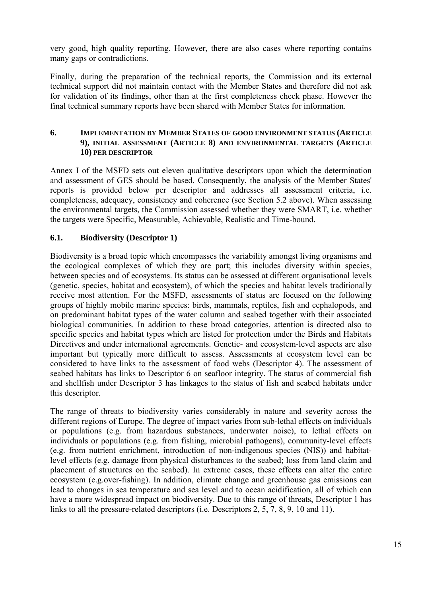very good, high quality reporting. However, there are also cases where reporting contains many gaps or contradictions.

Finally, during the preparation of the technical reports, the Commission and its external technical support did not maintain contact with the Member States and therefore did not ask for validation of its findings, other than at the first completeness check phase. However the final technical summary reports have been shared with Member States for information.

#### <span id="page-14-0"></span>**6. IMPLEMENTATION BY MEMBER STATES OF GOOD ENVIRONMENT STATUS (ARTICLE 9), INITIAL ASSESSMENT (ARTICLE 8) AND ENVIRONMENTAL TARGETS (ARTICLE 10) PER DESCRIPTOR**

Annex I of the MSFD sets out eleven qualitative descriptors upon which the determination and assessment of GES should be based. Consequently, the analysis of the Member States' reports is provided below per descriptor and addresses all assessment criteria, i.e. completeness, adequacy, consistency and coherence (see Section 5.2 above). When assessing the environmental targets, the Commission assessed whether they were SMART, i.e. whether the targets were Specific, Measurable, Achievable, Realistic and Time-bound.

## <span id="page-14-1"></span>**6.1. Biodiversity (Descriptor 1)**

Biodiversity is a broad topic which encompasses the variability amongst living organisms and the ecological complexes of which they are part; this includes diversity within species, between species and of ecosystems. Its status can be assessed at different organisational levels (genetic, species, habitat and ecosystem), of which the species and habitat levels traditionally receive most attention. For the MSFD, assessments of status are focused on the following groups of highly mobile marine species: birds, mammals, reptiles, fish and cephalopods, and on predominant habitat types of the water column and seabed together with their associated biological communities. In addition to these broad categories, attention is directed also to specific species and habitat types which are listed for protection under the Birds and Habitats Directives and under international agreements. Genetic- and ecosystem-level aspects are also important but typically more difficult to assess. Assessments at ecosystem level can be considered to have links to the assessment of food webs (Descriptor 4). The assessment of seabed habitats has links to Descriptor 6 on seafloor integrity. The status of commercial fish and shellfish under Descriptor 3 has linkages to the status of fish and seabed habitats under this descriptor.

The range of threats to biodiversity varies considerably in nature and severity across the different regions of Europe. The degree of impact varies from sub-lethal effects on individuals or populations (e.g. from hazardous substances, underwater noise), to lethal effects on individuals or populations (e.g. from fishing, microbial pathogens), community-level effects (e.g. from nutrient enrichment, introduction of non-indigenous species (NIS)) and habitatlevel effects (e.g. damage from physical disturbances to the seabed; loss from land claim and placement of structures on the seabed). In extreme cases, these effects can alter the entire ecosystem (e.g.over-fishing). In addition, climate change and greenhouse gas emissions can lead to changes in sea temperature and sea level and to ocean acidification, all of which can have a more widespread impact on biodiversity. Due to this range of threats, Descriptor 1 has links to all the pressure-related descriptors (i.e. Descriptors 2, 5, 7, 8, 9, 10 and 11).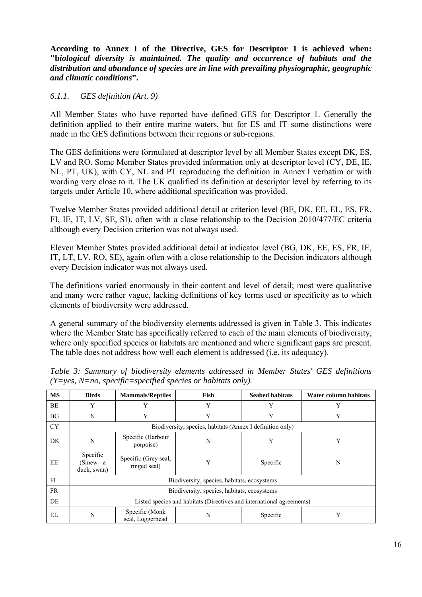**According to Annex I of the Directive, GES for Descriptor 1 is achieved when: "b***iological diversity is maintained. The quality and occurrence of habitats and the distribution and abundance of species are in line with prevailing physiographic, geographic and climatic conditions***".** 

### *6.1.1. GES definition (Art. 9)*

All Member States who have reported have defined GES for Descriptor 1. Generally the definition applied to their entire marine waters, but for ES and IT some distinctions were made in the GES definitions between their regions or sub-regions.

The GES definitions were formulated at descriptor level by all Member States except DK, ES, LV and RO. Some Member States provided information only at descriptor level (CY, DE, IE, NL, PT, UK), with CY, NL and PT reproducing the definition in Annex I verbatim or with wording very close to it. The UK qualified its definition at descriptor level by referring to its targets under Article 10, where additional specification was provided.

Twelve Member States provided additional detail at criterion level (BE, DK, EE, EL, ES, FR, FI, IE, IT, LV, SE, SI), often with a close relationship to the Decision 2010/477/EC criteria although every Decision criterion was not always used.

Eleven Member States provided additional detail at indicator level (BG, DK, EE, ES, FR, IE, IT, LT, LV, RO, SE), again often with a close relationship to the Decision indicators although every Decision indicator was not always used.

The definitions varied enormously in their content and level of detail; most were qualitative and many were rather vague, lacking definitions of key terms used or specificity as to which elements of biodiversity were addressed.

A general summary of the biodiversity elements addressed is given in Table 3. This indicates where the Member State has specifically referred to each of the main elements of biodiversity, where only specified species or habitats are mentioned and where significant gaps are present. The table does not address how well each element is addressed (i.e. its adequacy).

| <b>MS</b> | <b>Birds</b>                                                          | <b>Mammals/Reptiles</b>              | Fish | <b>Seabed habitats</b> | Water column habitats |  |
|-----------|-----------------------------------------------------------------------|--------------------------------------|------|------------------------|-----------------------|--|
| BE        | Y                                                                     | Y                                    | Y    | Y                      | Y                     |  |
| BG        | N                                                                     | Y                                    | Y    | Y                      | Y                     |  |
| <b>CY</b> | Biodiversity, species, habitats (Annex I definition only)             |                                      |      |                        |                       |  |
| DK        | N                                                                     | Specific (Harbour<br>porpoise)       | N    | Y                      | Y                     |  |
| EE        | Specific<br>(Smew - a<br>duck, swan)                                  | Specific (Grey seal,<br>ringed seal) | Y    | Specific               | N                     |  |
| FI        | Biodiversity, species, habitats, ecosystems                           |                                      |      |                        |                       |  |
| <b>FR</b> | Biodiversity, species, habitats, ecosystems                           |                                      |      |                        |                       |  |
| DE        | Listed species and habitats (Directives and international agreements) |                                      |      |                        |                       |  |
| EL        | N                                                                     | Specific (Monk)<br>seal, Loggerhead  | N    | Specific               | Y                     |  |

*Table 3: Summary of biodiversity elements addressed in Member States' GES definitions (Y=yes, N=no, specific=specified species or habitats only).*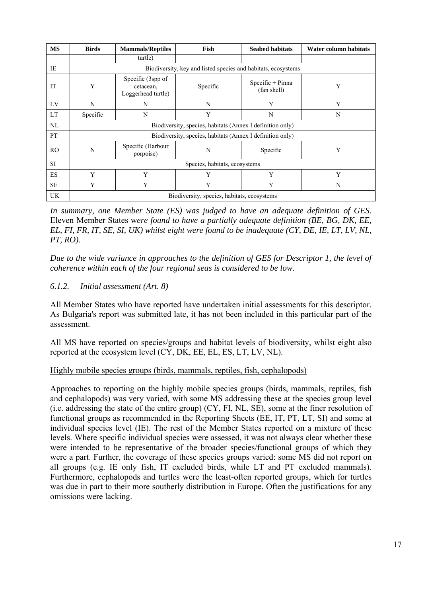| <b>MS</b> | <b>Birds</b>                                                  | <b>Mammals/Reptiles</b>                              | Fish     | <b>Seabed habitats</b>            | Water column habitats |  |
|-----------|---------------------------------------------------------------|------------------------------------------------------|----------|-----------------------------------|-----------------------|--|
|           |                                                               | turtle)                                              |          |                                   |                       |  |
| IE        | Biodiversity, key and listed species and habitats, ecosystems |                                                      |          |                                   |                       |  |
| IT        | Y                                                             | Specific (3spp of<br>cetacean,<br>Loggerhead turtle) | Specific | $Specific + Pinna$<br>(fan shell) | Y                     |  |
| LV        | N                                                             | N                                                    | N        | Y                                 | Y                     |  |
| LT        | Specific                                                      | N                                                    | Y        | N                                 | N                     |  |
| NL        | Biodiversity, species, habitats (Annex I definition only)     |                                                      |          |                                   |                       |  |
| <b>PT</b> | Biodiversity, species, habitats (Annex I definition only)     |                                                      |          |                                   |                       |  |
| RO.       | N                                                             | Specific (Harbour<br>porpoise)                       | N        | Specific                          | Y                     |  |
| <b>SI</b> | Species, habitats, ecosystems                                 |                                                      |          |                                   |                       |  |
| <b>ES</b> | Y                                                             | Y                                                    | Y        | Y                                 | Y                     |  |
| $\rm SE$  | Y                                                             | Y                                                    | Y        | Y                                 | N                     |  |
| UK        | Biodiversity, species, habitats, ecosystems                   |                                                      |          |                                   |                       |  |

*In summary, one Member State (ES) was judged to have an adequate definition of GES.*  Eleven Member States w*ere found to have a partially adequate definition (BE, BG, DK, EE, EL, FI, FR, IT, SE, SI, UK) whilst eight were found to be inadequate (CY, DE, IE, LT, LV, NL, PT, RO).* 

*Due to the wide variance in approaches to the definition of GES for Descriptor 1, the level of coherence within each of the four regional seas is considered to be low.* 

### *6.1.2. Initial assessment (Art. 8)*

All Member States who have reported have undertaken initial assessments for this descriptor. As Bulgaria's report was submitted late, it has not been included in this particular part of the assessment.

All MS have reported on species/groups and habitat levels of biodiversity, whilst eight also reported at the ecosystem level (CY, DK, EE, EL, ES, LT, LV, NL).

### Highly mobile species groups (birds, mammals, reptiles, fish, cephalopods)

Approaches to reporting on the highly mobile species groups (birds, mammals, reptiles, fish and cephalopods) was very varied, with some MS addressing these at the species group level (i.e. addressing the state of the entire group) (CY, FI, NL, SE), some at the finer resolution of functional groups as recommended in the Reporting Sheets (EE, IT, PT, LT, SI) and some at individual species level (IE). The rest of the Member States reported on a mixture of these levels. Where specific individual species were assessed, it was not always clear whether these were intended to be representative of the broader species/functional groups of which they were a part. Further, the coverage of these species groups varied: some MS did not report on all groups (e.g. IE only fish, IT excluded birds, while LT and PT excluded mammals). Furthermore, cephalopods and turtles were the least-often reported groups, which for turtles was due in part to their more southerly distribution in Europe. Often the justifications for any omissions were lacking.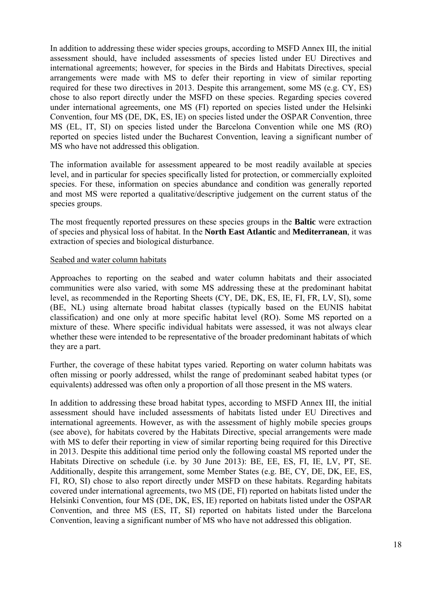In addition to addressing these wider species groups, according to MSFD Annex III, the initial assessment should, have included assessments of species listed under EU Directives and international agreements; however, for species in the Birds and Habitats Directives, special arrangements were made with MS to defer their reporting in view of similar reporting required for these two directives in 2013. Despite this arrangement, some MS (e.g. CY, ES) chose to also report directly under the MSFD on these species. Regarding species covered under international agreements, one MS (FI) reported on species listed under the Helsinki Convention, four MS (DE, DK, ES, IE) on species listed under the OSPAR Convention, three MS (EL, IT, SI) on species listed under the Barcelona Convention while one MS (RO) reported on species listed under the Bucharest Convention, leaving a significant number of MS who have not addressed this obligation.

The information available for assessment appeared to be most readily available at species level, and in particular for species specifically listed for protection, or commercially exploited species. For these, information on species abundance and condition was generally reported and most MS were reported a qualitative/descriptive judgement on the current status of the species groups.

The most frequently reported pressures on these species groups in the **Baltic** were extraction of species and physical loss of habitat. In the **North East Atlantic** and **Mediterranean**, it was extraction of species and biological disturbance.

#### Seabed and water column habitats

Approaches to reporting on the seabed and water column habitats and their associated communities were also varied, with some MS addressing these at the predominant habitat level, as recommended in the Reporting Sheets (CY, DE, DK, ES, IE, FI, FR, LV, SI), some (BE, NL) using alternate broad habitat classes (typically based on the EUNIS habitat classification) and one only at more specific habitat level (RO). Some MS reported on a mixture of these. Where specific individual habitats were assessed, it was not always clear whether these were intended to be representative of the broader predominant habitats of which they are a part.

Further, the coverage of these habitat types varied. Reporting on water column habitats was often missing or poorly addressed, whilst the range of predominant seabed habitat types (or equivalents) addressed was often only a proportion of all those present in the MS waters.

In addition to addressing these broad habitat types, according to MSFD Annex III, the initial assessment should have included assessments of habitats listed under EU Directives and international agreements. However, as with the assessment of highly mobile species groups (see above), for habitats covered by the Habitats Directive, special arrangements were made with MS to defer their reporting in view of similar reporting being required for this Directive in 2013. Despite this additional time period only the following coastal MS reported under the Habitats Directive on schedule (i.e. by 30 June 2013): BE, EE, ES, FI, IE, LV, PT, SE. Additionally, despite this arrangement, some Member States (e.g. BE, CY, DE, DK, EE, ES, FI, RO, SI) chose to also report directly under MSFD on these habitats. Regarding habitats covered under international agreements, two MS (DE, FI) reported on habitats listed under the Helsinki Convention, four MS (DE, DK, ES, IE) reported on habitats listed under the OSPAR Convention, and three MS (ES, IT, SI) reported on habitats listed under the Barcelona Convention, leaving a significant number of MS who have not addressed this obligation.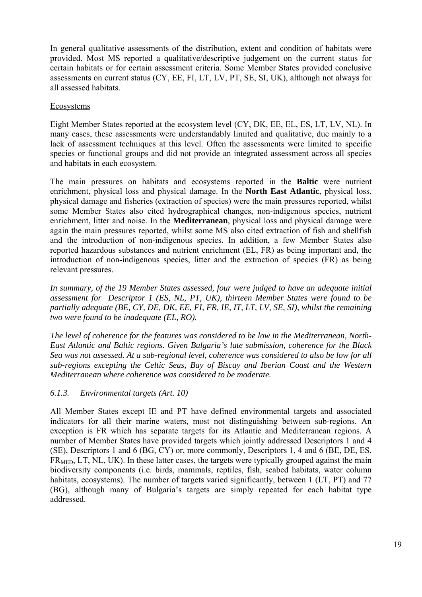In general qualitative assessments of the distribution, extent and condition of habitats were provided. Most MS reported a qualitative/descriptive judgement on the current status for certain habitats or for certain assessment criteria. Some Member States provided conclusive assessments on current status (CY, EE, FI, LT, LV, PT, SE, SI, UK), although not always for all assessed habitats.

### Ecosystems

Eight Member States reported at the ecosystem level (CY, DK, EE, EL, ES, LT, LV, NL). In many cases, these assessments were understandably limited and qualitative, due mainly to a lack of assessment techniques at this level. Often the assessments were limited to specific species or functional groups and did not provide an integrated assessment across all species and habitats in each ecosystem.

The main pressures on habitats and ecosystems reported in the **Baltic** were nutrient enrichment, physical loss and physical damage. In the **North East Atlantic**, physical loss, physical damage and fisheries (extraction of species) were the main pressures reported, whilst some Member States also cited hydrographical changes, non-indigenous species, nutrient enrichment, litter and noise. In the **Mediterranean**, physical loss and physical damage were again the main pressures reported, whilst some MS also cited extraction of fish and shellfish and the introduction of non-indigenous species. In addition, a few Member States also reported hazardous substances and nutrient enrichment (EL, FR) as being important and, the introduction of non-indigenous species, litter and the extraction of species (FR) as being relevant pressures.

*In summary, of the 19 Member States assessed, four were judged to have an adequate initial assessment for Descriptor 1 (ES, NL, PT, UK), thirteen Member States were found to be partially adequate (BE, CY, DE, DK, EE, FI, FR, IE, IT, LT, LV, SE, SI), whilst the remaining two were found to be inadequate (EL, RO).* 

*The level of coherence for the features was considered to be low in the Mediterranean, North-East Atlantic and Baltic regions. Given Bulgaria's late submission, coherence for the Black Sea was not assessed. At a sub-regional level, coherence was considered to also be low for all sub-regions excepting the Celtic Seas, Bay of Biscay and Iberian Coast and the Western Mediterranean where coherence was considered to be moderate.*

### *6.1.3. Environmental targets (Art. 10)*

All Member States except IE and PT have defined environmental targets and associated indicators for all their marine waters, most not distinguishing between sub-regions. An exception is FR which has separate targets for its Atlantic and Mediterranean regions. A number of Member States have provided targets which jointly addressed Descriptors 1 and 4 (SE), Descriptors 1 and 6 (BG, CY) or, more commonly, Descriptors 1, 4 and 6 (BE, DE, ES,  $FR<sub>MED</sub>, LT, NL, UK$ ). In these latter cases, the targets were typically grouped against the main biodiversity components (i.e. birds, mammals, reptiles, fish, seabed habitats, water column habitats, ecosystems). The number of targets varied significantly, between 1 (LT, PT) and 77 (BG), although many of Bulgaria's targets are simply repeated for each habitat type addressed.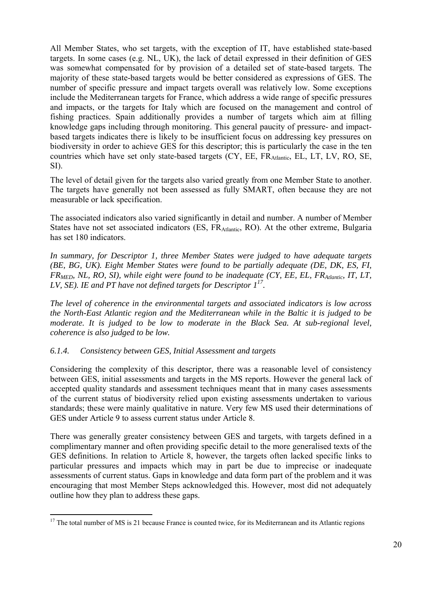All Member States, who set targets, with the exception of IT, have established state-based targets. In some cases (e.g. NL, UK), the lack of detail expressed in their definition of GES was somewhat compensated for by provision of a detailed set of state-based targets. The majority of these state-based targets would be better considered as expressions of GES. The number of specific pressure and impact targets overall was relatively low. Some exceptions include the Mediterranean targets for France, which address a wide range of specific pressures and impacts, or the targets for Italy which are focused on the management and control of fishing practices. Spain additionally provides a number of targets which aim at filling knowledge gaps including through monitoring. This general paucity of pressure- and impactbased targets indicates there is likely to be insufficient focus on addressing key pressures on biodiversity in order to achieve GES for this descriptor; this is particularly the case in the ten countries which have set only state-based targets (CY, EE, FRAtlantic, EL, LT, LV, RO, SE, SI).

The level of detail given for the targets also varied greatly from one Member State to another. The targets have generally not been assessed as fully SMART, often because they are not measurable or lack specification.

The associated indicators also varied significantly in detail and number. A number of Member States have not set associated indicators (ES, FR<sub>Atlantic</sub>, RO). At the other extreme, Bulgaria has set 180 indicators.

*In summary, for Descriptor 1, three Member States were judged to have adequate targets (BE, BG, UK). Eight Member States were found to be partially adequate (DE, DK, ES, FI, FRMED, NL, RO, SI), while eight were found to be inadequate (CY, EE, EL, FRAtlantic, IT, LT, LV, SE). IE and PT have not defined targets for Descriptor 117.* 

*The level of coherence in the environmental targets and associated indicators is low across the North-East Atlantic region and the Mediterranean while in the Baltic it is judged to be moderate. It is judged to be low to moderate in the Black Sea. At sub-regional level, coherence is also judged to be low.* 

### *6.1.4. Consistency between GES, Initial Assessment and targets*

1

Considering the complexity of this descriptor, there was a reasonable level of consistency between GES, initial assessments and targets in the MS reports. However the general lack of accepted quality standards and assessment techniques meant that in many cases assessments of the current status of biodiversity relied upon existing assessments undertaken to various standards; these were mainly qualitative in nature. Very few MS used their determinations of GES under Article 9 to assess current status under Article 8.

There was generally greater consistency between GES and targets, with targets defined in a complimentary manner and often providing specific detail to the more generalised texts of the GES definitions. In relation to Article 8, however, the targets often lacked specific links to particular pressures and impacts which may in part be due to imprecise or inadequate assessments of current status. Gaps in knowledge and data form part of the problem and it was encouraging that most Member Steps acknowledged this. However, most did not adequately outline how they plan to address these gaps.

<sup>&</sup>lt;sup>17</sup> The total number of MS is 21 because France is counted twice, for its Mediterranean and its Atlantic regions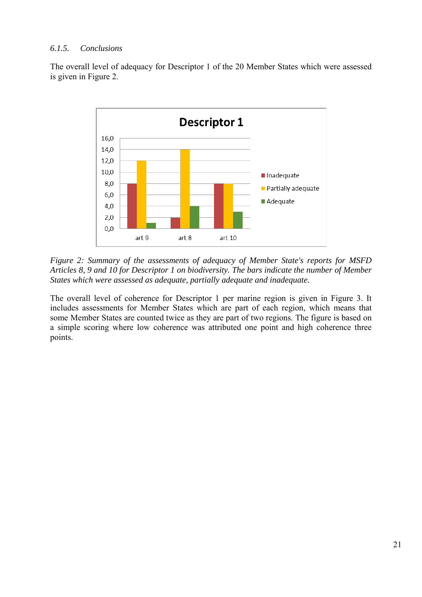#### *6.1.5. Conclusions*

The overall level of adequacy for Descriptor 1 of the 20 Member States which were assessed is given in Figure 2.



*Figure 2: Summary of the assessments of adequacy of Member State's reports for MSFD Articles 8, 9 and 10 for Descriptor 1 on biodiversity. The bars indicate the number of Member States which were assessed as adequate, partially adequate and inadequate.* 

The overall level of coherence for Descriptor 1 per marine region is given in Figure 3. It includes assessments for Member States which are part of each region, which means that some Member States are counted twice as they are part of two regions. The figure is based on a simple scoring where low coherence was attributed one point and high coherence three points.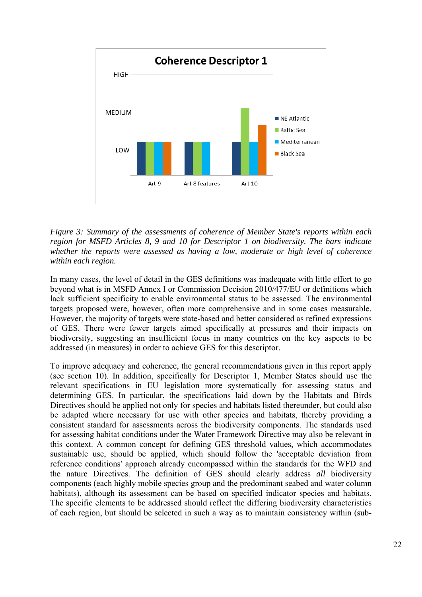

*Figure 3: Summary of the assessments of coherence of Member State's reports within each region for MSFD Articles 8, 9 and 10 for Descriptor 1 on biodiversity. The bars indicate whether the reports were assessed as having a low, moderate or high level of coherence within each region.* 

In many cases, the level of detail in the GES definitions was inadequate with little effort to go beyond what is in MSFD Annex I or Commission Decision 2010/477/EU or definitions which lack sufficient specificity to enable environmental status to be assessed. The environmental targets proposed were, however, often more comprehensive and in some cases measurable. However, the majority of targets were state-based and better considered as refined expressions of GES. There were fewer targets aimed specifically at pressures and their impacts on biodiversity, suggesting an insufficient focus in many countries on the key aspects to be addressed (in measures) in order to achieve GES for this descriptor.

To improve adequacy and coherence, the general recommendations given in this report apply (see section 10). In addition, specifically for Descriptor 1, Member States should use the relevant specifications in EU legislation more systematically for assessing status and determining GES. In particular, the specifications laid down by the Habitats and Birds Directives should be applied not only for species and habitats listed thereunder, but could also be adapted where necessary for use with other species and habitats, thereby providing a consistent standard for assessments across the biodiversity components. The standards used for assessing habitat conditions under the Water Framework Directive may also be relevant in this context. A common concept for defining GES threshold values, which accommodates sustainable use, should be applied, which should follow the 'acceptable deviation from reference conditions' approach already encompassed within the standards for the WFD and the nature Directives. The definition of GES should clearly address *all* biodiversity components (each highly mobile species group and the predominant seabed and water column habitats), although its assessment can be based on specified indicator species and habitats. The specific elements to be addressed should reflect the differing biodiversity characteristics of each region, but should be selected in such a way as to maintain consistency within (sub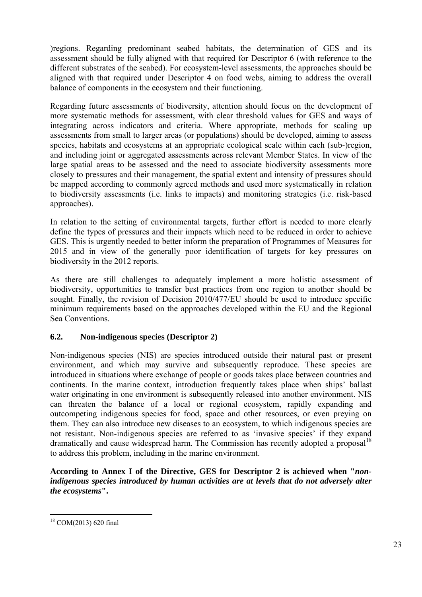)regions. Regarding predominant seabed habitats, the determination of GES and its assessment should be fully aligned with that required for Descriptor 6 (with reference to the different substrates of the seabed). For ecosystem-level assessments, the approaches should be aligned with that required under Descriptor 4 on food webs, aiming to address the overall balance of components in the ecosystem and their functioning.

Regarding future assessments of biodiversity, attention should focus on the development of more systematic methods for assessment, with clear threshold values for GES and ways of integrating across indicators and criteria. Where appropriate, methods for scaling up assessments from small to larger areas (or populations) should be developed, aiming to assess species, habitats and ecosystems at an appropriate ecological scale within each (sub-)region, and including joint or aggregated assessments across relevant Member States. In view of the large spatial areas to be assessed and the need to associate biodiversity assessments more closely to pressures and their management, the spatial extent and intensity of pressures should be mapped according to commonly agreed methods and used more systematically in relation to biodiversity assessments (i.e. links to impacts) and monitoring strategies (i.e. risk-based approaches).

In relation to the setting of environmental targets, further effort is needed to more clearly define the types of pressures and their impacts which need to be reduced in order to achieve GES. This is urgently needed to better inform the preparation of Programmes of Measures for 2015 and in view of the generally poor identification of targets for key pressures on biodiversity in the 2012 reports.

As there are still challenges to adequately implement a more holistic assessment of biodiversity, opportunities to transfer best practices from one region to another should be sought. Finally, the revision of Decision 2010/477/EU should be used to introduce specific minimum requirements based on the approaches developed within the EU and the Regional Sea Conventions.

### <span id="page-22-0"></span>**6.2. Non-indigenous species (Descriptor 2)**

Non-indigenous species (NIS) are species introduced outside their natural past or present environment, and which may survive and subsequently reproduce. These species are introduced in situations where exchange of people or goods takes place between countries and continents. In the marine context, introduction frequently takes place when ships' ballast water originating in one environment is subsequently released into another environment. NIS can threaten the balance of a local or regional ecosystem, rapidly expanding and outcompeting indigenous species for food, space and other resources, or even preying on them. They can also introduce new diseases to an ecosystem, to which indigenous species are not resistant. Non-indigenous species are referred to as 'invasive species' if they expand dramatically and cause widespread harm. The Commission has recently adopted a proposal<sup>18</sup> to address this problem, including in the marine environment.

**According to Annex I of the Directive, GES for Descriptor 2 is achieved when "***nonindigenous species introduced by human activities are at levels that do not adversely alter the ecosystems***".** 

1

<sup>18</sup> COM(2013) 620 final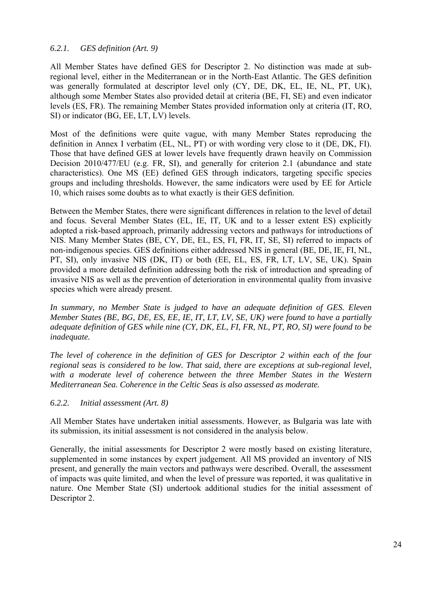#### *6.2.1. GES definition (Art. 9)*

All Member States have defined GES for Descriptor 2. No distinction was made at subregional level, either in the Mediterranean or in the North-East Atlantic. The GES definition was generally formulated at descriptor level only (CY, DE, DK, EL, IE, NL, PT, UK), although some Member States also provided detail at criteria (BE, FI, SE) and even indicator levels (ES, FR). The remaining Member States provided information only at criteria (IT, RO, SI) or indicator (BG, EE, LT, LV) levels.

Most of the definitions were quite vague, with many Member States reproducing the definition in Annex I verbatim (EL, NL, PT) or with wording very close to it (DE, DK, FI). Those that have defined GES at lower levels have frequently drawn heavily on Commission Decision 2010/477/EU (e.g. FR, SI), and generally for criterion 2.1 (abundance and state characteristics). One MS (EE) defined GES through indicators, targeting specific species groups and including thresholds. However, the same indicators were used by EE for Article 10, which raises some doubts as to what exactly is their GES definition.

Between the Member States, there were significant differences in relation to the level of detail and focus. Several Member States (EL, IE, IT, UK and to a lesser extent ES) explicitly adopted a risk-based approach, primarily addressing vectors and pathways for introductions of NIS. Many Member States (BE, CY, DE, EL, ES, FI, FR, IT, SE, SI) referred to impacts of non-indigenous species. GES definitions either addressed NIS in general (BE, DE, IE, FI, NL, PT, SI), only invasive NIS (DK, IT) or both (EE, EL, ES, FR, LT, LV, SE, UK). Spain provided a more detailed definition addressing both the risk of introduction and spreading of invasive NIS as well as the prevention of deterioration in environmental quality from invasive species which were already present.

*In summary, no Member State is judged to have an adequate definition of GES. Eleven Member States (BE, BG, DE, ES, EE, IE, IT, LT, LV, SE, UK) were found to have a partially adequate definition of GES while nine (CY, DK, EL, FI, FR, NL, PT, RO, SI) were found to be inadequate.* 

*The level of coherence in the definition of GES for Descriptor 2 within each of the four regional seas is considered to be low. That said, there are exceptions at sub-regional level,*  with a moderate level of coherence between the three Member States in the Western *Mediterranean Sea. Coherence in the Celtic Seas is also assessed as moderate.* 

*6.2.2. Initial assessment (Art. 8)* 

All Member States have undertaken initial assessments. However, as Bulgaria was late with its submission, its initial assessment is not considered in the analysis below.

Generally, the initial assessments for Descriptor 2 were mostly based on existing literature, supplemented in some instances by expert judgement. All MS provided an inventory of NIS present, and generally the main vectors and pathways were described. Overall, the assessment of impacts was quite limited, and when the level of pressure was reported, it was qualitative in nature. One Member State (SI) undertook additional studies for the initial assessment of Descriptor 2.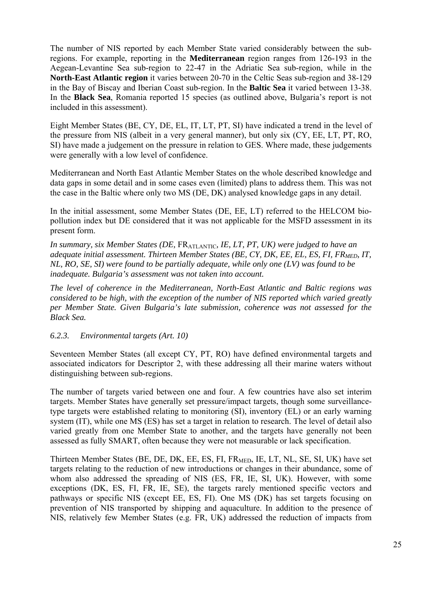The number of NIS reported by each Member State varied considerably between the subregions. For example, reporting in the **Mediterranean** region ranges from 126-193 in the Aegean-Levantine Sea sub-region to 22-47 in the Adriatic Sea sub-region, while in the **North-East Atlantic region** it varies between 20-70 in the Celtic Seas sub-region and 38-129 in the Bay of Biscay and Iberian Coast sub-region. In the **Baltic Sea** it varied between 13-38. In the **Black Sea**, Romania reported 15 species (as outlined above, Bulgaria's report is not included in this assessment).

Eight Member States (BE, CY, DE, EL, IT, LT, PT, SI) have indicated a trend in the level of the pressure from NIS (albeit in a very general manner), but only six (CY, EE, LT, PT, RO, SI) have made a judgement on the pressure in relation to GES. Where made, these judgements were generally with a low level of confidence.

Mediterranean and North East Atlantic Member States on the whole described knowledge and data gaps in some detail and in some cases even (limited) plans to address them. This was not the case in the Baltic where only two MS (DE, DK) analysed knowledge gaps in any detail.

In the initial assessment, some Member States (DE, EE, LT) referred to the HELCOM biopollution index but DE considered that it was not applicable for the MSFD assessment in its present form.

In summary, six Member States (DE, FR<sub>ATLANTIC</sub>, IE, LT, PT, UK) were judged to have an *adequate initial assessment. Thirteen Member States (BE, CY, DK, EE, EL, ES, FI, FR<sub>MED</sub>, IT, NL, RO, SE, SI) were found to be partially adequate, while only one (LV) was found to be inadequate. Bulgaria's assessment was not taken into account.* 

*The level of coherence in the Mediterranean, North-East Atlantic and Baltic regions was considered to be high, with the exception of the number of NIS reported which varied greatly per Member State. Given Bulgaria's late submission, coherence was not assessed for the Black Sea.* 

*6.2.3. Environmental targets (Art. 10)* 

Seventeen Member States (all except CY, PT, RO) have defined environmental targets and associated indicators for Descriptor 2, with these addressing all their marine waters without distinguishing between sub-regions.

The number of targets varied between one and four. A few countries have also set interim targets. Member States have generally set pressure/impact targets, though some surveillancetype targets were established relating to monitoring (SI), inventory (EL) or an early warning system (IT), while one MS (ES) has set a target in relation to research. The level of detail also varied greatly from one Member State to another, and the targets have generally not been assessed as fully SMART, often because they were not measurable or lack specification.

Thirteen Member States (BE, DE, DK, EE, ES, FI, FRMED, IE, LT, NL, SE, SI, UK) have set targets relating to the reduction of new introductions or changes in their abundance, some of whom also addressed the spreading of NIS (ES, FR, IE, SI, UK). However, with some exceptions (DK, ES, FI, FR, IE, SE), the targets rarely mentioned specific vectors and pathways or specific NIS (except EE, ES, FI). One MS (DK) has set targets focusing on prevention of NIS transported by shipping and aquaculture. In addition to the presence of NIS, relatively few Member States (e.g. FR, UK) addressed the reduction of impacts from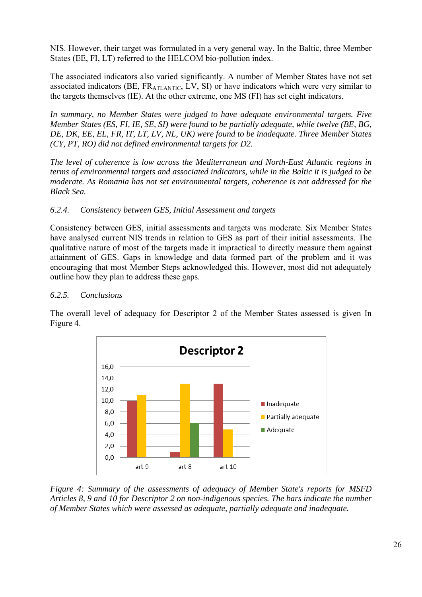NIS. However, their target was formulated in a very general way. In the Baltic, three Member States (EE, FI, LT) referred to the HELCOM bio-pollution index.

The associated indicators also varied significantly. A number of Member States have not set associated indicators (BE, FRATLANTIC, LV, SI) or have indicators which were very similar to the targets themselves (IE). At the other extreme, one MS (FI) has set eight indicators.

*In summary, no Member States were judged to have adequate environmental targets. Five Member States (ES, FI, IE, SE, SI) were found to be partially adequate, while twelve (BE, BG, DE, DK, EE, EL, FR, IT, LT, LV, NL, UK) were found to be inadequate. Three Member States (CY, PT, RO) did not defined environmental targets for D2.* 

*The level of coherence is low across the Mediterranean and North-East Atlantic regions in terms of environmental targets and associated indicators, while in the Baltic it is judged to be moderate. As Romania has not set environmental targets, coherence is not addressed for the Black Sea.* 

## *6.2.4. Consistency between GES, Initial Assessment and targets*

Consistency between GES, initial assessments and targets was moderate. Six Member States have analysed current NIS trends in relation to GES as part of their initial assessments. The qualitative nature of most of the targets made it impractical to directly measure them against attainment of GES. Gaps in knowledge and data formed part of the problem and it was encouraging that most Member Steps acknowledged this. However, most did not adequately outline how they plan to address these gaps.

### *6.2.5. Conclusions*

The overall level of adequacy for Descriptor 2 of the Member States assessed is given In Figure 4.



*Figure 4: Summary of the assessments of adequacy of Member State's reports for MSFD Articles 8, 9 and 10 for Descriptor 2 on non-indigenous species. The bars indicate the number of Member States which were assessed as adequate, partially adequate and inadequate.*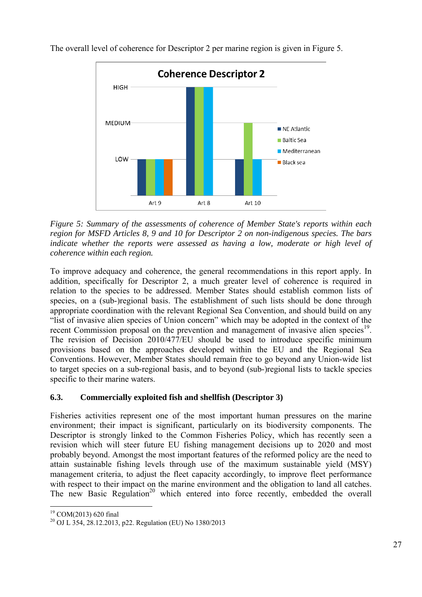

The overall level of coherence for Descriptor 2 per marine region is given in Figure 5.

*Figure 5: Summary of the assessments of coherence of Member State's reports within each region for MSFD Articles 8, 9 and 10 for Descriptor 2 on non-indigenous species. The bars*  indicate whether the reports were assessed as having a low, moderate or high level of *coherence within each region.* 

To improve adequacy and coherence, the general recommendations in this report apply. In addition, specifically for Descriptor 2, a much greater level of coherence is required in relation to the species to be addressed. Member States should establish common lists of species, on a (sub-)regional basis. The establishment of such lists should be done through appropriate coordination with the relevant Regional Sea Convention, and should build on any "list of invasive alien species of Union concern" which may be adopted in the context of the recent Commission proposal on the prevention and management of invasive alien species<sup>19</sup>. The revision of Decision 2010/477/EU should be used to introduce specific minimum provisions based on the approaches developed within the EU and the Regional Sea Conventions. However, Member States should remain free to go beyond any Union-wide list to target species on a sub-regional basis, and to beyond (sub-)regional lists to tackle species specific to their marine waters.

## <span id="page-26-0"></span>**6.3. Commercially exploited fish and shellfish (Descriptor 3)**

Fisheries activities represent one of the most important human pressures on the marine environment; their impact is significant, particularly on its biodiversity components. The Descriptor is strongly linked to the Common Fisheries Policy, which has recently seen a revision which will steer future EU fishing management decisions up to 2020 and most probably beyond. Amongst the most important features of the reformed policy are the need to attain sustainable fishing levels through use of the maximum sustainable yield (MSY) management criteria, to adjust the fleet capacity accordingly, to improve fleet performance with respect to their impact on the marine environment and the obligation to land all catches. The new Basic Regulation<sup>20</sup> which entered into force recently, embedded the overall

<u>.</u>

<sup>19</sup> COM(2013) 620 final

<sup>&</sup>lt;sup>20</sup> OJ L 354, 28.12.2013, p22. Regulation (EU) No 1380/2013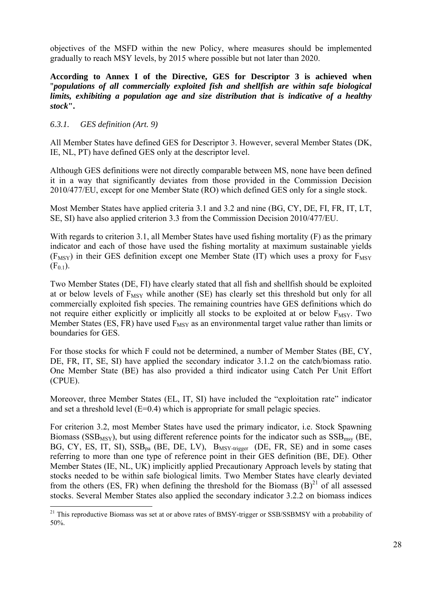objectives of the MSFD within the new Policy, where measures should be implemented gradually to reach MSY levels, by 2015 where possible but not later than 2020.

**According to Annex I of the Directive, GES for Descriptor 3 is achieved when**  "*populations of all commercially exploited fish and shellfish are within safe biological limits, exhibiting a population age and size distribution that is indicative of a healthy stock***".** 

### *6.3.1. GES definition (Art. 9)*

<u>.</u>

All Member States have defined GES for Descriptor 3. However, several Member States (DK, IE, NL, PT) have defined GES only at the descriptor level.

Although GES definitions were not directly comparable between MS, none have been defined it in a way that significantly deviates from those provided in the Commission Decision 2010/477/EU, except for one Member State (RO) which defined GES only for a single stock.

Most Member States have applied criteria 3.1 and 3.2 and nine (BG, CY, DE, FI, FR, IT, LT, SE, SI) have also applied criterion 3.3 from the Commission Decision 2010/477/EU.

With regards to criterion 3.1, all Member States have used fishing mortality (F) as the primary indicator and each of those have used the fishing mortality at maximum sustainable yields  $(F_{MSY})$  in their GES definition except one Member State (IT) which uses a proxy for  $F_{MSY}$  $(F_{0.1})$ .

Two Member States (DE, FI) have clearly stated that all fish and shellfish should be exploited at or below levels of  $F_{MSY}$  while another (SE) has clearly set this threshold but only for all commercially exploited fish species. The remaining countries have GES definitions which do not require either explicitly or implicitly all stocks to be exploited at or below  $F_{MSY}$ . Two Member States (ES, FR) have used  $F_{MSY}$  as an environmental target value rather than limits or boundaries for GES.

For those stocks for which F could not be determined, a number of Member States (BE, CY, DE, FR, IT, SE, SI) have applied the secondary indicator 3.1.2 on the catch/biomass ratio. One Member State (BE) has also provided a third indicator using Catch Per Unit Effort (CPUE).

Moreover, three Member States (EL, IT, SI) have included the "exploitation rate" indicator and set a threshold level  $(E=0.4)$  which is appropriate for small pelagic species.

For criterion 3.2, most Member States have used the primary indicator, i.e. Stock Spawning Biomass ( $SSB_{MSY}$ ), but using different reference points for the indicator such as  $SSB_{msv}$  (BE, BG, CY, ES, IT, SI),  $SSB<sub>na</sub>$  (BE, DE, LV),  $B<sub>MSY-trigger</sub>$  (DE, FR, SE) and in some cases referring to more than one type of reference point in their GES definition (BE, DE). Other Member States (IE, NL, UK) implicitly applied Precautionary Approach levels by stating that stocks needed to be within safe biological limits. Two Member States have clearly deviated from the others (ES, FR) when defining the threshold for the Biomass  $(B)^{21}$  of all assessed stocks. Several Member States also applied the secondary indicator 3.2.2 on biomass indices

 $21$  This reproductive Biomass was set at or above rates of BMSY-trigger or SSB/SSBMSY with a probability of 50%.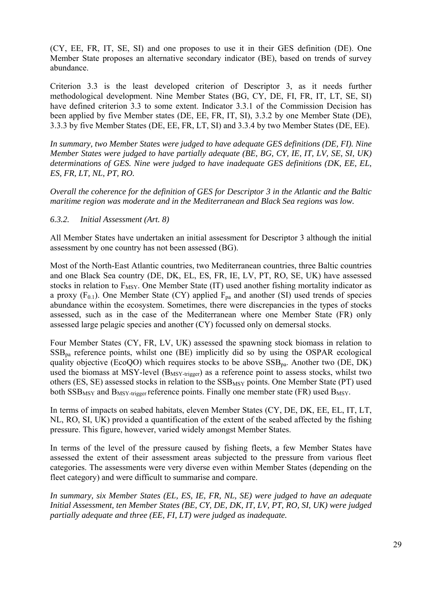(CY, EE, FR, IT, SE, SI) and one proposes to use it in their GES definition (DE). One Member State proposes an alternative secondary indicator (BE), based on trends of survey abundance.

Criterion 3.3 is the least developed criterion of Descriptor 3, as it needs further methodological development. Nine Member States (BG, CY, DE, FI, FR, IT, LT, SE, SI) have defined criterion 3.3 to some extent. Indicator 3.3.1 of the Commission Decision has been applied by five Member states (DE, EE, FR, IT, SI), 3.3.2 by one Member State (DE), 3.3.3 by five Member States (DE, EE, FR, LT, SI) and 3.3.4 by two Member States (DE, EE).

*In summary, two Member States were judged to have adequate GES definitions (DE, FI). Nine Member States were judged to have partially adequate (BE, BG, CY, IE, IT, LV, SE, SI, UK) determinations of GES. Nine were judged to have inadequate GES definitions (DK, EE, EL, ES, FR, LT, NL, PT, RO.* 

*Overall the coherence for the definition of GES for Descriptor 3 in the Atlantic and the Baltic maritime region was moderate and in the Mediterranean and Black Sea regions was low.* 

#### *6.3.2. Initial Assessment (Art. 8)*

All Member States have undertaken an initial assessment for Descriptor 3 although the initial assessment by one country has not been assessed (BG).

Most of the North-East Atlantic countries, two Mediterranean countries, three Baltic countries and one Black Sea country (DE, DK, EL, ES, FR, IE, LV, PT, RO, SE, UK) have assessed stocks in relation to  $F_{MSY}$ . One Member State (IT) used another fishing mortality indicator as a proxy  $(F_{0,1})$ . One Member State (CY) applied  $F_{pa}$  and another (SI) used trends of species abundance within the ecosystem. Sometimes, there were discrepancies in the types of stocks assessed, such as in the case of the Mediterranean where one Member State (FR) only assessed large pelagic species and another (CY) focussed only on demersal stocks.

Four Member States (CY, FR, LV, UK) assessed the spawning stock biomass in relation to  $SSB<sub>na</sub>$  reference points, whilst one (BE) implicitly did so by using the OSPAR ecological quality objective (EcoQO) which requires stocks to be above  $SSB_{na}$ . Another two (DE, DK) used the biomass at MSY-level (B<sub>MSY-trigger</sub>) as a reference point to assess stocks, whilst two others (ES, SE) assessed stocks in relation to the SSB<sub>MSY</sub> points. One Member State (PT) used both  $SSB_{MSY}$  and  $B_{MSY}\text{-trigger}$  reference points. Finally one member state (FR) used  $B_{MSY}$ .

In terms of impacts on seabed habitats, eleven Member States (CY, DE, DK, EE, EL, IT, LT, NL, RO, SI, UK) provided a quantification of the extent of the seabed affected by the fishing pressure. This figure, however, varied widely amongst Member States.

In terms of the level of the pressure caused by fishing fleets, a few Member States have assessed the extent of their assessment areas subjected to the pressure from various fleet categories. The assessments were very diverse even within Member States (depending on the fleet category) and were difficult to summarise and compare.

*In summary, six Member States (EL, ES, IE, FR, NL, SE) were judged to have an adequate Initial Assessment, ten Member States (BE, CY, DE, DK, IT, LV, PT, RO, SI, UK) were judged partially adequate and three (EE, FI, LT) were judged as inadequate.*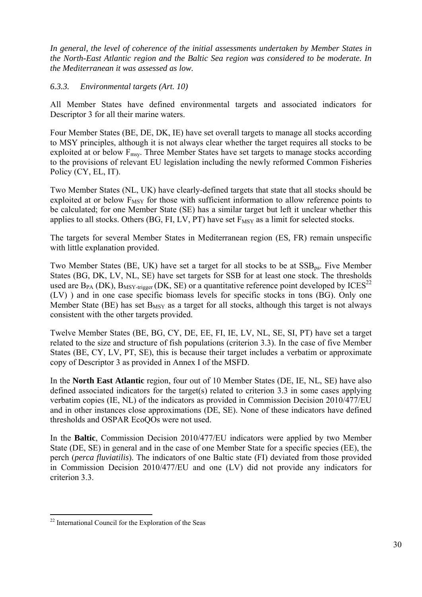*In general, the level of coherence of the initial assessments undertaken by Member States in the North-East Atlantic region and the Baltic Sea region was considered to be moderate. In the Mediterranean it was assessed as low.* 

#### *6.3.3. Environmental targets (Art. 10)*

All Member States have defined environmental targets and associated indicators for Descriptor 3 for all their marine waters.

Four Member States (BE, DE, DK, IE) have set overall targets to manage all stocks according to MSY principles, although it is not always clear whether the target requires all stocks to be exploited at or below  $F_{\text{msy}}$ . Three Member States have set targets to manage stocks according to the provisions of relevant EU legislation including the newly reformed Common Fisheries Policy (CY, EL, IT).

Two Member States (NL, UK) have clearly-defined targets that state that all stocks should be exploited at or below  $F_{MSY}$  for those with sufficient information to allow reference points to be calculated; for one Member State (SE) has a similar target but left it unclear whether this applies to all stocks. Others (BG, FI, LV, PT) have set  $F_{MSY}$  as a limit for selected stocks.

The targets for several Member States in Mediterranean region (ES, FR) remain unspecific with little explanation provided.

Two Member States (BE, UK) have set a target for all stocks to be at  $SSB_{pa}$ . Five Member States (BG, DK, LV, NL, SE) have set targets for SSB for at least one stock. The thresholds used are  $B_{PA}$  (DK),  $B_{MSY\textrm{-trigger}}$  (DK, SE) or a quantitative reference point developed by ICES<sup>22</sup> (LV) ) and in one case specific biomass levels for specific stocks in tons (BG). Only one Member State (BE) has set  $B_{MSY}$  as a target for all stocks, although this target is not always consistent with the other targets provided.

Twelve Member States (BE, BG, CY, DE, EE, FI, IE, LV, NL, SE, SI, PT) have set a target related to the size and structure of fish populations (criterion 3.3). In the case of five Member States (BE, CY, LV, PT, SE), this is because their target includes a verbatim or approximate copy of Descriptor 3 as provided in Annex I of the MSFD.

In the **North East Atlantic** region, four out of 10 Member States (DE, IE, NL, SE) have also defined associated indicators for the target(s) related to criterion 3.3 in some cases applying verbatim copies (IE, NL) of the indicators as provided in Commission Decision 2010/477/EU and in other instances close approximations (DE, SE). None of these indicators have defined thresholds and OSPAR EcoQOs were not used.

In the **Baltic**, Commission Decision 2010/477/EU indicators were applied by two Member State (DE, SE) in general and in the case of one Member State for a specific species (EE), the perch (*perca fluviatilis*). The indicators of one Baltic state (FI) deviated from those provided in Commission Decision 2010/477/EU and one (LV) did not provide any indicators for criterion 3.3.

1

<sup>22</sup> International Council for the Exploration of the Seas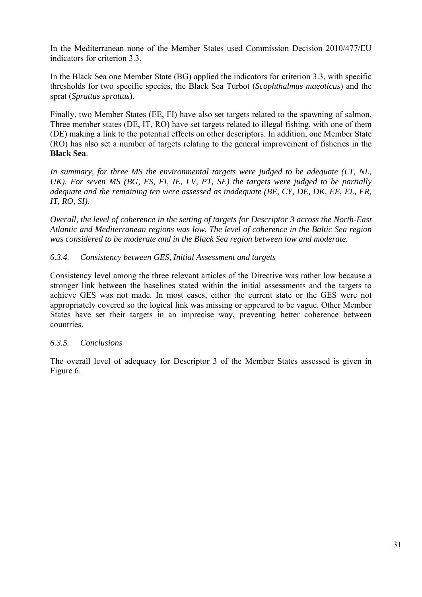In the Mediterranean none of the Member States used Commission Decision 2010/477/EU indicators for criterion 3.3.

In the Black Sea one Member State (BG) applied the indicators for criterion 3.3, with specific thresholds for two specific species, the Black Sea Turbot (*Scophthalmus maeoticus*) and the sprat (*Sprattus sprattus*).

Finally, two Member States (EE, FI) have also set targets related to the spawning of salmon. Three member states (DE, IT, RO) have set targets related to illegal fishing, with one of them (DE) making a link to the potential effects on other descriptors. In addition, one Member State (RO) has also set a number of targets relating to the general improvement of fisheries in the **Black Sea**.

*In summary, for three MS the environmental targets were judged to be adequate (LT, NL, UK). For seven MS (BG, ES, FI, IE, LV, PT, SE) the targets were judged to be partially adequate and the remaining ten were assessed as inadequate (BE, CY, DE, DK, EE, EL, FR, IT, RO, SI).* 

*Overall, the level of coherence in the setting of targets for Descriptor 3 across the North-East Atlantic and Mediterranean regions was low. The level of coherence in the Baltic Sea region was considered to be moderate and in the Black Sea region between low and moderate.*

## *6.3.4. Consistency between GES, Initial Assessment and targets*

Consistency level among the three relevant articles of the Directive was rather low because a stronger link between the baselines stated within the initial assessments and the targets to achieve GES was not made. In most cases, either the current state or the GES were not appropriately covered so the logical link was missing or appeared to be vague. Other Member States have set their targets in an imprecise way, preventing better coherence between countries.

### *6.3.5. Conclusions*

The overall level of adequacy for Descriptor 3 of the Member States assessed is given in Figure 6.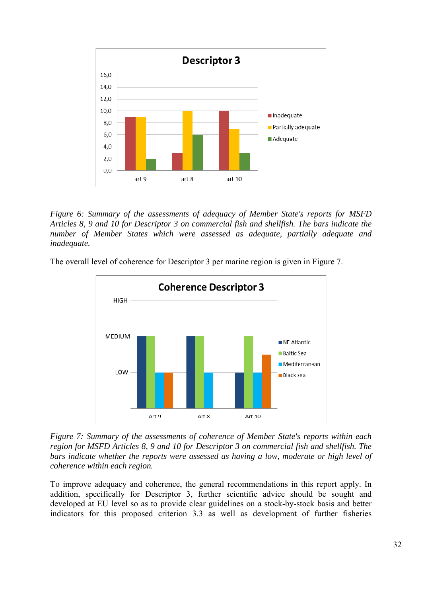

*Figure 6: Summary of the assessments of adequacy of Member State's reports for MSFD Articles 8, 9 and 10 for Descriptor 3 on commercial fish and shellfish. The bars indicate the number of Member States which were assessed as adequate, partially adequate and inadequate.* 

The overall level of coherence for Descriptor 3 per marine region is given in Figure 7.



*Figure 7: Summary of the assessments of coherence of Member State's reports within each region for MSFD Articles 8, 9 and 10 for Descriptor 3 on commercial fish and shellfish. The bars indicate whether the reports were assessed as having a low, moderate or high level of coherence within each region.* 

To improve adequacy and coherence, the general recommendations in this report apply. In addition, specifically for Descriptor 3, further scientific advice should be sought and developed at EU level so as to provide clear guidelines on a stock-by-stock basis and better indicators for this proposed criterion 3.3 as well as development of further fisheries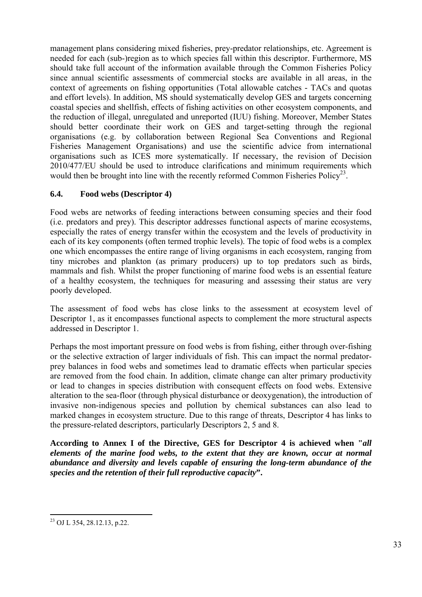management plans considering mixed fisheries, prey-predator relationships, etc. Agreement is needed for each (sub-)region as to which species fall within this descriptor. Furthermore, MS should take full account of the information available through the Common Fisheries Policy since annual scientific assessments of commercial stocks are available in all areas, in the context of agreements on fishing opportunities (Total allowable catches - TACs and quotas and effort levels). In addition, MS should systematically develop GES and targets concerning coastal species and shellfish, effects of fishing activities on other ecosystem components, and the reduction of illegal, unregulated and unreported (IUU) fishing. Moreover, Member States should better coordinate their work on GES and target-setting through the regional organisations (e.g. by collaboration between Regional Sea Conventions and Regional Fisheries Management Organisations) and use the scientific advice from international organisations such as ICES more systematically. If necessary, the revision of Decision 2010/477/EU should be used to introduce clarifications and minimum requirements which would then be brought into line with the recently reformed Common Fisheries Policy<sup>23</sup>.

### <span id="page-32-0"></span>**6.4. Food webs (Descriptor 4)**

Food webs are networks of feeding interactions between consuming species and their food (i.e. predators and prey). This descriptor addresses functional aspects of marine ecosystems, especially the rates of energy transfer within the ecosystem and the levels of productivity in each of its key components (often termed trophic levels). The topic of food webs is a complex one which encompasses the entire range of living organisms in each ecosystem, ranging from tiny microbes and plankton (as primary producers) up to top predators such as birds, mammals and fish. Whilst the proper functioning of marine food webs is an essential feature of a healthy ecosystem, the techniques for measuring and assessing their status are very poorly developed.

The assessment of food webs has close links to the assessment at ecosystem level of Descriptor 1, as it encompasses functional aspects to complement the more structural aspects addressed in Descriptor 1.

Perhaps the most important pressure on food webs is from fishing, either through over-fishing or the selective extraction of larger individuals of fish. This can impact the normal predatorprey balances in food webs and sometimes lead to dramatic effects when particular species are removed from the food chain. In addition, climate change can alter primary productivity or lead to changes in species distribution with consequent effects on food webs. Extensive alteration to the sea-floor (through physical disturbance or deoxygenation), the introduction of invasive non-indigenous species and pollution by chemical substances can also lead to marked changes in ecosystem structure. Due to this range of threats, Descriptor 4 has links to the pressure-related descriptors, particularly Descriptors 2, 5 and 8.

**According to Annex I of the Directive, GES for Descriptor 4 is achieved when "***all elements of the marine food webs, to the extent that they are known, occur at normal abundance and diversity and levels capable of ensuring the long-term abundance of the species and the retention of their full reproductive capacity***".** 

1

<sup>23</sup> OJ L 354, 28.12.13, p.22.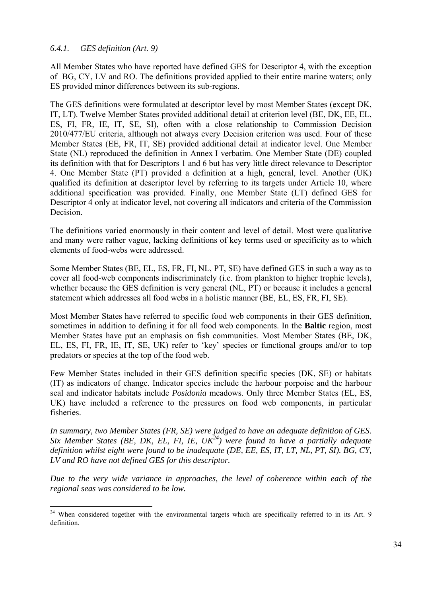#### *6.4.1. GES definition (Art. 9)*

<u>.</u>

All Member States who have reported have defined GES for Descriptor 4, with the exception of BG, CY, LV and RO. The definitions provided applied to their entire marine waters; only ES provided minor differences between its sub-regions.

The GES definitions were formulated at descriptor level by most Member States (except DK, IT, LT). Twelve Member States provided additional detail at criterion level (BE, DK, EE, EL, ES, FI, FR, IE, IT, SE, SI), often with a close relationship to Commission Decision 2010/477/EU criteria, although not always every Decision criterion was used. Four of these Member States (EE, FR, IT, SE) provided additional detail at indicator level. One Member State (NL) reproduced the definition in Annex I verbatim. One Member State (DE) coupled its definition with that for Descriptors 1 and 6 but has very little direct relevance to Descriptor 4. One Member State (PT) provided a definition at a high, general, level. Another (UK) qualified its definition at descriptor level by referring to its targets under Article 10, where additional specification was provided. Finally, one Member State (LT) defined GES for Descriptor 4 only at indicator level, not covering all indicators and criteria of the Commission Decision.

The definitions varied enormously in their content and level of detail. Most were qualitative and many were rather vague, lacking definitions of key terms used or specificity as to which elements of food-webs were addressed.

Some Member States (BE, EL, ES, FR, FI, NL, PT, SE) have defined GES in such a way as to cover all food-web components indiscriminately (i.e. from plankton to higher trophic levels), whether because the GES definition is very general (NL, PT) or because it includes a general statement which addresses all food webs in a holistic manner (BE, EL, ES, FR, FI, SE).

Most Member States have referred to specific food web components in their GES definition, sometimes in addition to defining it for all food web components. In the **Baltic** region, most Member States have put an emphasis on fish communities. Most Member States (BE, DK, EL, ES, FI, FR, IE, IT, SE, UK) refer to 'key' species or functional groups and/or to top predators or species at the top of the food web.

Few Member States included in their GES definition specific species (DK, SE) or habitats (IT) as indicators of change. Indicator species include the harbour porpoise and the harbour seal and indicator habitats include *Posidonia* meadows. Only three Member States (EL, ES, UK) have included a reference to the pressures on food web components, in particular fisheries.

*In summary, two Member States (FR, SE) were judged to have an adequate definition of GES. Six Member States (BE, DK, EL, FI, IE, UK*<sup>24</sup>) were found to have a partially adequate *definition whilst eight were found to be inadequate (DE, EE, ES, IT, LT, NL, PT, SI). BG, CY, LV and RO have not defined GES for this descriptor.* 

*Due to the very wide variance in approaches, the level of coherence within each of the regional seas was considered to be low.* 

 $24$  When considered together with the environmental targets which are specifically referred to in its Art. 9 definition.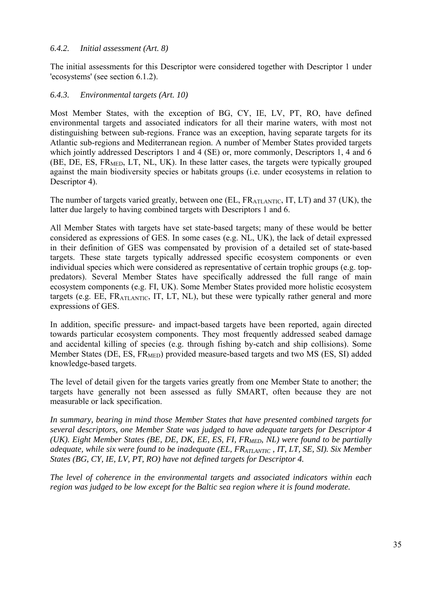#### *6.4.2. Initial assessment (Art. 8)*

The initial assessments for this Descriptor were considered together with Descriptor 1 under 'ecosystems' (see section 6.1.2).

#### *6.4.3. Environmental targets (Art. 10)*

Most Member States, with the exception of BG, CY, IE, LV, PT, RO, have defined environmental targets and associated indicators for all their marine waters, with most not distinguishing between sub-regions. France was an exception, having separate targets for its Atlantic sub-regions and Mediterranean region. A number of Member States provided targets which jointly addressed Descriptors 1 and 4 (SE) or, more commonly, Descriptors 1, 4 and 6 (BE, DE, ES, FR<sub>MED</sub>, LT, NL, UK). In these latter cases, the targets were typically grouped against the main biodiversity species or habitats groups (i.e. under ecosystems in relation to Descriptor 4).

The number of targets varied greatly, between one (EL, FR<sub>ATLANTIC</sub>, IT, LT) and 37 (UK), the latter due largely to having combined targets with Descriptors 1 and 6.

All Member States with targets have set state-based targets; many of these would be better considered as expressions of GES. In some cases (e.g. NL, UK), the lack of detail expressed in their definition of GES was compensated by provision of a detailed set of state-based targets. These state targets typically addressed specific ecosystem components or even individual species which were considered as representative of certain trophic groups (e.g. toppredators). Several Member States have specifically addressed the full range of main ecosystem components (e.g. FI, UK). Some Member States provided more holistic ecosystem targets (e.g. EE,  $FR_{ATLANTIC}$ , IT, LT, NL), but these were typically rather general and more expressions of GES.

In addition, specific pressure- and impact-based targets have been reported, again directed towards particular ecosystem components. They most frequently addressed seabed damage and accidental killing of species (e.g. through fishing by-catch and ship collisions). Some Member States (DE, ES,  $FR<sub>MED</sub>$ ) provided measure-based targets and two MS (ES, SI) added knowledge-based targets.

The level of detail given for the targets varies greatly from one Member State to another; the targets have generally not been assessed as fully SMART, often because they are not measurable or lack specification.

*In summary, bearing in mind those Member States that have presented combined targets for several descriptors, one Member State was judged to have adequate targets for Descriptor 4 (UK). Eight Member States (BE, DE, DK, EE, ES, FI, FR<sub>MED</sub>, NL) were found to be partially adequate, while six were found to be inadequate (EL, FR<sub>ATLANTIC</sub>, IT, LT, SE, SI). Six Member States (BG, CY, IE, LV, PT, RO) have not defined targets for Descriptor 4.* 

*The level of coherence in the environmental targets and associated indicators within each region was judged to be low except for the Baltic sea region where it is found moderate.*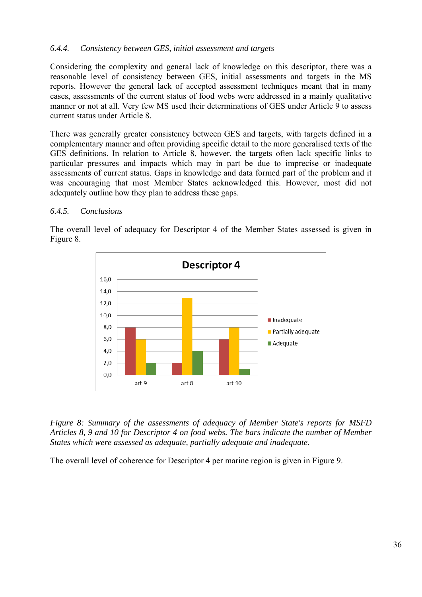#### *6.4.4. Consistency between GES, initial assessment and targets*

Considering the complexity and general lack of knowledge on this descriptor, there was a reasonable level of consistency between GES, initial assessments and targets in the MS reports. However the general lack of accepted assessment techniques meant that in many cases, assessments of the current status of food webs were addressed in a mainly qualitative manner or not at all. Very few MS used their determinations of GES under Article 9 to assess current status under Article 8.

There was generally greater consistency between GES and targets, with targets defined in a complementary manner and often providing specific detail to the more generalised texts of the GES definitions. In relation to Article 8, however, the targets often lack specific links to particular pressures and impacts which may in part be due to imprecise or inadequate assessments of current status. Gaps in knowledge and data formed part of the problem and it was encouraging that most Member States acknowledged this. However, most did not adequately outline how they plan to address these gaps.

#### *6.4.5. Conclusions*



The overall level of adequacy for Descriptor 4 of the Member States assessed is given in Figure 8.

*Figure 8: Summary of the assessments of adequacy of Member State's reports for MSFD Articles 8, 9 and 10 for Descriptor 4 on food webs. The bars indicate the number of Member States which were assessed as adequate, partially adequate and inadequate.* 

The overall level of coherence for Descriptor 4 per marine region is given in Figure 9.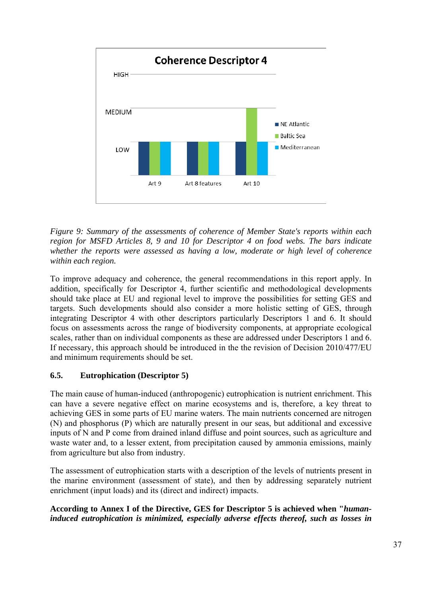

*Figure 9: Summary of the assessments of coherence of Member State's reports within each region for MSFD Articles 8, 9 and 10 for Descriptor 4 on food webs. The bars indicate whether the reports were assessed as having a low, moderate or high level of coherence within each region.* 

To improve adequacy and coherence, the general recommendations in this report apply. In addition, specifically for Descriptor 4, further scientific and methodological developments should take place at EU and regional level to improve the possibilities for setting GES and targets. Such developments should also consider a more holistic setting of GES, through integrating Descriptor 4 with other descriptors particularly Descriptors 1 and 6. It should focus on assessments across the range of biodiversity components, at appropriate ecological scales, rather than on individual components as these are addressed under Descriptors 1 and 6. If necessary, this approach should be introduced in the the revision of Decision 2010/477/EU and minimum requirements should be set.

# **6.5. Eutrophication (Descriptor 5)**

The main cause of human-induced (anthropogenic) eutrophication is nutrient enrichment. This can have a severe negative effect on marine ecosystems and is, therefore, a key threat to achieving GES in some parts of EU marine waters. The main nutrients concerned are nitrogen (N) and phosphorus (P) which are naturally present in our seas, but additional and excessive inputs of N and P come from drained inland diffuse and point sources, such as agriculture and waste water and, to a lesser extent, from precipitation caused by ammonia emissions, mainly from agriculture but also from industry.

The assessment of eutrophication starts with a description of the levels of nutrients present in the marine environment (assessment of state), and then by addressing separately nutrient enrichment (input loads) and its (direct and indirect) impacts.

## **According to Annex I of the Directive, GES for Descriptor 5 is achieved when "***humaninduced eutrophication is minimized, especially adverse effects thereof, such as losses in*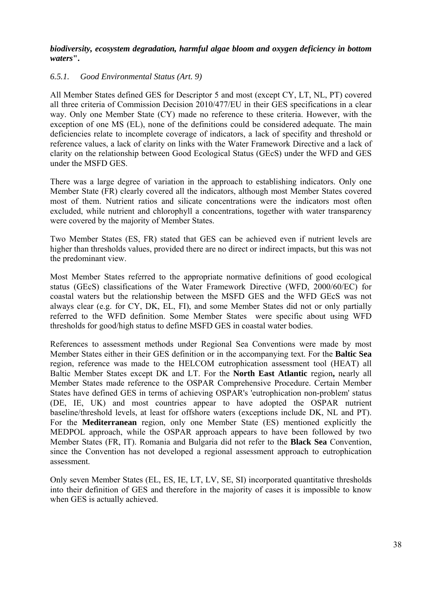*biodiversity, ecosystem degradation, harmful algae bloom and oxygen deficiency in bottom waters***".** 

### *6.5.1. Good Environmental Status (Art. 9)*

All Member States defined GES for Descriptor 5 and most (except CY, LT, NL, PT) covered all three criteria of Commission Decision 2010/477/EU in their GES specifications in a clear way. Only one Member State (CY) made no reference to these criteria. However, with the exception of one MS (EL), none of the definitions could be considered adequate. The main deficiencies relate to incomplete coverage of indicators, a lack of specifity and threshold or reference values, a lack of clarity on links with the Water Framework Directive and a lack of clarity on the relationship between Good Ecological Status (GEcS) under the WFD and GES under the MSFD GES.

There was a large degree of variation in the approach to establishing indicators. Only one Member State (FR) clearly covered all the indicators, although most Member States covered most of them. Nutrient ratios and silicate concentrations were the indicators most often excluded, while nutrient and chlorophyll a concentrations, together with water transparency were covered by the majority of Member States.

Two Member States (ES, FR) stated that GES can be achieved even if nutrient levels are higher than thresholds values, provided there are no direct or indirect impacts, but this was not the predominant view.

Most Member States referred to the appropriate normative definitions of good ecological status (GEcS) classifications of the Water Framework Directive (WFD, 2000/60/EC) for coastal waters but the relationship between the MSFD GES and the WFD GEcS was not always clear (e.g. for CY, DK, EL, FI), and some Member States did not or only partially referred to the WFD definition. Some Member States were specific about using WFD thresholds for good/high status to define MSFD GES in coastal water bodies.

References to assessment methods under Regional Sea Conventions were made by most Member States either in their GES definition or in the accompanying text. For the **Baltic Sea** region, reference was made to the HELCOM eutrophication assessment tool (HEAT) all Baltic Member States except DK and LT. For the **North East Atlantic** region**,** nearly all Member States made reference to the OSPAR Comprehensive Procedure. Certain Member States have defined GES in terms of achieving OSPAR's 'eutrophication non-problem' status (DE, IE, UK) and most countries appear to have adopted the OSPAR nutrient baseline/threshold levels, at least for offshore waters (exceptions include DK, NL and PT). For the **Mediterranean** region, only one Member State (ES) mentioned explicitly the MEDPOL approach, while the OSPAR approach appears to have been followed by two Member States (FR, IT). Romania and Bulgaria did not refer to the **Black Sea** Convention, since the Convention has not developed a regional assessment approach to eutrophication assessment.

Only seven Member States (EL, ES, IE, LT, LV, SE, SI) incorporated quantitative thresholds into their definition of GES and therefore in the majority of cases it is impossible to know when GES is actually achieved.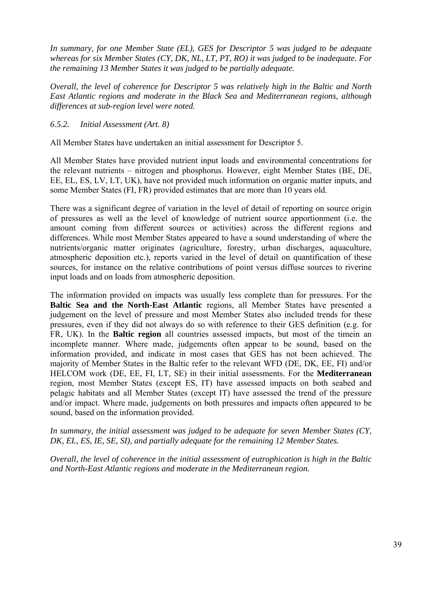*In summary, for one Member State (EL), GES for Descriptor 5 was judged to be adequate whereas for six Member States (CY, DK, NL, LT, PT, RO) it was judged to be inadequate. For the remaining 13 Member States it was judged to be partially adequate.* 

*Overall, the level of coherence for Descriptor 5 was relatively high in the Baltic and North East Atlantic regions and moderate in the Black Sea and Mediterranean regions, although differences at sub-region level were noted.* 

#### *6.5.2. Initial Assessment (Art. 8)*

All Member States have undertaken an initial assessment for Descriptor 5.

All Member States have provided nutrient input loads and environmental concentrations for the relevant nutrients – nitrogen and phosphorus. However, eight Member States (BE, DE, EE, EL, ES, LV, LT, UK), have not provided much information on organic matter inputs, and some Member States (FI, FR) provided estimates that are more than 10 years old.

There was a significant degree of variation in the level of detail of reporting on source origin of pressures as well as the level of knowledge of nutrient source apportionment (i.e. the amount coming from different sources or activities) across the different regions and differences. While most Member States appeared to have a sound understanding of where the nutrients/organic matter originates (agriculture, forestry, urban discharges, aquaculture, atmospheric deposition etc.), reports varied in the level of detail on quantification of these sources, for instance on the relative contributions of point versus diffuse sources to riverine input loads and on loads from atmospheric deposition.

The information provided on impacts was usually less complete than for pressures. For the **Baltic Sea and the North-East Atlantic** regions, all Member States have presented a judgement on the level of pressure and most Member States also included trends for these pressures, even if they did not always do so with reference to their GES definition (e.g. for FR, UK). In the **Baltic region** all countries assessed impacts, but most of the timein an incomplete manner. Where made, judgements often appear to be sound, based on the information provided, and indicate in most cases that GES has not been achieved. The majority of Member States in the Baltic refer to the relevant WFD (DE, DK, EE, FI) and/or HELCOM work (DE, EE, FI, LT, SE) in their initial assessments. For the **Mediterranean** region, most Member States (except ES, IT) have assessed impacts on both seabed and pelagic habitats and all Member States (except IT) have assessed the trend of the pressure and/or impact. Where made, judgements on both pressures and impacts often appeared to be sound, based on the information provided.

*In summary, the initial assessment was judged to be adequate for seven Member States (CY, DK, EL, ES, IE, SE, SI), and partially adequate for the remaining 12 Member States.* 

*Overall, the level of coherence in the initial assessment of eutrophication is high in the Baltic and North-East Atlantic regions and moderate in the Mediterranean region.*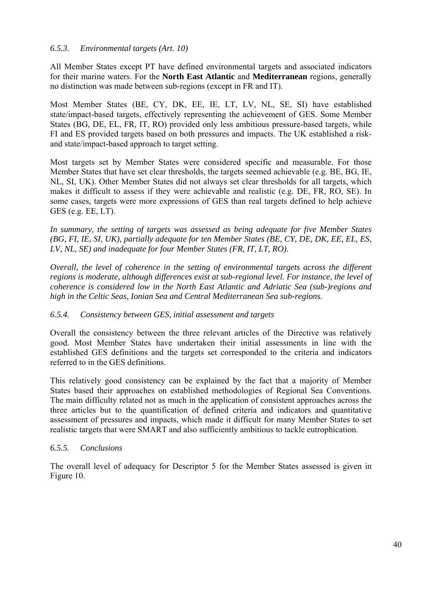#### *6.5.3. Environmental targets (Art. 10)*

All Member States except PT have defined environmental targets and associated indicators for their marine waters. For the **North East Atlantic** and **Mediterranean** regions, generally no distinction was made between sub-regions (except in FR and IT).

Most Member States (BE, CY, DK, EE, IE, LT, LV, NL, SE, SI) have established state/impact-based targets, effectively representing the achievement of GES. Some Member States (BG, DE, EL, FR, IT, RO) provided only less ambitious pressure-based targets, while FI and ES provided targets based on both pressures and impacts. The UK established a riskand state/impact-based approach to target setting.

Most targets set by Member States were considered specific and measurable. For those Member States that have set clear thresholds, the targets seemed achievable (e.g. BE, BG, IE, NL, SI, UK). Other Member States did not always set clear thresholds for all targets, which makes it difficult to assess if they were achievable and realistic (e.g. DE, FR, RO, SE). In some cases, targets were more expressions of GES than real targets defined to help achieve GES (e.g. EE, LT).

*In summary, the setting of targets was assessed as being adequate for five Member States (BG, FI, IE, SI, UK), partially adequate for ten Member States (BE, CY, DE, DK, EE, EL, ES, LV, NL, SE) and inadequate for four Member States (FR, IT, LT, RO).* 

*Overall, the level of coherence in the setting of environmental targets across the different regions is moderate, although differences exist at sub-regional level. For instance, the level of coherence is considered low in the North East Atlantic and Adriatic Sea (sub-)regions and high in the Celtic Seas, Ionian Sea and Central Mediterranean Sea sub-regions.* 

#### *6.5.4. Consistency between GES, initial assessment and targets*

Overall the consistency between the three relevant articles of the Directive was relatively good. Most Member States have undertaken their initial assessments in line with the established GES definitions and the targets set corresponded to the criteria and indicators referred to in the GES definitions.

This relatively good consistency can be explained by the fact that a majority of Member States based their approaches on established methodologies of Regional Sea Conventions. The main difficulty related not as much in the application of consistent approaches across the three articles but to the quantification of defined criteria and indicators and quantitative assessment of pressures and impacts, which made it difficult for many Member States to set realistic targets that were SMART and also sufficiently ambitious to tackle eutrophication.

## *6.5.5. Conclusions*

The overall level of adequacy for Descriptor 5 for the Member States assessed is given in Figure 10.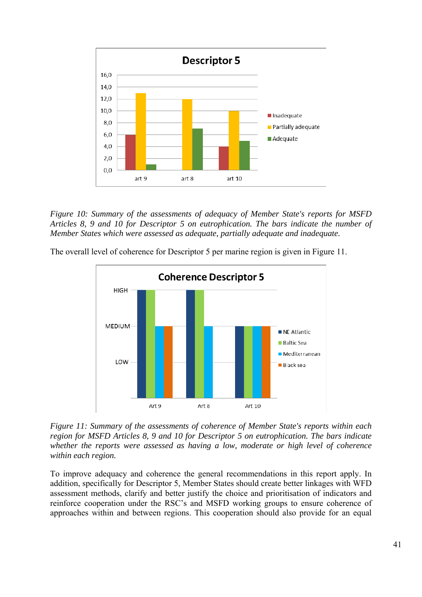

*Figure 10: Summary of the assessments of adequacy of Member State's reports for MSFD Articles 8, 9 and 10 for Descriptor 5 on eutrophication. The bars indicate the number of Member States which were assessed as adequate, partially adequate and inadequate.* 



The overall level of coherence for Descriptor 5 per marine region is given in Figure 11.

*Figure 11: Summary of the assessments of coherence of Member State's reports within each region for MSFD Articles 8, 9 and 10 for Descriptor 5 on eutrophication. The bars indicate whether the reports were assessed as having a low, moderate or high level of coherence within each region.* 

To improve adequacy and coherence the general recommendations in this report apply. In addition, specifically for Descriptor 5, Member States should create better linkages with WFD assessment methods, clarify and better justify the choice and prioritisation of indicators and reinforce cooperation under the RSC's and MSFD working groups to ensure coherence of approaches within and between regions. This cooperation should also provide for an equal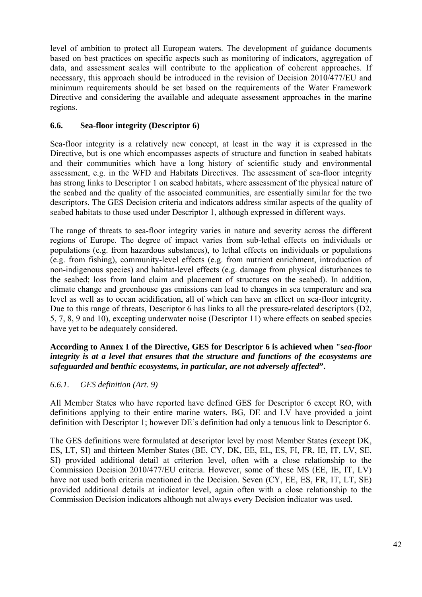level of ambition to protect all European waters. The development of guidance documents based on best practices on specific aspects such as monitoring of indicators, aggregation of data, and assessment scales will contribute to the application of coherent approaches. If necessary, this approach should be introduced in the revision of Decision 2010/477/EU and minimum requirements should be set based on the requirements of the Water Framework Directive and considering the available and adequate assessment approaches in the marine regions.

## **6.6. Sea-floor integrity (Descriptor 6)**

Sea-floor integrity is a relatively new concept, at least in the way it is expressed in the Directive, but is one which encompasses aspects of structure and function in seabed habitats and their communities which have a long history of scientific study and environmental assessment, e.g. in the WFD and Habitats Directives. The assessment of sea-floor integrity has strong links to Descriptor 1 on seabed habitats, where assessment of the physical nature of the seabed and the quality of the associated communities, are essentially similar for the two descriptors. The GES Decision criteria and indicators address similar aspects of the quality of seabed habitats to those used under Descriptor 1, although expressed in different ways.

The range of threats to sea-floor integrity varies in nature and severity across the different regions of Europe. The degree of impact varies from sub-lethal effects on individuals or populations (e.g. from hazardous substances), to lethal effects on individuals or populations (e.g. from fishing), community-level effects (e.g. from nutrient enrichment, introduction of non-indigenous species) and habitat-level effects (e.g. damage from physical disturbances to the seabed; loss from land claim and placement of structures on the seabed). In addition, climate change and greenhouse gas emissions can lead to changes in sea temperature and sea level as well as to ocean acidification, all of which can have an effect on sea-floor integrity. Due to this range of threats, Descriptor 6 has links to all the pressure-related descriptors (D2, 5, 7, 8, 9 and 10), excepting underwater noise (Descriptor 11) where effects on seabed species have yet to be adequately considered.

## **According to Annex I of the Directive, GES for Descriptor 6 is achieved when "s***ea-floor integrity is at a level that ensures that the structure and functions of the ecosystems are safeguarded and benthic ecosystems, in particular, are not adversely affected***".**

# *6.6.1. GES definition (Art. 9)*

All Member States who have reported have defined GES for Descriptor 6 except RO, with definitions applying to their entire marine waters. BG, DE and LV have provided a joint definition with Descriptor 1; however DE's definition had only a tenuous link to Descriptor 6.

The GES definitions were formulated at descriptor level by most Member States (except DK, ES, LT, SI) and thirteen Member States (BE, CY, DK, EE, EL, ES, FI, FR, IE, IT, LV, SE, SI) provided additional detail at criterion level, often with a close relationship to the Commission Decision 2010/477/EU criteria. However, some of these MS (EE, IE, IT, LV) have not used both criteria mentioned in the Decision. Seven (CY, EE, ES, FR, IT, LT, SE) provided additional details at indicator level, again often with a close relationship to the Commission Decision indicators although not always every Decision indicator was used.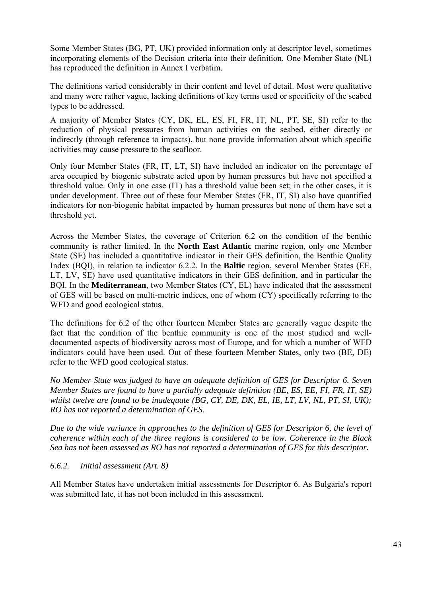Some Member States (BG, PT, UK) provided information only at descriptor level, sometimes incorporating elements of the Decision criteria into their definition. One Member State (NL) has reproduced the definition in Annex I verbatim.

The definitions varied considerably in their content and level of detail. Most were qualitative and many were rather vague, lacking definitions of key terms used or specificity of the seabed types to be addressed.

A majority of Member States (CY, DK, EL, ES, FI, FR, IT, NL, PT, SE, SI) refer to the reduction of physical pressures from human activities on the seabed, either directly or indirectly (through reference to impacts), but none provide information about which specific activities may cause pressure to the seafloor.

Only four Member States (FR, IT, LT, SI) have included an indicator on the percentage of area occupied by biogenic substrate acted upon by human pressures but have not specified a threshold value. Only in one case (IT) has a threshold value been set; in the other cases, it is under development. Three out of these four Member States (FR, IT, SI) also have quantified indicators for non-biogenic habitat impacted by human pressures but none of them have set a threshold yet.

Across the Member States, the coverage of Criterion 6.2 on the condition of the benthic community is rather limited. In the **North East Atlantic** marine region, only one Member State (SE) has included a quantitative indicator in their GES definition, the Benthic Quality Index (BQI), in relation to indicator 6.2.2. In the **Baltic** region, several Member States (EE, LT, LV, SE) have used quantitative indicators in their GES definition, and in particular the BQI. In the **Mediterranean**, two Member States (CY, EL) have indicated that the assessment of GES will be based on multi-metric indices, one of whom (CY) specifically referring to the WFD and good ecological status.

The definitions for 6.2 of the other fourteen Member States are generally vague despite the fact that the condition of the benthic community is one of the most studied and welldocumented aspects of biodiversity across most of Europe, and for which a number of WFD indicators could have been used. Out of these fourteen Member States, only two (BE, DE) refer to the WFD good ecological status.

*No Member State was judged to have an adequate definition of GES for Descriptor 6. Seven Member States are found to have a partially adequate definition (BE, ES, EE, FI, FR, IT, SE) whilst twelve are found to be inadequate (BG, CY, DE, DK, EL, IE, LT, LV, NL, PT, SI, UK); RO has not reported a determination of GES.* 

*Due to the wide variance in approaches to the definition of GES for Descriptor 6, the level of coherence within each of the three regions is considered to be low. Coherence in the Black Sea has not been assessed as RO has not reported a determination of GES for this descriptor.* 

#### *6.6.2. Initial assessment (Art. 8)*

All Member States have undertaken initial assessments for Descriptor 6. As Bulgaria's report was submitted late, it has not been included in this assessment.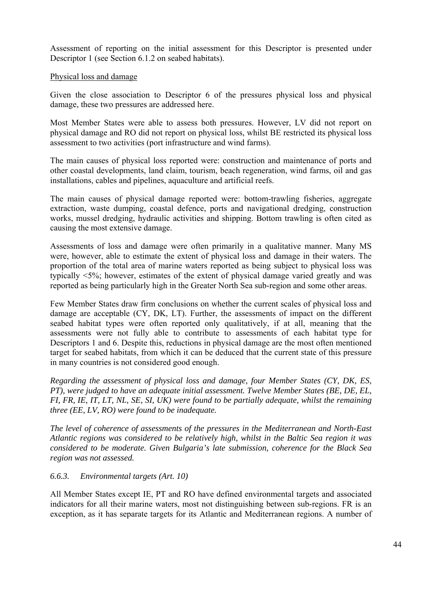Assessment of reporting on the initial assessment for this Descriptor is presented under Descriptor 1 (see Section 6.1.2 on seabed habitats).

#### Physical loss and damage

Given the close association to Descriptor 6 of the pressures physical loss and physical damage, these two pressures are addressed here.

Most Member States were able to assess both pressures. However, LV did not report on physical damage and RO did not report on physical loss, whilst BE restricted its physical loss assessment to two activities (port infrastructure and wind farms).

The main causes of physical loss reported were: construction and maintenance of ports and other coastal developments, land claim, tourism, beach regeneration, wind farms, oil and gas installations, cables and pipelines, aquaculture and artificial reefs.

The main causes of physical damage reported were: bottom-trawling fisheries, aggregate extraction, waste dumping, coastal defence, ports and navigational dredging, construction works, mussel dredging, hydraulic activities and shipping. Bottom trawling is often cited as causing the most extensive damage.

Assessments of loss and damage were often primarily in a qualitative manner. Many MS were, however, able to estimate the extent of physical loss and damage in their waters. The proportion of the total area of marine waters reported as being subject to physical loss was typically <5%; however, estimates of the extent of physical damage varied greatly and was reported as being particularly high in the Greater North Sea sub-region and some other areas.

Few Member States draw firm conclusions on whether the current scales of physical loss and damage are acceptable (CY, DK, LT). Further, the assessments of impact on the different seabed habitat types were often reported only qualitatively, if at all, meaning that the assessments were not fully able to contribute to assessments of each habitat type for Descriptors 1 and 6. Despite this, reductions in physical damage are the most often mentioned target for seabed habitats, from which it can be deduced that the current state of this pressure in many countries is not considered good enough.

*Regarding the assessment of physical loss and damage, four Member States (CY, DK, ES, PT), were judged to have an adequate initial assessment. Twelve Member States (BE, DE, EL, FI, FR, IE, IT, LT, NL, SE, SI, UK) were found to be partially adequate, whilst the remaining three (EE, LV, RO) were found to be inadequate.* 

*The level of coherence of assessments of the pressures in the Mediterranean and North-East Atlantic regions was considered to be relatively high, whilst in the Baltic Sea region it was considered to be moderate. Given Bulgaria's late submission, coherence for the Black Sea region was not assessed.* 

## *6.6.3. Environmental targets (Art. 10)*

All Member States except IE, PT and RO have defined environmental targets and associated indicators for all their marine waters, most not distinguishing between sub-regions. FR is an exception, as it has separate targets for its Atlantic and Mediterranean regions. A number of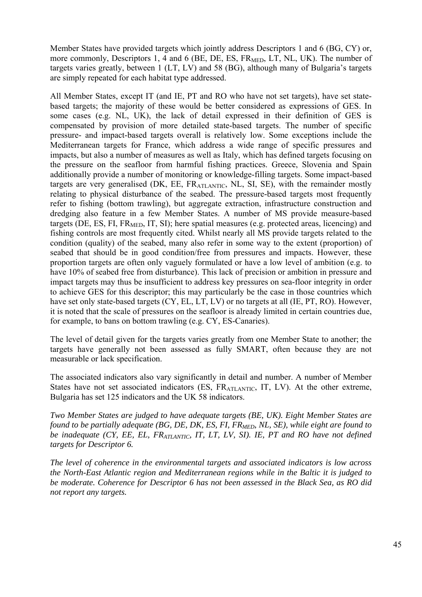Member States have provided targets which jointly address Descriptors 1 and 6 (BG, CY) or, more commonly, Descriptors 1, 4 and 6 (BE, DE, ES,  $FR<sub>MPD</sub>$ , LT, NL, UK). The number of targets varies greatly, between 1 (LT, LV) and 58 (BG), although many of Bulgaria's targets are simply repeated for each habitat type addressed.

All Member States, except IT (and IE, PT and RO who have not set targets), have set statebased targets; the majority of these would be better considered as expressions of GES. In some cases (e.g. NL, UK), the lack of detail expressed in their definition of GES is compensated by provision of more detailed state-based targets. The number of specific pressure- and impact-based targets overall is relatively low. Some exceptions include the Mediterranean targets for France, which address a wide range of specific pressures and impacts, but also a number of measures as well as Italy, which has defined targets focusing on the pressure on the seafloor from harmful fishing practices. Greece, Slovenia and Spain additionally provide a number of monitoring or knowledge-filling targets. Some impact-based targets are very generalised  $(DK, EE, FR_{ATLANTIC}, NL, SI, SE)$ , with the remainder mostly relating to physical disturbance of the seabed. The pressure-based targets most frequently refer to fishing (bottom trawling), but aggregate extraction, infrastructure construction and dredging also feature in a few Member States. A number of MS provide measure-based targets (DE, ES, FI,  $FR<sub>MED</sub>$ , IT, SI); here spatial measures (e.g. protected areas, licencing) and fishing controls are most frequently cited. Whilst nearly all MS provide targets related to the condition (quality) of the seabed, many also refer in some way to the extent (proportion) of seabed that should be in good condition/free from pressures and impacts. However, these proportion targets are often only vaguely formulated or have a low level of ambition (e.g. to have 10% of seabed free from disturbance). This lack of precision or ambition in pressure and impact targets may thus be insufficient to address key pressures on sea-floor integrity in order to achieve GES for this descriptor; this may particularly be the case in those countries which have set only state-based targets (CY, EL, LT, LV) or no targets at all (IE, PT, RO). However, it is noted that the scale of pressures on the seafloor is already limited in certain countries due, for example, to bans on bottom trawling (e.g. CY, ES-Canaries).

The level of detail given for the targets varies greatly from one Member State to another; the targets have generally not been assessed as fully SMART, often because they are not measurable or lack specification.

The associated indicators also vary significantly in detail and number. A number of Member States have not set associated indicators (ES, FRATLANTIC, IT, LV). At the other extreme, Bulgaria has set 125 indicators and the UK 58 indicators.

*Two Member States are judged to have adequate targets (BE, UK). Eight Member States are found to be partially adequate (BG, DE, DK, ES, FI, FR<sub>MED</sub>, NL, SE), while eight are found to be inadequate (CY, EE, EL, FRATLANTIC, IT, LT, LV, SI). IE, PT and RO have not defined targets for Descriptor 6.* 

*The level of coherence in the environmental targets and associated indicators is low across the North-East Atlantic region and Mediterranean regions while in the Baltic it is judged to be moderate. Coherence for Descriptor 6 has not been assessed in the Black Sea, as RO did not report any targets.*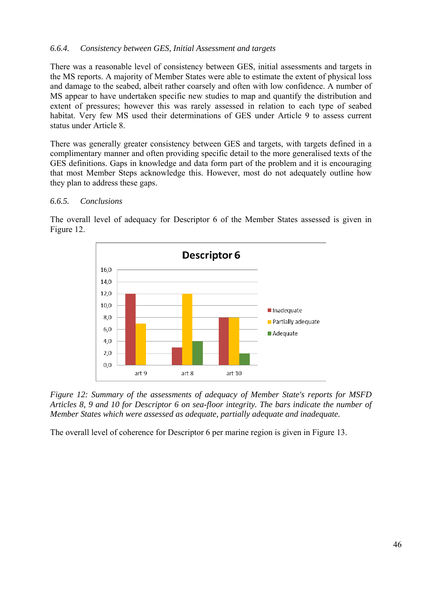## *6.6.4. Consistency between GES, Initial Assessment and targets*

There was a reasonable level of consistency between GES, initial assessments and targets in the MS reports. A majority of Member States were able to estimate the extent of physical loss and damage to the seabed, albeit rather coarsely and often with low confidence. A number of MS appear to have undertaken specific new studies to map and quantify the distribution and extent of pressures; however this was rarely assessed in relation to each type of seabed habitat. Very few MS used their determinations of GES under Article 9 to assess current status under Article 8.

There was generally greater consistency between GES and targets, with targets defined in a complimentary manner and often providing specific detail to the more generalised texts of the GES definitions. Gaps in knowledge and data form part of the problem and it is encouraging that most Member Steps acknowledge this. However, most do not adequately outline how they plan to address these gaps.

#### *6.6.5. Conclusions*

The overall level of adequacy for Descriptor 6 of the Member States assessed is given in Figure 12.





The overall level of coherence for Descriptor 6 per marine region is given in Figure 13.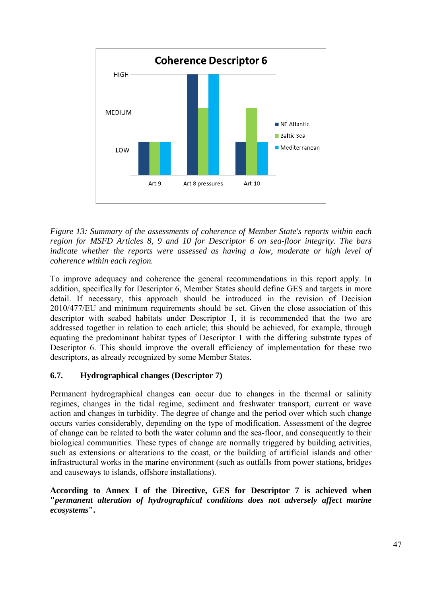

*Figure 13: Summary of the assessments of coherence of Member State's reports within each region for MSFD Articles 8, 9 and 10 for Descriptor 6 on sea-floor integrity. The bars indicate whether the reports were assessed as having a low, moderate or high level of coherence within each region.* 

To improve adequacy and coherence the general recommendations in this report apply. In addition, specifically for Descriptor 6, Member States should define GES and targets in more detail. If necessary, this approach should be introduced in the revision of Decision 2010/477/EU and minimum requirements should be set. Given the close association of this descriptor with seabed habitats under Descriptor 1, it is recommended that the two are addressed together in relation to each article; this should be achieved, for example, through equating the predominant habitat types of Descriptor 1 with the differing substrate types of Descriptor 6. This should improve the overall efficiency of implementation for these two descriptors, as already recognized by some Member States.

# **6.7. Hydrographical changes (Descriptor 7)**

Permanent hydrographical changes can occur due to changes in the thermal or salinity regimes, changes in the tidal regime, sediment and freshwater transport, current or wave action and changes in turbidity. The degree of change and the period over which such change occurs varies considerably, depending on the type of modification. Assessment of the degree of change can be related to both the water column and the sea-floor, and consequently to their biological communities. These types of change are normally triggered by building activities, such as extensions or alterations to the coast, or the building of artificial islands and other infrastructural works in the marine environment (such as outfalls from power stations, bridges and causeways to islands, offshore installations).

**According to Annex I of the Directive, GES for Descriptor 7 is achieved when "***permanent alteration of hydrographical conditions does not adversely affect marine ecosystems***".**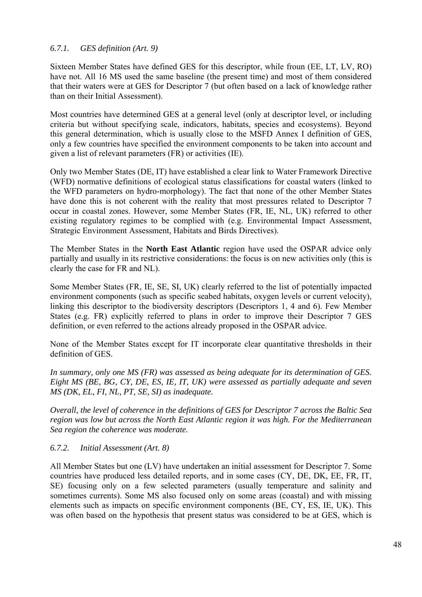## *6.7.1. GES definition (Art. 9)*

Sixteen Member States have defined GES for this descriptor, while froun (EE, LT, LV, RO) have not. All 16 MS used the same baseline (the present time) and most of them considered that their waters were at GES for Descriptor 7 (but often based on a lack of knowledge rather than on their Initial Assessment).

Most countries have determined GES at a general level (only at descriptor level, or including criteria but without specifying scale, indicators, habitats, species and ecosystems). Beyond this general determination, which is usually close to the MSFD Annex I definition of GES, only a few countries have specified the environment components to be taken into account and given a list of relevant parameters (FR) or activities (IE).

Only two Member States (DE, IT) have established a clear link to Water Framework Directive (WFD) normative definitions of ecological status classifications for coastal waters (linked to the WFD parameters on hydro-morphology). The fact that none of the other Member States have done this is not coherent with the reality that most pressures related to Descriptor 7 occur in coastal zones. However, some Member States (FR, IE, NL, UK) referred to other existing regulatory regimes to be complied with (e.g. Environmental Impact Assessment, Strategic Environment Assessment, Habitats and Birds Directives).

The Member States in the **North East Atlantic** region have used the OSPAR advice only partially and usually in its restrictive considerations: the focus is on new activities only (this is clearly the case for FR and NL).

Some Member States (FR, IE, SE, SI, UK) clearly referred to the list of potentially impacted environment components (such as specific seabed habitats, oxygen levels or current velocity), linking this descriptor to the biodiversity descriptors (Descriptors 1, 4 and 6). Few Member States (e.g. FR) explicitly referred to plans in order to improve their Descriptor 7 GES definition, or even referred to the actions already proposed in the OSPAR advice.

None of the Member States except for IT incorporate clear quantitative thresholds in their definition of GES.

*In summary, only one MS (FR) was assessed as being adequate for its determination of GES. Eight MS (BE, BG, CY, DE, ES, IE, IT, UK) were assessed as partially adequate and seven MS (DK, EL, FI, NL, PT, SE, SI) as inadequate.* 

*Overall, the level of coherence in the definitions of GES for Descriptor 7 across the Baltic Sea region was low but across the North East Atlantic region it was high. For the Mediterranean Sea region the coherence was moderate.* 

*6.7.2. Initial Assessment (Art. 8)* 

All Member States but one (LV) have undertaken an initial assessment for Descriptor 7. Some countries have produced less detailed reports, and in some cases (CY, DE, DK, EE, FR, IT, SE) focusing only on a few selected parameters (usually temperature and salinity and sometimes currents). Some MS also focused only on some areas (coastal) and with missing elements such as impacts on specific environment components (BE, CY, ES, IE, UK). This was often based on the hypothesis that present status was considered to be at GES, which is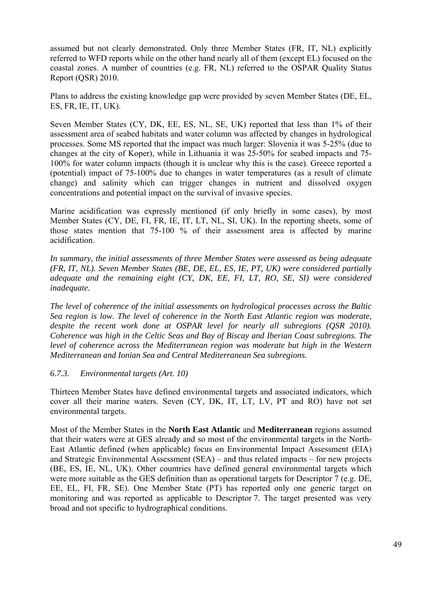assumed but not clearly demonstrated. Only three Member States (FR, IT, NL) explicitly referred to WFD reports while on the other hand nearly all of them (except EL) focused on the coastal zones. A number of countries (e.g. FR, NL) referred to the OSPAR Quality Status Report (QSR) 2010.

Plans to address the existing knowledge gap were provided by seven Member States (DE, EL, ES, FR, IE, IT, UK).

Seven Member States (CY, DK, EE, ES, NL, SE, UK) reported that less than 1% of their assessment area of seabed habitats and water column was affected by changes in hydrological processes. Some MS reported that the impact was much larger: Slovenia it was 5-25% (due to changes at the city of Koper), while in Lithuania it was 25-50% for seabed impacts and 75- 100% for water column impacts (though it is unclear why this is the case). Greece reported a (potential) impact of 75-100% due to changes in water temperatures (as a result of climate change) and salinity which can trigger changes in nutrient and dissolved oxygen concentrations and potential impact on the survival of invasive species.

Marine acidification was expressly mentioned (if only briefly in some cases), by most Member States (CY, DE, FI, FR, IE, IT, LT, NL, SI, UK). In the reporting sheets, some of those states mention that 75-100 % of their assessment area is affected by marine acidification.

*In summary, the initial assessments of three Member States were assessed as being adequate (FR, IT, NL). Seven Member States (BE, DE, EL, ES, IE, PT, UK) were considered partially adequate and the remaining eight (CY, DK, EE, FI, LT, RO, SE, SI) were considered inadequate.* 

*The level of coherence of the initial assessments on hydrological processes across the Baltic Sea region is low. The level of coherence in the North East Atlantic region was moderate,*  despite the recent work done at OSPAR level for nearly all subregions (QSR 2010). *Coherence was high in the Celtic Seas and Bay of Biscay and Iberian Coast subregions. The level of coherence across the Mediterranean region was moderate but high in the Western Mediterranean and Ionian Sea and Central Mediterranean Sea subregions.*

## *6.7.3. Environmental targets (Art. 10)*

Thirteen Member States have defined environmental targets and associated indicators, which cover all their marine waters. Seven (CY, DK, IT, LT, LV, PT and RO) have not set environmental targets.

Most of the Member States in the **North East Atlantic** and **Mediterranean** regions assumed that their waters were at GES already and so most of the environmental targets in the North-East Atlantic defined (when applicable) focus on Environmental Impact Assessment (EIA) and Strategic Environmental Assessment (SEA) – and thus related impacts – for new projects (BE, ES, IE, NL, UK). Other countries have defined general environmental targets which were more suitable as the GES definition than as operational targets for Descriptor 7 (e.g. DE, EE, EL, FI, FR, SE). One Member State (PT) has reported only one generic target on monitoring and was reported as applicable to Descriptor 7. The target presented was very broad and not specific to hydrographical conditions.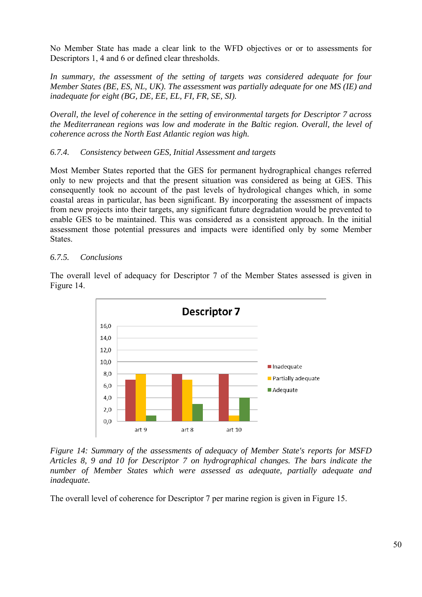No Member State has made a clear link to the WFD objectives or or to assessments for Descriptors 1, 4 and 6 or defined clear thresholds.

*In summary, the assessment of the setting of targets was considered adequate for four Member States (BE, ES, NL, UK). The assessment was partially adequate for one MS (IE) and inadequate for eight (BG, DE, EE, EL, FI, FR, SE, SI).* 

*Overall, the level of coherence in the setting of environmental targets for Descriptor 7 across the Mediterranean regions was low and moderate in the Baltic region. Overall, the level of coherence across the North East Atlantic region was high.* 

## *6.7.4. Consistency between GES, Initial Assessment and targets*

Most Member States reported that the GES for permanent hydrographical changes referred only to new projects and that the present situation was considered as being at GES. This consequently took no account of the past levels of hydrological changes which, in some coastal areas in particular, has been significant. By incorporating the assessment of impacts from new projects into their targets, any significant future degradation would be prevented to enable GES to be maintained. This was considered as a consistent approach. In the initial assessment those potential pressures and impacts were identified only by some Member States.

## *6.7.5. Conclusions*

The overall level of adequacy for Descriptor 7 of the Member States assessed is given in Figure 14.



*Figure 14: Summary of the assessments of adequacy of Member State's reports for MSFD Articles 8, 9 and 10 for Descriptor 7 on hydrographical changes. The bars indicate the number of Member States which were assessed as adequate, partially adequate and inadequate.* 

The overall level of coherence for Descriptor 7 per marine region is given in Figure 15.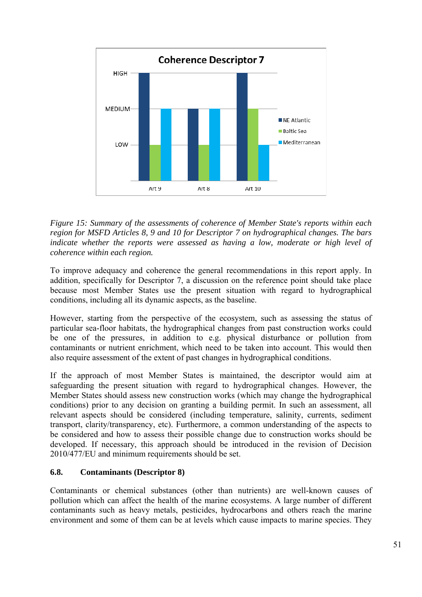

*Figure 15: Summary of the assessments of coherence of Member State's reports within each region for MSFD Articles 8, 9 and 10 for Descriptor 7 on hydrographical changes. The bars*  indicate whether the reports were assessed as having a low, moderate or high level of *coherence within each region.* 

To improve adequacy and coherence the general recommendations in this report apply. In addition, specifically for Descriptor 7, a discussion on the reference point should take place because most Member States use the present situation with regard to hydrographical conditions, including all its dynamic aspects, as the baseline.

However, starting from the perspective of the ecosystem, such as assessing the status of particular sea-floor habitats, the hydrographical changes from past construction works could be one of the pressures, in addition to e.g. physical disturbance or pollution from contaminants or nutrient enrichment, which need to be taken into account. This would then also require assessment of the extent of past changes in hydrographical conditions.

If the approach of most Member States is maintained, the descriptor would aim at safeguarding the present situation with regard to hydrographical changes. However, the Member States should assess new construction works (which may change the hydrographical conditions) prior to any decision on granting a building permit. In such an assessment, all relevant aspects should be considered (including temperature, salinity, currents, sediment transport, clarity/transparency, etc). Furthermore, a common understanding of the aspects to be considered and how to assess their possible change due to construction works should be developed. If necessary, this approach should be introduced in the revision of Decision 2010/477/EU and minimum requirements should be set.

# **6.8. Contaminants (Descriptor 8)**

Contaminants or chemical substances (other than nutrients) are well-known causes of pollution which can affect the health of the marine ecosystems. A large number of different contaminants such as heavy metals, pesticides, hydrocarbons and others reach the marine environment and some of them can be at levels which cause impacts to marine species. They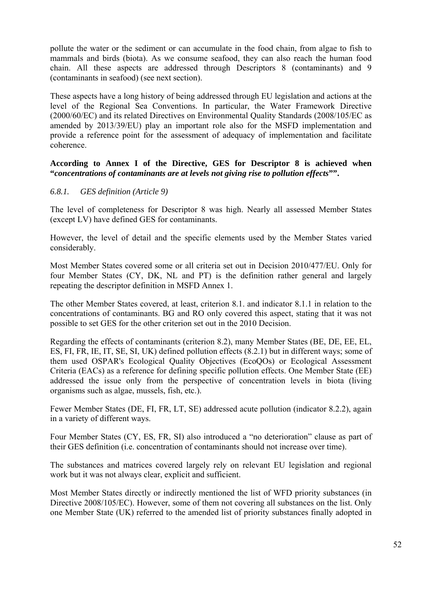pollute the water or the sediment or can accumulate in the food chain, from algae to fish to mammals and birds (biota). As we consume seafood, they can also reach the human food chain. All these aspects are addressed through Descriptors 8 (contaminants) and 9 (contaminants in seafood) (see next section).

These aspects have a long history of being addressed through EU legislation and actions at the level of the Regional Sea Conventions. In particular, the Water Framework Directive (2000/60/EC) and its related Directives on Environmental Quality Standards (2008/105/EC as amended by 2013/39/EU) play an important role also for the MSFD implementation and provide a reference point for the assessment of adequacy of implementation and facilitate coherence.

**According to Annex I of the Directive, GES for Descriptor 8 is achieved when "***concentrations of contaminants are at levels not giving rise to pollution effects***"".** 

#### *6.8.1. GES definition (Article 9)*

The level of completeness for Descriptor 8 was high. Nearly all assessed Member States (except LV) have defined GES for contaminants.

However, the level of detail and the specific elements used by the Member States varied considerably.

Most Member States covered some or all criteria set out in Decision 2010/477/EU. Only for four Member States (CY, DK, NL and PT) is the definition rather general and largely repeating the descriptor definition in MSFD Annex 1.

The other Member States covered, at least, criterion 8.1. and indicator 8.1.1 in relation to the concentrations of contaminants. BG and RO only covered this aspect, stating that it was not possible to set GES for the other criterion set out in the 2010 Decision.

Regarding the effects of contaminants (criterion 8.2), many Member States (BE, DE, EE, EL, ES, FI, FR, IE, IT, SE, SI, UK) defined pollution effects (8.2.1) but in different ways; some of them used OSPAR's Ecological Quality Objectives (EcoQOs) or Ecological Assessment Criteria (EACs) as a reference for defining specific pollution effects. One Member State (EE) addressed the issue only from the perspective of concentration levels in biota (living organisms such as algae, mussels, fish, etc.).

Fewer Member States (DE, FI, FR, LT, SE) addressed acute pollution (indicator 8.2.2), again in a variety of different ways.

Four Member States (CY, ES, FR, SI) also introduced a "no deterioration" clause as part of their GES definition (i.e. concentration of contaminants should not increase over time).

The substances and matrices covered largely rely on relevant EU legislation and regional work but it was not always clear, explicit and sufficient.

Most Member States directly or indirectly mentioned the list of WFD priority substances (in Directive 2008/105/EC). However, some of them not covering all substances on the list. Only one Member State (UK) referred to the amended list of priority substances finally adopted in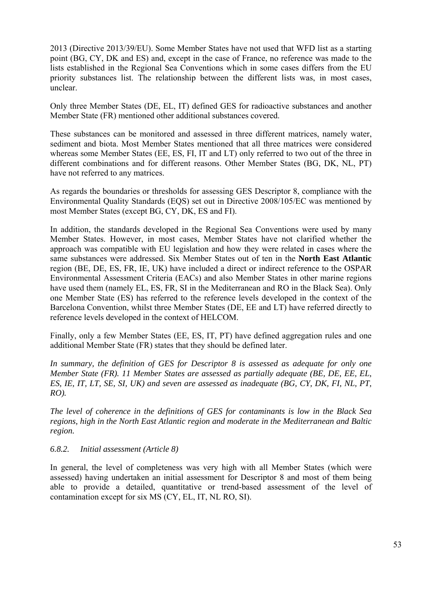2013 (Directive 2013/39/EU). Some Member States have not used that WFD list as a starting point (BG, CY, DK and ES) and, except in the case of France, no reference was made to the lists established in the Regional Sea Conventions which in some cases differs from the EU priority substances list. The relationship between the different lists was, in most cases, unclear.

Only three Member States (DE, EL, IT) defined GES for radioactive substances and another Member State (FR) mentioned other additional substances covered.

These substances can be monitored and assessed in three different matrices, namely water, sediment and biota. Most Member States mentioned that all three matrices were considered whereas some Member States (EE, ES, FI, IT and LT) only referred to two out of the three in different combinations and for different reasons. Other Member States (BG, DK, NL, PT) have not referred to any matrices.

As regards the boundaries or thresholds for assessing GES Descriptor 8, compliance with the Environmental Quality Standards (EQS) set out in Directive 2008/105/EC was mentioned by most Member States (except BG, CY, DK, ES and FI).

In addition, the standards developed in the Regional Sea Conventions were used by many Member States. However, in most cases, Member States have not clarified whether the approach was compatible with EU legislation and how they were related in cases where the same substances were addressed. Six Member States out of ten in the **North East Atlantic** region (BE, DE, ES, FR, IE, UK) have included a direct or indirect reference to the OSPAR Environmental Assessment Criteria (EACs) and also Member States in other marine regions have used them (namely EL, ES, FR, SI in the Mediterranean and RO in the Black Sea). Only one Member State (ES) has referred to the reference levels developed in the context of the Barcelona Convention, whilst three Member States (DE, EE and LT) have referred directly to reference levels developed in the context of HELCOM.

Finally, only a few Member States (EE, ES, IT, PT) have defined aggregation rules and one additional Member State (FR) states that they should be defined later.

*In summary, the definition of GES for Descriptor 8 is assessed as adequate for only one Member State (FR). 11 Member States are assessed as partially adequate (BE, DE, EE, EL, ES, IE, IT, LT, SE, SI, UK) and seven are assessed as inadequate (BG, CY, DK, FI, NL, PT, RO).* 

*The level of coherence in the definitions of GES for contaminants is low in the Black Sea regions, high in the North East Atlantic region and moderate in the Mediterranean and Baltic region.* 

## *6.8.2. Initial assessment (Article 8)*

In general, the level of completeness was very high with all Member States (which were assessed) having undertaken an initial assessment for Descriptor 8 and most of them being able to provide a detailed, quantitative or trend-based assessment of the level of contamination except for six MS (CY, EL, IT, NL RO, SI).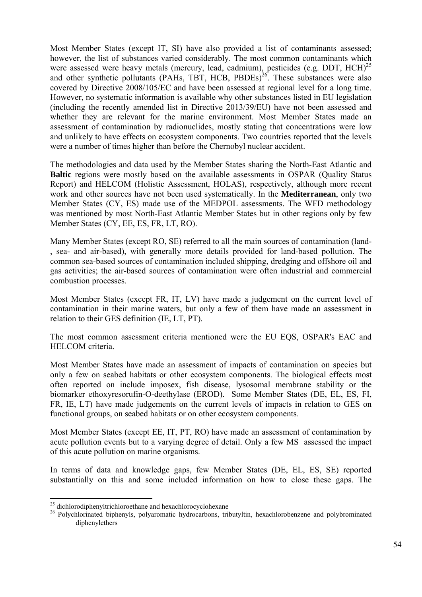Most Member States (except IT, SI) have also provided a list of contaminants assessed; however, the list of substances varied considerably. The most common contaminants which were assessed were heavy metals (mercury, lead, cadmium), pesticides (e.g. DDT, HCH)<sup>25</sup> and other synthetic pollutants (PAHs, TBT, HCB, PBDEs) $^{26}$ . These substances were also covered by Directive 2008/105/EC and have been assessed at regional level for a long time. However, no systematic information is available why other substances listed in EU legislation (including the recently amended list in Directive 2013/39/EU) have not been assessed and whether they are relevant for the marine environment. Most Member States made an assessment of contamination by radionuclides, mostly stating that concentrations were low and unlikely to have effects on ecosystem components. Two countries reported that the levels were a number of times higher than before the Chernobyl nuclear accident.

The methodologies and data used by the Member States sharing the North-East Atlantic and **Baltic** regions were mostly based on the available assessments in OSPAR (Quality Status Report) and HELCOM (Holistic Assessment, HOLAS), respectively, although more recent work and other sources have not been used systematically. In the **Mediterranean**, only two Member States (CY, ES) made use of the MEDPOL assessments. The WFD methodology was mentioned by most North-East Atlantic Member States but in other regions only by few Member States (CY, EE, ES, FR, LT, RO).

Many Member States (except RO, SE) referred to all the main sources of contamination (land- , sea- and air-based), with generally more details provided for land-based pollution. The common sea-based sources of contamination included shipping, dredging and offshore oil and gas activities; the air-based sources of contamination were often industrial and commercial combustion processes.

Most Member States (except FR, IT, LV) have made a judgement on the current level of contamination in their marine waters, but only a few of them have made an assessment in relation to their GES definition (IE, LT, PT).

The most common assessment criteria mentioned were the EU EQS, OSPAR's EAC and HELCOM criteria.

Most Member States have made an assessment of impacts of contamination on species but only a few on seabed habitats or other ecosystem components. The biological effects most often reported on include imposex, fish disease, lysosomal membrane stability or the biomarker ethoxyresorufin-O-deethylase (EROD). Some Member States (DE, EL, ES, FI, FR, IE, LT) have made judgements on the current levels of impacts in relation to GES on functional groups, on seabed habitats or on other ecosystem components.

Most Member States (except EE, IT, PT, RO) have made an assessment of contamination by acute pollution events but to a varying degree of detail. Only a few MS assessed the impact of this acute pollution on marine organisms.

In terms of data and knowledge gaps, few Member States (DE, EL, ES, SE) reported substantially on this and some included information on how to close these gaps. The

1

<sup>&</sup>lt;sup>25</sup> dichlorodiphenyltrichloroethane and hexachlorocyclohexane

<sup>&</sup>lt;sup>26</sup> Polychlorinated biphenyls, polyaromatic hydrocarbons, tributyltin, hexachlorobenzene and polybrominated diphenylethers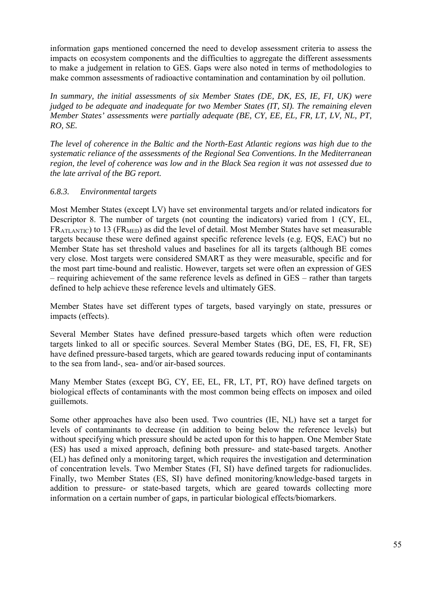information gaps mentioned concerned the need to develop assessment criteria to assess the impacts on ecosystem components and the difficulties to aggregate the different assessments to make a judgement in relation to GES. Gaps were also noted in terms of methodologies to make common assessments of radioactive contamination and contamination by oil pollution.

*In summary, the initial assessments of six Member States (DE, DK, ES, IE, FI, UK) were judged to be adequate and inadequate for two Member States (IT, SI). The remaining eleven Member States' assessments were partially adequate (BE, CY, EE, EL, FR, LT, LV, NL, PT, RO, SE.* 

*The level of coherence in the Baltic and the North-East Atlantic regions was high due to the systematic reliance of the assessments of the Regional Sea Conventions. In the Mediterranean region, the level of coherence was low and in the Black Sea region it was not assessed due to the late arrival of the BG report.* 

## *6.8.3. Environmental targets*

Most Member States (except LV) have set environmental targets and/or related indicators for Descriptor 8. The number of targets (not counting the indicators) varied from 1 (CY, EL,  $FR_{ATLANTIC}$ ) to 13 ( $FR_{MED}$ ) as did the level of detail. Most Member States have set measurable targets because these were defined against specific reference levels (e.g. EQS, EAC) but no Member State has set threshold values and baselines for all its targets (although BE comes very close. Most targets were considered SMART as they were measurable, specific and for the most part time-bound and realistic. However, targets set were often an expression of GES – requiring achievement of the same reference levels as defined in GES – rather than targets defined to help achieve these reference levels and ultimately GES.

Member States have set different types of targets, based varyingly on state, pressures or impacts (effects).

Several Member States have defined pressure-based targets which often were reduction targets linked to all or specific sources. Several Member States (BG, DE, ES, FI, FR, SE) have defined pressure-based targets, which are geared towards reducing input of contaminants to the sea from land-, sea- and/or air-based sources.

Many Member States (except BG, CY, EE, EL, FR, LT, PT, RO) have defined targets on biological effects of contaminants with the most common being effects on imposex and oiled guillemots.

Some other approaches have also been used. Two countries (IE, NL) have set a target for levels of contaminants to decrease (in addition to being below the reference levels) but without specifying which pressure should be acted upon for this to happen. One Member State (ES) has used a mixed approach, defining both pressure- and state-based targets. Another (EL) has defined only a monitoring target, which requires the investigation and determination of concentration levels. Two Member States (FI, SI) have defined targets for radionuclides. Finally, two Member States (ES, SI) have defined monitoring/knowledge-based targets in addition to pressure- or state-based targets, which are geared towards collecting more information on a certain number of gaps, in particular biological effects/biomarkers.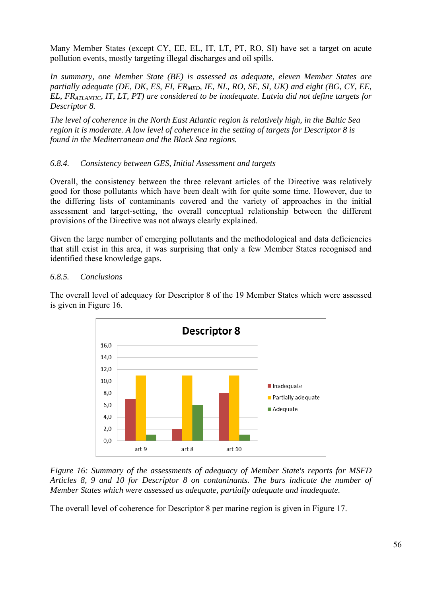Many Member States (except CY, EE, EL, IT, LT, PT, RO, SI) have set a target on acute pollution events, mostly targeting illegal discharges and oil spills.

*In summary, one Member State (BE) is assessed as adequate, eleven Member States are partially adequate (DE, DK, ES, FI, FR<sub>MED</sub>, IE, NL, RO, SE, SI, UK) and eight (BG, CY, EE, EL, FRATLANTIC, IT, LT, PT) are considered to be inadequate. Latvia did not define targets for Descriptor 8.* 

*The level of coherence in the North East Atlantic region is relatively high, in the Baltic Sea region it is moderate. A low level of coherence in the setting of targets for Descriptor 8 is found in the Mediterranean and the Black Sea regions.* 

# *6.8.4. Consistency between GES, Initial Assessment and targets*

Overall, the consistency between the three relevant articles of the Directive was relatively good for those pollutants which have been dealt with for quite some time. However, due to the differing lists of contaminants covered and the variety of approaches in the initial assessment and target-setting, the overall conceptual relationship between the different provisions of the Directive was not always clearly explained.

Given the large number of emerging pollutants and the methodological and data deficiencies that still exist in this area, it was surprising that only a few Member States recognised and identified these knowledge gaps.

## *6.8.5. Conclusions*

The overall level of adequacy for Descriptor 8 of the 19 Member States which were assessed is given in Figure 16.



*Figure 16: Summary of the assessments of adequacy of Member State's reports for MSFD Articles 8, 9 and 10 for Descriptor 8 on contaninants. The bars indicate the number of Member States which were assessed as adequate, partially adequate and inadequate.* 

The overall level of coherence for Descriptor 8 per marine region is given in Figure 17.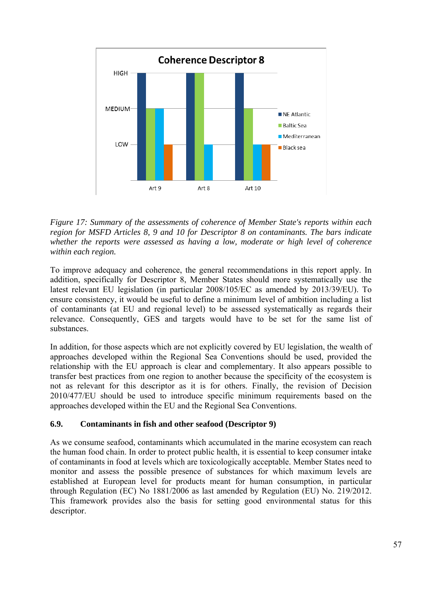

*Figure 17: Summary of the assessments of coherence of Member State's reports within each region for MSFD Articles 8, 9 and 10 for Descriptor 8 on contaminants. The bars indicate whether the reports were assessed as having a low, moderate or high level of coherence within each region.* 

To improve adequacy and coherence, the general recommendations in this report apply. In addition, specifically for Descriptor 8, Member States should more systematically use the latest relevant EU legislation (in particular 2008/105/EC as amended by 2013/39/EU). To ensure consistency, it would be useful to define a minimum level of ambition including a list of contaminants (at EU and regional level) to be assessed systematically as regards their relevance. Consequently, GES and targets would have to be set for the same list of substances.

In addition, for those aspects which are not explicitly covered by EU legislation, the wealth of approaches developed within the Regional Sea Conventions should be used, provided the relationship with the EU approach is clear and complementary. It also appears possible to transfer best practices from one region to another because the specificity of the ecosystem is not as relevant for this descriptor as it is for others. Finally, the revision of Decision 2010/477/EU should be used to introduce specific minimum requirements based on the approaches developed within the EU and the Regional Sea Conventions.

# **6.9. Contaminants in fish and other seafood (Descriptor 9)**

As we consume seafood, contaminants which accumulated in the marine ecosystem can reach the human food chain. In order to protect public health, it is essential to keep consumer intake of contaminants in food at levels which are toxicologically acceptable. Member States need to monitor and assess the possible presence of substances for which maximum levels are established at European level for products meant for human consumption, in particular through Regulation (EC) No 1881/2006 as last amended by Regulation (EU) No. 219/2012. This framework provides also the basis for setting good environmental status for this descriptor.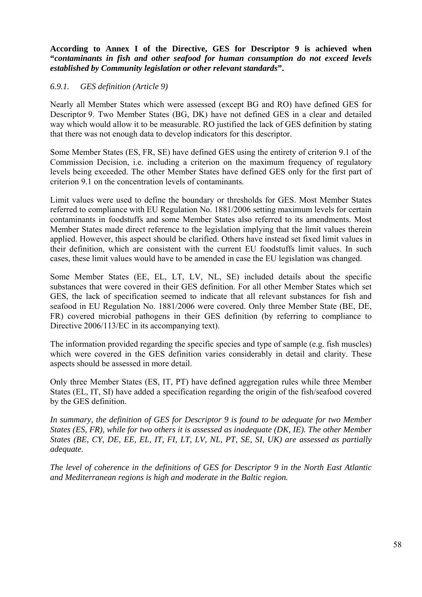**According to Annex I of the Directive, GES for Descriptor 9 is achieved when "***contaminants in fish and other seafood for human consumption do not exceed levels established by Community legislation or other relevant standards***".** 

## *6.9.1. GES definition (Article 9)*

Nearly all Member States which were assessed (except BG and RO) have defined GES for Descriptor 9. Two Member States (BG, DK) have not defined GES in a clear and detailed way which would allow it to be measurable. RO justified the lack of GES definition by stating that there was not enough data to develop indicators for this descriptor.

Some Member States (ES, FR, SE) have defined GES using the entirety of criterion 9.1 of the Commission Decision, i.e. including a criterion on the maximum frequency of regulatory levels being exceeded. The other Member States have defined GES only for the first part of criterion 9.1 on the concentration levels of contaminants.

Limit values were used to define the boundary or thresholds for GES. Most Member States referred to compliance with EU Regulation No. 1881/2006 setting maximum levels for certain contaminants in foodstuffs and some Member States also referred to its amendments. Most Member States made direct reference to the legislation implying that the limit values therein applied. However, this aspect should be clarified. Others have instead set fixed limit values in their definition, which are consistent with the current EU foodstuffs limit values. In such cases, these limit values would have to be amended in case the EU legislation was changed.

Some Member States (EE, EL, LT, LV, NL, SE) included details about the specific substances that were covered in their GES definition. For all other Member States which set GES, the lack of specification seemed to indicate that all relevant substances for fish and seafood in EU Regulation No. 1881/2006 were covered. Only three Member State (BE, DE, FR) covered microbial pathogens in their GES definition (by referring to compliance to Directive 2006/113/EC in its accompanying text).

The information provided regarding the specific species and type of sample (e.g. fish muscles) which were covered in the GES definition varies considerably in detail and clarity. These aspects should be assessed in more detail.

Only three Member States (ES, IT, PT) have defined aggregation rules while three Member States (EL, IT, SI) have added a specification regarding the origin of the fish/seafood covered by the GES definition.

*In summary, the definition of GES for Descriptor 9 is found to be adequate for two Member States (ES, FR), while for two others it is assessed as inadequate (DK, IE). The other Member States (BE, CY, DE, EE, EL, IT, FI, LT, LV, NL, PT, SE, SI, UK) are assessed as partially adequate.* 

*The level of coherence in the definitions of GES for Descriptor 9 in the North East Atlantic and Mediterranean regions is high and moderate in the Baltic region.*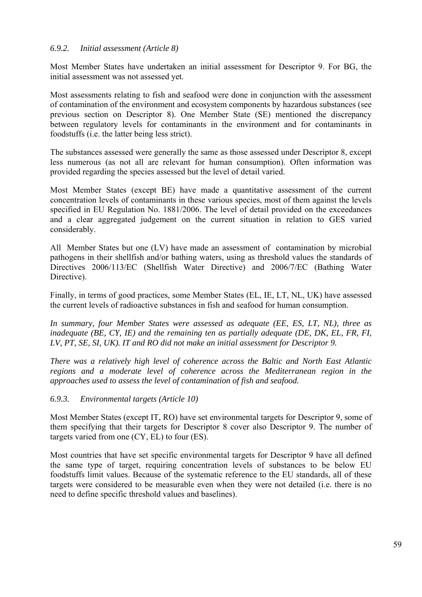#### *6.9.2. Initial assessment (Article 8)*

Most Member States have undertaken an initial assessment for Descriptor 9. For BG, the initial assessment was not assessed yet.

Most assessments relating to fish and seafood were done in conjunction with the assessment of contamination of the environment and ecosystem components by hazardous substances (see previous section on Descriptor 8). One Member State (SE) mentioned the discrepancy between regulatory levels for contaminants in the environment and for contaminants in foodstuffs (i.e. the latter being less strict).

The substances assessed were generally the same as those assessed under Descriptor 8, except less numerous (as not all are relevant for human consumption). Often information was provided regarding the species assessed but the level of detail varied.

Most Member States (except BE) have made a quantitative assessment of the current concentration levels of contaminants in these various species, most of them against the levels specified in EU Regulation No. 1881/2006. The level of detail provided on the exceedances and a clear aggregated judgement on the current situation in relation to GES varied considerably.

All Member States but one (LV) have made an assessment of contamination by microbial pathogens in their shellfish and/or bathing waters, using as threshold values the standards of Directives 2006/113/EC (Shellfish Water Directive) and 2006/7/EC (Bathing Water Directive).

Finally, in terms of good practices, some Member States (EL, IE, LT, NL, UK) have assessed the current levels of radioactive substances in fish and seafood for human consumption.

*In summary, four Member States were assessed as adequate (EE, ES, LT, NL), three as inadequate (BE, CY, IE) and the remaining ten as partially adequate (DE, DK, EL, FR, FI, LV, PT, SE, SI, UK). IT and RO did not make an initial assessment for Descriptor 9.* 

*There was a relatively high level of coherence across the Baltic and North East Atlantic regions and a moderate level of coherence across the Mediterranean region in the approaches used to assess the level of contamination of fish and seafood.* 

*6.9.3. Environmental targets (Article 10)* 

Most Member States (except IT, RO) have set environmental targets for Descriptor 9, some of them specifying that their targets for Descriptor 8 cover also Descriptor 9. The number of targets varied from one (CY, EL) to four (ES).

Most countries that have set specific environmental targets for Descriptor 9 have all defined the same type of target, requiring concentration levels of substances to be below EU foodstuffs limit values. Because of the systematic reference to the EU standards, all of these targets were considered to be measurable even when they were not detailed (i.e. there is no need to define specific threshold values and baselines).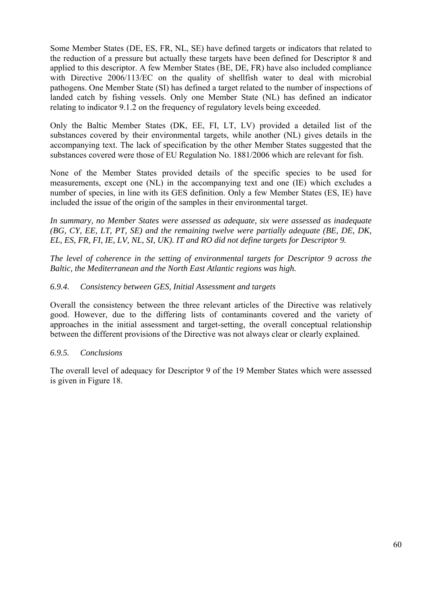Some Member States (DE, ES, FR, NL, SE) have defined targets or indicators that related to the reduction of a pressure but actually these targets have been defined for Descriptor 8 and applied to this descriptor. A few Member States (BE, DE, FR) have also included compliance with Directive 2006/113/EC on the quality of shellfish water to deal with microbial pathogens. One Member State (SI) has defined a target related to the number of inspections of landed catch by fishing vessels. Only one Member State (NL) has defined an indicator relating to indicator 9.1.2 on the frequency of regulatory levels being exceeded.

Only the Baltic Member States (DK, EE, FI, LT, LV) provided a detailed list of the substances covered by their environmental targets, while another (NL) gives details in the accompanying text. The lack of specification by the other Member States suggested that the substances covered were those of EU Regulation No. 1881/2006 which are relevant for fish.

None of the Member States provided details of the specific species to be used for measurements, except one (NL) in the accompanying text and one (IE) which excludes a number of species, in line with its GES definition. Only a few Member States (ES, IE) have included the issue of the origin of the samples in their environmental target.

*In summary, no Member States were assessed as adequate, six were assessed as inadequate (BG, CY, EE, LT, PT, SE) and the remaining twelve were partially adequate (BE, DE, DK, EL, ES, FR, FI, IE, LV, NL, SI, UK). IT and RO did not define targets for Descriptor 9.* 

*The level of coherence in the setting of environmental targets for Descriptor 9 across the Baltic, the Mediterranean and the North East Atlantic regions was high.* 

## *6.9.4. Consistency between GES, Initial Assessment and targets*

Overall the consistency between the three relevant articles of the Directive was relatively good. However, due to the differing lists of contaminants covered and the variety of approaches in the initial assessment and target-setting, the overall conceptual relationship between the different provisions of the Directive was not always clear or clearly explained.

## *6.9.5. Conclusions*

The overall level of adequacy for Descriptor 9 of the 19 Member States which were assessed is given in Figure 18.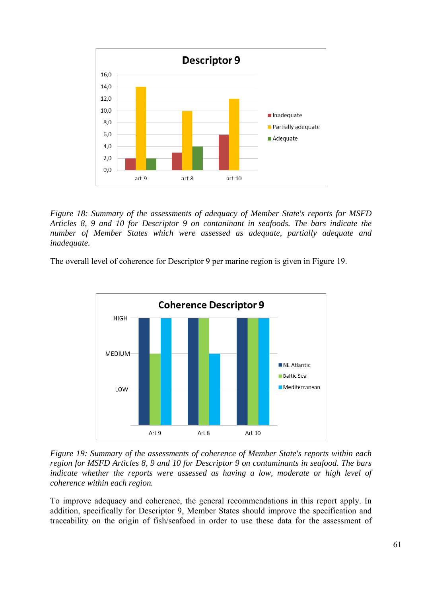

*Figure 18: Summary of the assessments of adequacy of Member State's reports for MSFD Articles 8, 9 and 10 for Descriptor 9 on contaninant in seafoods. The bars indicate the number of Member States which were assessed as adequate, partially adequate and inadequate.* 

The overall level of coherence for Descriptor 9 per marine region is given in Figure 19.



*Figure 19: Summary of the assessments of coherence of Member State's reports within each region for MSFD Articles 8, 9 and 10 for Descriptor 9 on contaminants in seafood. The bars*  indicate whether the reports were assessed as having a low, moderate or high level of *coherence within each region.* 

To improve adequacy and coherence, the general recommendations in this report apply. In addition, specifically for Descriptor 9, Member States should improve the specification and traceability on the origin of fish/seafood in order to use these data for the assessment of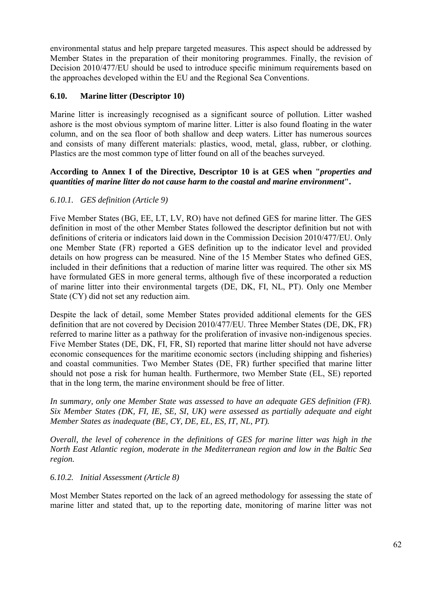environmental status and help prepare targeted measures. This aspect should be addressed by Member States in the preparation of their monitoring programmes. Finally, the revision of Decision 2010/477/EU should be used to introduce specific minimum requirements based on the approaches developed within the EU and the Regional Sea Conventions.

## **6.10. Marine litter (Descriptor 10)**

Marine litter is increasingly recognised as a significant source of pollution. Litter washed ashore is the most obvious symptom of marine litter. Litter is also found floating in the water column, and on the sea floor of both shallow and deep waters. Litter has numerous sources and consists of many different materials: plastics, wood, metal, glass, rubber, or clothing. Plastics are the most common type of litter found on all of the beaches surveyed.

#### **According to Annex I of the Directive, Descriptor 10 is at GES when "***properties and quantities of marine litter do not cause harm to the coastal and marine environment***".**

## *6.10.1. GES definition (Article 9)*

Five Member States (BG, EE, LT, LV, RO) have not defined GES for marine litter. The GES definition in most of the other Member States followed the descriptor definition but not with definitions of criteria or indicators laid down in the Commission Decision 2010/477/EU. Only one Member State (FR) reported a GES definition up to the indicator level and provided details on how progress can be measured. Nine of the 15 Member States who defined GES, included in their definitions that a reduction of marine litter was required. The other six MS have formulated GES in more general terms, although five of these incorporated a reduction of marine litter into their environmental targets (DE, DK, FI, NL, PT). Only one Member State (CY) did not set any reduction aim.

Despite the lack of detail, some Member States provided additional elements for the GES definition that are not covered by Decision 2010/477/EU. Three Member States (DE, DK, FR) referred to marine litter as a pathway for the proliferation of invasive non-indigenous species. Five Member States (DE, DK, FI, FR, SI) reported that marine litter should not have adverse economic consequences for the maritime economic sectors (including shipping and fisheries) and coastal communities. Two Member States (DE, FR) further specified that marine litter should not pose a risk for human health. Furthermore, two Member State (EL, SE) reported that in the long term, the marine environment should be free of litter.

*In summary, only one Member State was assessed to have an adequate GES definition (FR). Six Member States (DK, FI, IE, SE, SI, UK) were assessed as partially adequate and eight Member States as inadequate (BE, CY, DE, EL, ES, IT, NL, PT).* 

*Overall, the level of coherence in the definitions of GES for marine litter was high in the North East Atlantic region, moderate in the Mediterranean region and low in the Baltic Sea region.*

## *6.10.2. Initial Assessment (Article 8)*

Most Member States reported on the lack of an agreed methodology for assessing the state of marine litter and stated that, up to the reporting date, monitoring of marine litter was not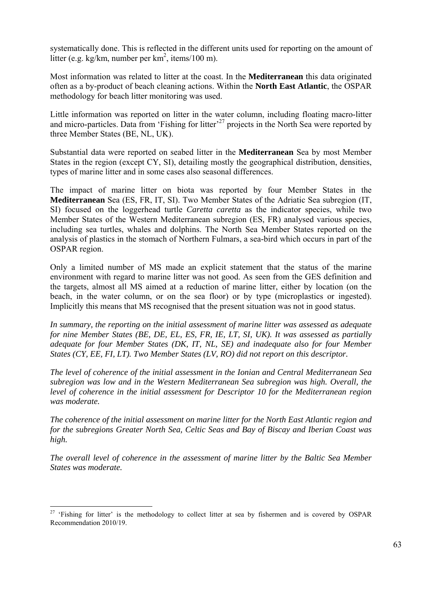systematically done. This is reflected in the different units used for reporting on the amount of litter (e.g. kg/km, number per  $km^2$ , items/100 m).

Most information was related to litter at the coast. In the **Mediterranean** this data originated often as a by-product of beach cleaning actions. Within the **North East Atlantic**, the OSPAR methodology for beach litter monitoring was used.

Little information was reported on litter in the water column, including floating macro-litter and micro-particles. Data from 'Fishing for litter'<sup>27</sup> projects in the North Sea were reported by three Member States (BE, NL, UK).

Substantial data were reported on seabed litter in the **Mediterranean** Sea by most Member States in the region (except CY, SI), detailing mostly the geographical distribution, densities, types of marine litter and in some cases also seasonal differences.

The impact of marine litter on biota was reported by four Member States in the **Mediterranean** Sea (ES, FR, IT, SI). Two Member States of the Adriatic Sea subregion (IT, SI) focused on the loggerhead turtle *Caretta caretta* as the indicator species, while two Member States of the Western Mediterranean subregion (ES, FR) analysed various species, including sea turtles, whales and dolphins. The North Sea Member States reported on the analysis of plastics in the stomach of Northern Fulmars, a sea-bird which occurs in part of the OSPAR region.

Only a limited number of MS made an explicit statement that the status of the marine environment with regard to marine litter was not good. As seen from the GES definition and the targets, almost all MS aimed at a reduction of marine litter, either by location (on the beach, in the water column, or on the sea floor) or by type (microplastics or ingested). Implicitly this means that MS recognised that the present situation was not in good status.

*In summary, the reporting on the initial assessment of marine litter was assessed as adequate for nine Member States (BE, DE, EL, ES, FR, IE, LT, SI, UK). It was assessed as partially adequate for four Member States (DK, IT, NL, SE) and inadequate also for four Member States (CY, EE, FI, LT). Two Member States (LV, RO) did not report on this descriptor.* 

*The level of coherence of the initial assessment in the Ionian and Central Mediterranean Sea subregion was low and in the Western Mediterranean Sea subregion was high. Overall, the level of coherence in the initial assessment for Descriptor 10 for the Mediterranean region was moderate.*

*The coherence of the initial assessment on marine litter for the North East Atlantic region and for the subregions Greater North Sea, Celtic Seas and Bay of Biscay and Iberian Coast was high.* 

*The overall level of coherence in the assessment of marine litter by the Baltic Sea Member States was moderate.*

<sup>&</sup>lt;u>.</u> <sup>27</sup> 'Fishing for litter' is the methodology to collect litter at sea by fishermen and is covered by OSPAR Recommendation 2010/19.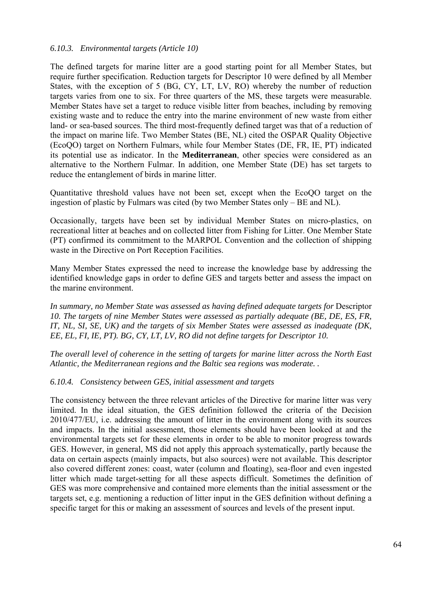#### *6.10.3. Environmental targets (Article 10)*

The defined targets for marine litter are a good starting point for all Member States, but require further specification. Reduction targets for Descriptor 10 were defined by all Member States, with the exception of 5 (BG, CY, LT, LV, RO) whereby the number of reduction targets varies from one to six. For three quarters of the MS, these targets were measurable. Member States have set a target to reduce visible litter from beaches, including by removing existing waste and to reduce the entry into the marine environment of new waste from either land- or sea-based sources. The third most-frequently defined target was that of a reduction of the impact on marine life. Two Member States (BE, NL) cited the OSPAR Quality Objective (EcoQO) target on Northern Fulmars, while four Member States (DE, FR, IE, PT) indicated its potential use as indicator. In the **Mediterranean**, other species were considered as an alternative to the Northern Fulmar. In addition, one Member State (DE) has set targets to reduce the entanglement of birds in marine litter.

Quantitative threshold values have not been set, except when the EcoQO target on the ingestion of plastic by Fulmars was cited (by two Member States only – BE and NL).

Occasionally, targets have been set by individual Member States on micro-plastics, on recreational litter at beaches and on collected litter from Fishing for Litter. One Member State (PT) confirmed its commitment to the MARPOL Convention and the collection of shipping waste in the Directive on Port Reception Facilities.

Many Member States expressed the need to increase the knowledge base by addressing the identified knowledge gaps in order to define GES and targets better and assess the impact on the marine environment.

In summary, no Member State was assessed as having defined adequate targets for Descriptor *10. The targets of nine Member States were assessed as partially adequate (BE, DE, ES, FR, IT, NL, SI, SE, UK) and the targets of six Member States were assessed as inadequate (DK, EE, EL, FI, IE, PT). BG, CY, LT, LV, RO did not define targets for Descriptor 10.* 

*The overall level of coherence in the setting of targets for marine litter across the North East Atlantic, the Mediterranean regions and the Baltic sea regions was moderate. .*

#### *6.10.4. Consistency between GES, initial assessment and targets*

The consistency between the three relevant articles of the Directive for marine litter was very limited. In the ideal situation, the GES definition followed the criteria of the Decision 2010/477/EU, i.e. addressing the amount of litter in the environment along with its sources and impacts. In the initial assessment, those elements should have been looked at and the environmental targets set for these elements in order to be able to monitor progress towards GES. However, in general, MS did not apply this approach systematically, partly because the data on certain aspects (mainly impacts, but also sources) were not available. This descriptor also covered different zones: coast, water (column and floating), sea-floor and even ingested litter which made target-setting for all these aspects difficult. Sometimes the definition of GES was more comprehensive and contained more elements than the initial assessment or the targets set, e.g. mentioning a reduction of litter input in the GES definition without defining a specific target for this or making an assessment of sources and levels of the present input.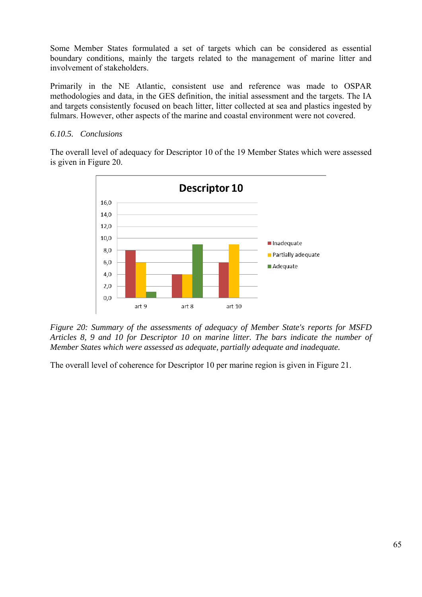Some Member States formulated a set of targets which can be considered as essential boundary conditions, mainly the targets related to the management of marine litter and involvement of stakeholders.

Primarily in the NE Atlantic, consistent use and reference was made to OSPAR methodologies and data, in the GES definition, the initial assessment and the targets. The IA and targets consistently focused on beach litter, litter collected at sea and plastics ingested by fulmars. However, other aspects of the marine and coastal environment were not covered.

### *6.10.5. Conclusions*

The overall level of adequacy for Descriptor 10 of the 19 Member States which were assessed is given in Figure 20.



*Figure 20: Summary of the assessments of adequacy of Member State's reports for MSFD Articles 8, 9 and 10 for Descriptor 10 on marine litter. The bars indicate the number of Member States which were assessed as adequate, partially adequate and inadequate.* 

The overall level of coherence for Descriptor 10 per marine region is given in Figure 21.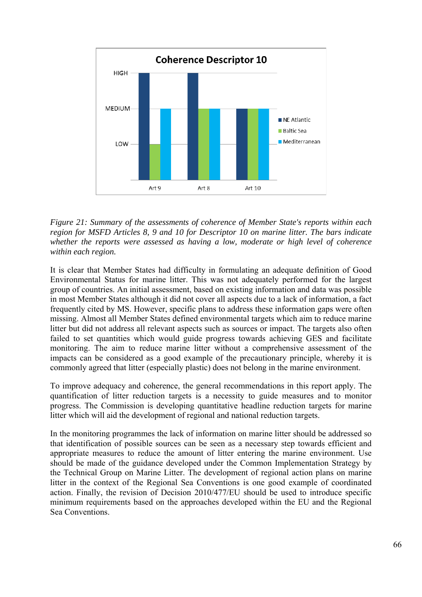

*Figure 21: Summary of the assessments of coherence of Member State's reports within each region for MSFD Articles 8, 9 and 10 for Descriptor 10 on marine litter. The bars indicate whether the reports were assessed as having a low, moderate or high level of coherence within each region.* 

It is clear that Member States had difficulty in formulating an adequate definition of Good Environmental Status for marine litter. This was not adequately performed for the largest group of countries. An initial assessment, based on existing information and data was possible in most Member States although it did not cover all aspects due to a lack of information, a fact frequently cited by MS. However, specific plans to address these information gaps were often missing. Almost all Member States defined environmental targets which aim to reduce marine litter but did not address all relevant aspects such as sources or impact. The targets also often failed to set quantities which would guide progress towards achieving GES and facilitate monitoring. The aim to reduce marine litter without a comprehensive assessment of the impacts can be considered as a good example of the precautionary principle, whereby it is commonly agreed that litter (especially plastic) does not belong in the marine environment.

To improve adequacy and coherence, the general recommendations in this report apply. The quantification of litter reduction targets is a necessity to guide measures and to monitor progress. The Commission is developing quantitative headline reduction targets for marine litter which will aid the development of regional and national reduction targets.

In the monitoring programmes the lack of information on marine litter should be addressed so that identification of possible sources can be seen as a necessary step towards efficient and appropriate measures to reduce the amount of litter entering the marine environment. Use should be made of the guidance developed under the Common Implementation Strategy by the Technical Group on Marine Litter. The development of regional action plans on marine litter in the context of the Regional Sea Conventions is one good example of coordinated action. Finally, the revision of Decision 2010/477/EU should be used to introduce specific minimum requirements based on the approaches developed within the EU and the Regional Sea Conventions.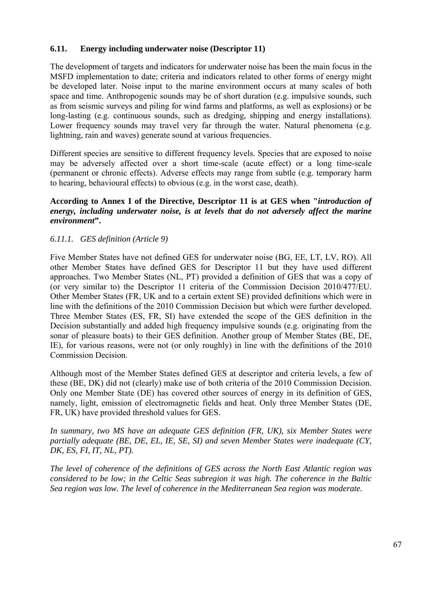## **6.11. Energy including underwater noise (Descriptor 11)**

The development of targets and indicators for underwater noise has been the main focus in the MSFD implementation to date; criteria and indicators related to other forms of energy might be developed later. Noise input to the marine environment occurs at many scales of both space and time. Anthropogenic sounds may be of short duration (e.g. impulsive sounds, such as from seismic surveys and piling for wind farms and platforms, as well as explosions) or be long-lasting (e.g. continuous sounds, such as dredging, shipping and energy installations). Lower frequency sounds may travel very far through the water. Natural phenomena (e.g. lightning, rain and waves) generate sound at various frequencies.

Different species are sensitive to different frequency levels. Species that are exposed to noise may be adversely affected over a short time-scale (acute effect) or a long time-scale (permanent or chronic effects). Adverse effects may range from subtle (e.g. temporary harm to hearing, behavioural effects) to obvious (e.g. in the worst case, death).

### **According to Annex I of the Directive, Descriptor 11 is at GES when "***introduction of energy, including underwater noise, is at levels that do not adversely affect the marine environment***".**

#### *6.11.1. GES definition (Article 9)*

Five Member States have not defined GES for underwater noise (BG, EE, LT, LV, RO). All other Member States have defined GES for Descriptor 11 but they have used different approaches. Two Member States (NL, PT) provided a definition of GES that was a copy of (or very similar to) the Descriptor 11 criteria of the Commission Decision 2010/477/EU. Other Member States (FR, UK and to a certain extent SE) provided definitions which were in line with the definitions of the 2010 Commission Decision but which were further developed. Three Member States (ES, FR, SI) have extended the scope of the GES definition in the Decision substantially and added high frequency impulsive sounds (e.g. originating from the sonar of pleasure boats) to their GES definition. Another group of Member States (BE, DE, IE), for various reasons, were not (or only roughly) in line with the definitions of the 2010 Commission Decision.

Although most of the Member States defined GES at descriptor and criteria levels, a few of these (BE, DK) did not (clearly) make use of both criteria of the 2010 Commission Decision. Only one Member State (DE) has covered other sources of energy in its definition of GES, namely, light, emission of electromagnetic fields and heat. Only three Member States (DE, FR, UK) have provided threshold values for GES.

*In summary, two MS have an adequate GES definition (FR, UK), six Member States were partially adequate (BE, DE, EL, IE, SE, SI) and seven Member States were inadequate (CY, DK, ES, FI, IT, NL, PT).* 

*The level of coherence of the definitions of GES across the North East Atlantic region was considered to be low; in the Celtic Seas subregion it was high. The coherence in the Baltic Sea region was low. The level of coherence in the Mediterranean Sea region was moderate.*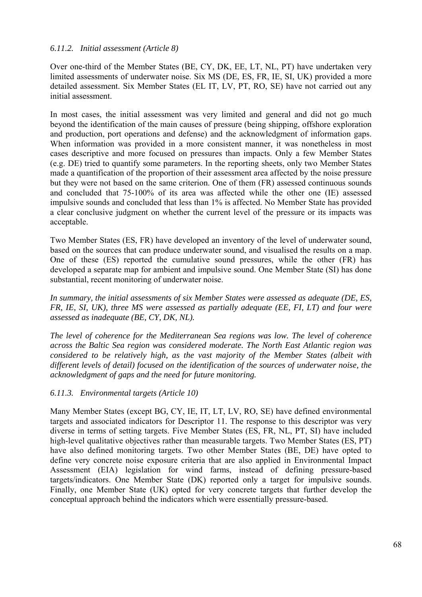### *6.11.2. Initial assessment (Article 8)*

Over one-third of the Member States (BE, CY, DK, EE, LT, NL, PT) have undertaken very limited assessments of underwater noise. Six MS (DE, ES, FR, IE, SI, UK) provided a more detailed assessment. Six Member States (EL IT, LV, PT, RO, SE) have not carried out any initial assessment.

In most cases, the initial assessment was very limited and general and did not go much beyond the identification of the main causes of pressure (being shipping, offshore exploration and production, port operations and defense) and the acknowledgment of information gaps. When information was provided in a more consistent manner, it was nonetheless in most cases descriptive and more focused on pressures than impacts. Only a few Member States (e.g. DE) tried to quantify some parameters. In the reporting sheets, only two Member States made a quantification of the proportion of their assessment area affected by the noise pressure but they were not based on the same criterion. One of them (FR) assessed continuous sounds and concluded that 75-100% of its area was affected while the other one (IE) assessed impulsive sounds and concluded that less than 1% is affected. No Member State has provided a clear conclusive judgment on whether the current level of the pressure or its impacts was acceptable.

Two Member States (ES, FR) have developed an inventory of the level of underwater sound, based on the sources that can produce underwater sound, and visualised the results on a map. One of these (ES) reported the cumulative sound pressures, while the other (FR) has developed a separate map for ambient and impulsive sound. One Member State (SI) has done substantial, recent monitoring of underwater noise.

*In summary, the initial assessments of six Member States were assessed as adequate (DE, ES, FR, IE, SI, UK), three MS were assessed as partially adequate (EE, FI, LT) and four were assessed as inadequate (BE, CY, DK, NL).* 

*The level of coherence for the Mediterranean Sea regions was low. The level of coherence across the Baltic Sea region was considered moderate. The North East Atlantic region was considered to be relatively high, as the vast majority of the Member States (albeit with different levels of detail) focused on the identification of the sources of underwater noise, the acknowledgment of gaps and the need for future monitoring.*

#### *6.11.3. Environmental targets (Article 10)*

Many Member States (except BG, CY, IE, IT, LT, LV, RO, SE) have defined environmental targets and associated indicators for Descriptor 11. The response to this descriptor was very diverse in terms of setting targets. Five Member States (ES, FR, NL, PT, SI) have included high-level qualitative objectives rather than measurable targets. Two Member States (ES, PT) have also defined monitoring targets. Two other Member States (BE, DE) have opted to define very concrete noise exposure criteria that are also applied in Environmental Impact Assessment (EIA) legislation for wind farms, instead of defining pressure-based targets/indicators. One Member State (DK) reported only a target for impulsive sounds. Finally, one Member State (UK) opted for very concrete targets that further develop the conceptual approach behind the indicators which were essentially pressure-based.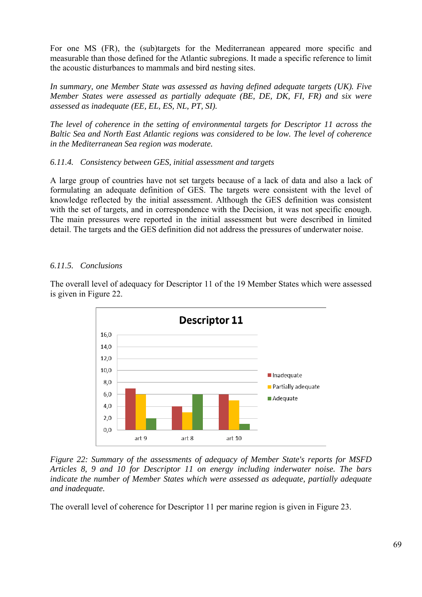For one MS (FR), the (sub)targets for the Mediterranean appeared more specific and measurable than those defined for the Atlantic subregions. It made a specific reference to limit the acoustic disturbances to mammals and bird nesting sites.

*In summary, one Member State was assessed as having defined adequate targets (UK). Five Member States were assessed as partially adequate (BE, DE, DK, FI, FR) and six were assessed as inadequate (EE, EL, ES, NL, PT, SI).* 

*The level of coherence in the setting of environmental targets for Descriptor 11 across the Baltic Sea and North East Atlantic regions was considered to be low. The level of coherence in the Mediterranean Sea region was moderate.* 

#### *6.11.4. Consistency between GES, initial assessment and targets*

A large group of countries have not set targets because of a lack of data and also a lack of formulating an adequate definition of GES. The targets were consistent with the level of knowledge reflected by the initial assessment. Although the GES definition was consistent with the set of targets, and in correspondence with the Decision, it was not specific enough. The main pressures were reported in the initial assessment but were described in limited detail. The targets and the GES definition did not address the pressures of underwater noise.

#### *6.11.5. Conclusions*

The overall level of adequacy for Descriptor 11 of the 19 Member States which were assessed is given in Figure 22.



*Figure 22: Summary of the assessments of adequacy of Member State's reports for MSFD Articles 8, 9 and 10 for Descriptor 11 on energy including inderwater noise. The bars indicate the number of Member States which were assessed as adequate, partially adequate and inadequate.* 

The overall level of coherence for Descriptor 11 per marine region is given in Figure 23.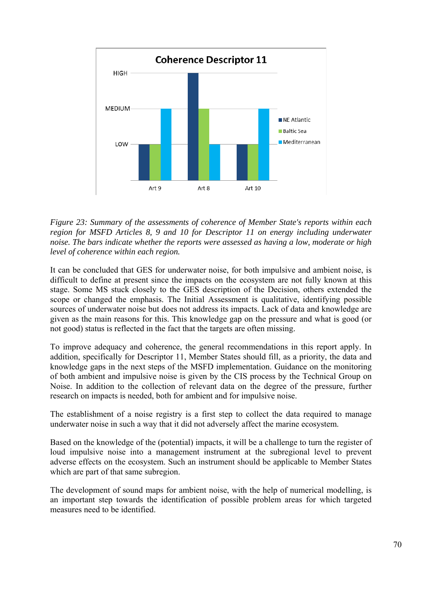

*Figure 23: Summary of the assessments of coherence of Member State's reports within each region for MSFD Articles 8, 9 and 10 for Descriptor 11 on energy including underwater noise. The bars indicate whether the reports were assessed as having a low, moderate or high level of coherence within each region.* 

It can be concluded that GES for underwater noise, for both impulsive and ambient noise, is difficult to define at present since the impacts on the ecosystem are not fully known at this stage. Some MS stuck closely to the GES description of the Decision, others extended the scope or changed the emphasis. The Initial Assessment is qualitative, identifying possible sources of underwater noise but does not address its impacts. Lack of data and knowledge are given as the main reasons for this. This knowledge gap on the pressure and what is good (or not good) status is reflected in the fact that the targets are often missing.

To improve adequacy and coherence, the general recommendations in this report apply. In addition, specifically for Descriptor 11, Member States should fill, as a priority, the data and knowledge gaps in the next steps of the MSFD implementation. Guidance on the monitoring of both ambient and impulsive noise is given by the CIS process by the Technical Group on Noise. In addition to the collection of relevant data on the degree of the pressure, further research on impacts is needed, both for ambient and for impulsive noise.

The establishment of a noise registry is a first step to collect the data required to manage underwater noise in such a way that it did not adversely affect the marine ecosystem.

Based on the knowledge of the (potential) impacts, it will be a challenge to turn the register of loud impulsive noise into a management instrument at the subregional level to prevent adverse effects on the ecosystem. Such an instrument should be applicable to Member States which are part of that same subregion.

The development of sound maps for ambient noise, with the help of numerical modelling, is an important step towards the identification of possible problem areas for which targeted measures need to be identified.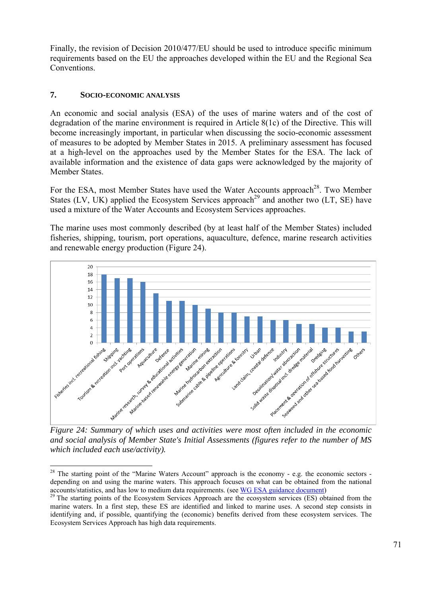Finally, the revision of Decision 2010/477/EU should be used to introduce specific minimum requirements based on the EU the approaches developed within the EU and the Regional Sea **Conventions** 

## **7. SOCIO-ECONOMIC ANALYSIS**

1

An economic and social analysis (ESA) of the uses of marine waters and of the cost of degradation of the marine environment is required in Article 8(1c) of the Directive. This will become increasingly important, in particular when discussing the socio-economic assessment of measures to be adopted by Member States in 2015. A preliminary assessment has focused at a high-level on the approaches used by the Member States for the ESA. The lack of available information and the existence of data gaps were acknowledged by the majority of Member States.

For the ESA, most Member States have used the Water Accounts approach<sup>28</sup>. Two Member States (LV, UK) applied the Ecosystem Services approach<sup>29</sup> and another two (LT, SE) have used a mixture of the Water Accounts and Ecosystem Services approaches.

The marine uses most commonly described (by at least half of the Member States) included fisheries, shipping, tourism, port operations, aquaculture, defence, marine research activities and renewable energy production (Figure 24).



*and social analysis of Member State's Initial Assessments (figures refer to the number of MS which included each use/activity).* 

 $28$  The starting point of the "Marine Waters Account" approach is the economy - e.g. the economic sectors depending on and using the marine waters. This approach focuses on what can be obtained from the national

accounts/statistics, and has low to medium data requirements. (see  $\overline{WG}$  ESA guidance document)<br><sup>29</sup> The starting points of the Ecosystem Services Approach are [the ecosystem services \(ES\) ob](https://circabc.europa.eu/w/browse/1dfbd5c7-5177-4828-9d60-ca1340879afc)tained from the marine waters. In a first step, these ES are identified and linked to marine uses. A second step consists in identifying and, if possible, quantifying the (economic) benefits derived from these ecosystem services. The Ecosystem Services Approach has high data requirements.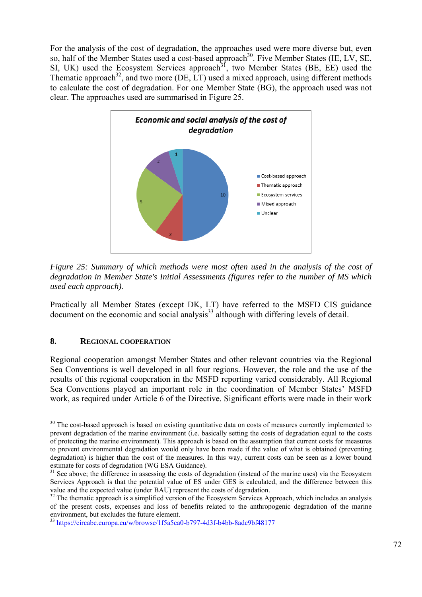For the analysis of the cost of degradation, the approaches used were more diverse but, even so, half of the Member States used a cost-based approach<sup>30</sup>. Five Member States (IE, LV, SE, SI, UK) used the Ecosystem Services approach<sup>31</sup>, two Member States (BE, EE) used the Thematic approach<sup>32</sup>, and two more (DE, LT) used a mixed approach, using different methods to calculate the cost of degradation. For one Member State (BG), the approach used was not clear. The approaches used are summarised in Figure 25.



*Figure 25: Summary of which methods were most often used in the analysis of the cost of degradation in Member State's Initial Assessments (figures refer to the number of MS which used each approach).*

Practically all Member States (except DK, LT) have referred to the MSFD CIS guidance  $\alpha$  document on the economic and social analysis<sup>33</sup> although with differing levels of detail.

#### **8. REGIONAL COOPERATION**

1

Regional cooperation amongst Member States and other relevant countries via the Regional Sea Conventions is well developed in all four regions. However, the role and the use of the results of this regional cooperation in the MSFD reporting varied considerably. All Regional Sea Conventions played an important role in the coordination of Member States' MSFD work, as required under Article 6 of the Directive. Significant efforts were made in their work

<sup>&</sup>lt;sup>30</sup> The cost-based approach is based on existing quantitative data on costs of measures currently implemented to prevent degradation of the marine environment (i.e. basically setting the costs of degradation equal to the costs of protecting the marine environment). This approach is based on the assumption that current costs for measures to prevent environmental degradation would only have been made if the value of what is obtained (preventing degradation) is higher than the cost of the measures. In this way, current costs can be seen as a lower bound

estimate for costs of degradation (WG ESA Guidance).<br><sup>31</sup> See above; the difference in assessing the costs of degradation (instead of the marine uses) via the Ecosystem Services Approach is that the potential value of ES under GES is calculated, and the difference between this value and the expected value (under BAU) represent the costs of degradation.

 $32$  The thematic approach is a simplified version of the Ecosystem Services Approach, which includes an analysis of the present costs, expenses and loss of benefits related to the anthropogenic degradation of the marine environment, but excludes the future element.

<sup>33</sup> <https://circabc.europa.eu/w/browse/1f5a5ca0-b797-4d3f-b4bb-8adc9bf48177>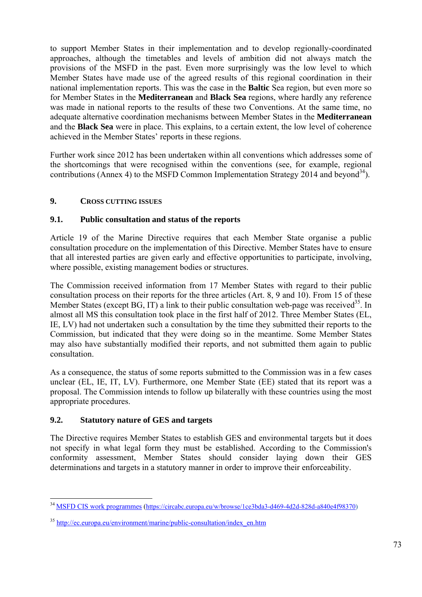to support Member States in their implementation and to develop regionally-coordinated approaches, although the timetables and levels of ambition did not always match the provisions of the MSFD in the past. Even more surprisingly was the low level to which Member States have made use of the agreed results of this regional coordination in their national implementation reports. This was the case in the **Baltic** Sea region, but even more so for Member States in the **Mediterranean** and **Black Sea** regions, where hardly any reference was made in national reports to the results of these two Conventions. At the same time, no adequate alternative coordination mechanisms between Member States in the **Mediterranean** and the **Black Sea** were in place. This explains, to a certain extent, the low level of coherence achieved in the Member States' reports in these regions.

Further work since 2012 has been undertaken within all conventions which addresses some of the shortcomings that were recognised within the conventions (see, for example, regional contributions (Annex 4) to the MSFD Common Implementation Strategy 2014 and beyond<sup>34</sup>).

# **9. CROSS CUTTING ISSUES**

# **9.1. Public consultation and status of the reports**

Article 19 of the Marine Directive requires that each Member State organise a public consultation procedure on the implementation of this Directive. Member States have to ensure that all interested parties are given early and effective opportunities to participate, involving, where possible, existing management bodies or structures.

The Commission received information from 17 Member States with regard to their public consultation process on their reports for the three articles (Art. 8, 9 and 10). From 15 of these Member States (except BG, IT) a link to their public consultation web-page was received<sup>35</sup>. In almost all MS this consultation took place in the first half of 2012. Three Member States (EL, IE, LV) had not undertaken such a consultation by the time they submitted their reports to the Commission, but indicated that they were doing so in the meantime. Some Member States may also have substantially modified their reports, and not submitted them again to public consultation.

As a consequence, the status of some reports submitted to the Commission was in a few cases unclear (EL, IE, IT, LV). Furthermore, one Member State (EE) stated that its report was a proposal. The Commission intends to follow up bilaterally with these countries using the most appropriate procedures.

## **9.2. Statutory nature of GES and targets**

The Directive requires Member States to establish GES and environmental targets but it does not specify in what legal form they must be established. According to the Commission's conformity assessment, Member States should consider laying down their GES determinations and targets in a statutory manner in order to improve their enforceability.

<sup>1</sup> <sup>34</sup> [MSFD CIS work programmes \(https://circabc.europa.eu/w/browse/1ce3bda3-d469-4d2d-828d-a840e4f98370\)](https://circabc.europa.eu/w/browse/1ce3bda3-d469-4d2d-828d-a840e4f98370)

<sup>35</sup> [http://ec.europa.eu/environment/marine/public-consultation/index\\_en.htm](http://ec.europa.eu/environment/marine/public-consultation/index_en.htm)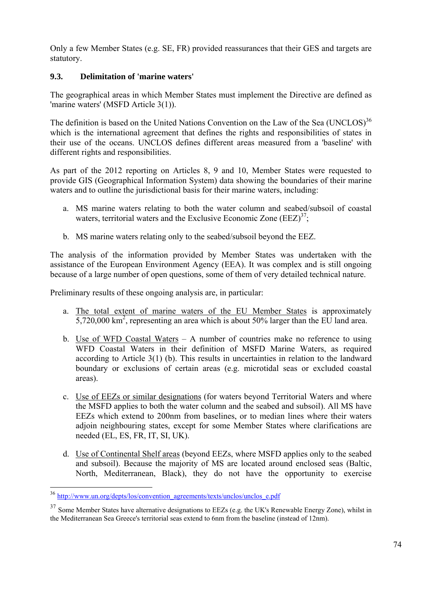Only a few Member States (e.g. SE, FR) provided reassurances that their GES and targets are statutory.

# **9.3. Delimitation of 'marine waters'**

The geographical areas in which Member States must implement the Directive are defined as 'marine waters' (MSFD Article 3(1)).

The definition is based on the United Nations Convention on the Law of the Sea  $(UNCLOS)^{36}$ which is the international agreement that defines the rights and responsibilities of states in their use of the oceans. UNCLOS defines different areas measured from a 'baseline' with different rights and responsibilities.

As part of the 2012 reporting on Articles 8, 9 and 10, Member States were requested to provide GIS (Geographical Information System) data showing the boundaries of their marine waters and to outline the jurisdictional basis for their marine waters, including:

- a. MS marine waters relating to both the water column and seabed/subsoil of coastal waters, territorial waters and the Exclusive Economic Zone  $(EEZ)^{37}$ ;
- b. MS marine waters relating only to the seabed/subsoil beyond the EEZ.

The analysis of the information provided by Member States was undertaken with the assistance of the European Environment Agency (EEA). It was complex and is still ongoing because of a large number of open questions, some of them of very detailed technical nature.

Preliminary results of these ongoing analysis are, in particular:

- a. The total extent of marine waters of the EU Member States is approximately  $5,720,000$  km<sup>2</sup>, representing an area which is about 50% larger than the EU land area.
- b. Use of WFD Coastal Waters A number of countries make no reference to using WFD Coastal Waters in their definition of MSFD Marine Waters, as required according to Article 3(1) (b). This results in uncertainties in relation to the landward boundary or exclusions of certain areas (e.g. microtidal seas or excluded coastal areas).
- c. Use of EEZs or similar designations (for waters beyond Territorial Waters and where the MSFD applies to both the water column and the seabed and subsoil). All MS have EEZs which extend to 200nm from baselines, or to median lines where their waters adjoin neighbouring states, except for some Member States where clarifications are needed (EL, ES, FR, IT, SI, UK).
- d. Use of Continental Shelf areas (beyond EEZs, where MSFD applies only to the seabed and subsoil). Because the majority of MS are located around enclosed seas (Baltic, North, Mediterranean, Black), they do not have the opportunity to exercise

1

<sup>&</sup>lt;sup>36</sup> [http://www.un.org/depts/los/convention\\_agreements/texts/unclos/unclos\\_e.pdf](http://www.un.org/depts/los/convention_agreements/texts/unclos/unclos_e.pdf)

<sup>&</sup>lt;sup>37</sup> Some Member States have alternative designations to EEZs (e.g. the UK's Renewable Energy Zone), whilst in the Mediterranean Sea Greece's territorial seas extend to 6nm from the baseline (instead of 12nm).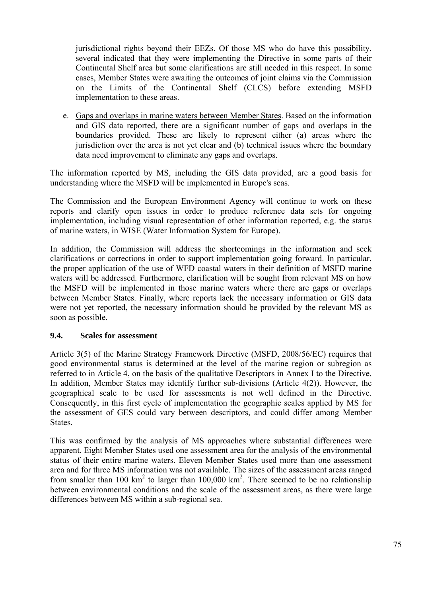jurisdictional rights beyond their EEZs. Of those MS who do have this possibility, several indicated that they were implementing the Directive in some parts of their Continental Shelf area but some clarifications are still needed in this respect. In some cases, Member States were awaiting the outcomes of joint claims via the Commission on the Limits of the Continental Shelf (CLCS) before extending MSFD implementation to these areas.

e. Gaps and overlaps in marine waters between Member States. Based on the information and GIS data reported, there are a significant number of gaps and overlaps in the boundaries provided. These are likely to represent either (a) areas where the jurisdiction over the area is not yet clear and (b) technical issues where the boundary data need improvement to eliminate any gaps and overlaps.

The information reported by MS, including the GIS data provided, are a good basis for understanding where the MSFD will be implemented in Europe's seas.

The Commission and the European Environment Agency will continue to work on these reports and clarify open issues in order to produce reference data sets for ongoing implementation, including visual representation of other information reported, e.g. the status of marine waters, in WISE (Water Information System for Europe).

In addition, the Commission will address the shortcomings in the information and seek clarifications or corrections in order to support implementation going forward. In particular, the proper application of the use of WFD coastal waters in their definition of MSFD marine waters will be addressed. Furthermore, clarification will be sought from relevant MS on how the MSFD will be implemented in those marine waters where there are gaps or overlaps between Member States. Finally, where reports lack the necessary information or GIS data were not yet reported, the necessary information should be provided by the relevant MS as soon as possible.

## **9.4. Scales for assessment**

Article 3(5) of the Marine Strategy Framework Directive (MSFD, 2008/56/EC) requires that good environmental status is determined at the level of the marine region or subregion as referred to in Article 4, on the basis of the qualitative Descriptors in Annex I to the Directive. In addition, Member States may identify further sub-divisions (Article 4(2)). However, the geographical scale to be used for assessments is not well defined in the Directive. Consequently, in this first cycle of implementation the geographic scales applied by MS for the assessment of GES could vary between descriptors, and could differ among Member States.

This was confirmed by the analysis of MS approaches where substantial differences were apparent. Eight Member States used one assessment area for the analysis of the environmental status of their entire marine waters. Eleven Member States used more than one assessment area and for three MS information was not available. The sizes of the assessment areas ranged from smaller than 100  $km^2$  to larger than 100,000  $km^2$ . There seemed to be no relationship between environmental conditions and the scale of the assessment areas, as there were large differences between MS within a sub-regional sea.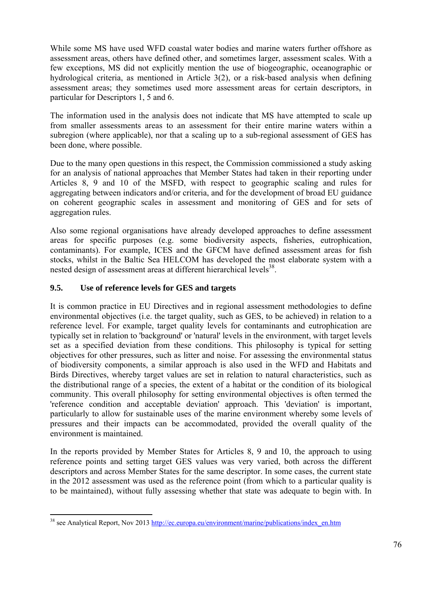While some MS have used WFD coastal water bodies and marine waters further offshore as assessment areas, others have defined other, and sometimes larger, assessment scales. With a few exceptions, MS did not explicitly mention the use of biogeographic, oceanographic or hydrological criteria, as mentioned in Article 3(2), or a risk-based analysis when defining assessment areas; they sometimes used more assessment areas for certain descriptors, in particular for Descriptors 1, 5 and 6.

The information used in the analysis does not indicate that MS have attempted to scale up from smaller assessments areas to an assessment for their entire marine waters within a subregion (where applicable), nor that a scaling up to a sub-regional assessment of GES has been done, where possible.

Due to the many open questions in this respect, the Commission commissioned a study asking for an analysis of national approaches that Member States had taken in their reporting under Articles 8, 9 and 10 of the MSFD, with respect to geographic scaling and rules for aggregating between indicators and/or criteria, and for the development of broad EU guidance on coherent geographic scales in assessment and monitoring of GES and for sets of aggregation rules.

Also some regional organisations have already developed approaches to define assessment areas for specific purposes (e.g. some biodiversity aspects, fisheries, eutrophication, contaminants). For example, ICES and the GFCM have defined assessment areas for fish stocks, whilst in the Baltic Sea HELCOM has developed the most elaborate system with a nested design of assessment areas at different hierarchical levels<sup>38</sup>.

# **9.5. Use of reference levels for GES and targets**

It is common practice in EU Directives and in regional assessment methodologies to define environmental objectives (i.e. the target quality, such as GES, to be achieved) in relation to a reference level. For example, target quality levels for contaminants and eutrophication are typically set in relation to 'background' or 'natural' levels in the environment, with target levels set as a specified deviation from these conditions. This philosophy is typical for setting objectives for other pressures, such as litter and noise. For assessing the environmental status of biodiversity components, a similar approach is also used in the WFD and Habitats and Birds Directives, whereby target values are set in relation to natural characteristics, such as the distributional range of a species, the extent of a habitat or the condition of its biological community. This overall philosophy for setting environmental objectives is often termed the 'reference condition and acceptable deviation' approach. This 'deviation' is important, particularly to allow for sustainable uses of the marine environment whereby some levels of pressures and their impacts can be accommodated, provided the overall quality of the environment is maintained.

In the reports provided by Member States for Articles 8, 9 and 10, the approach to using reference points and setting target GES values was very varied, both across the different descriptors and across Member States for the same descriptor. In some cases, the current state in the 2012 assessment was used as the reference point (from which to a particular quality is to be maintained), without fully assessing whether that state was adequate to begin with. In

<sup>1</sup> <sup>38</sup> see Analytical Report, Nov 2013 http://ec.europa.eu/environment/marine/publications/index\_en.htm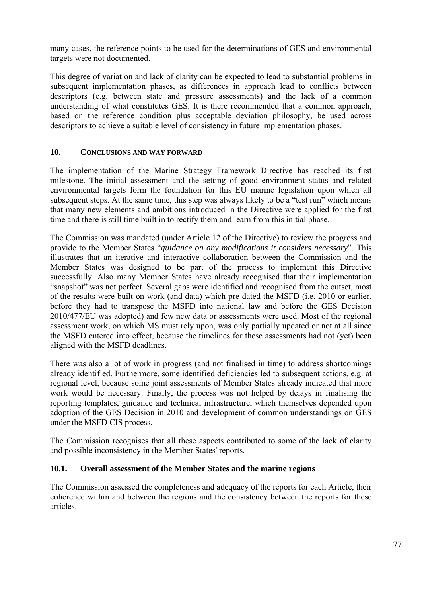many cases, the reference points to be used for the determinations of GES and environmental targets were not documented.

This degree of variation and lack of clarity can be expected to lead to substantial problems in subsequent implementation phases, as differences in approach lead to conflicts between descriptors (e.g. between state and pressure assessments) and the lack of a common understanding of what constitutes GES. It is there recommended that a common approach, based on the reference condition plus acceptable deviation philosophy, be used across descriptors to achieve a suitable level of consistency in future implementation phases.

## **10. CONCLUSIONS AND WAY FORWARD**

The implementation of the Marine Strategy Framework Directive has reached its first milestone. The initial assessment and the setting of good environment status and related environmental targets form the foundation for this EU marine legislation upon which all subsequent steps. At the same time, this step was always likely to be a "test run" which means that many new elements and ambitions introduced in the Directive were applied for the first time and there is still time built in to rectify them and learn from this initial phase.

The Commission was mandated (under Article 12 of the Directive) to review the progress and provide to the Member States "*guidance on any modifications it considers necessary*". This illustrates that an iterative and interactive collaboration between the Commission and the Member States was designed to be part of the process to implement this Directive successfully. Also many Member States have already recognised that their implementation "snapshot" was not perfect. Several gaps were identified and recognised from the outset, most of the results were built on work (and data) which pre-dated the MSFD (i.e. 2010 or earlier, before they had to transpose the MSFD into national law and before the GES Decision 2010/477/EU was adopted) and few new data or assessments were used. Most of the regional assessment work, on which MS must rely upon, was only partially updated or not at all since the MSFD entered into effect, because the timelines for these assessments had not (yet) been aligned with the MSFD deadlines.

There was also a lot of work in progress (and not finalised in time) to address shortcomings already identified. Furthermore, some identified deficiencies led to subsequent actions, e.g. at regional level, because some joint assessments of Member States already indicated that more work would be necessary. Finally, the process was not helped by delays in finalising the reporting templates, guidance and technical infrastructure, which themselves depended upon adoption of the GES Decision in 2010 and development of common understandings on GES under the MSFD CIS process.

The Commission recognises that all these aspects contributed to some of the lack of clarity and possible inconsistency in the Member States' reports.

## **10.1. Overall assessment of the Member States and the marine regions**

The Commission assessed the completeness and adequacy of the reports for each Article, their coherence within and between the regions and the consistency between the reports for these articles.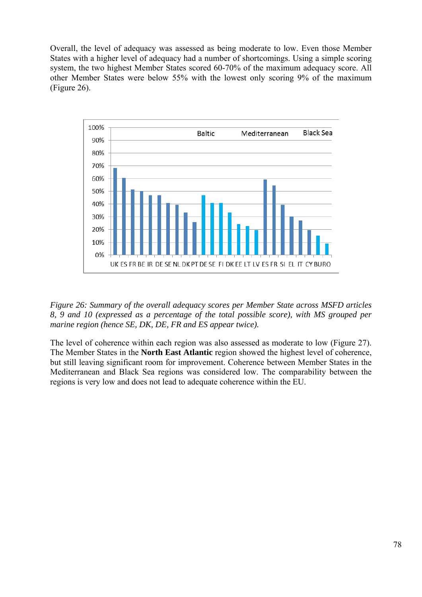Overall, the level of adequacy was assessed as being moderate to low. Even those Member States with a higher level of adequacy had a number of shortcomings. Using a simple scoring system, the two highest Member States scored 60-70% of the maximum adequacy score. All other Member States were below 55% with the lowest only scoring 9% of the maximum (Figure 26).



*Figure 26: Summary of the overall adequacy scores per Member State across MSFD articles 8, 9 and 10 (expressed as a percentage of the total possible score), with MS grouped per marine region (hence SE, DK, DE, FR and ES appear twice).*

The level of coherence within each region was also assessed as moderate to low (Figure 27). The Member States in the **North East Atlantic** region showed the highest level of coherence, but still leaving significant room for improvement. Coherence between Member States in the Mediterranean and Black Sea regions was considered low. The comparability between the regions is very low and does not lead to adequate coherence within the EU.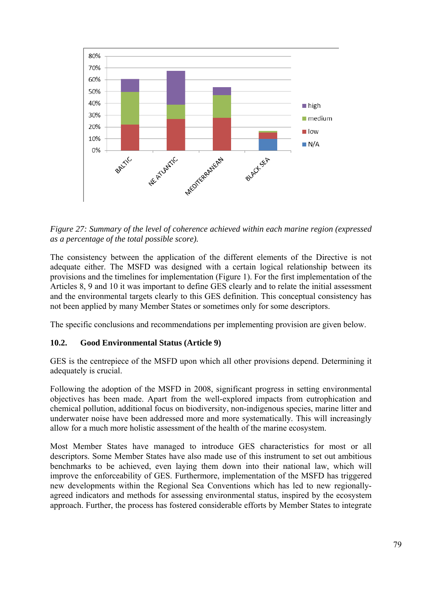

*Figure 27: Summary of the level of coherence achieved within each marine region (expressed as a percentage of the total possible score).*

The consistency between the application of the different elements of the Directive is not adequate either. The MSFD was designed with a certain logical relationship between its provisions and the timelines for implementation (Figure 1). For the first implementation of the Articles 8, 9 and 10 it was important to define GES clearly and to relate the initial assessment and the environmental targets clearly to this GES definition. This conceptual consistency has not been applied by many Member States or sometimes only for some descriptors.

The specific conclusions and recommendations per implementing provision are given below.

## **10.2. Good Environmental Status (Article 9)**

GES is the centrepiece of the MSFD upon which all other provisions depend. Determining it adequately is crucial.

Following the adoption of the MSFD in 2008, significant progress in setting environmental objectives has been made. Apart from the well-explored impacts from eutrophication and chemical pollution, additional focus on biodiversity, non-indigenous species, marine litter and underwater noise have been addressed more and more systematically. This will increasingly allow for a much more holistic assessment of the health of the marine ecosystem.

Most Member States have managed to introduce GES characteristics for most or all descriptors. Some Member States have also made use of this instrument to set out ambitious benchmarks to be achieved, even laying them down into their national law, which will improve the enforceability of GES. Furthermore, implementation of the MSFD has triggered new developments within the Regional Sea Conventions which has led to new regionallyagreed indicators and methods for assessing environmental status, inspired by the ecosystem approach. Further, the process has fostered considerable efforts by Member States to integrate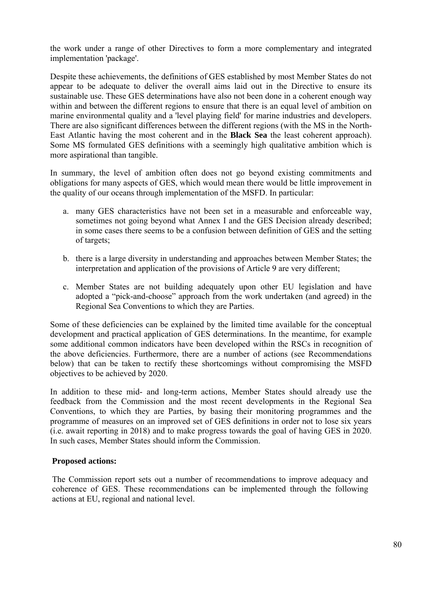the work under a range of other Directives to form a more complementary and integrated implementation 'package'.

Despite these achievements, the definitions of GES established by most Member States do not appear to be adequate to deliver the overall aims laid out in the Directive to ensure its sustainable use. These GES determinations have also not been done in a coherent enough way within and between the different regions to ensure that there is an equal level of ambition on marine environmental quality and a 'level playing field' for marine industries and developers. There are also significant differences between the different regions (with the MS in the North-East Atlantic having the most coherent and in the **Black Sea** the least coherent approach). Some MS formulated GES definitions with a seemingly high qualitative ambition which is more aspirational than tangible.

In summary, the level of ambition often does not go beyond existing commitments and obligations for many aspects of GES, which would mean there would be little improvement in the quality of our oceans through implementation of the MSFD. In particular:

- a. many GES characteristics have not been set in a measurable and enforceable way, sometimes not going beyond what Annex I and the GES Decision already described; in some cases there seems to be a confusion between definition of GES and the setting of targets;
- b. there is a large diversity in understanding and approaches between Member States; the interpretation and application of the provisions of Article 9 are very different;
- c. Member States are not building adequately upon other EU legislation and have adopted a "pick-and-choose" approach from the work undertaken (and agreed) in the Regional Sea Conventions to which they are Parties.

Some of these deficiencies can be explained by the limited time available for the conceptual development and practical application of GES determinations. In the meantime, for example some additional common indicators have been developed within the RSCs in recognition of the above deficiencies. Furthermore, there are a number of actions (see Recommendations below) that can be taken to rectify these shortcomings without compromising the MSFD objectives to be achieved by 2020.

In addition to these mid- and long-term actions, Member States should already use the feedback from the Commission and the most recent developments in the Regional Sea Conventions, to which they are Parties, by basing their monitoring programmes and the programme of measures on an improved set of GES definitions in order not to lose six years (i.e. await reporting in 2018) and to make progress towards the goal of having GES in 2020. In such cases, Member States should inform the Commission.

## **Proposed actions:**

The Commission report sets out a number of recommendations to improve adequacy and coherence of GES. These recommendations can be implemented through the following actions at EU, regional and national level.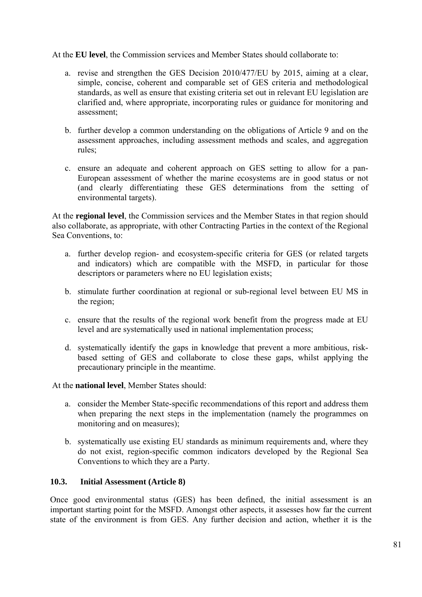At the **EU level**, the Commission services and Member States should collaborate to:

- a. revise and strengthen the GES Decision 2010/477/EU by 2015, aiming at a clear, simple, concise, coherent and comparable set of GES criteria and methodological standards, as well as ensure that existing criteria set out in relevant EU legislation are clarified and, where appropriate, incorporating rules or guidance for monitoring and assessment;
- b. further develop a common understanding on the obligations of Article 9 and on the assessment approaches, including assessment methods and scales, and aggregation rules;
- c. ensure an adequate and coherent approach on GES setting to allow for a pan-European assessment of whether the marine ecosystems are in good status or not (and clearly differentiating these GES determinations from the setting of environmental targets).

At the **regional level**, the Commission services and the Member States in that region should also collaborate, as appropriate, with other Contracting Parties in the context of the Regional Sea Conventions, to:

- a. further develop region- and ecosystem-specific criteria for GES (or related targets and indicators) which are compatible with the MSFD, in particular for those descriptors or parameters where no EU legislation exists;
- b. stimulate further coordination at regional or sub-regional level between EU MS in the region;
- c. ensure that the results of the regional work benefit from the progress made at EU level and are systematically used in national implementation process;
- d. systematically identify the gaps in knowledge that prevent a more ambitious, riskbased setting of GES and collaborate to close these gaps, whilst applying the precautionary principle in the meantime.

At the **national level**, Member States should:

- a. consider the Member State-specific recommendations of this report and address them when preparing the next steps in the implementation (namely the programmes on monitoring and on measures);
- b. systematically use existing EU standards as minimum requirements and, where they do not exist, region-specific common indicators developed by the Regional Sea Conventions to which they are a Party.

## **10.3. Initial Assessment (Article 8)**

Once good environmental status (GES) has been defined, the initial assessment is an important starting point for the MSFD. Amongst other aspects, it assesses how far the current state of the environment is from GES. Any further decision and action, whether it is the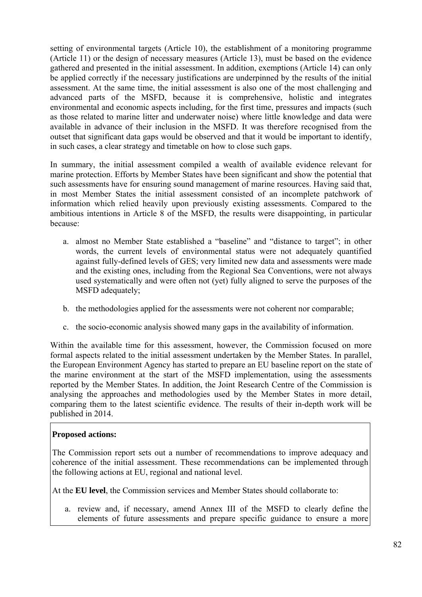setting of environmental targets (Article 10), the establishment of a monitoring programme (Article 11) or the design of necessary measures (Article 13), must be based on the evidence gathered and presented in the initial assessment. In addition, exemptions (Article 14) can only be applied correctly if the necessary justifications are underpinned by the results of the initial assessment. At the same time, the initial assessment is also one of the most challenging and advanced parts of the MSFD, because it is comprehensive, holistic and integrates environmental and economic aspects including, for the first time, pressures and impacts (such as those related to marine litter and underwater noise) where little knowledge and data were available in advance of their inclusion in the MSFD. It was therefore recognised from the outset that significant data gaps would be observed and that it would be important to identify, in such cases, a clear strategy and timetable on how to close such gaps.

In summary, the initial assessment compiled a wealth of available evidence relevant for marine protection. Efforts by Member States have been significant and show the potential that such assessments have for ensuring sound management of marine resources. Having said that, in most Member States the initial assessment consisted of an incomplete patchwork of information which relied heavily upon previously existing assessments. Compared to the ambitious intentions in Article 8 of the MSFD, the results were disappointing, in particular because:

- a. almost no Member State established a "baseline" and "distance to target"; in other words, the current levels of environmental status were not adequately quantified against fully-defined levels of GES; very limited new data and assessments were made and the existing ones, including from the Regional Sea Conventions, were not always used systematically and were often not (yet) fully aligned to serve the purposes of the MSFD adequately;
- b. the methodologies applied for the assessments were not coherent nor comparable;
- c. the socio-economic analysis showed many gaps in the availability of information.

Within the available time for this assessment, however, the Commission focused on more formal aspects related to the initial assessment undertaken by the Member States. In parallel, the European Environment Agency has started to prepare an EU baseline report on the state of the marine environment at the start of the MSFD implementation, using the assessments reported by the Member States. In addition, the Joint Research Centre of the Commission is analysing the approaches and methodologies used by the Member States in more detail, comparing them to the latest scientific evidence. The results of their in-depth work will be published in 2014.

## **Proposed actions:**

The Commission report sets out a number of recommendations to improve adequacy and coherence of the initial assessment. These recommendations can be implemented through the following actions at EU, regional and national level.

At the **EU level**, the Commission services and Member States should collaborate to:

a. review and, if necessary, amend Annex III of the MSFD to clearly define the elements of future assessments and prepare specific guidance to ensure a more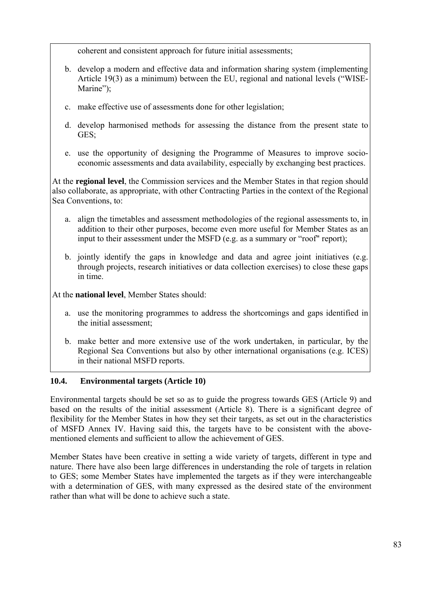coherent and consistent approach for future initial assessments;

- b. develop a modern and effective data and information sharing system (implementing Article 19(3) as a minimum) between the EU, regional and national levels ("WISE-Marine");
- c. make effective use of assessments done for other legislation;
- d. develop harmonised methods for assessing the distance from the present state to GES;
- e. use the opportunity of designing the Programme of Measures to improve socioeconomic assessments and data availability, especially by exchanging best practices.

At the **regional level**, the Commission services and the Member States in that region should also collaborate, as appropriate, with other Contracting Parties in the context of the Regional Sea Conventions, to:

- a. align the timetables and assessment methodologies of the regional assessments to, in addition to their other purposes, become even more useful for Member States as an input to their assessment under the MSFD (e.g. as a summary or "roof" report);
- b. jointly identify the gaps in knowledge and data and agree joint initiatives (e.g. through projects, research initiatives or data collection exercises) to close these gaps in time.

At the **national level**, Member States should:

- a. use the monitoring programmes to address the shortcomings and gaps identified in the initial assessment;
- b. make better and more extensive use of the work undertaken, in particular, by the Regional Sea Conventions but also by other international organisations (e.g. ICES) in their national MSFD reports.

## **10.4. Environmental targets (Article 10)**

Environmental targets should be set so as to guide the progress towards GES (Article 9) and based on the results of the initial assessment (Article 8). There is a significant degree of flexibility for the Member States in how they set their targets, as set out in the characteristics of MSFD Annex IV. Having said this, the targets have to be consistent with the abovementioned elements and sufficient to allow the achievement of GES.

Member States have been creative in setting a wide variety of targets, different in type and nature. There have also been large differences in understanding the role of targets in relation to GES; some Member States have implemented the targets as if they were interchangeable with a determination of GES, with many expressed as the desired state of the environment rather than what will be done to achieve such a state.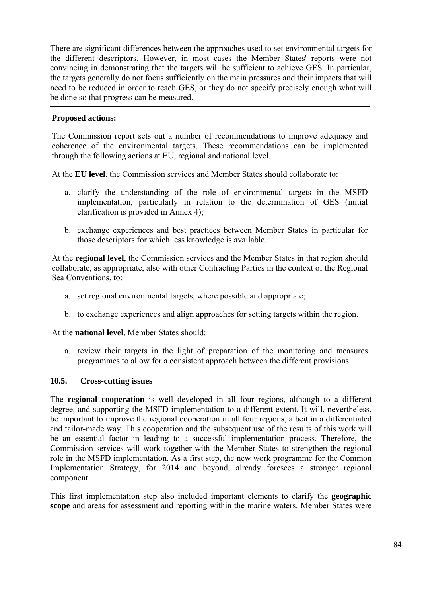There are significant differences between the approaches used to set environmental targets for the different descriptors. However, in most cases the Member States' reports were not convincing in demonstrating that the targets will be sufficient to achieve GES. In particular, the targets generally do not focus sufficiently on the main pressures and their impacts that will need to be reduced in order to reach GES, or they do not specify precisely enough what will be done so that progress can be measured.

# **Proposed actions:**

The Commission report sets out a number of recommendations to improve adequacy and coherence of the environmental targets. These recommendations can be implemented through the following actions at EU, regional and national level.

At the **EU level**, the Commission services and Member States should collaborate to:

- a. clarify the understanding of the role of environmental targets in the MSFD implementation, particularly in relation to the determination of GES (initial clarification is provided in Annex 4);
- b. exchange experiences and best practices between Member States in particular for those descriptors for which less knowledge is available.

At the **regional level**, the Commission services and the Member States in that region should collaborate, as appropriate, also with other Contracting Parties in the context of the Regional Sea Conventions, to:

- a. set regional environmental targets, where possible and appropriate;
- b. to exchange experiences and align approaches for setting targets within the region.

At the **national level**, Member States should:

a. review their targets in the light of preparation of the monitoring and measures programmes to allow for a consistent approach between the different provisions.

## **10.5. Cross-cutting issues**

The **regional cooperation** is well developed in all four regions, although to a different degree, and supporting the MSFD implementation to a different extent. It will, nevertheless, be important to improve the regional cooperation in all four regions, albeit in a differentiated and tailor-made way. This cooperation and the subsequent use of the results of this work will be an essential factor in leading to a successful implementation process. Therefore, the Commission services will work together with the Member States to strengthen the regional role in the MSFD implementation. As a first step, the new work programme for the Common Implementation Strategy, for 2014 and beyond, already foresees a stronger regional component.

This first implementation step also included important elements to clarify the **geographic scope** and areas for assessment and reporting within the marine waters. Member States were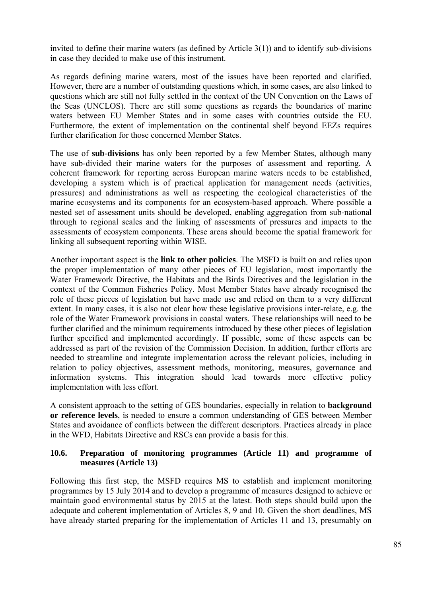invited to define their marine waters (as defined by Article 3(1)) and to identify sub-divisions in case they decided to make use of this instrument.

As regards defining marine waters, most of the issues have been reported and clarified. However, there are a number of outstanding questions which, in some cases, are also linked to questions which are still not fully settled in the context of the UN Convention on the Laws of the Seas (UNCLOS). There are still some questions as regards the boundaries of marine waters between EU Member States and in some cases with countries outside the EU. Furthermore, the extent of implementation on the continental shelf beyond EEZs requires further clarification for those concerned Member States.

The use of **sub-divisions** has only been reported by a few Member States, although many have sub-divided their marine waters for the purposes of assessment and reporting. A coherent framework for reporting across European marine waters needs to be established, developing a system which is of practical application for management needs (activities, pressures) and administrations as well as respecting the ecological characteristics of the marine ecosystems and its components for an ecosystem-based approach. Where possible a nested set of assessment units should be developed, enabling aggregation from sub-national through to regional scales and the linking of assessments of pressures and impacts to the assessments of ecosystem components. These areas should become the spatial framework for linking all subsequent reporting within WISE.

Another important aspect is the **link to other policies**. The MSFD is built on and relies upon the proper implementation of many other pieces of EU legislation, most importantly the Water Framework Directive, the Habitats and the Birds Directives and the legislation in the context of the Common Fisheries Policy. Most Member States have already recognised the role of these pieces of legislation but have made use and relied on them to a very different extent. In many cases, it is also not clear how these legislative provisions inter-relate, e.g. the role of the Water Framework provisions in coastal waters. These relationships will need to be further clarified and the minimum requirements introduced by these other pieces of legislation further specified and implemented accordingly. If possible, some of these aspects can be addressed as part of the revision of the Commission Decision. In addition, further efforts are needed to streamline and integrate implementation across the relevant policies, including in relation to policy objectives, assessment methods, monitoring, measures, governance and information systems. This integration should lead towards more effective policy implementation with less effort.

A consistent approach to the setting of GES boundaries, especially in relation to **background or reference levels**, is needed to ensure a common understanding of GES between Member States and avoidance of conflicts between the different descriptors. Practices already in place in the WFD, Habitats Directive and RSCs can provide a basis for this.

## **10.6. Preparation of monitoring programmes (Article 11) and programme of measures (Article 13)**

Following this first step, the MSFD requires MS to establish and implement monitoring programmes by 15 July 2014 and to develop a programme of measures designed to achieve or maintain good environmental status by 2015 at the latest. Both steps should build upon the adequate and coherent implementation of Articles 8, 9 and 10. Given the short deadlines, MS have already started preparing for the implementation of Articles 11 and 13, presumably on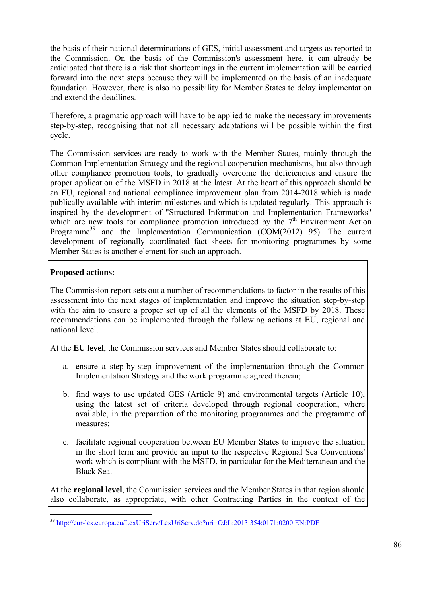the basis of their national determinations of GES, initial assessment and targets as reported to the Commission. On the basis of the Commission's assessment here, it can already be anticipated that there is a risk that shortcomings in the current implementation will be carried forward into the next steps because they will be implemented on the basis of an inadequate foundation. However, there is also no possibility for Member States to delay implementation and extend the deadlines.

Therefore, a pragmatic approach will have to be applied to make the necessary improvements step-by-step, recognising that not all necessary adaptations will be possible within the first cycle.

The Commission services are ready to work with the Member States, mainly through the Common Implementation Strategy and the regional cooperation mechanisms, but also through other compliance promotion tools, to gradually overcome the deficiencies and ensure the proper application of the MSFD in 2018 at the latest. At the heart of this approach should be an EU, regional and national compliance improvement plan from 2014-2018 which is made publically available with interim milestones and which is updated regularly. This approach is inspired by the development of "Structured Information and Implementation Frameworks" which are new tools for compliance promotion introduced by the  $7<sup>th</sup>$  Environment Action Programme<sup>39</sup> and the Implementation Communication (COM(2012) 95). The current development of regionally coordinated fact sheets for monitoring programmes by some Member States is another element for such an approach.

# **Proposed actions:**

The Commission report sets out a number of recommendations to factor in the results of this assessment into the next stages of implementation and improve the situation step-by-step with the aim to ensure a proper set up of all the elements of the MSFD by 2018. These recommendations can be implemented through the following actions at EU, regional and national level.

At the **EU level**, the Commission services and Member States should collaborate to:

- a. ensure a step-by-step improvement of the implementation through the Common Implementation Strategy and the work programme agreed therein;
- b. find ways to use updated GES (Article 9) and environmental targets (Article 10), using the latest set of criteria developed through regional cooperation, where available, in the preparation of the monitoring programmes and the programme of measures;
- c. facilitate regional cooperation between EU Member States to improve the situation in the short term and provide an input to the respective Regional Sea Conventions' work which is compliant with the MSFD, in particular for the Mediterranean and the Black Sea.

At the **regional level**, the Commission services and the Member States in that region should also collaborate, as appropriate, with other Contracting Parties in the context of the

<sup>1</sup> <sup>39</sup> [http://eur-lex](http://eur-lex.europa.eu/LexUriServ/LexUriServ.do?uri=OJ:L:2013:354:0171:0200:EN:PDF).europa.eu/LexUriServ/LexUriServ.do?uri=OJ:L:2013:354:0171:0200:EN:PDF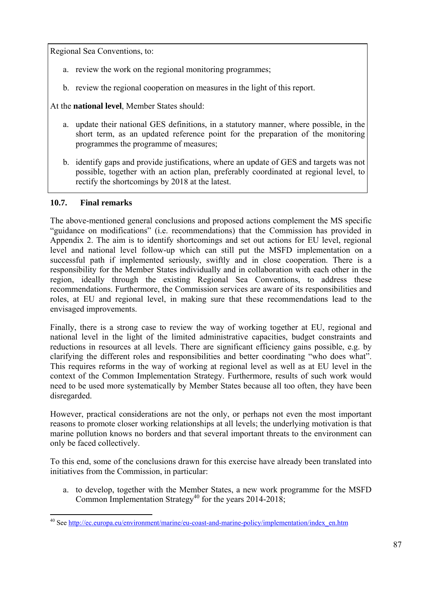Regional Sea Conventions, to:

- a. review the work on the regional monitoring programmes;
- b. review the regional cooperation on measures in the light of this report.

At the **national level**, Member States should:

- a. update their national GES definitions, in a statutory manner, where possible, in the short term, as an updated reference point for the preparation of the monitoring programmes the programme of measures;
- b. identify gaps and provide justifications, where an update of GES and targets was not possible, together with an action plan, preferably coordinated at regional level, to rectify the shortcomings by 2018 at the latest.

## **10.7. Final remarks**

1

The above-mentioned general conclusions and proposed actions complement the MS specific "guidance on modifications" (i.e. recommendations) that the Commission has provided in Appendix 2. The aim is to identify shortcomings and set out actions for EU level, regional level and national level follow-up which can still put the MSFD implementation on a successful path if implemented seriously, swiftly and in close cooperation. There is a responsibility for the Member States individually and in collaboration with each other in the region, ideally through the existing Regional Sea Conventions, to address these recommendations. Furthermore, the Commission services are aware of its responsibilities and roles, at EU and regional level, in making sure that these recommendations lead to the envisaged improvements.

Finally, there is a strong case to review the way of working together at EU, regional and national level in the light of the limited administrative capacities, budget constraints and reductions in resources at all levels. There are significant efficiency gains possible, e.g. by clarifying the different roles and responsibilities and better coordinating "who does what". This requires reforms in the way of working at regional level as well as at EU level in the context of the Common Implementation Strategy. Furthermore, results of such work would need to be used more systematically by Member States because all too often, they have been disregarded.

However, practical considerations are not the only, or perhaps not even the most important reasons to promote closer working relationships at all levels; the underlying motivation is that marine pollution knows no borders and that several important threats to the environment can only be faced collectively.

To this end, some of the conclusions drawn for this exercise have already been translated into initiatives from the Commission, in particular:

a. to develop, together with the Member States, a new work programme for the MSFD Common Implementation Strategy<sup>40</sup> for the years  $2014-2018$ ;

<sup>&</sup>lt;sup>40</sup> Se[e http://ec.europa.eu/environment/marine/eu-coast-and-marine-policy/implementation/index\\_en.htm](http://ec.europa.eu/environment/marine/eu-coast-and-marine-policy/implementation/index_en.htm)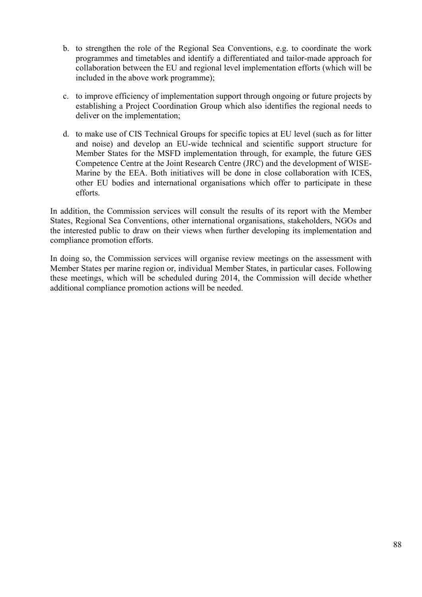- b. to strengthen the role of the Regional Sea Conventions, e.g. to coordinate the work programmes and timetables and identify a differentiated and tailor-made approach for collaboration between the EU and regional level implementation efforts (which will be included in the above work programme);
- c. to improve efficiency of implementation support through ongoing or future projects by establishing a Project Coordination Group which also identifies the regional needs to deliver on the implementation;
- d. to make use of CIS Technical Groups for specific topics at EU level (such as for litter and noise) and develop an EU-wide technical and scientific support structure for Member States for the MSFD implementation through, for example, the future GES Competence Centre at the Joint Research Centre (JRC) and the development of WISE-Marine by the EEA. Both initiatives will be done in close collaboration with ICES, other EU bodies and international organisations which offer to participate in these efforts.

In addition, the Commission services will consult the results of its report with the Member States, Regional Sea Conventions, other international organisations, stakeholders, NGOs and the interested public to draw on their views when further developing its implementation and compliance promotion efforts.

In doing so, the Commission services will organise review meetings on the assessment with Member States per marine region or, individual Member States, in particular cases. Following these meetings, which will be scheduled during 2014, the Commission will decide whether additional compliance promotion actions will be needed.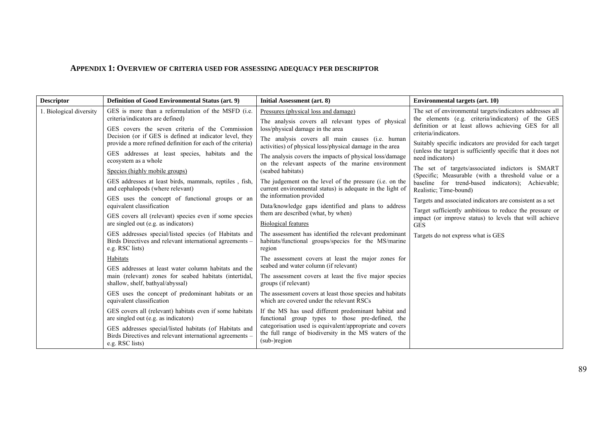#### **APPENDIX 1: OVERVIEW OF CRITERIA USED FOR ASSESSING ADEQUACY PER DESCRIPTOR**

| <b>Descriptor</b>       | <b>Definition of Good Environmental Status (art. 9)</b>                                                                                                                                                                                                                                                                                                                                                                                                                                                                                                                                                                                                                                                                                                                                                                                                                                                                                                                                                                           | Initial Assessment (art. 8)                                                                                                                                                                                                                                                                                                                                                                                                                                                                                                                                                                                                                                                                                                                                                                                                                                                                                                                                                                                                                | <b>Environmental targets (art. 10)</b>                                                                                                                                                                                                                                                                                                                                                                                                                                                                                                                                                                                                                                                                                                                                         |
|-------------------------|-----------------------------------------------------------------------------------------------------------------------------------------------------------------------------------------------------------------------------------------------------------------------------------------------------------------------------------------------------------------------------------------------------------------------------------------------------------------------------------------------------------------------------------------------------------------------------------------------------------------------------------------------------------------------------------------------------------------------------------------------------------------------------------------------------------------------------------------------------------------------------------------------------------------------------------------------------------------------------------------------------------------------------------|--------------------------------------------------------------------------------------------------------------------------------------------------------------------------------------------------------------------------------------------------------------------------------------------------------------------------------------------------------------------------------------------------------------------------------------------------------------------------------------------------------------------------------------------------------------------------------------------------------------------------------------------------------------------------------------------------------------------------------------------------------------------------------------------------------------------------------------------------------------------------------------------------------------------------------------------------------------------------------------------------------------------------------------------|--------------------------------------------------------------------------------------------------------------------------------------------------------------------------------------------------------------------------------------------------------------------------------------------------------------------------------------------------------------------------------------------------------------------------------------------------------------------------------------------------------------------------------------------------------------------------------------------------------------------------------------------------------------------------------------------------------------------------------------------------------------------------------|
| 1. Biological diversity | GES is more than a reformulation of the MSFD (i.e.<br>criteria/indicators are defined)<br>GES covers the seven criteria of the Commission<br>Decision (or if GES is defined at indicator level, they<br>provide a more refined definition for each of the criteria)<br>GES addresses at least species, habitats and the<br>ecosystem as a whole<br>Species (highly mobile groups)<br>GES addresses at least birds, mammals, reptiles, fish,<br>and cephalopods (where relevant)<br>GES uses the concept of functional groups or an<br>equivalent classification<br>GES covers all (relevant) species even if some species<br>are singled out (e.g. as indicators)<br>GES addresses special/listed species (of Habitats and<br>Birds Directives and relevant international agreements -<br>e.g. RSC lists)<br>Habitats<br>GES addresses at least water column habitats and the<br>main (relevant) zones for seabed habitats (intertidal,<br>shallow, shelf, bathyal/abyssal)<br>GES uses the concept of predominant habitats or an | Pressures (physical loss and damage)<br>The analysis covers all relevant types of physical<br>loss/physical damage in the area<br>The analysis covers all main causes (i.e. human<br>activities) of physical loss/physical damage in the area<br>The analysis covers the impacts of physical loss/damage<br>on the relevant aspects of the marine environment<br>(seabed habitats)<br>The judgement on the level of the pressure (i.e. on the<br>current environmental status) is adequate in the light of<br>the information provided<br>Data/knowledge gaps identified and plans to address<br>them are described (what, by when)<br><b>Biological features</b><br>The assessment has identified the relevant predominant<br>habitats/functional groups/species for the MS/marine<br>region<br>The assessment covers at least the major zones for<br>seabed and water column (if relevant)<br>The assessment covers at least the five major species<br>groups (if relevant)<br>The assessment covers at least those species and habitats | The set of environmental targets/indicators addresses all<br>the elements (e.g. criteria/indicators) of the GES<br>definition or at least allows achieving GES for all<br>criteria/indicators.<br>Suitably specific indicators are provided for each target<br>(unless the target is sufficiently specific that it does not<br>need indicators)<br>The set of targets/associated indictors is SMART<br>(Specific; Measurable (with a threshold value or a<br>baseline for trend-based indicators); Achievable;<br>Realistic; Time-bound)<br>Targets and associated indicators are consistent as a set<br>Target sufficiently ambitious to reduce the pressure or<br>impact (or improve status) to levels that will achieve<br><b>GES</b><br>Targets do not express what is GES |
|                         | equivalent classification                                                                                                                                                                                                                                                                                                                                                                                                                                                                                                                                                                                                                                                                                                                                                                                                                                                                                                                                                                                                         | which are covered under the relevant RSCs                                                                                                                                                                                                                                                                                                                                                                                                                                                                                                                                                                                                                                                                                                                                                                                                                                                                                                                                                                                                  |                                                                                                                                                                                                                                                                                                                                                                                                                                                                                                                                                                                                                                                                                                                                                                                |
|                         | GES covers all (relevant) habitats even if some habitats<br>are singled out (e.g. as indicators)<br>GES addresses special/listed habitats (of Habitats and<br>Birds Directives and relevant international agreements -<br>e.g. RSC lists)                                                                                                                                                                                                                                                                                                                                                                                                                                                                                                                                                                                                                                                                                                                                                                                         | If the MS has used different predominant habitat and<br>functional group types to those pre-defined, the<br>categorisation used is equivalent/appropriate and covers<br>the full range of biodiversity in the MS waters of the<br>$(sub-)region$                                                                                                                                                                                                                                                                                                                                                                                                                                                                                                                                                                                                                                                                                                                                                                                           |                                                                                                                                                                                                                                                                                                                                                                                                                                                                                                                                                                                                                                                                                                                                                                                |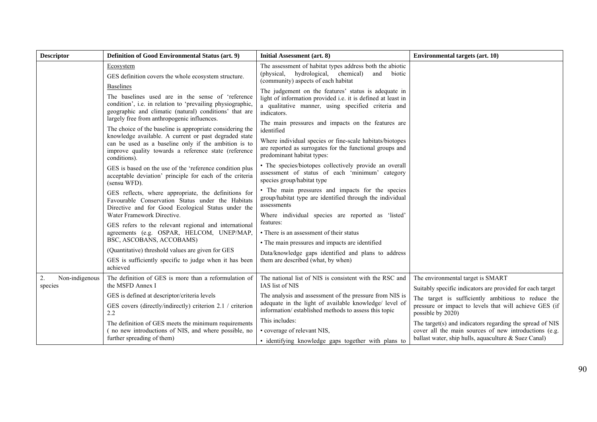| <b>Descriptor</b>               | Definition of Good Environmental Status (art. 9)                                                                                                                                                                                                                                                          | Initial Assessment (art. 8)                                                                                                                                                                                                                     | <b>Environmental targets (art. 10)</b>                                                                                                                                    |
|---------------------------------|-----------------------------------------------------------------------------------------------------------------------------------------------------------------------------------------------------------------------------------------------------------------------------------------------------------|-------------------------------------------------------------------------------------------------------------------------------------------------------------------------------------------------------------------------------------------------|---------------------------------------------------------------------------------------------------------------------------------------------------------------------------|
|                                 | Ecosystem<br>GES definition covers the whole ecosystem structure.                                                                                                                                                                                                                                         | The assessment of habitat types address both the abiotic<br>hydrological,<br>(physical,<br>chemical)<br>and<br>biotic<br>(community) aspects of each habitat                                                                                    |                                                                                                                                                                           |
|                                 | <b>Baselines</b><br>The baselines used are in the sense of 'reference<br>condition', i.e. in relation to 'prevailing physiographic,<br>geographic and climatic (natural) conditions' that are<br>largely free from anthropogenic influences.<br>The choice of the baseline is appropriate considering the | The judgement on the features' status is adequate in<br>light of information provided i.e. it is defined at least in<br>a qualitative manner, using specified criteria and<br>indicators.<br>The main pressures and impacts on the features are |                                                                                                                                                                           |
|                                 | knowledge available. A current or past degraded state<br>can be used as a baseline only if the ambition is to<br>improve quality towards a reference state (reference<br>conditions).                                                                                                                     | identified<br>Where individual species or fine-scale habitats/biotopes<br>are reported as surrogates for the functional groups and<br>predominant habitat types:                                                                                |                                                                                                                                                                           |
|                                 | GES is based on the use of the 'reference condition plus<br>acceptable deviation' principle for each of the criteria<br>(sensu WFD).                                                                                                                                                                      | • The species/biotopes collectively provide an overall<br>assessment of status of each 'minimum' category<br>species group/habitat type                                                                                                         |                                                                                                                                                                           |
|                                 | GES reflects, where appropriate, the definitions for<br>Favourable Conservation Status under the Habitats<br>Directive and for Good Ecological Status under the                                                                                                                                           | • The main pressures and impacts for the species<br>group/habitat type are identified through the individual<br>assessments                                                                                                                     |                                                                                                                                                                           |
|                                 | Water Framework Directive.                                                                                                                                                                                                                                                                                | Where individual species are reported as 'listed'<br>features:                                                                                                                                                                                  |                                                                                                                                                                           |
|                                 | GES refers to the relevant regional and international<br>agreements (e.g. OSPAR, HELCOM, UNEP/MAP,                                                                                                                                                                                                        | • There is an assessment of their status                                                                                                                                                                                                        |                                                                                                                                                                           |
|                                 | BSC, ASCOBANS, ACCOBAMS)                                                                                                                                                                                                                                                                                  | • The main pressures and impacts are identified                                                                                                                                                                                                 |                                                                                                                                                                           |
|                                 | (Quantitative) threshold values are given for GES                                                                                                                                                                                                                                                         | Data/knowledge gaps identified and plans to address                                                                                                                                                                                             |                                                                                                                                                                           |
|                                 | GES is sufficiently specific to judge when it has been<br>achieved                                                                                                                                                                                                                                        | them are described (what, by when)                                                                                                                                                                                                              |                                                                                                                                                                           |
| 2.<br>Non-indigenous<br>species | The definition of GES is more than a reformulation of<br>the MSFD Annex I                                                                                                                                                                                                                                 | The national list of NIS is consistent with the RSC and<br>IAS list of NIS                                                                                                                                                                      | The environmental target is SMART<br>Suitably specific indicators are provided for each target                                                                            |
|                                 | GES is defined at descriptor/criteria levels                                                                                                                                                                                                                                                              | The analysis and assessment of the pressure from NIS is                                                                                                                                                                                         | The target is sufficiently ambitious to reduce the                                                                                                                        |
|                                 | GES covers (directly/indirectly) criterion 2.1 / criterion<br>2.2                                                                                                                                                                                                                                         | adequate in the light of available knowledge/ level of<br>information/established methods to assess this topic                                                                                                                                  | pressure or impact to levels that will achieve GES (if<br>possible by 2020)                                                                                               |
|                                 | The definition of GES meets the minimum requirements<br>(no new introductions of NIS, and where possible, no<br>further spreading of them)                                                                                                                                                                | This includes:<br>• coverage of relevant NIS,<br>· identifying knowledge gaps together with plans to                                                                                                                                            | The target(s) and indicators regarding the spread of NIS<br>cover all the main sources of new introductions (e.g.<br>ballast water, ship hulls, aquaculture & Suez Canal) |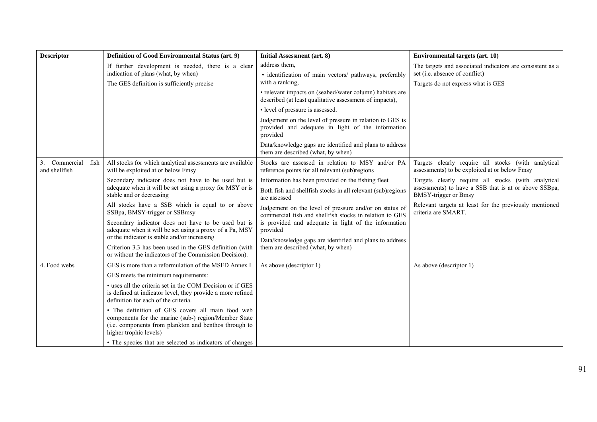| <b>Descriptor</b>                      | <b>Definition of Good Environmental Status (art. 9)</b>                                                                                                                                     | Initial Assessment (art. 8)                                                                                                       | <b>Environmental targets (art. 10)</b>                                                                                                      |
|----------------------------------------|---------------------------------------------------------------------------------------------------------------------------------------------------------------------------------------------|-----------------------------------------------------------------------------------------------------------------------------------|---------------------------------------------------------------------------------------------------------------------------------------------|
|                                        | If further development is needed, there is a clear<br>indication of plans (what, by when)<br>The GES definition is sufficiently precise                                                     | address them,<br>· identification of main vectors/ pathways, preferably<br>with a ranking.                                        | The targets and associated indicators are consistent as a<br>set (i.e. absence of conflict)<br>Targets do not express what is GES           |
|                                        |                                                                                                                                                                                             | • relevant impacts on (seabed/water column) habitats are<br>described (at least qualitative assessment of impacts),               |                                                                                                                                             |
|                                        |                                                                                                                                                                                             | • level of pressure is assessed.                                                                                                  |                                                                                                                                             |
|                                        |                                                                                                                                                                                             | Judgement on the level of pressure in relation to GES is<br>provided and adequate in light of the information<br>provided         |                                                                                                                                             |
|                                        |                                                                                                                                                                                             | Data/knowledge gaps are identified and plans to address<br>them are described (what, by when)                                     |                                                                                                                                             |
| 3. Commercial<br>fish<br>and shellfish | All stocks for which analytical assessments are available<br>will be exploited at or below Fmsy                                                                                             | Stocks are assessed in relation to MSY and/or PA<br>reference points for all relevant (sub)regions                                | Targets clearly require all stocks (with analytical<br>assessments) to be exploited at or below Fmsy                                        |
|                                        | Secondary indicator does not have to be used but is<br>adequate when it will be set using a proxy for MSY or is<br>stable and or decreasing                                                 | Information has been provided on the fishing fleet<br>Both fish and shellfish stocks in all relevant (sub)regions<br>are assessed | Targets clearly require all stocks (with analytical<br>assessments) to have a SSB that is at or above SSBpa,<br><b>BMSY-trigger or Bmsy</b> |
|                                        | All stocks have a SSB which is equal to or above<br>SSBpa, BMSY-trigger or SSBmsy                                                                                                           | Judgement on the level of pressure and/or on status of<br>commercial fish and shellfish stocks in relation to GES                 | Relevant targets at least for the previously mentioned<br>criteria are SMART.                                                               |
|                                        | Secondary indicator does not have to be used but is<br>adequate when it will be set using a proxy of a Pa, MSY<br>or the indicator is stable and/or increasing                              | is provided and adequate in light of the information<br>provided                                                                  |                                                                                                                                             |
|                                        | Criterion 3.3 has been used in the GES definition (with<br>or without the indicators of the Commission Decision).                                                                           | Data/knowledge gaps are identified and plans to address<br>them are described (what, by when)                                     |                                                                                                                                             |
| 4. Food webs                           | GES is more than a reformulation of the MSFD Annex I                                                                                                                                        | As above (descriptor 1)                                                                                                           | As above (descriptor 1)                                                                                                                     |
|                                        | GES meets the minimum requirements:                                                                                                                                                         |                                                                                                                                   |                                                                                                                                             |
|                                        | • uses all the criteria set in the COM Decision or if GES<br>is defined at indicator level, they provide a more refined<br>definition for each of the criteria.                             |                                                                                                                                   |                                                                                                                                             |
|                                        | • The definition of GES covers all main food web<br>components for the marine (sub-) region/Member State<br>(i.e. components from plankton and benthos through to<br>higher trophic levels) |                                                                                                                                   |                                                                                                                                             |
|                                        | • The species that are selected as indicators of changes                                                                                                                                    |                                                                                                                                   |                                                                                                                                             |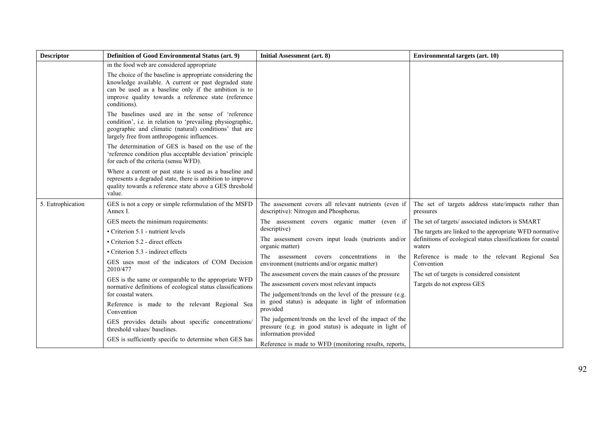| <b>Descriptor</b> | Definition of Good Environmental Status (art. 9)                                                                                                                                                                                                   | Initial Assessment (art. 8)                                                                                                              | <b>Environmental targets (art. 10)</b>                                    |
|-------------------|----------------------------------------------------------------------------------------------------------------------------------------------------------------------------------------------------------------------------------------------------|------------------------------------------------------------------------------------------------------------------------------------------|---------------------------------------------------------------------------|
|                   | in the food web are considered appropriate                                                                                                                                                                                                         |                                                                                                                                          |                                                                           |
|                   | The choice of the baseline is appropriate considering the<br>knowledge available. A current or past degraded state<br>can be used as a baseline only if the ambition is to<br>improve quality towards a reference state (reference<br>conditions). |                                                                                                                                          |                                                                           |
|                   | The baselines used are in the sense of 'reference<br>condition', i.e. in relation to 'prevailing physiographic,<br>geographic and climatic (natural) conditions' that are<br>largely free from anthropogenic influences.                           |                                                                                                                                          |                                                                           |
|                   | The determination of GES is based on the use of the<br>'reference condition plus acceptable deviation' principle<br>for each of the criteria (sensu WFD).                                                                                          |                                                                                                                                          |                                                                           |
|                   | Where a current or past state is used as a baseline and<br>represents a degraded state, there is ambition to improve<br>quality towards a reference state above a GES threshold<br>value.                                                          |                                                                                                                                          |                                                                           |
| 5. Eutrophication | GES is not a copy or simple reformulation of the MSFD<br>Annex I.                                                                                                                                                                                  | The assessment covers all relevant nutrients (even if<br>descriptive): Nitrogen and Phosphorus.                                          | The set of targets address state/impacts rather than<br>pressures         |
|                   | GES meets the minimum requirements:                                                                                                                                                                                                                | The assessment covers organic matter (even if<br>descriptive)<br>The assessment covers input loads (nutrients and/or<br>organic matter)  | The set of targets/ associated indictors is SMART                         |
|                   | • Criterion 5.1 - nutrient levels                                                                                                                                                                                                                  |                                                                                                                                          | The targets are linked to the appropriate WFD normative                   |
|                   | • Criterion 5.2 - direct effects                                                                                                                                                                                                                   |                                                                                                                                          | definitions of ecological status classifications for coastal<br>waters    |
|                   | • Criterion 5.3 - indirect effects                                                                                                                                                                                                                 | assessment covers concentrations<br>The<br>in the                                                                                        | Reference is made to the relevant Regional Sea                            |
|                   | GES uses most of the indicators of COM Decision<br>2010/477                                                                                                                                                                                        | environment (nutrients and/or organic matter)                                                                                            | Convention                                                                |
|                   | GES is the same or comparable to the appropriate WFD                                                                                                                                                                                               | The assessment covers the main causes of the pressure<br>The assessment covers most relevant impacts                                     | The set of targets is considered consistent<br>Targets do not express GES |
|                   | normative definitions of ecological status classifications<br>for coastal waters.                                                                                                                                                                  | The judgement/trends on the level of the pressure (e.g.                                                                                  |                                                                           |
|                   | Reference is made to the relevant Regional Sea<br>Convention                                                                                                                                                                                       | in good status) is adequate in light of information<br>provided                                                                          |                                                                           |
|                   | GES provides details about specific concentrations/<br>threshold values/ baselines.                                                                                                                                                                | The judgement/trends on the level of the impact of the<br>pressure (e.g. in good status) is adequate in light of<br>information provided |                                                                           |
|                   | GES is sufficiently specific to determine when GES has                                                                                                                                                                                             | Reference is made to WFD (monitoring results, reports,                                                                                   |                                                                           |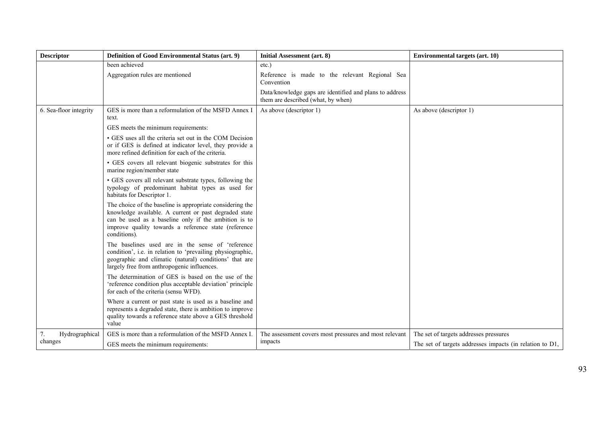| <b>Descriptor</b>      | <b>Definition of Good Environmental Status (art. 9)</b>                                                                                                                                                                                            | Initial Assessment (art. 8)                                                                   | <b>Environmental targets (art. 10)</b>                   |
|------------------------|----------------------------------------------------------------------------------------------------------------------------------------------------------------------------------------------------------------------------------------------------|-----------------------------------------------------------------------------------------------|----------------------------------------------------------|
|                        | been achieved                                                                                                                                                                                                                                      | etc.)                                                                                         |                                                          |
|                        | Aggregation rules are mentioned                                                                                                                                                                                                                    | Reference is made to the relevant Regional Sea<br>Convention                                  |                                                          |
|                        |                                                                                                                                                                                                                                                    | Data/knowledge gaps are identified and plans to address<br>them are described (what, by when) |                                                          |
| 6. Sea-floor integrity | GES is more than a reformulation of the MSFD Annex I<br>text.                                                                                                                                                                                      | As above (descriptor 1)                                                                       | As above (descriptor 1)                                  |
|                        | GES meets the minimum requirements:                                                                                                                                                                                                                |                                                                                               |                                                          |
|                        | • GES uses all the criteria set out in the COM Decision<br>or if GES is defined at indicator level, they provide a<br>more refined definition for each of the criteria.                                                                            |                                                                                               |                                                          |
|                        | • GES covers all relevant biogenic substrates for this<br>marine region/member state                                                                                                                                                               |                                                                                               |                                                          |
|                        | • GES covers all relevant substrate types, following the<br>typology of predominant habitat types as used for<br>habitats for Descriptor 1.                                                                                                        |                                                                                               |                                                          |
|                        | The choice of the baseline is appropriate considering the<br>knowledge available. A current or past degraded state<br>can be used as a baseline only if the ambition is to<br>improve quality towards a reference state (reference<br>conditions). |                                                                                               |                                                          |
|                        | The baselines used are in the sense of 'reference<br>condition', i.e. in relation to 'prevailing physiographic,<br>geographic and climatic (natural) conditions' that are<br>largely free from anthropogenic influences.                           |                                                                                               |                                                          |
|                        | The determination of GES is based on the use of the<br>'reference condition plus acceptable deviation' principle<br>for each of the criteria (sensu WFD).                                                                                          |                                                                                               |                                                          |
|                        | Where a current or past state is used as a baseline and<br>represents a degraded state, there is ambition to improve<br>quality towards a reference state above a GES threshold<br>value                                                           |                                                                                               |                                                          |
| Hydrographical<br>7.   | GES is more than a reformulation of the MSFD Annex I.                                                                                                                                                                                              | The assessment covers most pressures and most relevant                                        | The set of targets addresses pressures                   |
| changes                | GES meets the minimum requirements:                                                                                                                                                                                                                | impacts                                                                                       | The set of targets addresses impacts (in relation to D1, |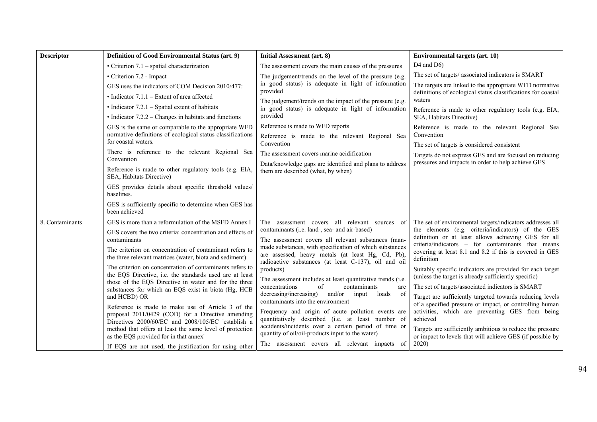| <b>Descriptor</b> | Definition of Good Environmental Status (art. 9)                                                                    | Initial Assessment (art. 8)                                                                                                                                          | <b>Environmental targets (art. 10)</b>                                                                                                                         |
|-------------------|---------------------------------------------------------------------------------------------------------------------|----------------------------------------------------------------------------------------------------------------------------------------------------------------------|----------------------------------------------------------------------------------------------------------------------------------------------------------------|
|                   | $\bullet$ Criterion 7.1 – spatial characterization                                                                  | The assessment covers the main causes of the pressures                                                                                                               | $D4$ and $D6$ )                                                                                                                                                |
|                   | • Criterion 7.2 - Impact                                                                                            | The judgement/trends on the level of the pressure (e.g.                                                                                                              | The set of targets/ associated indicators is SMART                                                                                                             |
|                   | GES uses the indicators of COM Decision 2010/477:                                                                   | in good status) is adequate in light of information<br>provided                                                                                                      | The targets are linked to the appropriate WFD normative                                                                                                        |
|                   | $\bullet$ Indicator 7.1.1 – Extent of area affected                                                                 | The judgement/trends on the impact of the pressure (e.g.                                                                                                             | definitions of ecological status classifications for coastal<br>waters                                                                                         |
|                   | $\bullet$ Indicator 7.2.1 – Spatial extent of habitats                                                              | in good status) is adequate in light of information                                                                                                                  | Reference is made to other regulatory tools (e.g. EIA,                                                                                                         |
|                   | $\bullet$ Indicator 7.2.2 – Changes in habitats and functions                                                       | provided                                                                                                                                                             | SEA, Habitats Directive)                                                                                                                                       |
|                   | GES is the same or comparable to the appropriate WFD                                                                | Reference is made to WFD reports                                                                                                                                     | Reference is made to the relevant Regional Sea                                                                                                                 |
|                   | normative definitions of ecological status classifications<br>for coastal waters.                                   | Reference is made to the relevant Regional Sea<br>Convention                                                                                                         | Convention                                                                                                                                                     |
|                   | There is reference to the relevant Regional Sea                                                                     | The assessment covers marine acidification                                                                                                                           | The set of targets is considered consistent                                                                                                                    |
|                   | Convention                                                                                                          | Data/knowledge gaps are identified and plans to address                                                                                                              | Targets do not express GES and are focused on reducing<br>pressures and impacts in order to help achieve GES                                                   |
|                   | Reference is made to other regulatory tools (e.g. EIA,<br>SEA, Habitats Directive)                                  | them are described (what, by when)                                                                                                                                   |                                                                                                                                                                |
|                   | GES provides details about specific threshold values/<br>baselines.                                                 |                                                                                                                                                                      |                                                                                                                                                                |
|                   | GES is sufficiently specific to determine when GES has<br>been achieved                                             |                                                                                                                                                                      |                                                                                                                                                                |
| 8. Contaminants   | GES is more than a reformulation of the MSFD Annex I                                                                | The assessment covers all relevant sources of                                                                                                                        | The set of environmental targets/indicators addresses all                                                                                                      |
|                   | GES covers the two criteria: concentration and effects of<br>contaminants                                           | contaminants (i.e. land-, sea- and air-based)<br>The assessment covers all relevant substances (man-                                                                 | the elements (e.g. criteria/indicators) of the GES<br>definition or at least allows achieving GES for all<br>criteria/indicators – for contaminants that means |
|                   | The criterion on concentration of contaminant refers to<br>the three relevant matrices (water, biota and sediment)  | made substances, with specification of which substances<br>are assessed, heavy metals (at least Hg, Cd, Pb),<br>radioactive substances (at least C-137), oil and oil | covering at least 8.1 and 8.2 if this is covered in GES<br>definition                                                                                          |
|                   | The criterion on concentration of contaminants refers to<br>the EQS Directive, i.e. the standards used are at least | products)<br>The assessment includes at least quantitative trends (i.e.                                                                                              | Suitably specific indicators are provided for each target<br>(unless the target is already sufficiently specific)                                              |
|                   | those of the EQS Directive in water and for the three<br>substances for which an EQS exist in biota (Hg, HCB        | of<br>contaminants<br>concentrations<br>are                                                                                                                          | The set of targets/associated indicators is SMART                                                                                                              |
|                   | and HCBD) OR                                                                                                        | decreasing/increasing)<br>and/or input<br>loads<br><sub>of</sub><br>contaminants into the environment                                                                | Target are sufficiently targeted towards reducing levels                                                                                                       |
|                   | Reference is made to make use of Article 3 of the                                                                   | Frequency and origin of acute pollution events are                                                                                                                   | of a specified pressure or impact, or controlling human<br>activities, which are preventing GES from being                                                     |
|                   | proposal 2011/0429 (COD) for a Directive amending<br>Directives 2000/60/EC and 2008/105/EC 'establish a             | quantitatively described (i.e. at least number of                                                                                                                    | achieved                                                                                                                                                       |
|                   | method that offers at least the same level of protection<br>as the EQS provided for in that annex'                  | accidents/incidents over a certain period of time or<br>quantity of oil/oil-products input to the water)                                                             | Targets are sufficiently ambitious to reduce the pressure<br>or impact to levels that will achieve GES (if possible by                                         |
|                   | If EQS are not used, the justification for using other                                                              | The assessment covers all relevant impacts of                                                                                                                        | 2020)                                                                                                                                                          |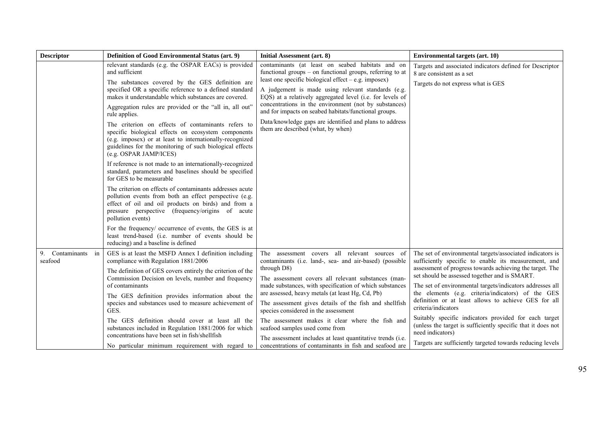| <b>Descriptor</b>             | Definition of Good Environmental Status (art. 9)                                                                                                                                                                                                                                                                                                                                                                                                                                                                                                                                                                                                                                                                                                                                                                                                                                                                                                                                                                                                                                                                                                          | Initial Assessment (art. 8)                                                                                                                                                                                                                                                                                                                                                                                                                                                                                                                                                                                   | <b>Environmental targets (art. 10)</b>                                                                                                                                                                                                                                                                                                                                                                                                                                                                                                                                                                                                     |
|-------------------------------|-----------------------------------------------------------------------------------------------------------------------------------------------------------------------------------------------------------------------------------------------------------------------------------------------------------------------------------------------------------------------------------------------------------------------------------------------------------------------------------------------------------------------------------------------------------------------------------------------------------------------------------------------------------------------------------------------------------------------------------------------------------------------------------------------------------------------------------------------------------------------------------------------------------------------------------------------------------------------------------------------------------------------------------------------------------------------------------------------------------------------------------------------------------|---------------------------------------------------------------------------------------------------------------------------------------------------------------------------------------------------------------------------------------------------------------------------------------------------------------------------------------------------------------------------------------------------------------------------------------------------------------------------------------------------------------------------------------------------------------------------------------------------------------|--------------------------------------------------------------------------------------------------------------------------------------------------------------------------------------------------------------------------------------------------------------------------------------------------------------------------------------------------------------------------------------------------------------------------------------------------------------------------------------------------------------------------------------------------------------------------------------------------------------------------------------------|
|                               | relevant standards (e.g. the OSPAR EACs) is provided<br>and sufficient<br>The substances covered by the GES definition are<br>specified OR a specific reference to a defined standard<br>makes it understandable which substances are covered.<br>Aggregation rules are provided or the "all in, all out"<br>rule applies.<br>The criterion on effects of contaminants refers to<br>specific biological effects on ecosystem components<br>(e.g. imposex) or at least to internationally-recognized<br>guidelines for the monitoring of such biological effects<br>(e.g. OSPAR JAMP/ICES)<br>If reference is not made to an internationally-recognized<br>standard, parameters and baselines should be specified<br>for GES to be measurable<br>The criterion on effects of contaminants addresses acute<br>pollution events from both an effect perspective (e.g.<br>effect of oil and oil products on birds) and from a<br>pressure perspective (frequency/origins of acute<br>pollution events)<br>For the frequency/ occurrence of events, the GES is at<br>least trend-based (i.e. number of events should be<br>reducing) and a baseline is defined | contaminants (at least on seabed habitats and on<br>functional groups – on functional groups, referring to at<br>least one specific biological effect $-e.g.$ imposex)<br>A judgement is made using relevant standards (e.g.<br>EQS) at a relatively aggregated level (i.e. for levels of<br>concentrations in the environment (not by substances)<br>and for impacts on seabed habitats/functional groups.<br>Data/knowledge gaps are identified and plans to address<br>them are described (what, by when)                                                                                                  | Targets and associated indicators defined for Descriptor<br>8 are consistent as a set<br>Targets do not express what is GES                                                                                                                                                                                                                                                                                                                                                                                                                                                                                                                |
| 9. Contaminants in<br>seafood | GES is at least the MSFD Annex I definition including<br>compliance with Regulation 1881/2006<br>The definition of GES covers entirely the criterion of the<br>Commission Decision on levels, number and frequency<br>of contaminants<br>The GES definition provides information about the<br>species and substances used to measure achievement of<br>GES.<br>The GES definition should cover at least all the<br>substances included in Regulation 1881/2006 for which<br>concentrations have been set in fish/shellfish<br>No particular minimum requirement with regard to                                                                                                                                                                                                                                                                                                                                                                                                                                                                                                                                                                            | The assessment covers all relevant sources of<br>contaminants (i.e. land-, sea- and air-based) (possible<br>through D8)<br>The assessment covers all relevant substances (man-<br>made substances, with specification of which substances<br>are assessed, heavy metals (at least Hg, Cd, Pb)<br>The assessment gives details of the fish and shellfish<br>species considered in the assessment<br>The assessment makes it clear where the fish and<br>seafood samples used come from<br>The assessment includes at least quantitative trends (i.e.<br>concentrations of contaminants in fish and seafood are | The set of environmental targets/associated indicators is<br>sufficiently specific to enable its measurement, and<br>assessment of progress towards achieving the target. The<br>set should be assessed together and is SMART.<br>The set of environmental targets/indicators addresses all<br>the elements (e.g. criteria/indicators) of the GES<br>definition or at least allows to achieve GES for all<br>criteria/indicators<br>Suitably specific indicators provided for each target<br>(unless the target is sufficiently specific that it does not<br>need indicators)<br>Targets are sufficiently targeted towards reducing levels |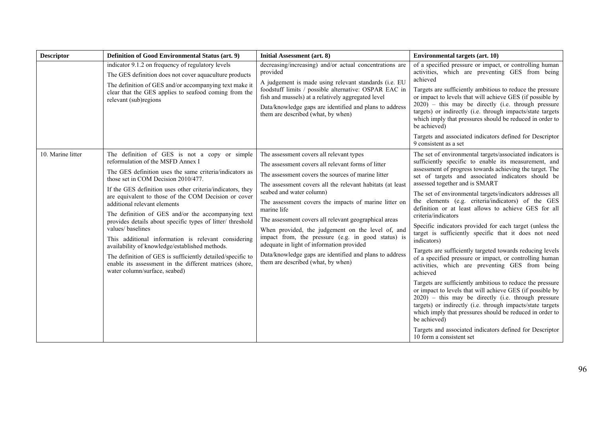| <b>Descriptor</b> | Definition of Good Environmental Status (art. 9)                                                                                                                                                                                                                                                                                                                                                                                                                                                                                                                                                                                                                                                                                                      | <b>Initial Assessment (art. 8)</b>                                                                                                                                                                                                                                                                                                                                                                                                                                                                                                                                                                                                      | <b>Environmental targets (art. 10)</b>                                                                                                                                                                                                                                                                                                                                                                                                                                                                                                                                                                                                                                                                                                                                                                                                                                                                                                                                                                                                                                                                                                                                                                                   |
|-------------------|-------------------------------------------------------------------------------------------------------------------------------------------------------------------------------------------------------------------------------------------------------------------------------------------------------------------------------------------------------------------------------------------------------------------------------------------------------------------------------------------------------------------------------------------------------------------------------------------------------------------------------------------------------------------------------------------------------------------------------------------------------|-----------------------------------------------------------------------------------------------------------------------------------------------------------------------------------------------------------------------------------------------------------------------------------------------------------------------------------------------------------------------------------------------------------------------------------------------------------------------------------------------------------------------------------------------------------------------------------------------------------------------------------------|--------------------------------------------------------------------------------------------------------------------------------------------------------------------------------------------------------------------------------------------------------------------------------------------------------------------------------------------------------------------------------------------------------------------------------------------------------------------------------------------------------------------------------------------------------------------------------------------------------------------------------------------------------------------------------------------------------------------------------------------------------------------------------------------------------------------------------------------------------------------------------------------------------------------------------------------------------------------------------------------------------------------------------------------------------------------------------------------------------------------------------------------------------------------------------------------------------------------------|
|                   | indicator 9.1.2 on frequency of regulatory levels<br>The GES definition does not cover aquaculture products<br>The definition of GES and/or accompanying text make it<br>clear that the GES applies to seafood coming from the<br>relevant (sub)regions                                                                                                                                                                                                                                                                                                                                                                                                                                                                                               | decreasing/increasing) and/or actual concentrations are<br>provided<br>A judgement is made using relevant standards (i.e. EU<br>foodstuff limits / possible alternative: OSPAR EAC in<br>fish and mussels) at a relatively aggregated level<br>Data/knowledge gaps are identified and plans to address<br>them are described (what, by when)                                                                                                                                                                                                                                                                                            | of a specified pressure or impact, or controlling human<br>activities, which are preventing GES from being<br>achieved<br>Targets are sufficiently ambitious to reduce the pressure<br>or impact to levels that will achieve GES (if possible by<br>$2020$ ) – this may be directly (i.e. through pressure<br>targets) or indirectly (i.e. through impacts/state targets<br>which imply that pressures should be reduced in order to<br>be achieved)<br>Targets and associated indicators defined for Descriptor<br>9 consistent as a set                                                                                                                                                                                                                                                                                                                                                                                                                                                                                                                                                                                                                                                                                |
| 10. Marine litter | The definition of GES is not a copy or simple<br>reformulation of the MSFD Annex I<br>The GES definition uses the same criteria/indicators as<br>those set in COM Decision 2010/477.<br>If the GES definition uses other criteria/indicators, they<br>are equivalent to those of the COM Decision or cover<br>additional relevant elements<br>The definition of GES and/or the accompanying text<br>provides details about specific types of litter/ threshold<br>values/baselines<br>This additional information is relevant considering<br>availability of knowledge/established methods.<br>The definition of GES is sufficiently detailed/specific to<br>enable its assessment in the different matrices (shore,<br>water column/surface, seabed) | The assessment covers all relevant types<br>The assessment covers all relevant forms of litter<br>The assessment covers the sources of marine litter<br>The assessment covers all the relevant habitats (at least<br>seabed and water column)<br>The assessment covers the impacts of marine litter on<br>marine life<br>The assessment covers all relevant geographical areas<br>When provided, the judgement on the level of, and<br>impact from, the pressure (e.g. in good status) is<br>adequate in light of information provided<br>Data/knowledge gaps are identified and plans to address<br>them are described (what, by when) | The set of environmental targets/associated indicators is<br>sufficiently specific to enable its measurement, and<br>assessment of progress towards achieving the target. The<br>set of targets and associated indicators should be<br>assessed together and is SMART<br>The set of environmental targets/indicators addresses all<br>the elements (e.g. criteria/indicators) of the GES<br>definition or at least allows to achieve GES for all<br>criteria/indicators<br>Specific indicators provided for each target (unless the<br>target is sufficiently specific that it does not need<br>indicators)<br>Targets are sufficiently targeted towards reducing levels<br>of a specified pressure or impact, or controlling human<br>activities, which are preventing GES from being<br>achieved<br>Targets are sufficiently ambitious to reduce the pressure<br>or impact to levels that will achieve GES (if possible by<br>$2020$ ) – this may be directly (i.e. through pressure<br>targets) or indirectly (i.e. through impacts/state targets<br>which imply that pressures should be reduced in order to<br>be achieved)<br>Targets and associated indicators defined for Descriptor<br>10 form a consistent set |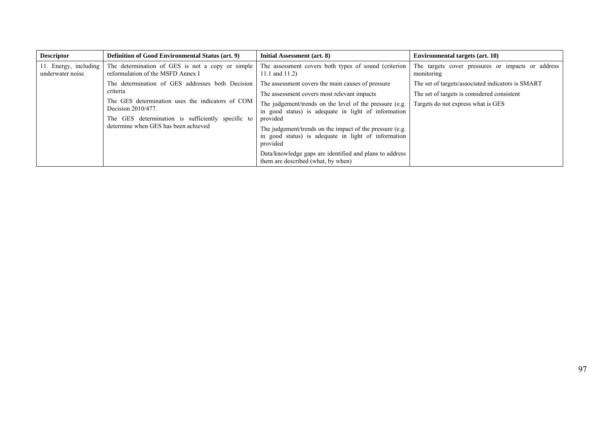| <b>Descriptor</b>                         | <b>Definition of Good Environmental Status (art. 9)</b>                                                                                                                                                                             | Initial Assessment (art. 8)                                                                                                                                                                                                                                                                                                                                                                                                                                    | <b>Environmental targets (art. 10)</b>                                                                                                 |
|-------------------------------------------|-------------------------------------------------------------------------------------------------------------------------------------------------------------------------------------------------------------------------------------|----------------------------------------------------------------------------------------------------------------------------------------------------------------------------------------------------------------------------------------------------------------------------------------------------------------------------------------------------------------------------------------------------------------------------------------------------------------|----------------------------------------------------------------------------------------------------------------------------------------|
| 11. Energy, including<br>underwater noise | The determination of GES is not a copy or simple<br>reformulation of the MSFD Annex I                                                                                                                                               | The assessment covers both types of sound (criterion<br>11.1 and $11.2$ )                                                                                                                                                                                                                                                                                                                                                                                      | The targets cover pressures or impacts or address<br>monitoring                                                                        |
|                                           | The determination of GES addresses both Decision<br>criteria<br>The GES determination uses the indicators of COM<br>Decision 2010/477.<br>The GES determination is sufficiently specific to<br>determine when GES has been achieved | The assessment covers the main causes of pressure<br>The assessment covers most relevant impacts<br>The judgement/trends on the level of the pressure (e.g.<br>in good status) is adequate in light of information<br>provided<br>The judgement/trends on the impact of the pressure (e.g.<br>in good status) is adequate in light of information<br>provided<br>Data/knowledge gaps are identified and plans to address<br>them are described (what, by when) | The set of targets/associated indicators is SMART<br>The set of targets is considered consistent<br>Targets do not express what is GES |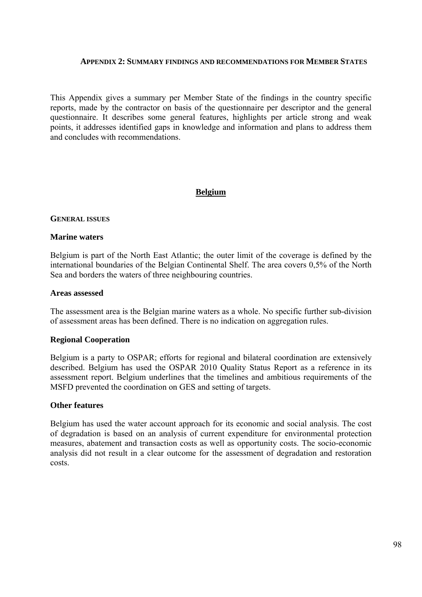#### **APPENDIX 2: SUMMARY FINDINGS AND RECOMMENDATIONS FOR MEMBER STATES**

This Appendix gives a summary per Member State of the findings in the country specific reports, made by the contractor on basis of the questionnaire per descriptor and the general questionnaire. It describes some general features, highlights per article strong and weak points, it addresses identified gaps in knowledge and information and plans to address them and concludes with recommendations.

### **Belgium**

#### **GENERAL ISSUES**

#### **Marine waters**

Belgium is part of the North East Atlantic; the outer limit of the coverage is defined by the international boundaries of the Belgian Continental Shelf. The area covers 0,5% of the North Sea and borders the waters of three neighbouring countries.

#### **Areas assessed**

The assessment area is the Belgian marine waters as a whole. No specific further sub-division of assessment areas has been defined. There is no indication on aggregation rules.

### **Regional Cooperation**

Belgium is a party to OSPAR; efforts for regional and bilateral coordination are extensively described. Belgium has used the OSPAR 2010 Quality Status Report as a reference in its assessment report. Belgium underlines that the timelines and ambitious requirements of the MSFD prevented the coordination on GES and setting of targets.

#### **Other features**

Belgium has used the water account approach for its economic and social analysis. The cost of degradation is based on an analysis of current expenditure for environmental protection measures, abatement and transaction costs as well as opportunity costs. The socio-economic analysis did not result in a clear outcome for the assessment of degradation and restoration costs.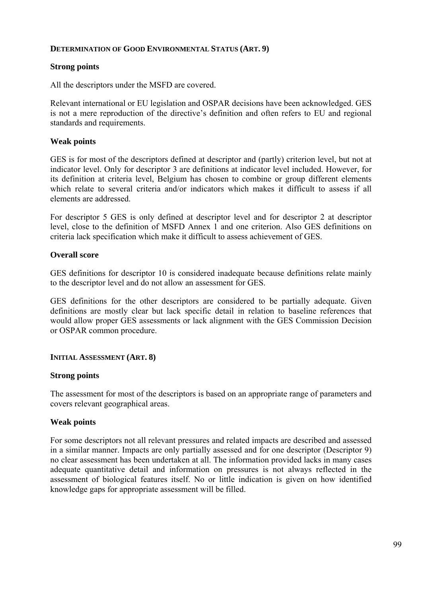### **DETERMINATION OF GOOD ENVIRONMENTAL STATUS (ART. 9)**

## **Strong points**

All the descriptors under the MSFD are covered.

Relevant international or EU legislation and OSPAR decisions have been acknowledged. GES is not a mere reproduction of the directive's definition and often refers to EU and regional standards and requirements.

### **Weak points**

GES is for most of the descriptors defined at descriptor and (partly) criterion level, but not at indicator level. Only for descriptor 3 are definitions at indicator level included. However, for its definition at criteria level, Belgium has chosen to combine or group different elements which relate to several criteria and/or indicators which makes it difficult to assess if all elements are addressed.

For descriptor 5 GES is only defined at descriptor level and for descriptor 2 at descriptor level, close to the definition of MSFD Annex 1 and one criterion. Also GES definitions on criteria lack specification which make it difficult to assess achievement of GES.

## **Overall score**

GES definitions for descriptor 10 is considered inadequate because definitions relate mainly to the descriptor level and do not allow an assessment for GES.

GES definitions for the other descriptors are considered to be partially adequate. Given definitions are mostly clear but lack specific detail in relation to baseline references that would allow proper GES assessments or lack alignment with the GES Commission Decision or OSPAR common procedure.

### **INITIAL ASSESSMENT (ART. 8)**

### **Strong points**

The assessment for most of the descriptors is based on an appropriate range of parameters and covers relevant geographical areas.

### **Weak points**

For some descriptors not all relevant pressures and related impacts are described and assessed in a similar manner. Impacts are only partially assessed and for one descriptor (Descriptor 9) no clear assessment has been undertaken at all. The information provided lacks in many cases adequate quantitative detail and information on pressures is not always reflected in the assessment of biological features itself. No or little indication is given on how identified knowledge gaps for appropriate assessment will be filled.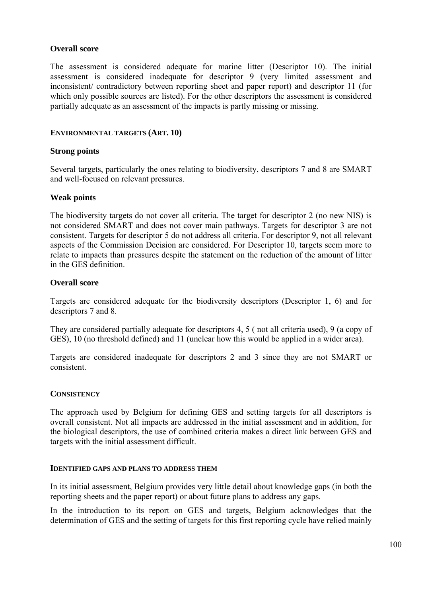### **Overall score**

The assessment is considered adequate for marine litter (Descriptor 10). The initial assessment is considered inadequate for descriptor 9 (very limited assessment and inconsistent/ contradictory between reporting sheet and paper report) and descriptor 11 (for which only possible sources are listed). For the other descriptors the assessment is considered partially adequate as an assessment of the impacts is partly missing or missing.

### **ENVIRONMENTAL TARGETS (ART. 10)**

### **Strong points**

Several targets, particularly the ones relating to biodiversity, descriptors 7 and 8 are SMART and well-focused on relevant pressures.

### **Weak points**

The biodiversity targets do not cover all criteria. The target for descriptor 2 (no new NIS) is not considered SMART and does not cover main pathways. Targets for descriptor 3 are not consistent. Targets for descriptor 5 do not address all criteria. For descriptor 9, not all relevant aspects of the Commission Decision are considered. For Descriptor 10, targets seem more to relate to impacts than pressures despite the statement on the reduction of the amount of litter in the GES definition.

### **Overall score**

Targets are considered adequate for the biodiversity descriptors (Descriptor 1, 6) and for descriptors 7 and 8.

They are considered partially adequate for descriptors 4, 5 ( not all criteria used), 9 (a copy of GES), 10 (no threshold defined) and 11 (unclear how this would be applied in a wider area).

Targets are considered inadequate for descriptors 2 and 3 since they are not SMART or consistent.

### **CONSISTENCY**

The approach used by Belgium for defining GES and setting targets for all descriptors is overall consistent. Not all impacts are addressed in the initial assessment and in addition, for the biological descriptors, the use of combined criteria makes a direct link between GES and targets with the initial assessment difficult.

### **IDENTIFIED GAPS AND PLANS TO ADDRESS THEM**

In its initial assessment, Belgium provides very little detail about knowledge gaps (in both the reporting sheets and the paper report) or about future plans to address any gaps.

In the introduction to its report on GES and targets, Belgium acknowledges that the determination of GES and the setting of targets for this first reporting cycle have relied mainly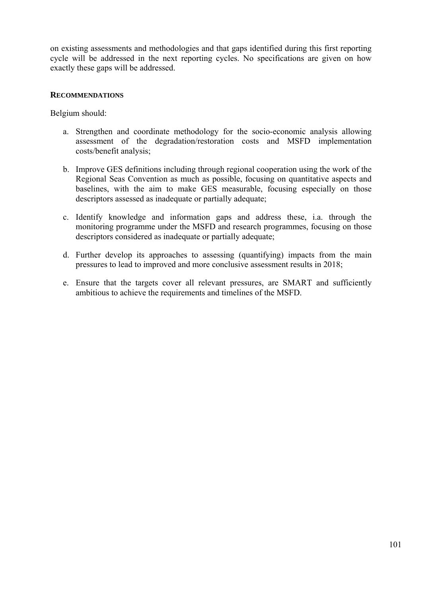on existing assessments and methodologies and that gaps identified during this first reporting cycle will be addressed in the next reporting cycles. No specifications are given on how exactly these gaps will be addressed.

### **RECOMMENDATIONS**

Belgium should:

- a. Strengthen and coordinate methodology for the socio-economic analysis allowing assessment of the degradation/restoration costs and MSFD implementation costs/benefit analysis;
- b. Improve GES definitions including through regional cooperation using the work of the Regional Seas Convention as much as possible, focusing on quantitative aspects and baselines, with the aim to make GES measurable, focusing especially on those descriptors assessed as inadequate or partially adequate;
- c. Identify knowledge and information gaps and address these, i.a. through the monitoring programme under the MSFD and research programmes, focusing on those descriptors considered as inadequate or partially adequate;
- d. Further develop its approaches to assessing (quantifying) impacts from the main pressures to lead to improved and more conclusive assessment results in 2018;
- e. Ensure that the targets cover all relevant pressures, are SMART and sufficiently ambitious to achieve the requirements and timelines of the MSFD.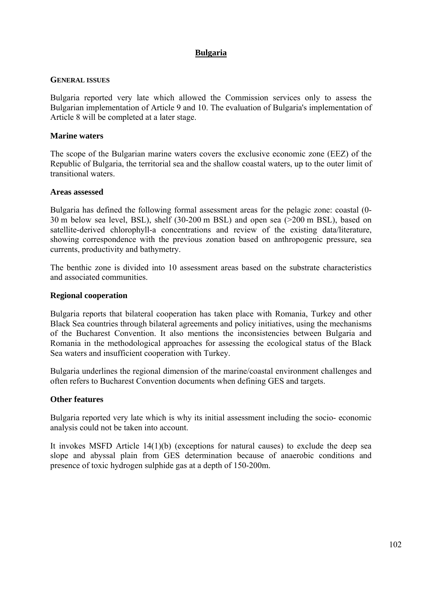## **Bulgaria**

#### **GENERAL ISSUES**

Bulgaria reported very late which allowed the Commission services only to assess the Bulgarian implementation of Article 9 and 10. The evaluation of Bulgaria's implementation of Article 8 will be completed at a later stage.

#### **Marine waters**

The scope of the Bulgarian marine waters covers the exclusive economic zone (EEZ) of the Republic of Bulgaria, the territorial sea and the shallow coastal waters, up to the outer limit of transitional waters.

#### **Areas assessed**

Bulgaria has defined the following formal assessment areas for the pelagic zone: coastal (0- 30 m below sea level, BSL), shelf (30-200 m BSL) and open sea (>200 m BSL), based on satellite-derived chlorophyll-a concentrations and review of the existing data/literature, showing correspondence with the previous zonation based on anthropogenic pressure, sea currents, productivity and bathymetry.

The benthic zone is divided into 10 assessment areas based on the substrate characteristics and associated communities.

#### **Regional cooperation**

Bulgaria reports that bilateral cooperation has taken place with Romania, Turkey and other Black Sea countries through bilateral agreements and policy initiatives, using the mechanisms of the Bucharest Convention. It also mentions the inconsistencies between Bulgaria and Romania in the methodological approaches for assessing the ecological status of the Black Sea waters and insufficient cooperation with Turkey.

Bulgaria underlines the regional dimension of the marine/coastal environment challenges and often refers to Bucharest Convention documents when defining GES and targets.

### **Other features**

Bulgaria reported very late which is why its initial assessment including the socio- economic analysis could not be taken into account.

It invokes MSFD Article 14(1)(b) (exceptions for natural causes) to exclude the deep sea slope and abyssal plain from GES determination because of anaerobic conditions and presence of toxic hydrogen sulphide gas at a depth of 150-200m.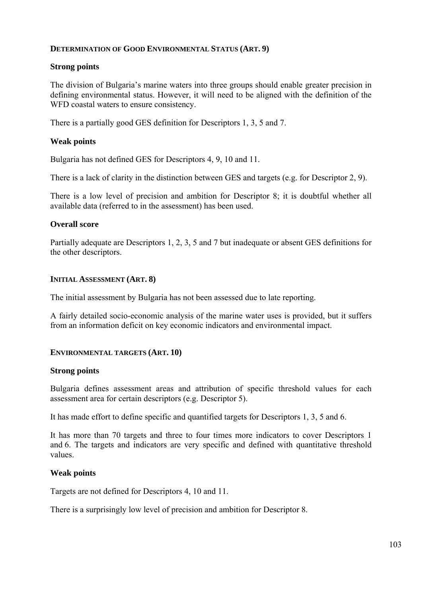### **DETERMINATION OF GOOD ENVIRONMENTAL STATUS (ART. 9)**

### **Strong points**

The division of Bulgaria's marine waters into three groups should enable greater precision in defining environmental status. However, it will need to be aligned with the definition of the WFD coastal waters to ensure consistency.

There is a partially good GES definition for Descriptors 1, 3, 5 and 7.

### **Weak points**

Bulgaria has not defined GES for Descriptors 4, 9, 10 and 11.

There is a lack of clarity in the distinction between GES and targets (e.g. for Descriptor 2, 9).

There is a low level of precision and ambition for Descriptor 8; it is doubtful whether all available data (referred to in the assessment) has been used.

### **Overall score**

Partially adequate are Descriptors 1, 2, 3, 5 and 7 but inadequate or absent GES definitions for the other descriptors.

### **INITIAL ASSESSMENT (ART. 8)**

The initial assessment by Bulgaria has not been assessed due to late reporting.

A fairly detailed socio-economic analysis of the marine water uses is provided, but it suffers from an information deficit on key economic indicators and environmental impact.

### **ENVIRONMENTAL TARGETS (ART. 10)**

### **Strong points**

Bulgaria defines assessment areas and attribution of specific threshold values for each assessment area for certain descriptors (e.g. Descriptor 5).

It has made effort to define specific and quantified targets for Descriptors 1, 3, 5 and 6.

It has more than 70 targets and three to four times more indicators to cover Descriptors 1 and 6. The targets and indicators are very specific and defined with quantitative threshold values.

### **Weak points**

Targets are not defined for Descriptors 4, 10 and 11.

There is a surprisingly low level of precision and ambition for Descriptor 8.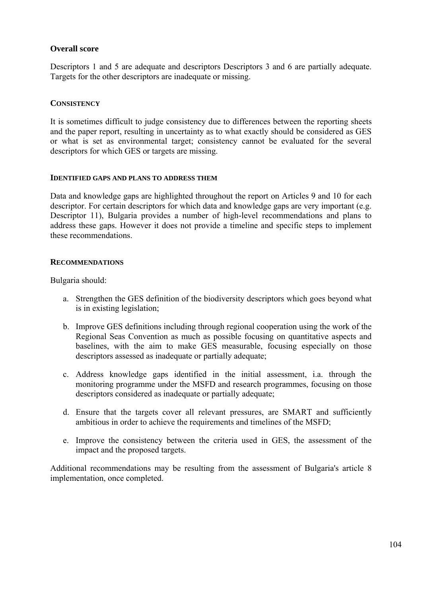## **Overall score**

Descriptors 1 and 5 are adequate and descriptors Descriptors 3 and 6 are partially adequate. Targets for the other descriptors are inadequate or missing.

### **CONSISTENCY**

It is sometimes difficult to judge consistency due to differences between the reporting sheets and the paper report, resulting in uncertainty as to what exactly should be considered as GES or what is set as environmental target; consistency cannot be evaluated for the several descriptors for which GES or targets are missing.

#### **IDENTIFIED GAPS AND PLANS TO ADDRESS THEM**

Data and knowledge gaps are highlighted throughout the report on Articles 9 and 10 for each descriptor. For certain descriptors for which data and knowledge gaps are very important (e.g. Descriptor 11), Bulgaria provides a number of high-level recommendations and plans to address these gaps. However it does not provide a timeline and specific steps to implement these recommendations.

### **RECOMMENDATIONS**

Bulgaria should:

- a. Strengthen the GES definition of the biodiversity descriptors which goes beyond what is in existing legislation;
- b. Improve GES definitions including through regional cooperation using the work of the Regional Seas Convention as much as possible focusing on quantitative aspects and baselines, with the aim to make GES measurable, focusing especially on those descriptors assessed as inadequate or partially adequate;
- c. Address knowledge gaps identified in the initial assessment, i.a. through the monitoring programme under the MSFD and research programmes, focusing on those descriptors considered as inadequate or partially adequate;
- d. Ensure that the targets cover all relevant pressures, are SMART and sufficiently ambitious in order to achieve the requirements and timelines of the MSFD;
- e. Improve the consistency between the criteria used in GES, the assessment of the impact and the proposed targets.

Additional recommendations may be resulting from the assessment of Bulgaria's article 8 implementation, once completed.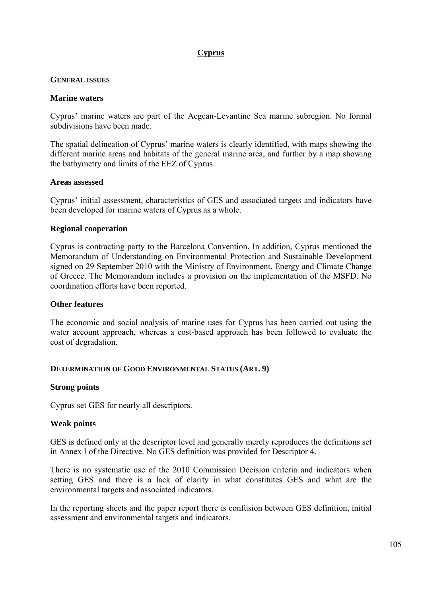# **Cyprus**

#### **GENERAL ISSUES**

#### **Marine waters**

Cyprus' marine waters are part of the Aegean-Levantine Sea marine subregion. No formal subdivisions have been made.

The spatial delineation of Cyprus' marine waters is clearly identified, with maps showing the different marine areas and habitats of the general marine area, and further by a map showing the bathymetry and limits of the EEZ of Cyprus.

#### **Areas assessed**

Cyprus' initial assessment, characteristics of GES and associated targets and indicators have been developed for marine waters of Cyprus as a whole.

### **Regional cooperation**

Cyprus is contracting party to the Barcelona Convention. In addition, Cyprus mentioned the Memorandum of Understanding on Environmental Protection and Sustainable Development signed on 29 September 2010 with the Ministry of Environment, Energy and Climate Change of Greece. The Memorandum includes a provision on the implementation of the MSFD. No coordination efforts have been reported.

### **Other features**

The economic and social analysis of marine uses for Cyprus has been carried out using the water account approach, whereas a cost-based approach has been followed to evaluate the cost of degradation.

### **DETERMINATION OF GOOD ENVIRONMENTAL STATUS (ART. 9)**

### **Strong points**

Cyprus set GES for nearly all descriptors.

### **Weak points**

GES is defined only at the descriptor level and generally merely reproduces the definitions set in Annex I of the Directive. No GES definition was provided for Descriptor 4.

There is no systematic use of the 2010 Commission Decision criteria and indicators when setting GES and there is a lack of clarity in what constitutes GES and what are the environmental targets and associated indicators.

In the reporting sheets and the paper report there is confusion between GES definition, initial assessment and environmental targets and indicators.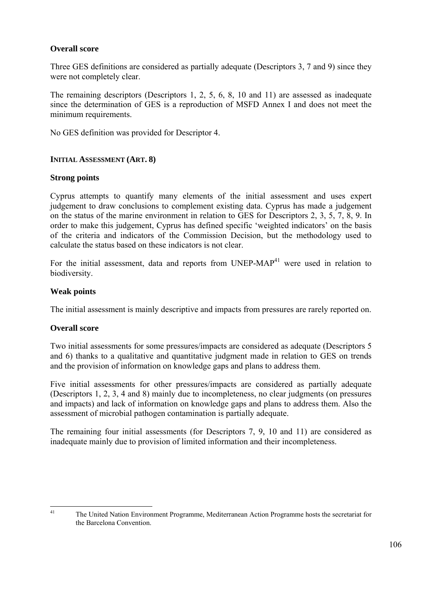### **Overall score**

Three GES definitions are considered as partially adequate (Descriptors 3, 7 and 9) since they were not completely clear.

The remaining descriptors (Descriptors 1, 2, 5, 6, 8, 10 and 11) are assessed as inadequate since the determination of GES is a reproduction of MSFD Annex I and does not meet the minimum requirements.

No GES definition was provided for Descriptor 4.

### **INITIAL ASSESSMENT (ART. 8)**

### **Strong points**

Cyprus attempts to quantify many elements of the initial assessment and uses expert judgement to draw conclusions to complement existing data. Cyprus has made a judgement on the status of the marine environment in relation to GES for Descriptors 2, 3, 5, 7, 8, 9. In order to make this judgement, Cyprus has defined specific 'weighted indicators' on the basis of the criteria and indicators of the Commission Decision, but the methodology used to calculate the status based on these indicators is not clear.

For the initial assessment, data and reports from UNEP-MAP<sup>41</sup> were used in relation to biodiversity.

### **Weak points**

The initial assessment is mainly descriptive and impacts from pressures are rarely reported on.

### **Overall score**

Two initial assessments for some pressures/impacts are considered as adequate (Descriptors 5 and 6) thanks to a qualitative and quantitative judgment made in relation to GES on trends and the provision of information on knowledge gaps and plans to address them.

Five initial assessments for other pressures/impacts are considered as partially adequate (Descriptors 1, 2, 3, 4 and 8) mainly due to incompleteness, no clear judgments (on pressures and impacts) and lack of information on knowledge gaps and plans to address them. Also the assessment of microbial pathogen contamination is partially adequate.

The remaining four initial assessments (for Descriptors 7, 9, 10 and 11) are considered as inadequate mainly due to provision of limited information and their incompleteness.

 $41$ 41 The United Nation Environment Programme, Mediterranean Action Programme hosts the secretariat for the Barcelona Convention.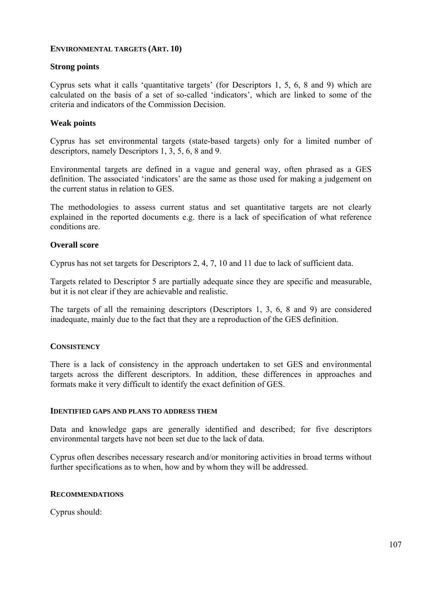### **ENVIRONMENTAL TARGETS (ART. 10)**

### **Strong points**

Cyprus sets what it calls 'quantitative targets' (for Descriptors 1, 5, 6, 8 and 9) which are calculated on the basis of a set of so-called 'indicators', which are linked to some of the criteria and indicators of the Commission Decision.

#### **Weak points**

Cyprus has set environmental targets (state-based targets) only for a limited number of descriptors, namely Descriptors 1, 3, 5, 6, 8 and 9.

Environmental targets are defined in a vague and general way, often phrased as a GES definition. The associated 'indicators' are the same as those used for making a judgement on the current status in relation to GES.

The methodologies to assess current status and set quantitative targets are not clearly explained in the reported documents e.g. there is a lack of specification of what reference conditions are.

### **Overall score**

Cyprus has not set targets for Descriptors 2, 4, 7, 10 and 11 due to lack of sufficient data.

Targets related to Descriptor 5 are partially adequate since they are specific and measurable, but it is not clear if they are achievable and realistic.

The targets of all the remaining descriptors (Descriptors 1, 3, 6, 8 and 9) are considered inadequate, mainly due to the fact that they are a reproduction of the GES definition.

### **CONSISTENCY**

There is a lack of consistency in the approach undertaken to set GES and environmental targets across the different descriptors. In addition, these differences in approaches and formats make it very difficult to identify the exact definition of GES.

#### **IDENTIFIED GAPS AND PLANS TO ADDRESS THEM**

Data and knowledge gaps are generally identified and described; for five descriptors environmental targets have not been set due to the lack of data.

Cyprus often describes necessary research and/or monitoring activities in broad terms without further specifications as to when, how and by whom they will be addressed.

### **RECOMMENDATIONS**

Cyprus should: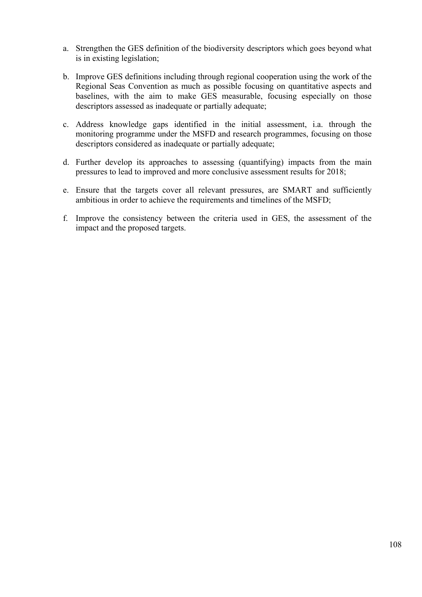- a. Strengthen the GES definition of the biodiversity descriptors which goes beyond what is in existing legislation;
- b. Improve GES definitions including through regional cooperation using the work of the Regional Seas Convention as much as possible focusing on quantitative aspects and baselines, with the aim to make GES measurable, focusing especially on those descriptors assessed as inadequate or partially adequate;
- c. Address knowledge gaps identified in the initial assessment, i.a. through the monitoring programme under the MSFD and research programmes, focusing on those descriptors considered as inadequate or partially adequate;
- d. Further develop its approaches to assessing (quantifying) impacts from the main pressures to lead to improved and more conclusive assessment results for 2018;
- e. Ensure that the targets cover all relevant pressures, are SMART and sufficiently ambitious in order to achieve the requirements and timelines of the MSFD;
- f. Improve the consistency between the criteria used in GES, the assessment of the impact and the proposed targets.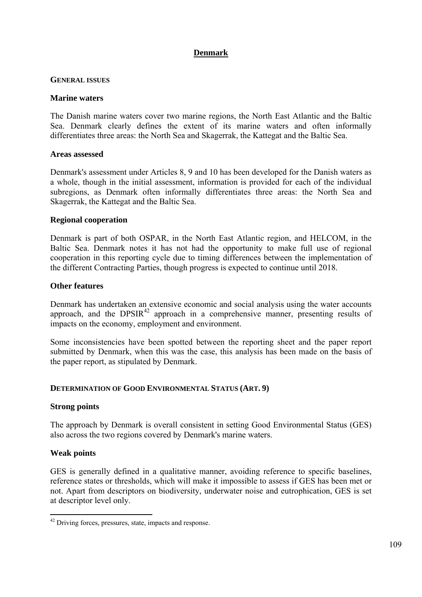# **Denmark**

### **GENERAL ISSUES**

#### **Marine waters**

The Danish marine waters cover two marine regions, the North East Atlantic and the Baltic Sea. Denmark clearly defines the extent of its marine waters and often informally differentiates three areas: the North Sea and Skagerrak, the Kattegat and the Baltic Sea.

#### **Areas assessed**

Denmark's assessment under Articles 8, 9 and 10 has been developed for the Danish waters as a whole, though in the initial assessment, information is provided for each of the individual subregions, as Denmark often informally differentiates three areas: the North Sea and Skagerrak, the Kattegat and the Baltic Sea.

#### **Regional cooperation**

Denmark is part of both OSPAR, in the North East Atlantic region, and HELCOM, in the Baltic Sea. Denmark notes it has not had the opportunity to make full use of regional cooperation in this reporting cycle due to timing differences between the implementation of the different Contracting Parties, though progress is expected to continue until 2018.

#### **Other features**

Denmark has undertaken an extensive economic and social analysis using the water accounts approach, and the  $DPSIR<sup>42</sup>$  approach in a comprehensive manner, presenting results of impacts on the economy, employment and environment.

Some inconsistencies have been spotted between the reporting sheet and the paper report submitted by Denmark, when this was the case, this analysis has been made on the basis of the paper report, as stipulated by Denmark.

## **DETERMINATION OF GOOD ENVIRONMENTAL STATUS (ART. 9)**

#### **Strong points**

The approach by Denmark is overall consistent in setting Good Environmental Status (GES) also across the two regions covered by Denmark's marine waters.

## **Weak points**

1

GES is generally defined in a qualitative manner, avoiding reference to specific baselines, reference states or thresholds, which will make it impossible to assess if GES has been met or not. Apart from descriptors on biodiversity, underwater noise and eutrophication, GES is set at descriptor level only.

<sup>&</sup>lt;sup>42</sup> Driving forces, pressures, state, impacts and response.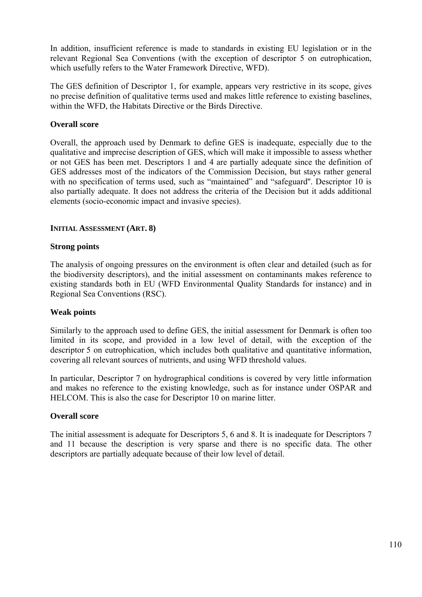In addition, insufficient reference is made to standards in existing EU legislation or in the relevant Regional Sea Conventions (with the exception of descriptor 5 on eutrophication, which usefully refers to the Water Framework Directive, WFD).

The GES definition of Descriptor 1, for example, appears very restrictive in its scope, gives no precise definition of qualitative terms used and makes little reference to existing baselines, within the WFD, the Habitats Directive or the Birds Directive.

# **Overall score**

Overall, the approach used by Denmark to define GES is inadequate, especially due to the qualitative and imprecise description of GES, which will make it impossible to assess whether or not GES has been met. Descriptors 1 and 4 are partially adequate since the definition of GES addresses most of the indicators of the Commission Decision, but stays rather general with no specification of terms used, such as "maintained" and "safeguard". Descriptor 10 is also partially adequate. It does not address the criteria of the Decision but it adds additional elements (socio-economic impact and invasive species).

## **INITIAL ASSESSMENT (ART. 8)**

## **Strong points**

The analysis of ongoing pressures on the environment is often clear and detailed (such as for the biodiversity descriptors), and the initial assessment on contaminants makes reference to existing standards both in EU (WFD Environmental Quality Standards for instance) and in Regional Sea Conventions (RSC).

## **Weak points**

Similarly to the approach used to define GES, the initial assessment for Denmark is often too limited in its scope, and provided in a low level of detail, with the exception of the descriptor 5 on eutrophication, which includes both qualitative and quantitative information, covering all relevant sources of nutrients, and using WFD threshold values.

In particular, Descriptor 7 on hydrographical conditions is covered by very little information and makes no reference to the existing knowledge, such as for instance under OSPAR and HELCOM. This is also the case for Descriptor 10 on marine litter.

## **Overall score**

The initial assessment is adequate for Descriptors 5, 6 and 8. It is inadequate for Descriptors 7 and 11 because the description is very sparse and there is no specific data. The other descriptors are partially adequate because of their low level of detail.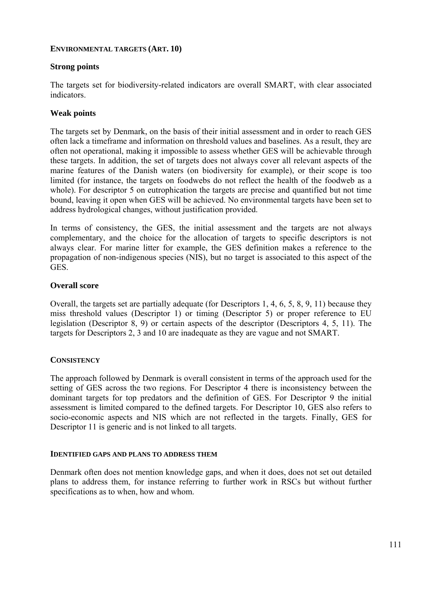## **ENVIRONMENTAL TARGETS (ART. 10)**

# **Strong points**

The targets set for biodiversity-related indicators are overall SMART, with clear associated indicators.

# **Weak points**

The targets set by Denmark, on the basis of their initial assessment and in order to reach GES often lack a timeframe and information on threshold values and baselines. As a result, they are often not operational, making it impossible to assess whether GES will be achievable through these targets. In addition, the set of targets does not always cover all relevant aspects of the marine features of the Danish waters (on biodiversity for example), or their scope is too limited (for instance, the targets on foodwebs do not reflect the health of the foodweb as a whole). For descriptor 5 on eutrophication the targets are precise and quantified but not time bound, leaving it open when GES will be achieved. No environmental targets have been set to address hydrological changes, without justification provided.

In terms of consistency, the GES, the initial assessment and the targets are not always complementary, and the choice for the allocation of targets to specific descriptors is not always clear. For marine litter for example, the GES definition makes a reference to the propagation of non-indigenous species (NIS), but no target is associated to this aspect of the GES.

## **Overall score**

Overall, the targets set are partially adequate (for Descriptors 1, 4, 6, 5, 8, 9, 11) because they miss threshold values (Descriptor 1) or timing (Descriptor 5) or proper reference to EU legislation (Descriptor 8, 9) or certain aspects of the descriptor (Descriptors 4, 5, 11). The targets for Descriptors 2, 3 and 10 are inadequate as they are vague and not SMART.

# **CONSISTENCY**

The approach followed by Denmark is overall consistent in terms of the approach used for the setting of GES across the two regions. For Descriptor 4 there is inconsistency between the dominant targets for top predators and the definition of GES. For Descriptor 9 the initial assessment is limited compared to the defined targets. For Descriptor 10, GES also refers to socio-economic aspects and NIS which are not reflected in the targets. Finally, GES for Descriptor 11 is generic and is not linked to all targets.

## **IDENTIFIED GAPS AND PLANS TO ADDRESS THEM**

Denmark often does not mention knowledge gaps, and when it does, does not set out detailed plans to address them, for instance referring to further work in RSCs but without further specifications as to when, how and whom.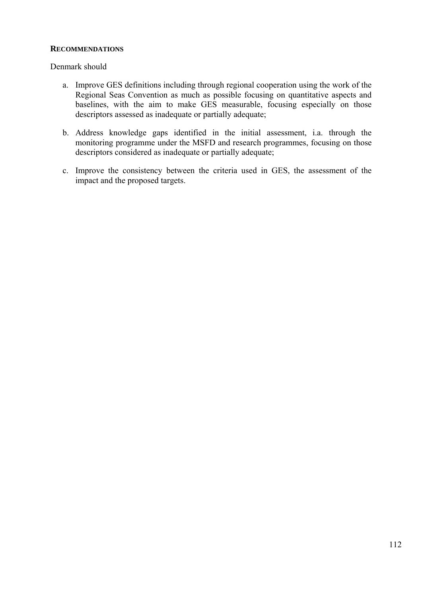## **RECOMMENDATIONS**

## Denmark should

- a. Improve GES definitions including through regional cooperation using the work of the Regional Seas Convention as much as possible focusing on quantitative aspects and baselines, with the aim to make GES measurable, focusing especially on those descriptors assessed as inadequate or partially adequate;
- b. Address knowledge gaps identified in the initial assessment, i.a. through the monitoring programme under the MSFD and research programmes, focusing on those descriptors considered as inadequate or partially adequate;
- c. Improve the consistency between the criteria used in GES, the assessment of the impact and the proposed targets.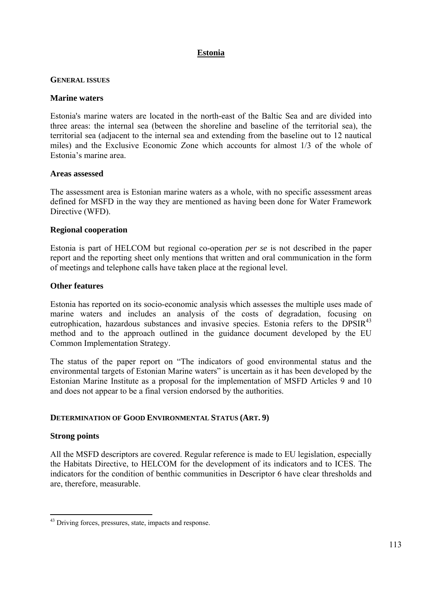# **Estonia**

## **GENERAL ISSUES**

## **Marine waters**

Estonia's marine waters are located in the north-east of the Baltic Sea and are divided into three areas: the internal sea (between the shoreline and baseline of the territorial sea), the territorial sea (adjacent to the internal sea and extending from the baseline out to 12 nautical miles) and the Exclusive Economic Zone which accounts for almost 1/3 of the whole of Estonia's marine area.

## **Areas assessed**

The assessment area is Estonian marine waters as a whole, with no specific assessment areas defined for MSFD in the way they are mentioned as having been done for Water Framework Directive (WFD).

## **Regional cooperation**

Estonia is part of HELCOM but regional co-operation *per se* is not described in the paper report and the reporting sheet only mentions that written and oral communication in the form of meetings and telephone calls have taken place at the regional level.

## **Other features**

Estonia has reported on its socio-economic analysis which assesses the multiple uses made of marine waters and includes an analysis of the costs of degradation, focusing on eutrophication, hazardous substances and invasive species. Estonia refers to the  $DPSIR<sup>43</sup>$ method and to the approach outlined in the guidance document developed by the EU Common Implementation Strategy.

The status of the paper report on "The indicators of good environmental status and the environmental targets of Estonian Marine waters" is uncertain as it has been developed by the Estonian Marine Institute as a proposal for the implementation of MSFD Articles 9 and 10 and does not appear to be a final version endorsed by the authorities.

# **DETERMINATION OF GOOD ENVIRONMENTAL STATUS (ART. 9)**

## **Strong points**

1

All the MSFD descriptors are covered. Regular reference is made to EU legislation, especially the Habitats Directive, to HELCOM for the development of its indicators and to ICES. The indicators for the condition of benthic communities in Descriptor 6 have clear thresholds and are, therefore, measurable.

<sup>&</sup>lt;sup>43</sup> Driving forces, pressures, state, impacts and response.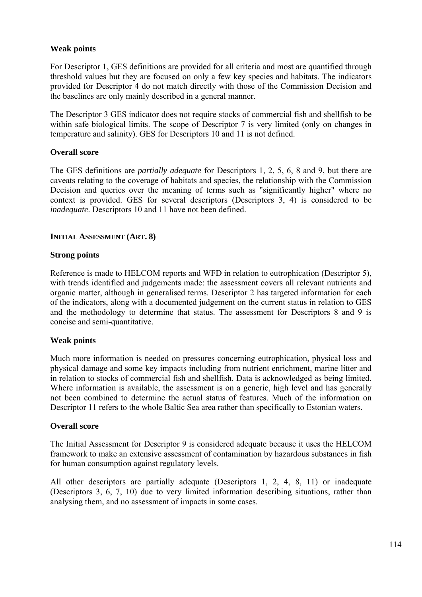## **Weak points**

For Descriptor 1, GES definitions are provided for all criteria and most are quantified through threshold values but they are focused on only a few key species and habitats. The indicators provided for Descriptor 4 do not match directly with those of the Commission Decision and the baselines are only mainly described in a general manner.

The Descriptor 3 GES indicator does not require stocks of commercial fish and shellfish to be within safe biological limits. The scope of Descriptor 7 is very limited (only on changes in temperature and salinity). GES for Descriptors 10 and 11 is not defined.

## **Overall score**

The GES definitions are *partially adequate* for Descriptors 1, 2, 5, 6, 8 and 9, but there are caveats relating to the coverage of habitats and species, the relationship with the Commission Decision and queries over the meaning of terms such as "significantly higher" where no context is provided. GES for several descriptors (Descriptors 3, 4) is considered to be *inadequate*. Descriptors 10 and 11 have not been defined.

## **INITIAL ASSESSMENT (ART. 8)**

## **Strong points**

Reference is made to HELCOM reports and WFD in relation to eutrophication (Descriptor 5), with trends identified and judgements made: the assessment covers all relevant nutrients and organic matter, although in generalised terms. Descriptor 2 has targeted information for each of the indicators, along with a documented judgement on the current status in relation to GES and the methodology to determine that status. The assessment for Descriptors 8 and 9 is concise and semi-quantitative.

## **Weak points**

Much more information is needed on pressures concerning eutrophication, physical loss and physical damage and some key impacts including from nutrient enrichment, marine litter and in relation to stocks of commercial fish and shellfish. Data is acknowledged as being limited. Where information is available, the assessment is on a generic, high level and has generally not been combined to determine the actual status of features. Much of the information on Descriptor 11 refers to the whole Baltic Sea area rather than specifically to Estonian waters.

## **Overall score**

The Initial Assessment for Descriptor 9 is considered adequate because it uses the HELCOM framework to make an extensive assessment of contamination by hazardous substances in fish for human consumption against regulatory levels.

All other descriptors are partially adequate (Descriptors 1, 2, 4, 8, 11) or inadequate (Descriptors 3, 6, 7, 10) due to very limited information describing situations, rather than analysing them, and no assessment of impacts in some cases.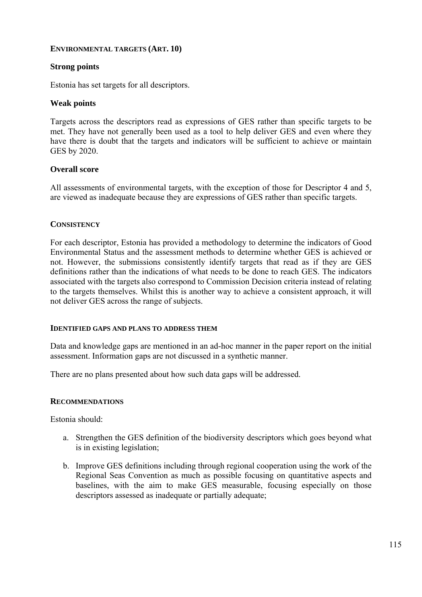## **ENVIRONMENTAL TARGETS (ART. 10)**

# **Strong points**

Estonia has set targets for all descriptors.

## **Weak points**

Targets across the descriptors read as expressions of GES rather than specific targets to be met. They have not generally been used as a tool to help deliver GES and even where they have there is doubt that the targets and indicators will be sufficient to achieve or maintain GES by 2020.

## **Overall score**

All assessments of environmental targets, with the exception of those for Descriptor 4 and 5, are viewed as inadequate because they are expressions of GES rather than specific targets.

## **CONSISTENCY**

For each descriptor, Estonia has provided a methodology to determine the indicators of Good Environmental Status and the assessment methods to determine whether GES is achieved or not. However, the submissions consistently identify targets that read as if they are GES definitions rather than the indications of what needs to be done to reach GES. The indicators associated with the targets also correspond to Commission Decision criteria instead of relating to the targets themselves. Whilst this is another way to achieve a consistent approach, it will not deliver GES across the range of subjects.

## **IDENTIFIED GAPS AND PLANS TO ADDRESS THEM**

Data and knowledge gaps are mentioned in an ad-hoc manner in the paper report on the initial assessment. Information gaps are not discussed in a synthetic manner.

There are no plans presented about how such data gaps will be addressed.

## **RECOMMENDATIONS**

Estonia should:

- a. Strengthen the GES definition of the biodiversity descriptors which goes beyond what is in existing legislation;
- b. Improve GES definitions including through regional cooperation using the work of the Regional Seas Convention as much as possible focusing on quantitative aspects and baselines, with the aim to make GES measurable, focusing especially on those descriptors assessed as inadequate or partially adequate;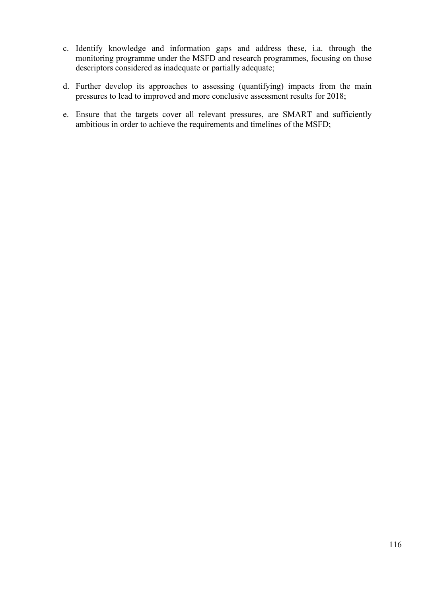- c. Identify knowledge and information gaps and address these, i.a. through the monitoring programme under the MSFD and research programmes, focusing on those descriptors considered as inadequate or partially adequate;
- d. Further develop its approaches to assessing (quantifying) impacts from the main pressures to lead to improved and more conclusive assessment results for 2018;
- e. Ensure that the targets cover all relevant pressures, are SMART and sufficiently ambitious in order to achieve the requirements and timelines of the MSFD;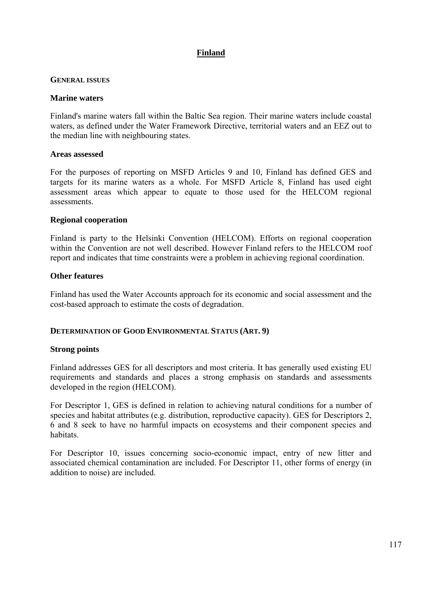# **Finland**

## **GENERAL ISSUES**

## **Marine waters**

Finland's marine waters fall within the Baltic Sea region. Their marine waters include coastal waters, as defined under the Water Framework Directive, territorial waters and an EEZ out to the median line with neighbouring states.

## **Areas assessed**

For the purposes of reporting on MSFD Articles 9 and 10, Finland has defined GES and targets for its marine waters as a whole. For MSFD Article 8, Finland has used eight assessment areas which appear to equate to those used for the HELCOM regional assessments.

## **Regional cooperation**

Finland is party to the Helsinki Convention (HELCOM). Efforts on regional cooperation within the Convention are not well described. However Finland refers to the HELCOM roof report and indicates that time constraints were a problem in achieving regional coordination.

## **Other features**

Finland has used the Water Accounts approach for its economic and social assessment and the cost-based approach to estimate the costs of degradation.

## **DETERMINATION OF GOOD ENVIRONMENTAL STATUS (ART. 9)**

## **Strong points**

Finland addresses GES for all descriptors and most criteria. It has generally used existing EU requirements and standards and places a strong emphasis on standards and assessments developed in the region (HELCOM).

For Descriptor 1, GES is defined in relation to achieving natural conditions for a number of species and habitat attributes (e.g. distribution, reproductive capacity). GES for Descriptors 2, 6 and 8 seek to have no harmful impacts on ecosystems and their component species and habitats.

For Descriptor 10, issues concerning socio-economic impact, entry of new litter and associated chemical contamination are included. For Descriptor 11, other forms of energy (in addition to noise) are included.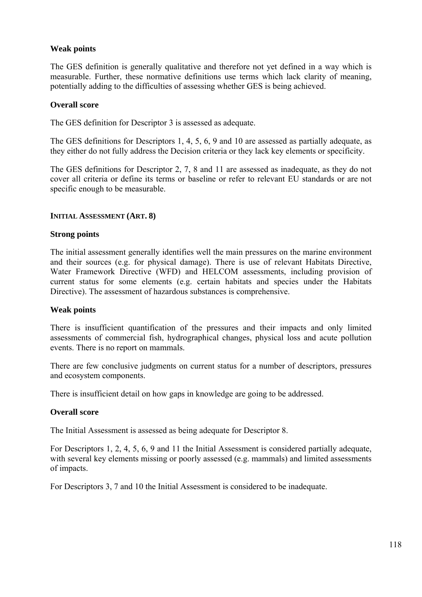## **Weak points**

The GES definition is generally qualitative and therefore not yet defined in a way which is measurable. Further, these normative definitions use terms which lack clarity of meaning, potentially adding to the difficulties of assessing whether GES is being achieved.

## **Overall score**

The GES definition for Descriptor 3 is assessed as adequate.

The GES definitions for Descriptors 1, 4, 5, 6, 9 and 10 are assessed as partially adequate, as they either do not fully address the Decision criteria or they lack key elements or specificity.

The GES definitions for Descriptor 2, 7, 8 and 11 are assessed as inadequate, as they do not cover all criteria or define its terms or baseline or refer to relevant EU standards or are not specific enough to be measurable.

#### **INITIAL ASSESSMENT (ART. 8)**

#### **Strong points**

The initial assessment generally identifies well the main pressures on the marine environment and their sources (e.g. for physical damage). There is use of relevant Habitats Directive, Water Framework Directive (WFD) and HELCOM assessments, including provision of current status for some elements (e.g. certain habitats and species under the Habitats Directive). The assessment of hazardous substances is comprehensive.

#### **Weak points**

There is insufficient quantification of the pressures and their impacts and only limited assessments of commercial fish, hydrographical changes, physical loss and acute pollution events. There is no report on mammals.

There are few conclusive judgments on current status for a number of descriptors, pressures and ecosystem components.

There is insufficient detail on how gaps in knowledge are going to be addressed.

## **Overall score**

The Initial Assessment is assessed as being adequate for Descriptor 8.

For Descriptors 1, 2, 4, 5, 6, 9 and 11 the Initial Assessment is considered partially adequate, with several key elements missing or poorly assessed (e.g. mammals) and limited assessments of impacts.

For Descriptors 3, 7 and 10 the Initial Assessment is considered to be inadequate.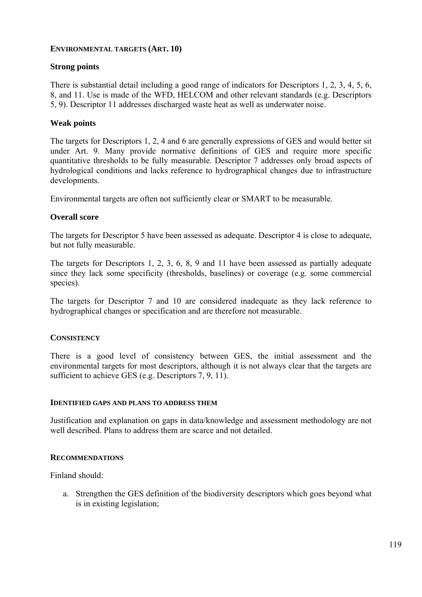## **ENVIRONMENTAL TARGETS (ART. 10)**

# **Strong points**

There is substantial detail including a good range of indicators for Descriptors 1, 2, 3, 4, 5, 6, 8, and 11. Use is made of the WFD, HELCOM and other relevant standards (e.g. Descriptors 5, 9). Descriptor 11 addresses discharged waste heat as well as underwater noise.

## **Weak points**

The targets for Descriptors 1, 2, 4 and 6 are generally expressions of GES and would better sit under Art. 9. Many provide normative definitions of GES and require more specific quantitative thresholds to be fully measurable. Descriptor 7 addresses only broad aspects of hydrological conditions and lacks reference to hydrographical changes due to infrastructure developments.

Environmental targets are often not sufficiently clear or SMART to be measurable.

## **Overall score**

The targets for Descriptor 5 have been assessed as adequate. Descriptor 4 is close to adequate, but not fully measurable.

The targets for Descriptors 1, 2, 3, 6, 8, 9 and 11 have been assessed as partially adequate since they lack some specificity (thresholds, baselines) or coverage (e.g. some commercial species).

The targets for Descriptor 7 and 10 are considered inadequate as they lack reference to hydrographical changes or specification and are therefore not measurable.

## **CONSISTENCY**

There is a good level of consistency between GES, the initial assessment and the environmental targets for most descriptors, although it is not always clear that the targets are sufficient to achieve GES (e.g. Descriptors 7, 9, 11).

## **IDENTIFIED GAPS AND PLANS TO ADDRESS THEM**

Justification and explanation on gaps in data/knowledge and assessment methodology are not well described. Plans to address them are scarce and not detailed.

## **RECOMMENDATIONS**

Finland should:

a. Strengthen the GES definition of the biodiversity descriptors which goes beyond what is in existing legislation;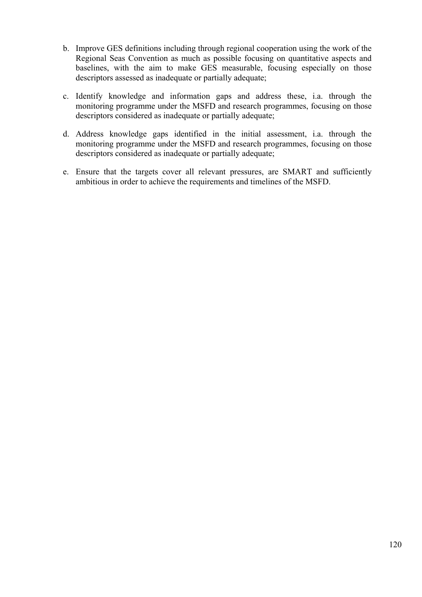- b. Improve GES definitions including through regional cooperation using the work of the Regional Seas Convention as much as possible focusing on quantitative aspects and baselines, with the aim to make GES measurable, focusing especially on those descriptors assessed as inadequate or partially adequate;
- c. Identify knowledge and information gaps and address these, i.a. through the monitoring programme under the MSFD and research programmes, focusing on those descriptors considered as inadequate or partially adequate;
- d. Address knowledge gaps identified in the initial assessment, i.a. through the monitoring programme under the MSFD and research programmes, focusing on those descriptors considered as inadequate or partially adequate;
- e. Ensure that the targets cover all relevant pressures, are SMART and sufficiently ambitious in order to achieve the requirements and timelines of the MSFD.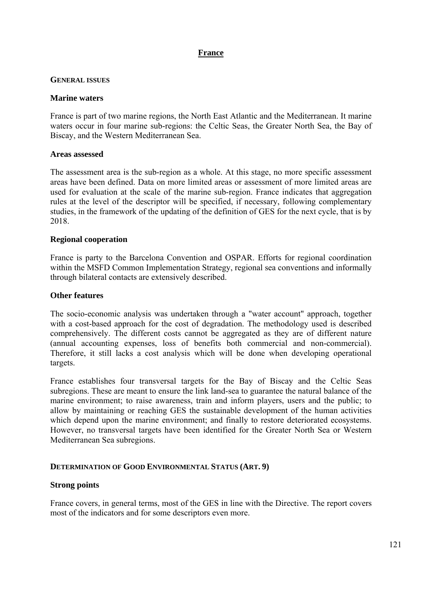# **France**

## **GENERAL ISSUES**

## **Marine waters**

France is part of two marine regions, the North East Atlantic and the Mediterranean. It marine waters occur in four marine sub-regions: the Celtic Seas, the Greater North Sea, the Bay of Biscay, and the Western Mediterranean Sea.

## **Areas assessed**

The assessment area is the sub-region as a whole. At this stage, no more specific assessment areas have been defined. Data on more limited areas or assessment of more limited areas are used for evaluation at the scale of the marine sub-region. France indicates that aggregation rules at the level of the descriptor will be specified, if necessary, following complementary studies, in the framework of the updating of the definition of GES for the next cycle, that is by 2018.

## **Regional cooperation**

France is party to the Barcelona Convention and OSPAR. Efforts for regional coordination within the MSFD Common Implementation Strategy, regional sea conventions and informally through bilateral contacts are extensively described.

## **Other features**

The socio-economic analysis was undertaken through a "water account" approach, together with a cost-based approach for the cost of degradation. The methodology used is described comprehensively. The different costs cannot be aggregated as they are of different nature (annual accounting expenses, loss of benefits both commercial and non-commercial). Therefore, it still lacks a cost analysis which will be done when developing operational targets.

France establishes four transversal targets for the Bay of Biscay and the Celtic Seas subregions. These are meant to ensure the link land-sea to guarantee the natural balance of the marine environment; to raise awareness, train and inform players, users and the public; to allow by maintaining or reaching GES the sustainable development of the human activities which depend upon the marine environment; and finally to restore deteriorated ecosystems. However, no transversal targets have been identified for the Greater North Sea or Western Mediterranean Sea subregions.

## **DETERMINATION OF GOOD ENVIRONMENTAL STATUS (ART. 9)**

## **Strong points**

France covers, in general terms, most of the GES in line with the Directive. The report covers most of the indicators and for some descriptors even more.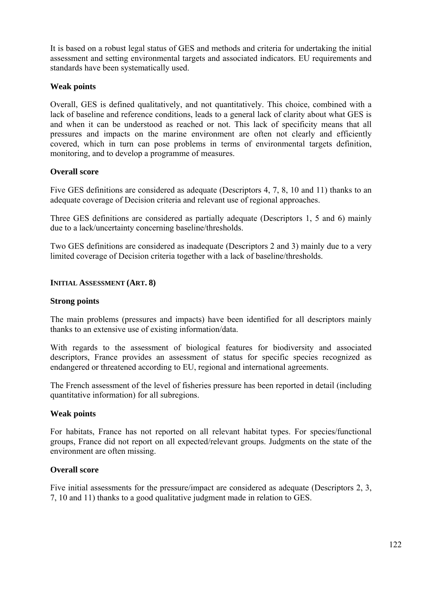It is based on a robust legal status of GES and methods and criteria for undertaking the initial assessment and setting environmental targets and associated indicators. EU requirements and standards have been systematically used.

# **Weak points**

Overall, GES is defined qualitatively, and not quantitatively. This choice, combined with a lack of baseline and reference conditions, leads to a general lack of clarity about what GES is and when it can be understood as reached or not. This lack of specificity means that all pressures and impacts on the marine environment are often not clearly and efficiently covered, which in turn can pose problems in terms of environmental targets definition, monitoring, and to develop a programme of measures.

# **Overall score**

Five GES definitions are considered as adequate (Descriptors 4, 7, 8, 10 and 11) thanks to an adequate coverage of Decision criteria and relevant use of regional approaches.

Three GES definitions are considered as partially adequate (Descriptors 1, 5 and 6) mainly due to a lack/uncertainty concerning baseline/thresholds.

Two GES definitions are considered as inadequate (Descriptors 2 and 3) mainly due to a very limited coverage of Decision criteria together with a lack of baseline/thresholds.

## **INITIAL ASSESSMENT (ART. 8)**

## **Strong points**

The main problems (pressures and impacts) have been identified for all descriptors mainly thanks to an extensive use of existing information/data.

With regards to the assessment of biological features for biodiversity and associated descriptors, France provides an assessment of status for specific species recognized as endangered or threatened according to EU, regional and international agreements.

The French assessment of the level of fisheries pressure has been reported in detail (including quantitative information) for all subregions.

# **Weak points**

For habitats, France has not reported on all relevant habitat types. For species/functional groups, France did not report on all expected/relevant groups. Judgments on the state of the environment are often missing.

## **Overall score**

Five initial assessments for the pressure/impact are considered as adequate (Descriptors 2, 3, 7, 10 and 11) thanks to a good qualitative judgment made in relation to GES.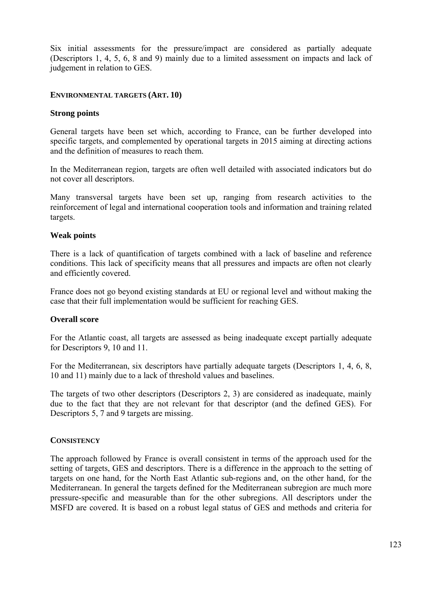Six initial assessments for the pressure/impact are considered as partially adequate (Descriptors 1, 4, 5, 6, 8 and 9) mainly due to a limited assessment on impacts and lack of judgement in relation to GES.

## **ENVIRONMENTAL TARGETS (ART. 10)**

#### **Strong points**

General targets have been set which, according to France, can be further developed into specific targets, and complemented by operational targets in 2015 aiming at directing actions and the definition of measures to reach them.

In the Mediterranean region, targets are often well detailed with associated indicators but do not cover all descriptors.

Many transversal targets have been set up, ranging from research activities to the reinforcement of legal and international cooperation tools and information and training related targets.

#### **Weak points**

There is a lack of quantification of targets combined with a lack of baseline and reference conditions. This lack of specificity means that all pressures and impacts are often not clearly and efficiently covered.

France does not go beyond existing standards at EU or regional level and without making the case that their full implementation would be sufficient for reaching GES.

#### **Overall score**

For the Atlantic coast, all targets are assessed as being inadequate except partially adequate for Descriptors 9, 10 and 11.

For the Mediterranean, six descriptors have partially adequate targets (Descriptors 1, 4, 6, 8, 10 and 11) mainly due to a lack of threshold values and baselines.

The targets of two other descriptors (Descriptors 2, 3) are considered as inadequate, mainly due to the fact that they are not relevant for that descriptor (and the defined GES). For Descriptors 5, 7 and 9 targets are missing.

## **CONSISTENCY**

The approach followed by France is overall consistent in terms of the approach used for the setting of targets, GES and descriptors. There is a difference in the approach to the setting of targets on one hand, for the North East Atlantic sub-regions and, on the other hand, for the Mediterranean. In general the targets defined for the Mediterranean subregion are much more pressure-specific and measurable than for the other subregions. All descriptors under the MSFD are covered. It is based on a robust legal status of GES and methods and criteria for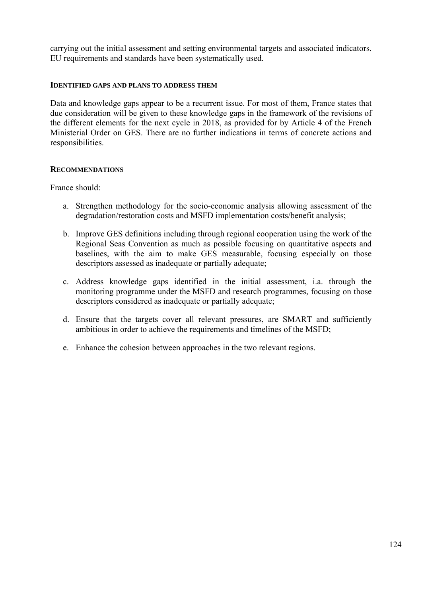carrying out the initial assessment and setting environmental targets and associated indicators. EU requirements and standards have been systematically used.

## **IDENTIFIED GAPS AND PLANS TO ADDRESS THEM**

Data and knowledge gaps appear to be a recurrent issue. For most of them, France states that due consideration will be given to these knowledge gaps in the framework of the revisions of the different elements for the next cycle in 2018, as provided for by Article 4 of the French Ministerial Order on GES. There are no further indications in terms of concrete actions and responsibilities.

## **RECOMMENDATIONS**

France should:

- a. Strengthen methodology for the socio-economic analysis allowing assessment of the degradation/restoration costs and MSFD implementation costs/benefit analysis;
- b. Improve GES definitions including through regional cooperation using the work of the Regional Seas Convention as much as possible focusing on quantitative aspects and baselines, with the aim to make GES measurable, focusing especially on those descriptors assessed as inadequate or partially adequate;
- c. Address knowledge gaps identified in the initial assessment, i.a. through the monitoring programme under the MSFD and research programmes, focusing on those descriptors considered as inadequate or partially adequate;
- d. Ensure that the targets cover all relevant pressures, are SMART and sufficiently ambitious in order to achieve the requirements and timelines of the MSFD;
- e. Enhance the cohesion between approaches in the two relevant regions.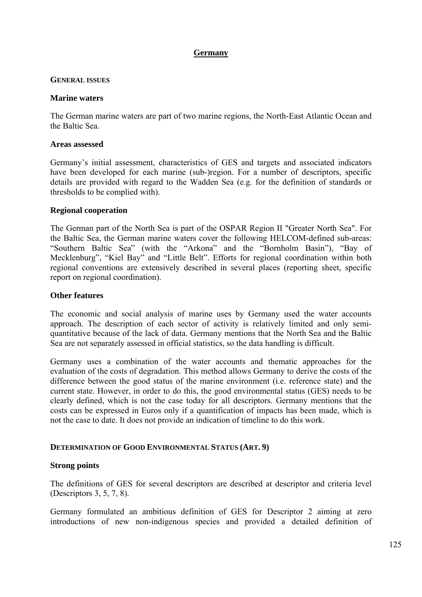## **Germany**

### **GENERAL ISSUES**

#### **Marine waters**

The German marine waters are part of two marine regions, the North-East Atlantic Ocean and the Baltic Sea.

#### **Areas assessed**

Germany's initial assessment, characteristics of GES and targets and associated indicators have been developed for each marine (sub-)region. For a number of descriptors, specific details are provided with regard to the Wadden Sea (e.g. for the definition of standards or thresholds to be complied with).

## **Regional cooperation**

The German part of the North Sea is part of the OSPAR Region II "Greater North Sea". For the Baltic Sea, the German marine waters cover the following HELCOM-defined sub-areas: "Southern Baltic Sea" (with the "Arkona" and the "Bornholm Basin"), "Bay of Mecklenburg", "Kiel Bay" and "Little Belt". Efforts for regional coordination within both regional conventions are extensively described in several places (reporting sheet, specific report on regional coordination).

### **Other features**

The economic and social analysis of marine uses by Germany used the water accounts approach. The description of each sector of activity is relatively limited and only semiquantitative because of the lack of data. Germany mentions that the North Sea and the Baltic Sea are not separately assessed in official statistics, so the data handling is difficult.

Germany uses a combination of the water accounts and thematic approaches for the evaluation of the costs of degradation. This method allows Germany to derive the costs of the difference between the good status of the marine environment (i.e. reference state) and the current state. However, in order to do this, the good environmental status (GES) needs to be clearly defined, which is not the case today for all descriptors. Germany mentions that the costs can be expressed in Euros only if a quantification of impacts has been made, which is not the case to date. It does not provide an indication of timeline to do this work.

## **DETERMINATION OF GOOD ENVIRONMENTAL STATUS (ART. 9)**

## **Strong points**

The definitions of GES for several descriptors are described at descriptor and criteria level (Descriptors 3, 5, 7, 8).

Germany formulated an ambitious definition of GES for Descriptor 2 aiming at zero introductions of new non-indigenous species and provided a detailed definition of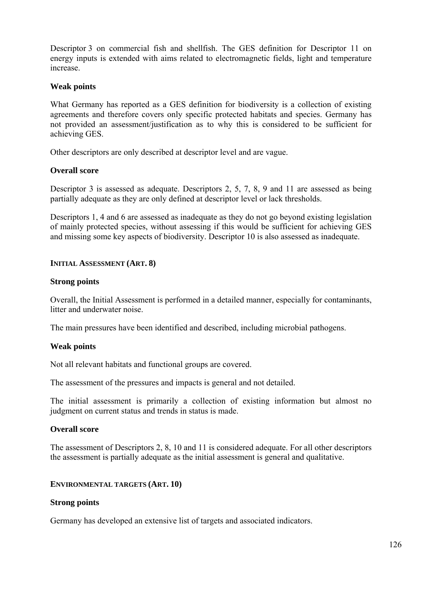Descriptor 3 on commercial fish and shellfish. The GES definition for Descriptor 11 on energy inputs is extended with aims related to electromagnetic fields, light and temperature increase.

# **Weak points**

What Germany has reported as a GES definition for biodiversity is a collection of existing agreements and therefore covers only specific protected habitats and species. Germany has not provided an assessment/justification as to why this is considered to be sufficient for achieving GES.

Other descriptors are only described at descriptor level and are vague.

## **Overall score**

Descriptor 3 is assessed as adequate. Descriptors 2, 5, 7, 8, 9 and 11 are assessed as being partially adequate as they are only defined at descriptor level or lack thresholds.

Descriptors 1, 4 and 6 are assessed as inadequate as they do not go beyond existing legislation of mainly protected species, without assessing if this would be sufficient for achieving GES and missing some key aspects of biodiversity. Descriptor 10 is also assessed as inadequate.

## **INITIAL ASSESSMENT (ART. 8)**

## **Strong points**

Overall, the Initial Assessment is performed in a detailed manner, especially for contaminants, litter and underwater noise.

The main pressures have been identified and described, including microbial pathogens.

## **Weak points**

Not all relevant habitats and functional groups are covered.

The assessment of the pressures and impacts is general and not detailed.

The initial assessment is primarily a collection of existing information but almost no judgment on current status and trends in status is made.

# **Overall score**

The assessment of Descriptors 2, 8, 10 and 11 is considered adequate. For all other descriptors the assessment is partially adequate as the initial assessment is general and qualitative.

## **ENVIRONMENTAL TARGETS (ART. 10)**

## **Strong points**

Germany has developed an extensive list of targets and associated indicators.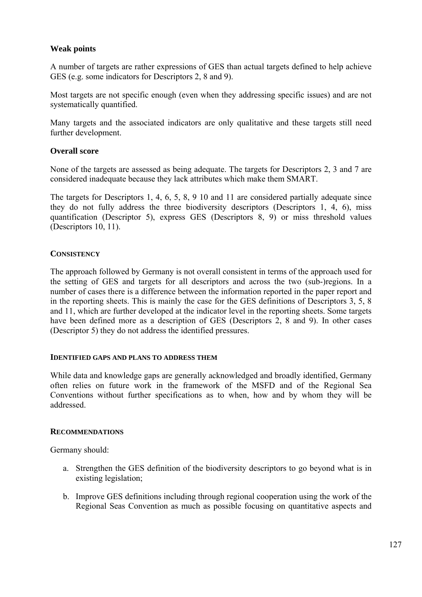## **Weak points**

A number of targets are rather expressions of GES than actual targets defined to help achieve GES (e.g. some indicators for Descriptors 2, 8 and 9).

Most targets are not specific enough (even when they addressing specific issues) and are not systematically quantified.

Many targets and the associated indicators are only qualitative and these targets still need further development.

## **Overall score**

None of the targets are assessed as being adequate. The targets for Descriptors 2, 3 and 7 are considered inadequate because they lack attributes which make them SMART.

The targets for Descriptors 1, 4, 6, 5, 8, 9 10 and 11 are considered partially adequate since they do not fully address the three biodiversity descriptors (Descriptors 1, 4, 6), miss quantification (Descriptor 5), express GES (Descriptors 8, 9) or miss threshold values (Descriptors 10, 11).

## **CONSISTENCY**

The approach followed by Germany is not overall consistent in terms of the approach used for the setting of GES and targets for all descriptors and across the two (sub-)regions. In a number of cases there is a difference between the information reported in the paper report and in the reporting sheets. This is mainly the case for the GES definitions of Descriptors 3, 5, 8 and 11, which are further developed at the indicator level in the reporting sheets. Some targets have been defined more as a description of GES (Descriptors 2, 8 and 9). In other cases (Descriptor 5) they do not address the identified pressures.

## **IDENTIFIED GAPS AND PLANS TO ADDRESS THEM**

While data and knowledge gaps are generally acknowledged and broadly identified, Germany often relies on future work in the framework of the MSFD and of the Regional Sea Conventions without further specifications as to when, how and by whom they will be addressed.

## **RECOMMENDATIONS**

Germany should:

- a. Strengthen the GES definition of the biodiversity descriptors to go beyond what is in existing legislation;
- b. Improve GES definitions including through regional cooperation using the work of the Regional Seas Convention as much as possible focusing on quantitative aspects and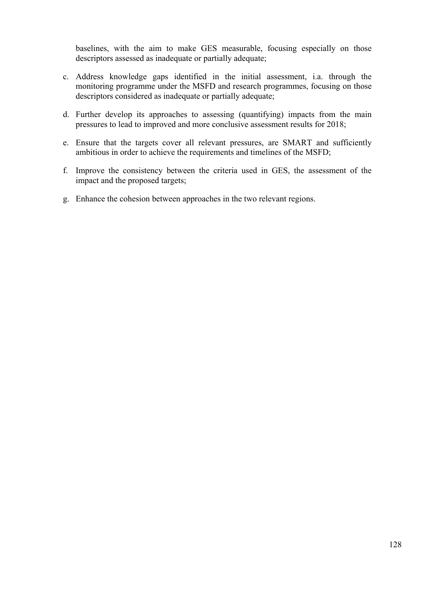baselines, with the aim to make GES measurable, focusing especially on those descriptors assessed as inadequate or partially adequate;

- c. Address knowledge gaps identified in the initial assessment, i.a. through the monitoring programme under the MSFD and research programmes, focusing on those descriptors considered as inadequate or partially adequate;
- d. Further develop its approaches to assessing (quantifying) impacts from the main pressures to lead to improved and more conclusive assessment results for 2018;
- e. Ensure that the targets cover all relevant pressures, are SMART and sufficiently ambitious in order to achieve the requirements and timelines of the MSFD;
- f. Improve the consistency between the criteria used in GES, the assessment of the impact and the proposed targets;
- g. Enhance the cohesion between approaches in the two relevant regions.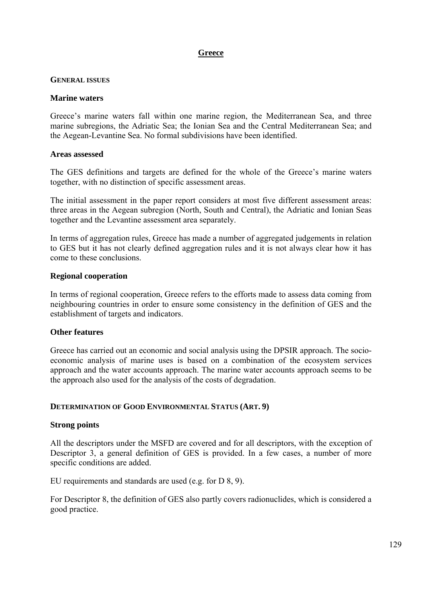# **Greece**

#### **GENERAL ISSUES**

#### **Marine waters**

Greece's marine waters fall within one marine region, the Mediterranean Sea, and three marine subregions, the Adriatic Sea; the Ionian Sea and the Central Mediterranean Sea; and the Aegean-Levantine Sea. No formal subdivisions have been identified.

#### **Areas assessed**

The GES definitions and targets are defined for the whole of the Greece's marine waters together, with no distinction of specific assessment areas.

The initial assessment in the paper report considers at most five different assessment areas: three areas in the Aegean subregion (North, South and Central), the Adriatic and Ionian Seas together and the Levantine assessment area separately.

In terms of aggregation rules, Greece has made a number of aggregated judgements in relation to GES but it has not clearly defined aggregation rules and it is not always clear how it has come to these conclusions.

#### **Regional cooperation**

In terms of regional cooperation, Greece refers to the efforts made to assess data coming from neighbouring countries in order to ensure some consistency in the definition of GES and the establishment of targets and indicators.

## **Other features**

Greece has carried out an economic and social analysis using the DPSIR approach. The socioeconomic analysis of marine uses is based on a combination of the ecosystem services approach and the water accounts approach. The marine water accounts approach seems to be the approach also used for the analysis of the costs of degradation.

## **DETERMINATION OF GOOD ENVIRONMENTAL STATUS (ART. 9)**

## **Strong points**

All the descriptors under the MSFD are covered and for all descriptors, with the exception of Descriptor 3, a general definition of GES is provided. In a few cases, a number of more specific conditions are added.

EU requirements and standards are used (e.g. for D 8, 9).

For Descriptor 8, the definition of GES also partly covers radionuclides, which is considered a good practice.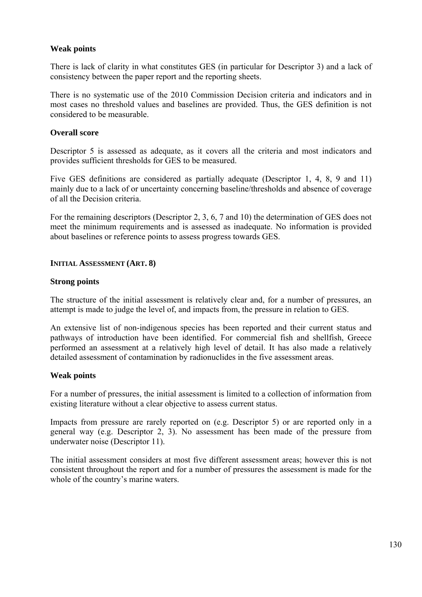## **Weak points**

There is lack of clarity in what constitutes GES (in particular for Descriptor 3) and a lack of consistency between the paper report and the reporting sheets.

There is no systematic use of the 2010 Commission Decision criteria and indicators and in most cases no threshold values and baselines are provided. Thus, the GES definition is not considered to be measurable.

## **Overall score**

Descriptor 5 is assessed as adequate, as it covers all the criteria and most indicators and provides sufficient thresholds for GES to be measured.

Five GES definitions are considered as partially adequate (Descriptor 1, 4, 8, 9 and 11) mainly due to a lack of or uncertainty concerning baseline/thresholds and absence of coverage of all the Decision criteria.

For the remaining descriptors (Descriptor 2, 3, 6, 7 and 10) the determination of GES does not meet the minimum requirements and is assessed as inadequate. No information is provided about baselines or reference points to assess progress towards GES.

## **INITIAL ASSESSMENT (ART. 8)**

## **Strong points**

The structure of the initial assessment is relatively clear and, for a number of pressures, an attempt is made to judge the level of, and impacts from, the pressure in relation to GES.

An extensive list of non-indigenous species has been reported and their current status and pathways of introduction have been identified. For commercial fish and shellfish, Greece performed an assessment at a relatively high level of detail. It has also made a relatively detailed assessment of contamination by radionuclides in the five assessment areas.

## **Weak points**

For a number of pressures, the initial assessment is limited to a collection of information from existing literature without a clear objective to assess current status.

Impacts from pressure are rarely reported on (e.g. Descriptor 5) or are reported only in a general way (e.g. Descriptor 2, 3). No assessment has been made of the pressure from underwater noise (Descriptor 11).

The initial assessment considers at most five different assessment areas; however this is not consistent throughout the report and for a number of pressures the assessment is made for the whole of the country's marine waters.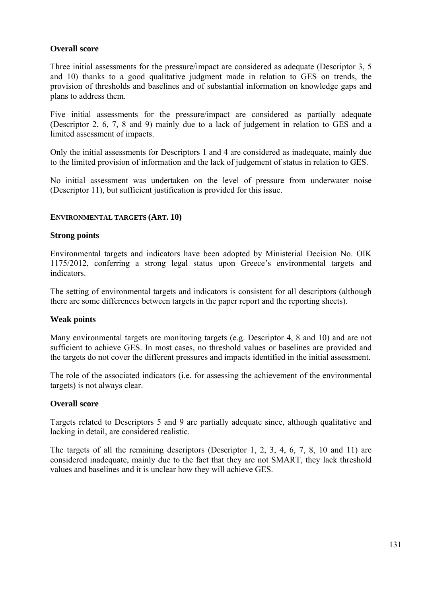# **Overall score**

Three initial assessments for the pressure/impact are considered as adequate (Descriptor 3, 5 and 10) thanks to a good qualitative judgment made in relation to GES on trends, the provision of thresholds and baselines and of substantial information on knowledge gaps and plans to address them.

Five initial assessments for the pressure/impact are considered as partially adequate (Descriptor 2, 6, 7, 8 and 9) mainly due to a lack of judgement in relation to GES and a limited assessment of impacts.

Only the initial assessments for Descriptors 1 and 4 are considered as inadequate, mainly due to the limited provision of information and the lack of judgement of status in relation to GES.

No initial assessment was undertaken on the level of pressure from underwater noise (Descriptor 11), but sufficient justification is provided for this issue.

## **ENVIRONMENTAL TARGETS (ART. 10)**

#### **Strong points**

Environmental targets and indicators have been adopted by Ministerial Decision No. OIK 1175/2012, conferring a strong legal status upon Greece's environmental targets and indicators.

The setting of environmental targets and indicators is consistent for all descriptors (although there are some differences between targets in the paper report and the reporting sheets).

## **Weak points**

Many environmental targets are monitoring targets (e.g. Descriptor 4, 8 and 10) and are not sufficient to achieve GES. In most cases, no threshold values or baselines are provided and the targets do not cover the different pressures and impacts identified in the initial assessment.

The role of the associated indicators (i.e. for assessing the achievement of the environmental targets) is not always clear.

#### **Overall score**

Targets related to Descriptors 5 and 9 are partially adequate since, although qualitative and lacking in detail, are considered realistic.

The targets of all the remaining descriptors (Descriptor 1, 2, 3, 4, 6, 7, 8, 10 and 11) are considered inadequate, mainly due to the fact that they are not SMART, they lack threshold values and baselines and it is unclear how they will achieve GES.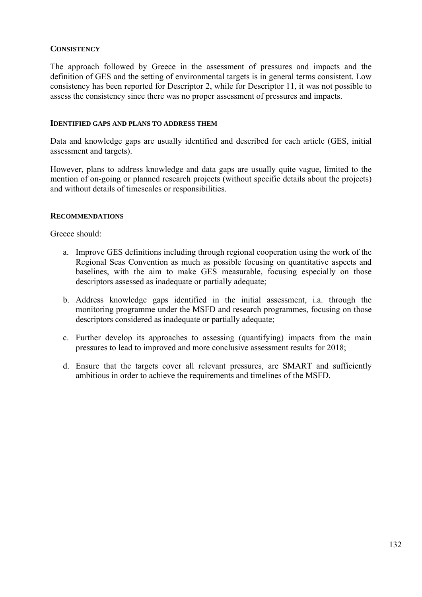## **CONSISTENCY**

The approach followed by Greece in the assessment of pressures and impacts and the definition of GES and the setting of environmental targets is in general terms consistent. Low consistency has been reported for Descriptor 2, while for Descriptor 11, it was not possible to assess the consistency since there was no proper assessment of pressures and impacts.

### **IDENTIFIED GAPS AND PLANS TO ADDRESS THEM**

Data and knowledge gaps are usually identified and described for each article (GES, initial assessment and targets).

However, plans to address knowledge and data gaps are usually quite vague, limited to the mention of on-going or planned research projects (without specific details about the projects) and without details of timescales or responsibilities.

#### **RECOMMENDATIONS**

Greece should:

- a. Improve GES definitions including through regional cooperation using the work of the Regional Seas Convention as much as possible focusing on quantitative aspects and baselines, with the aim to make GES measurable, focusing especially on those descriptors assessed as inadequate or partially adequate;
- b. Address knowledge gaps identified in the initial assessment, i.a. through the monitoring programme under the MSFD and research programmes, focusing on those descriptors considered as inadequate or partially adequate;
- c. Further develop its approaches to assessing (quantifying) impacts from the main pressures to lead to improved and more conclusive assessment results for 2018;
- d. Ensure that the targets cover all relevant pressures, are SMART and sufficiently ambitious in order to achieve the requirements and timelines of the MSFD.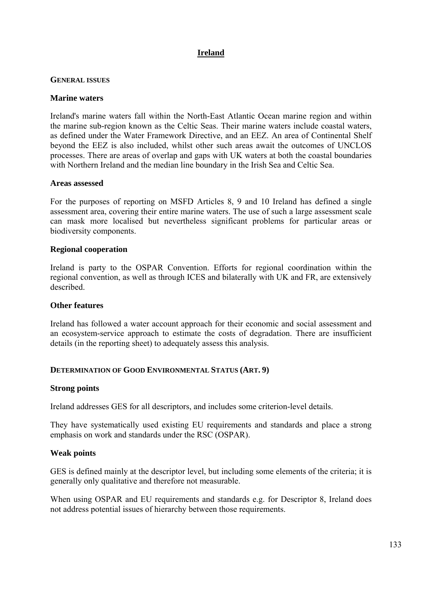# **Ireland**

## **GENERAL ISSUES**

## **Marine waters**

Ireland's marine waters fall within the North-East Atlantic Ocean marine region and within the marine sub-region known as the Celtic Seas. Their marine waters include coastal waters, as defined under the Water Framework Directive, and an EEZ. An area of Continental Shelf beyond the EEZ is also included, whilst other such areas await the outcomes of UNCLOS processes. There are areas of overlap and gaps with UK waters at both the coastal boundaries with Northern Ireland and the median line boundary in the Irish Sea and Celtic Sea.

#### **Areas assessed**

For the purposes of reporting on MSFD Articles 8, 9 and 10 Ireland has defined a single assessment area, covering their entire marine waters. The use of such a large assessment scale can mask more localised but nevertheless significant problems for particular areas or biodiversity components.

## **Regional cooperation**

Ireland is party to the OSPAR Convention. Efforts for regional coordination within the regional convention, as well as through ICES and bilaterally with UK and FR, are extensively described.

## **Other features**

Ireland has followed a water account approach for their economic and social assessment and an ecosystem-service approach to estimate the costs of degradation. There are insufficient details (in the reporting sheet) to adequately assess this analysis.

## **DETERMINATION OF GOOD ENVIRONMENTAL STATUS (ART. 9)**

## **Strong points**

Ireland addresses GES for all descriptors, and includes some criterion-level details.

They have systematically used existing EU requirements and standards and place a strong emphasis on work and standards under the RSC (OSPAR).

## **Weak points**

GES is defined mainly at the descriptor level, but including some elements of the criteria; it is generally only qualitative and therefore not measurable.

When using OSPAR and EU requirements and standards e.g. for Descriptor 8, Ireland does not address potential issues of hierarchy between those requirements.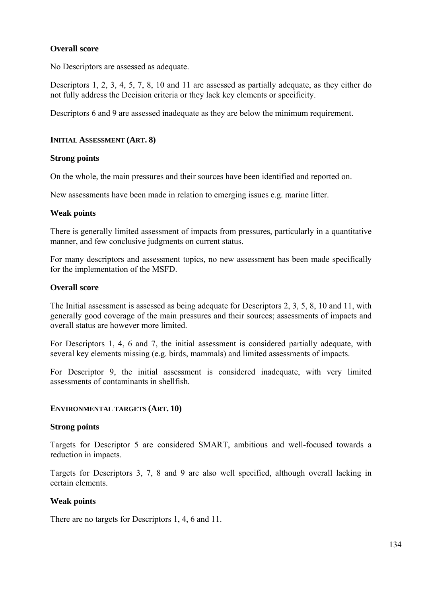## **Overall score**

No Descriptors are assessed as adequate.

Descriptors 1, 2, 3, 4, 5, 7, 8, 10 and 11 are assessed as partially adequate, as they either do not fully address the Decision criteria or they lack key elements or specificity.

Descriptors 6 and 9 are assessed inadequate as they are below the minimum requirement.

## **INITIAL ASSESSMENT (ART. 8)**

## **Strong points**

On the whole, the main pressures and their sources have been identified and reported on.

New assessments have been made in relation to emerging issues e.g. marine litter.

## **Weak points**

There is generally limited assessment of impacts from pressures, particularly in a quantitative manner, and few conclusive judgments on current status.

For many descriptors and assessment topics, no new assessment has been made specifically for the implementation of the MSFD.

## **Overall score**

The Initial assessment is assessed as being adequate for Descriptors 2, 3, 5, 8, 10 and 11, with generally good coverage of the main pressures and their sources; assessments of impacts and overall status are however more limited.

For Descriptors 1, 4, 6 and 7, the initial assessment is considered partially adequate, with several key elements missing (e.g. birds, mammals) and limited assessments of impacts.

For Descriptor 9, the initial assessment is considered inadequate, with very limited assessments of contaminants in shellfish.

## **ENVIRONMENTAL TARGETS (ART. 10)**

## **Strong points**

Targets for Descriptor 5 are considered SMART, ambitious and well-focused towards a reduction in impacts.

Targets for Descriptors 3, 7, 8 and 9 are also well specified, although overall lacking in certain elements.

## **Weak points**

There are no targets for Descriptors 1, 4, 6 and 11.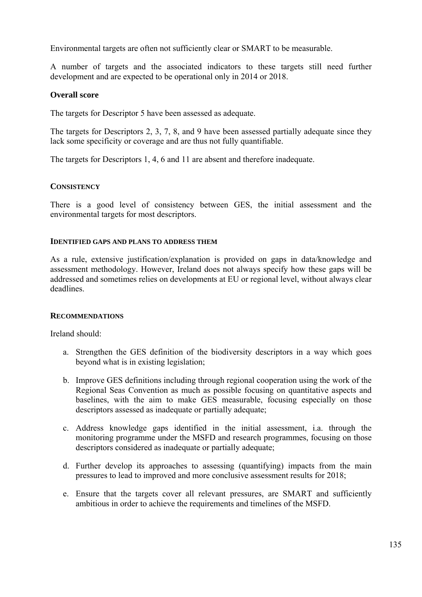Environmental targets are often not sufficiently clear or SMART to be measurable.

A number of targets and the associated indicators to these targets still need further development and are expected to be operational only in 2014 or 2018.

# **Overall score**

The targets for Descriptor 5 have been assessed as adequate.

The targets for Descriptors 2, 3, 7, 8, and 9 have been assessed partially adequate since they lack some specificity or coverage and are thus not fully quantifiable.

The targets for Descriptors 1, 4, 6 and 11 are absent and therefore inadequate.

## **CONSISTENCY**

There is a good level of consistency between GES, the initial assessment and the environmental targets for most descriptors.

## **IDENTIFIED GAPS AND PLANS TO ADDRESS THEM**

As a rule, extensive justification/explanation is provided on gaps in data/knowledge and assessment methodology. However, Ireland does not always specify how these gaps will be addressed and sometimes relies on developments at EU or regional level, without always clear deadlines.

## **RECOMMENDATIONS**

Ireland should:

- a. Strengthen the GES definition of the biodiversity descriptors in a way which goes beyond what is in existing legislation;
- b. Improve GES definitions including through regional cooperation using the work of the Regional Seas Convention as much as possible focusing on quantitative aspects and baselines, with the aim to make GES measurable, focusing especially on those descriptors assessed as inadequate or partially adequate;
- c. Address knowledge gaps identified in the initial assessment, i.a. through the monitoring programme under the MSFD and research programmes, focusing on those descriptors considered as inadequate or partially adequate;
- d. Further develop its approaches to assessing (quantifying) impacts from the main pressures to lead to improved and more conclusive assessment results for 2018;
- e. Ensure that the targets cover all relevant pressures, are SMART and sufficiently ambitious in order to achieve the requirements and timelines of the MSFD.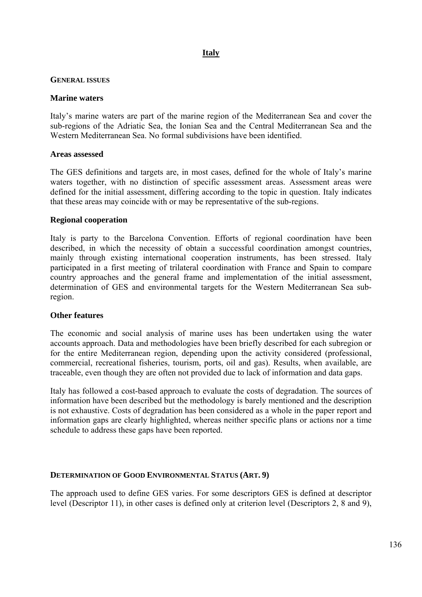# **Italy**

## **GENERAL ISSUES**

## **Marine waters**

Italy's marine waters are part of the marine region of the Mediterranean Sea and cover the sub-regions of the Adriatic Sea, the Ionian Sea and the Central Mediterranean Sea and the Western Mediterranean Sea. No formal subdivisions have been identified.

## **Areas assessed**

The GES definitions and targets are, in most cases, defined for the whole of Italy's marine waters together, with no distinction of specific assessment areas. Assessment areas were defined for the initial assessment, differing according to the topic in question. Italy indicates that these areas may coincide with or may be representative of the sub-regions.

## **Regional cooperation**

Italy is party to the Barcelona Convention. Efforts of regional coordination have been described, in which the necessity of obtain a successful coordination amongst countries, mainly through existing international cooperation instruments, has been stressed. Italy participated in a first meeting of trilateral coordination with France and Spain to compare country approaches and the general frame and implementation of the initial assessment, determination of GES and environmental targets for the Western Mediterranean Sea subregion.

## **Other features**

The economic and social analysis of marine uses has been undertaken using the water accounts approach. Data and methodologies have been briefly described for each subregion or for the entire Mediterranean region, depending upon the activity considered (professional, commercial, recreational fisheries, tourism, ports, oil and gas). Results, when available, are traceable, even though they are often not provided due to lack of information and data gaps.

Italy has followed a cost-based approach to evaluate the costs of degradation. The sources of information have been described but the methodology is barely mentioned and the description is not exhaustive. Costs of degradation has been considered as a whole in the paper report and information gaps are clearly highlighted, whereas neither specific plans or actions nor a time schedule to address these gaps have been reported.

## **DETERMINATION OF GOOD ENVIRONMENTAL STATUS (ART. 9)**

The approach used to define GES varies. For some descriptors GES is defined at descriptor level (Descriptor 11), in other cases is defined only at criterion level (Descriptors 2, 8 and 9),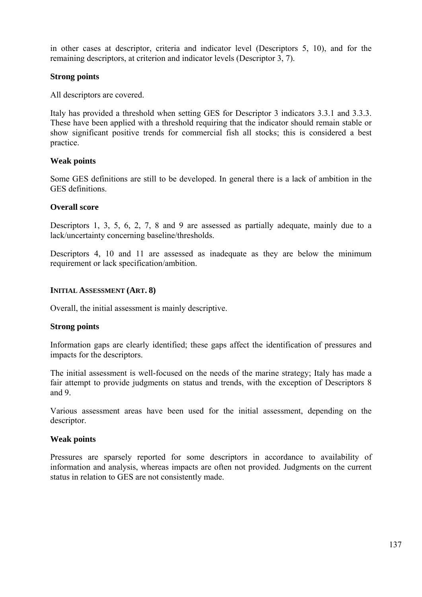in other cases at descriptor, criteria and indicator level (Descriptors 5, 10), and for the remaining descriptors, at criterion and indicator levels (Descriptor 3, 7).

# **Strong points**

All descriptors are covered.

Italy has provided a threshold when setting GES for Descriptor 3 indicators 3.3.1 and 3.3.3. These have been applied with a threshold requiring that the indicator should remain stable or show significant positive trends for commercial fish all stocks; this is considered a best practice.

## **Weak points**

Some GES definitions are still to be developed. In general there is a lack of ambition in the GES definitions.

## **Overall score**

Descriptors 1, 3, 5, 6, 2, 7, 8 and 9 are assessed as partially adequate, mainly due to a lack/uncertainty concerning baseline/thresholds.

Descriptors 4, 10 and 11 are assessed as inadequate as they are below the minimum requirement or lack specification/ambition.

## **INITIAL ASSESSMENT (ART. 8)**

Overall, the initial assessment is mainly descriptive.

## **Strong points**

Information gaps are clearly identified; these gaps affect the identification of pressures and impacts for the descriptors.

The initial assessment is well-focused on the needs of the marine strategy; Italy has made a fair attempt to provide judgments on status and trends, with the exception of Descriptors 8 and 9.

Various assessment areas have been used for the initial assessment, depending on the descriptor.

## **Weak points**

Pressures are sparsely reported for some descriptors in accordance to availability of information and analysis, whereas impacts are often not provided. Judgments on the current status in relation to GES are not consistently made.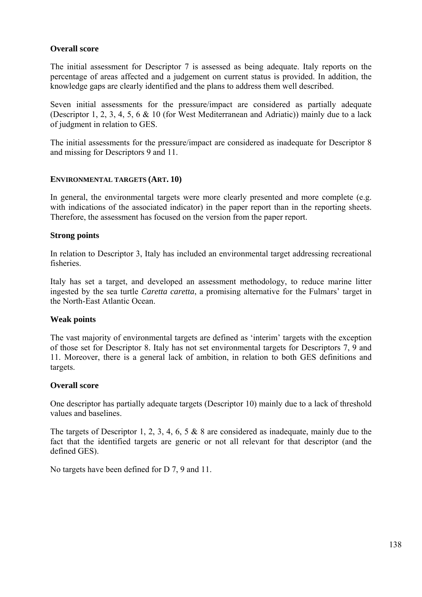# **Overall score**

The initial assessment for Descriptor 7 is assessed as being adequate. Italy reports on the percentage of areas affected and a judgement on current status is provided. In addition, the knowledge gaps are clearly identified and the plans to address them well described.

Seven initial assessments for the pressure/impact are considered as partially adequate (Descriptor 1, 2, 3, 4, 5, 6 & 10 (for West Mediterranean and Adriatic)) mainly due to a lack of judgment in relation to GES.

The initial assessments for the pressure/impact are considered as inadequate for Descriptor 8 and missing for Descriptors 9 and 11.

## **ENVIRONMENTAL TARGETS (ART. 10)**

In general, the environmental targets were more clearly presented and more complete (e.g. with indications of the associated indicator) in the paper report than in the reporting sheets. Therefore, the assessment has focused on the version from the paper report.

## **Strong points**

In relation to Descriptor 3, Italy has included an environmental target addressing recreational fisheries.

Italy has set a target, and developed an assessment methodology, to reduce marine litter ingested by the sea turtle *Caretta caretta*, a promising alternative for the Fulmars' target in the North-East Atlantic Ocean.

## **Weak points**

The vast majority of environmental targets are defined as 'interim' targets with the exception of those set for Descriptor 8. Italy has not set environmental targets for Descriptors 7, 9 and 11. Moreover, there is a general lack of ambition, in relation to both GES definitions and targets.

## **Overall score**

One descriptor has partially adequate targets (Descriptor 10) mainly due to a lack of threshold values and baselines.

The targets of Descriptor 1, 2, 3, 4, 6, 5 & 8 are considered as inadequate, mainly due to the fact that the identified targets are generic or not all relevant for that descriptor (and the defined GES).

No targets have been defined for D 7, 9 and 11.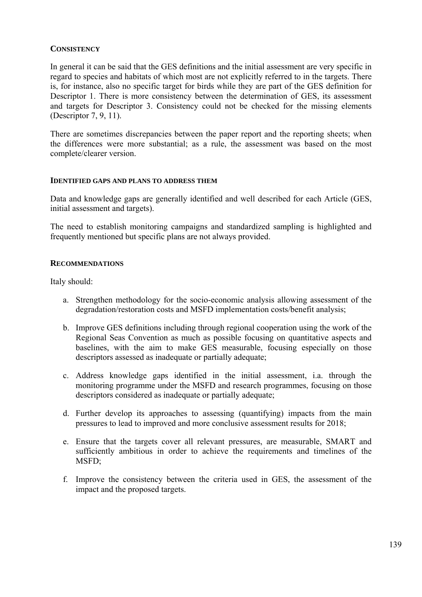## **CONSISTENCY**

In general it can be said that the GES definitions and the initial assessment are very specific in regard to species and habitats of which most are not explicitly referred to in the targets. There is, for instance, also no specific target for birds while they are part of the GES definition for Descriptor 1. There is more consistency between the determination of GES, its assessment and targets for Descriptor 3. Consistency could not be checked for the missing elements (Descriptor 7, 9, 11).

There are sometimes discrepancies between the paper report and the reporting sheets; when the differences were more substantial; as a rule, the assessment was based on the most complete/clearer version.

#### **IDENTIFIED GAPS AND PLANS TO ADDRESS THEM**

Data and knowledge gaps are generally identified and well described for each Article (GES, initial assessment and targets).

The need to establish monitoring campaigns and standardized sampling is highlighted and frequently mentioned but specific plans are not always provided.

## **RECOMMENDATIONS**

Italy should:

- a. Strengthen methodology for the socio-economic analysis allowing assessment of the degradation/restoration costs and MSFD implementation costs/benefit analysis;
- b. Improve GES definitions including through regional cooperation using the work of the Regional Seas Convention as much as possible focusing on quantitative aspects and baselines, with the aim to make GES measurable, focusing especially on those descriptors assessed as inadequate or partially adequate;
- c. Address knowledge gaps identified in the initial assessment, i.a. through the monitoring programme under the MSFD and research programmes, focusing on those descriptors considered as inadequate or partially adequate;
- d. Further develop its approaches to assessing (quantifying) impacts from the main pressures to lead to improved and more conclusive assessment results for 2018;
- e. Ensure that the targets cover all relevant pressures, are measurable, SMART and sufficiently ambitious in order to achieve the requirements and timelines of the MSFD;
- f. Improve the consistency between the criteria used in GES, the assessment of the impact and the proposed targets.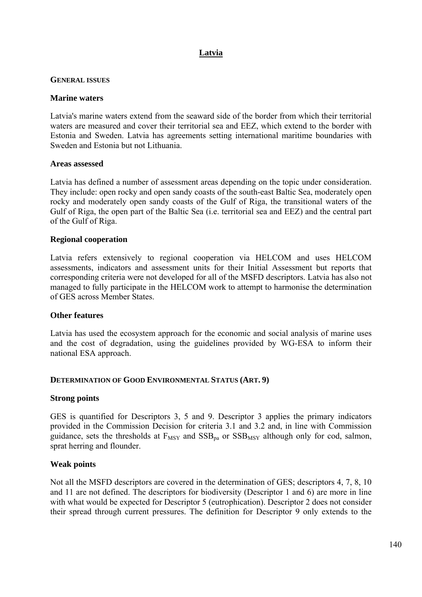# **Latvia**

## **GENERAL ISSUES**

## **Marine waters**

Latvia's marine waters extend from the seaward side of the border from which their territorial waters are measured and cover their territorial sea and EEZ, which extend to the border with Estonia and Sweden. Latvia has agreements setting international maritime boundaries with Sweden and Estonia but not Lithuania.

## **Areas assessed**

Latvia has defined a number of assessment areas depending on the topic under consideration. They include: open rocky and open sandy coasts of the south-east Baltic Sea, moderately open rocky and moderately open sandy coasts of the Gulf of Riga, the transitional waters of the Gulf of Riga, the open part of the Baltic Sea (i.e. territorial sea and EEZ) and the central part of the Gulf of Riga.

## **Regional cooperation**

Latvia refers extensively to regional cooperation via HELCOM and uses HELCOM assessments, indicators and assessment units for their Initial Assessment but reports that corresponding criteria were not developed for all of the MSFD descriptors. Latvia has also not managed to fully participate in the HELCOM work to attempt to harmonise the determination of GES across Member States.

## **Other features**

Latvia has used the ecosystem approach for the economic and social analysis of marine uses and the cost of degradation, using the guidelines provided by WG-ESA to inform their national ESA approach.

## **DETERMINATION OF GOOD ENVIRONMENTAL STATUS (ART. 9)**

## **Strong points**

GES is quantified for Descriptors 3, 5 and 9. Descriptor 3 applies the primary indicators provided in the Commission Decision for criteria 3.1 and 3.2 and, in line with Commission guidance, sets the thresholds at  $F_{MSY}$  and  $SSB_{pa}$  or  $SSB_{MSY}$  although only for cod, salmon, sprat herring and flounder.

# **Weak points**

Not all the MSFD descriptors are covered in the determination of GES; descriptors 4, 7, 8, 10 and 11 are not defined. The descriptors for biodiversity (Descriptor 1 and 6) are more in line with what would be expected for Descriptor 5 (eutrophication). Descriptor 2 does not consider their spread through current pressures. The definition for Descriptor 9 only extends to the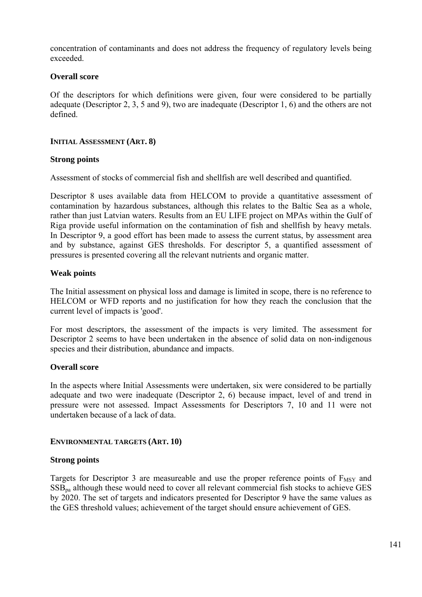concentration of contaminants and does not address the frequency of regulatory levels being exceeded.

# **Overall score**

Of the descriptors for which definitions were given, four were considered to be partially adequate (Descriptor 2, 3, 5 and 9), two are inadequate (Descriptor 1, 6) and the others are not defined.

# **INITIAL ASSESSMENT (ART. 8)**

# **Strong points**

Assessment of stocks of commercial fish and shellfish are well described and quantified.

Descriptor 8 uses available data from HELCOM to provide a quantitative assessment of contamination by hazardous substances, although this relates to the Baltic Sea as a whole, rather than just Latvian waters. Results from an EU LIFE project on MPAs within the Gulf of Riga provide useful information on the contamination of fish and shellfish by heavy metals. In Descriptor 9, a good effort has been made to assess the current status, by assessment area and by substance, against GES thresholds. For descriptor 5, a quantified assessment of pressures is presented covering all the relevant nutrients and organic matter.

# **Weak points**

The Initial assessment on physical loss and damage is limited in scope, there is no reference to HELCOM or WFD reports and no justification for how they reach the conclusion that the current level of impacts is 'good'.

For most descriptors, the assessment of the impacts is very limited. The assessment for Descriptor 2 seems to have been undertaken in the absence of solid data on non-indigenous species and their distribution, abundance and impacts.

# **Overall score**

In the aspects where Initial Assessments were undertaken, six were considered to be partially adequate and two were inadequate (Descriptor 2, 6) because impact, level of and trend in pressure were not assessed. Impact Assessments for Descriptors 7, 10 and 11 were not undertaken because of a lack of data.

# **ENVIRONMENTAL TARGETS (ART. 10)**

# **Strong points**

Targets for Descriptor 3 are measureable and use the proper reference points of  $F_{MSY}$  and  $SSB<sub>na</sub>$  although these would need to cover all relevant commercial fish stocks to achieve GES by 2020. The set of targets and indicators presented for Descriptor 9 have the same values as the GES threshold values; achievement of the target should ensure achievement of GES.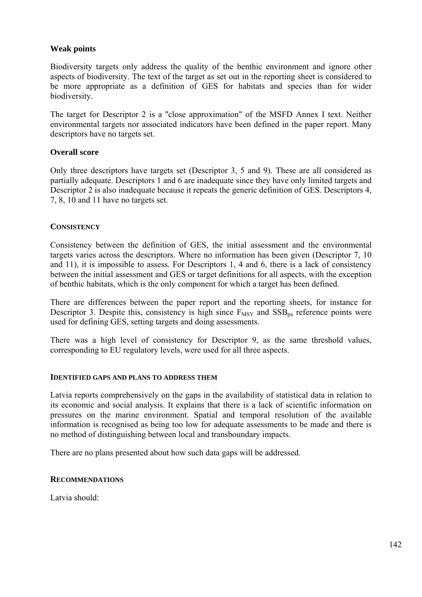## **Weak points**

Biodiversity targets only address the quality of the benthic environment and ignore other aspects of biodiversity. The text of the target as set out in the reporting sheet is considered to be more appropriate as a definition of GES for habitats and species than for wider biodiversity.

The target for Descriptor 2 is a ''close approximation" of the MSFD Annex I text. Neither environmental targets nor associated indicators have been defined in the paper report. Many descriptors have no targets set.

## **Overall score**

Only three descriptors have targets set (Descriptor 3, 5 and 9). These are all considered as partially adequate. Descriptors 1 and 6 are inadequate since they have only limited targets and Descriptor 2 is also inadequate because it repeats the generic definition of GES. Descriptors 4, 7, 8, 10 and 11 have no targets set.

## **CONSISTENCY**

Consistency between the definition of GES, the initial assessment and the environmental targets varies across the descriptors. Where no information has been given (Descriptor 7, 10 and 11), it is impossible to assess. For Descriptors 1, 4 and 6, there is a lack of consistency between the initial assessment and GES or target definitions for all aspects, with the exception of benthic habitats, which is the only component for which a target has been defined.

There are differences between the paper report and the reporting sheets, for instance for Descriptor 3. Despite this, consistency is high since  $F_{MSY}$  and  $SSB_{na}$  reference points were used for defining GES, setting targets and doing assessments.

There was a high level of consistency for Descriptor 9, as the same threshold values, corresponding to EU regulatory levels, were used for all three aspects.

## **IDENTIFIED GAPS AND PLANS TO ADDRESS THEM**

Latvia reports comprehensively on the gaps in the availability of statistical data in relation to its economic and social analysis. It explains that there is a lack of scientific information on pressures on the marine environment. Spatial and temporal resolution of the available information is recognised as being too low for adequate assessments to be made and there is no method of distinguishing between local and transboundary impacts.

There are no plans presented about how such data gaps will be addressed.

## **RECOMMENDATIONS**

Latvia should: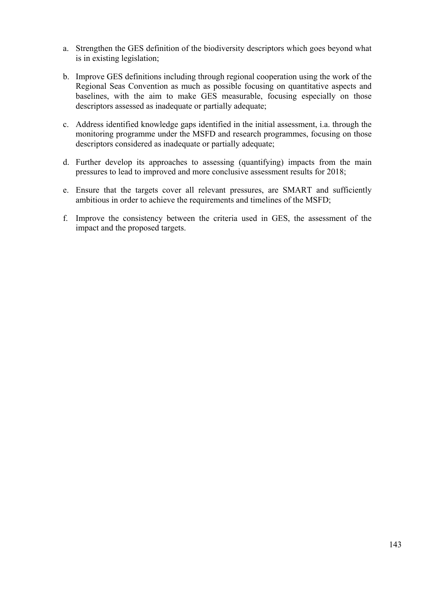- a. Strengthen the GES definition of the biodiversity descriptors which goes beyond what is in existing legislation;
- b. Improve GES definitions including through regional cooperation using the work of the Regional Seas Convention as much as possible focusing on quantitative aspects and baselines, with the aim to make GES measurable, focusing especially on those descriptors assessed as inadequate or partially adequate;
- c. Address identified knowledge gaps identified in the initial assessment, i.a. through the monitoring programme under the MSFD and research programmes, focusing on those descriptors considered as inadequate or partially adequate;
- d. Further develop its approaches to assessing (quantifying) impacts from the main pressures to lead to improved and more conclusive assessment results for 2018;
- e. Ensure that the targets cover all relevant pressures, are SMART and sufficiently ambitious in order to achieve the requirements and timelines of the MSFD;
- f. Improve the consistency between the criteria used in GES, the assessment of the impact and the proposed targets.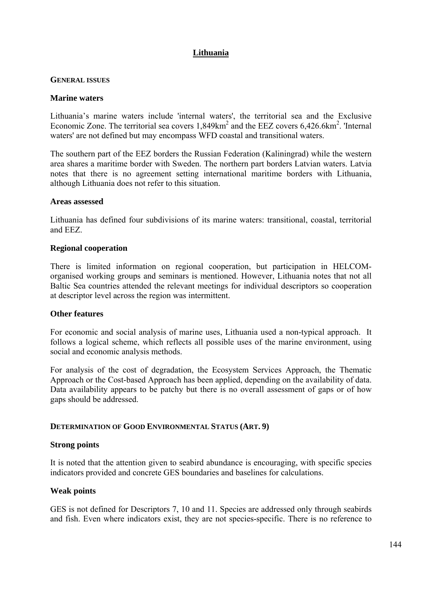# **Lithuania**

## **GENERAL ISSUES**

## **Marine waters**

Lithuania's marine waters include 'internal waters', the territorial sea and the Exclusive Economic Zone. The territorial sea covers  $1,849 \text{km}^2$  and the EEZ covers  $6,426.6 \text{km}^2$ . 'Internal waters' are not defined but may encompass WFD coastal and transitional waters.

The southern part of the EEZ borders the Russian Federation (Kaliningrad) while the western area shares a maritime border with Sweden. The northern part borders Latvian waters. Latvia notes that there is no agreement setting international maritime borders with Lithuania, although Lithuania does not refer to this situation.

## **Areas assessed**

Lithuania has defined four subdivisions of its marine waters: transitional, coastal, territorial and EEZ.

## **Regional cooperation**

There is limited information on regional cooperation, but participation in HELCOMorganised working groups and seminars is mentioned. However, Lithuania notes that not all Baltic Sea countries attended the relevant meetings for individual descriptors so cooperation at descriptor level across the region was intermittent.

## **Other features**

For economic and social analysis of marine uses, Lithuania used a non-typical approach. It follows a logical scheme, which reflects all possible uses of the marine environment, using social and economic analysis methods.

For analysis of the cost of degradation, the Ecosystem Services Approach, the Thematic Approach or the Cost-based Approach has been applied, depending on the availability of data. Data availability appears to be patchy but there is no overall assessment of gaps or of how gaps should be addressed.

## **DETERMINATION OF GOOD ENVIRONMENTAL STATUS (ART. 9)**

## **Strong points**

It is noted that the attention given to seabird abundance is encouraging, with specific species indicators provided and concrete GES boundaries and baselines for calculations.

## **Weak points**

GES is not defined for Descriptors 7, 10 and 11. Species are addressed only through seabirds and fish. Even where indicators exist, they are not species-specific. There is no reference to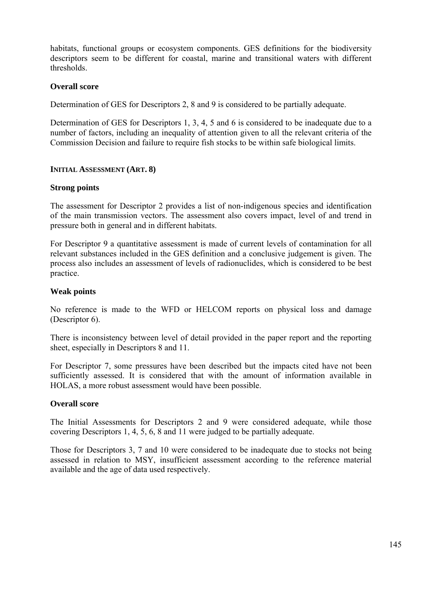habitats, functional groups or ecosystem components. GES definitions for the biodiversity descriptors seem to be different for coastal, marine and transitional waters with different thresholds.

# **Overall score**

Determination of GES for Descriptors 2, 8 and 9 is considered to be partially adequate.

Determination of GES for Descriptors 1, 3, 4, 5 and 6 is considered to be inadequate due to a number of factors, including an inequality of attention given to all the relevant criteria of the Commission Decision and failure to require fish stocks to be within safe biological limits.

# **INITIAL ASSESSMENT (ART. 8)**

# **Strong points**

The assessment for Descriptor 2 provides a list of non-indigenous species and identification of the main transmission vectors. The assessment also covers impact, level of and trend in pressure both in general and in different habitats.

For Descriptor 9 a quantitative assessment is made of current levels of contamination for all relevant substances included in the GES definition and a conclusive judgement is given. The process also includes an assessment of levels of radionuclides, which is considered to be best practice.

# **Weak points**

No reference is made to the WFD or HELCOM reports on physical loss and damage (Descriptor 6).

There is inconsistency between level of detail provided in the paper report and the reporting sheet, especially in Descriptors 8 and 11.

For Descriptor 7, some pressures have been described but the impacts cited have not been sufficiently assessed. It is considered that with the amount of information available in HOLAS, a more robust assessment would have been possible.

# **Overall score**

The Initial Assessments for Descriptors 2 and 9 were considered adequate, while those covering Descriptors 1, 4, 5, 6, 8 and 11 were judged to be partially adequate.

Those for Descriptors 3, 7 and 10 were considered to be inadequate due to stocks not being assessed in relation to MSY, insufficient assessment according to the reference material available and the age of data used respectively.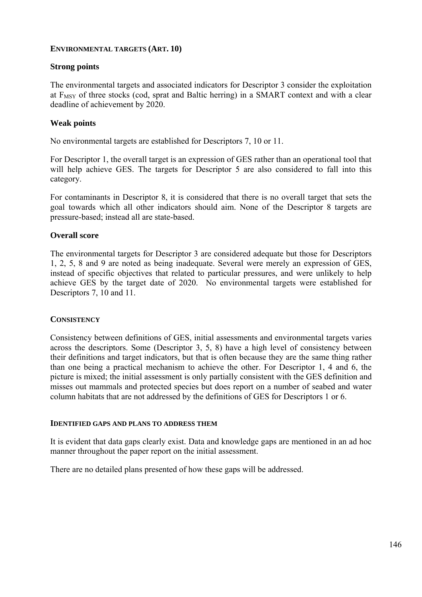# **ENVIRONMENTAL TARGETS (ART. 10)**

# **Strong points**

The environmental targets and associated indicators for Descriptor 3 consider the exploitation at  $F_{MSY}$  of three stocks (cod, sprat and Baltic herring) in a SMART context and with a clear deadline of achievement by 2020.

# **Weak points**

No environmental targets are established for Descriptors 7, 10 or 11.

For Descriptor 1, the overall target is an expression of GES rather than an operational tool that will help achieve GES. The targets for Descriptor 5 are also considered to fall into this category.

For contaminants in Descriptor 8, it is considered that there is no overall target that sets the goal towards which all other indicators should aim. None of the Descriptor 8 targets are pressure-based; instead all are state-based.

# **Overall score**

The environmental targets for Descriptor 3 are considered adequate but those for Descriptors 1, 2, 5, 8 and 9 are noted as being inadequate. Several were merely an expression of GES, instead of specific objectives that related to particular pressures, and were unlikely to help achieve GES by the target date of 2020. No environmental targets were established for Descriptors 7, 10 and 11.

# **CONSISTENCY**

Consistency between definitions of GES, initial assessments and environmental targets varies across the descriptors. Some (Descriptor 3, 5, 8) have a high level of consistency between their definitions and target indicators, but that is often because they are the same thing rather than one being a practical mechanism to achieve the other. For Descriptor 1, 4 and 6, the picture is mixed; the initial assessment is only partially consistent with the GES definition and misses out mammals and protected species but does report on a number of seabed and water column habitats that are not addressed by the definitions of GES for Descriptors 1 or 6.

# **IDENTIFIED GAPS AND PLANS TO ADDRESS THEM**

It is evident that data gaps clearly exist. Data and knowledge gaps are mentioned in an ad hoc manner throughout the paper report on the initial assessment.

There are no detailed plans presented of how these gaps will be addressed.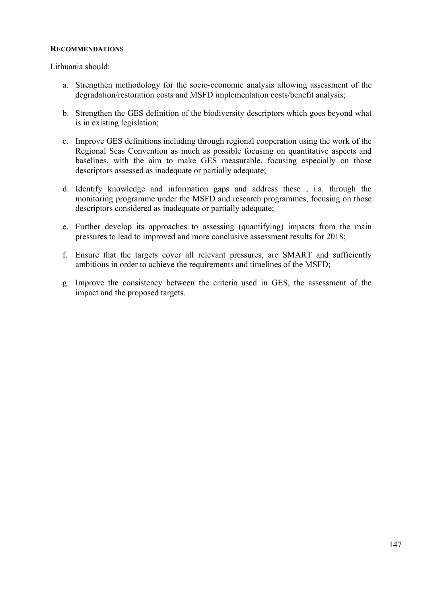# **RECOMMENDATIONS**

Lithuania should:

- a. Strengthen methodology for the socio-economic analysis allowing assessment of the degradation/restoration costs and MSFD implementation costs/benefit analysis;
- b. Strengthen the GES definition of the biodiversity descriptors which goes beyond what is in existing legislation;
- c. Improve GES definitions including through regional cooperation using the work of the Regional Seas Convention as much as possible focusing on quantitative aspects and baselines, with the aim to make GES measurable, focusing especially on those descriptors assessed as inadequate or partially adequate;
- d. Identify knowledge and information gaps and address these , i.a. through the monitoring programme under the MSFD and research programmes, focusing on those descriptors considered as inadequate or partially adequate;
- e. Further develop its approaches to assessing (quantifying) impacts from the main pressures to lead to improved and more conclusive assessment results for 2018;
- f. Ensure that the targets cover all relevant pressures, are SMART and sufficiently ambitious in order to achieve the requirements and timelines of the MSFD;
- g. Improve the consistency between the criteria used in GES, the assessment of the impact and the proposed targets.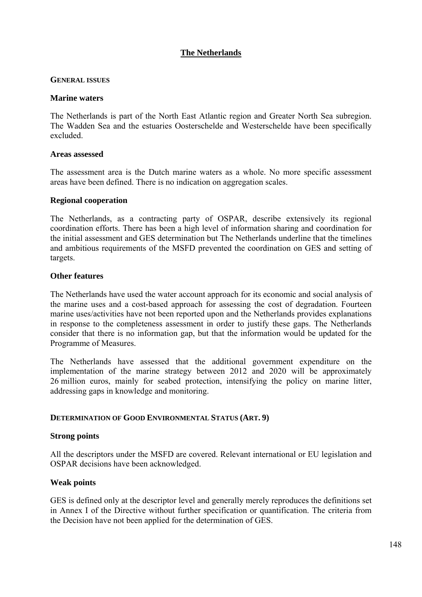# **The Netherlands**

#### **GENERAL ISSUES**

#### **Marine waters**

The Netherlands is part of the North East Atlantic region and Greater North Sea subregion. The Wadden Sea and the estuaries Oosterschelde and Westerschelde have been specifically excluded.

#### **Areas assessed**

The assessment area is the Dutch marine waters as a whole. No more specific assessment areas have been defined. There is no indication on aggregation scales.

#### **Regional cooperation**

The Netherlands, as a contracting party of OSPAR, describe extensively its regional coordination efforts. There has been a high level of information sharing and coordination for the initial assessment and GES determination but The Netherlands underline that the timelines and ambitious requirements of the MSFD prevented the coordination on GES and setting of targets.

#### **Other features**

The Netherlands have used the water account approach for its economic and social analysis of the marine uses and a cost-based approach for assessing the cost of degradation. Fourteen marine uses/activities have not been reported upon and the Netherlands provides explanations in response to the completeness assessment in order to justify these gaps. The Netherlands consider that there is no information gap, but that the information would be updated for the Programme of Measures.

The Netherlands have assessed that the additional government expenditure on the implementation of the marine strategy between 2012 and 2020 will be approximately 26 million euros, mainly for seabed protection, intensifying the policy on marine litter, addressing gaps in knowledge and monitoring.

# **DETERMINATION OF GOOD ENVIRONMENTAL STATUS (ART. 9)**

# **Strong points**

All the descriptors under the MSFD are covered. Relevant international or EU legislation and OSPAR decisions have been acknowledged.

# **Weak points**

GES is defined only at the descriptor level and generally merely reproduces the definitions set in Annex I of the Directive without further specification or quantification. The criteria from the Decision have not been applied for the determination of GES.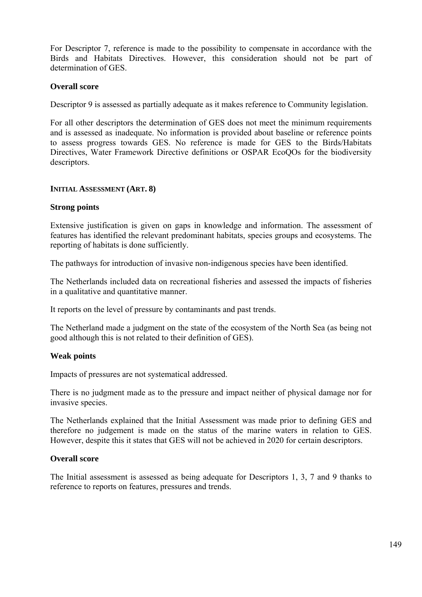For Descriptor 7, reference is made to the possibility to compensate in accordance with the Birds and Habitats Directives. However, this consideration should not be part of determination of GES

# **Overall score**

Descriptor 9 is assessed as partially adequate as it makes reference to Community legislation.

For all other descriptors the determination of GES does not meet the minimum requirements and is assessed as inadequate. No information is provided about baseline or reference points to assess progress towards GES. No reference is made for GES to the Birds/Habitats Directives, Water Framework Directive definitions or OSPAR EcoQOs for the biodiversity descriptors.

# **INITIAL ASSESSMENT (ART. 8)**

# **Strong points**

Extensive justification is given on gaps in knowledge and information. The assessment of features has identified the relevant predominant habitats, species groups and ecosystems. The reporting of habitats is done sufficiently.

The pathways for introduction of invasive non-indigenous species have been identified.

The Netherlands included data on recreational fisheries and assessed the impacts of fisheries in a qualitative and quantitative manner.

It reports on the level of pressure by contaminants and past trends.

The Netherland made a judgment on the state of the ecosystem of the North Sea (as being not good although this is not related to their definition of GES).

# **Weak points**

Impacts of pressures are not systematical addressed.

There is no judgment made as to the pressure and impact neither of physical damage nor for invasive species.

The Netherlands explained that the Initial Assessment was made prior to defining GES and therefore no judgement is made on the status of the marine waters in relation to GES. However, despite this it states that GES will not be achieved in 2020 for certain descriptors.

# **Overall score**

The Initial assessment is assessed as being adequate for Descriptors 1, 3, 7 and 9 thanks to reference to reports on features, pressures and trends.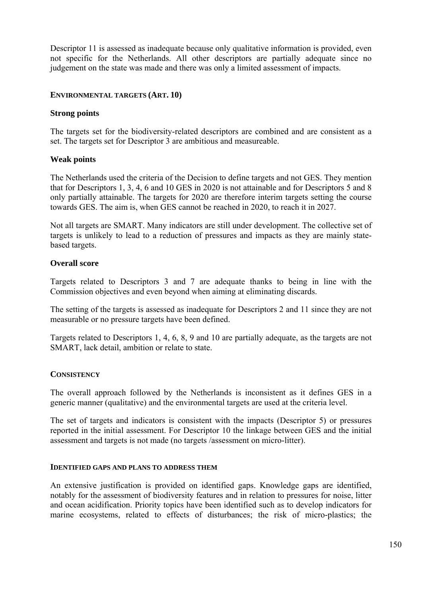Descriptor 11 is assessed as inadequate because only qualitative information is provided, even not specific for the Netherlands. All other descriptors are partially adequate since no judgement on the state was made and there was only a limited assessment of impacts.

# **ENVIRONMENTAL TARGETS (ART. 10)**

#### **Strong points**

The targets set for the biodiversity-related descriptors are combined and are consistent as a set. The targets set for Descriptor 3 are ambitious and measureable.

#### **Weak points**

The Netherlands used the criteria of the Decision to define targets and not GES. They mention that for Descriptors 1, 3, 4, 6 and 10 GES in 2020 is not attainable and for Descriptors 5 and 8 only partially attainable. The targets for 2020 are therefore interim targets setting the course towards GES. The aim is, when GES cannot be reached in 2020, to reach it in 2027.

Not all targets are SMART. Many indicators are still under development. The collective set of targets is unlikely to lead to a reduction of pressures and impacts as they are mainly statebased targets.

# **Overall score**

Targets related to Descriptors 3 and 7 are adequate thanks to being in line with the Commission objectives and even beyond when aiming at eliminating discards.

The setting of the targets is assessed as inadequate for Descriptors 2 and 11 since they are not measurable or no pressure targets have been defined.

Targets related to Descriptors 1, 4, 6, 8, 9 and 10 are partially adequate, as the targets are not SMART, lack detail, ambition or relate to state.

# **CONSISTENCY**

The overall approach followed by the Netherlands is inconsistent as it defines GES in a generic manner (qualitative) and the environmental targets are used at the criteria level.

The set of targets and indicators is consistent with the impacts (Descriptor 5) or pressures reported in the initial assessment. For Descriptor 10 the linkage between GES and the initial assessment and targets is not made (no targets /assessment on micro-litter).

#### **IDENTIFIED GAPS AND PLANS TO ADDRESS THEM**

An extensive justification is provided on identified gaps. Knowledge gaps are identified, notably for the assessment of biodiversity features and in relation to pressures for noise, litter and ocean acidification. Priority topics have been identified such as to develop indicators for marine ecosystems, related to effects of disturbances; the risk of micro-plastics; the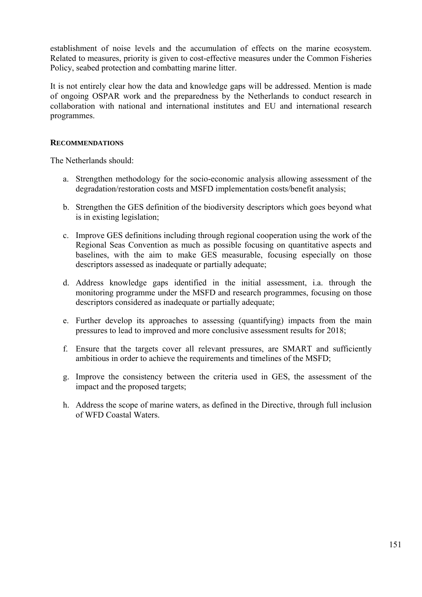establishment of noise levels and the accumulation of effects on the marine ecosystem. Related to measures, priority is given to cost-effective measures under the Common Fisheries Policy, seabed protection and combatting marine litter.

It is not entirely clear how the data and knowledge gaps will be addressed. Mention is made of ongoing OSPAR work and the preparedness by the Netherlands to conduct research in collaboration with national and international institutes and EU and international research programmes.

# **RECOMMENDATIONS**

The Netherlands should:

- a. Strengthen methodology for the socio-economic analysis allowing assessment of the degradation/restoration costs and MSFD implementation costs/benefit analysis;
- b. Strengthen the GES definition of the biodiversity descriptors which goes beyond what is in existing legislation;
- c. Improve GES definitions including through regional cooperation using the work of the Regional Seas Convention as much as possible focusing on quantitative aspects and baselines, with the aim to make GES measurable, focusing especially on those descriptors assessed as inadequate or partially adequate;
- d. Address knowledge gaps identified in the initial assessment, i.a. through the monitoring programme under the MSFD and research programmes, focusing on those descriptors considered as inadequate or partially adequate;
- e. Further develop its approaches to assessing (quantifying) impacts from the main pressures to lead to improved and more conclusive assessment results for 2018;
- f. Ensure that the targets cover all relevant pressures, are SMART and sufficiently ambitious in order to achieve the requirements and timelines of the MSFD;
- g. Improve the consistency between the criteria used in GES, the assessment of the impact and the proposed targets;
- h. Address the scope of marine waters, as defined in the Directive, through full inclusion of WFD Coastal Waters.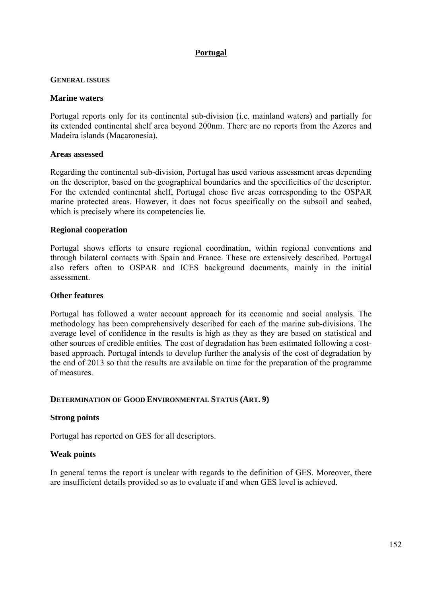# **Portugal**

# **GENERAL ISSUES**

# **Marine waters**

Portugal reports only for its continental sub-division (i.e. mainland waters) and partially for its extended continental shelf area beyond 200nm. There are no reports from the Azores and Madeira islands (Macaronesia).

# **Areas assessed**

Regarding the continental sub-division, Portugal has used various assessment areas depending on the descriptor, based on the geographical boundaries and the specificities of the descriptor. For the extended continental shelf, Portugal chose five areas corresponding to the OSPAR marine protected areas. However, it does not focus specifically on the subsoil and seabed, which is precisely where its competencies lie.

# **Regional cooperation**

Portugal shows efforts to ensure regional coordination, within regional conventions and through bilateral contacts with Spain and France. These are extensively described. Portugal also refers often to OSPAR and ICES background documents, mainly in the initial assessment.

# **Other features**

Portugal has followed a water account approach for its economic and social analysis. The methodology has been comprehensively described for each of the marine sub-divisions. The average level of confidence in the results is high as they as they are based on statistical and other sources of credible entities. The cost of degradation has been estimated following a costbased approach. Portugal intends to develop further the analysis of the cost of degradation by the end of 2013 so that the results are available on time for the preparation of the programme of measures.

# **DETERMINATION OF GOOD ENVIRONMENTAL STATUS (ART. 9)**

# **Strong points**

Portugal has reported on GES for all descriptors.

# **Weak points**

In general terms the report is unclear with regards to the definition of GES. Moreover, there are insufficient details provided so as to evaluate if and when GES level is achieved.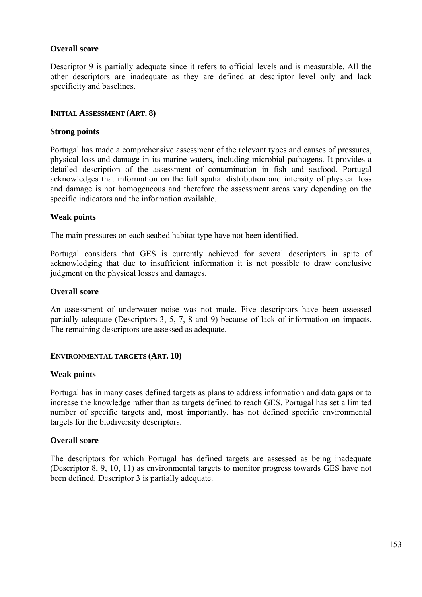# **Overall score**

Descriptor 9 is partially adequate since it refers to official levels and is measurable. All the other descriptors are inadequate as they are defined at descriptor level only and lack specificity and baselines.

#### **INITIAL ASSESSMENT (ART. 8)**

#### **Strong points**

Portugal has made a comprehensive assessment of the relevant types and causes of pressures, physical loss and damage in its marine waters, including microbial pathogens. It provides a detailed description of the assessment of contamination in fish and seafood. Portugal acknowledges that information on the full spatial distribution and intensity of physical loss and damage is not homogeneous and therefore the assessment areas vary depending on the specific indicators and the information available.

# **Weak points**

The main pressures on each seabed habitat type have not been identified.

Portugal considers that GES is currently achieved for several descriptors in spite of acknowledging that due to insufficient information it is not possible to draw conclusive judgment on the physical losses and damages.

#### **Overall score**

An assessment of underwater noise was not made. Five descriptors have been assessed partially adequate (Descriptors 3, 5, 7, 8 and 9) because of lack of information on impacts. The remaining descriptors are assessed as adequate.

# **ENVIRONMENTAL TARGETS (ART. 10)**

#### **Weak points**

Portugal has in many cases defined targets as plans to address information and data gaps or to increase the knowledge rather than as targets defined to reach GES. Portugal has set a limited number of specific targets and, most importantly, has not defined specific environmental targets for the biodiversity descriptors.

# **Overall score**

The descriptors for which Portugal has defined targets are assessed as being inadequate (Descriptor 8, 9, 10, 11) as environmental targets to monitor progress towards GES have not been defined. Descriptor 3 is partially adequate.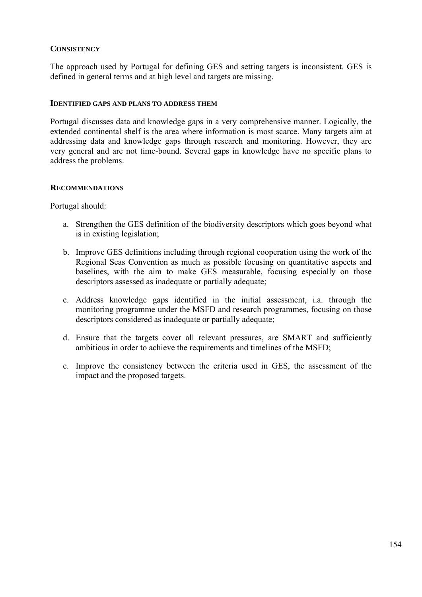# **CONSISTENCY**

The approach used by Portugal for defining GES and setting targets is inconsistent. GES is defined in general terms and at high level and targets are missing.

# **IDENTIFIED GAPS AND PLANS TO ADDRESS THEM**

Portugal discusses data and knowledge gaps in a very comprehensive manner. Logically, the extended continental shelf is the area where information is most scarce. Many targets aim at addressing data and knowledge gaps through research and monitoring. However, they are very general and are not time-bound. Several gaps in knowledge have no specific plans to address the problems.

# **RECOMMENDATIONS**

Portugal should:

- a. Strengthen the GES definition of the biodiversity descriptors which goes beyond what is in existing legislation;
- b. Improve GES definitions including through regional cooperation using the work of the Regional Seas Convention as much as possible focusing on quantitative aspects and baselines, with the aim to make GES measurable, focusing especially on those descriptors assessed as inadequate or partially adequate;
- c. Address knowledge gaps identified in the initial assessment, i.a. through the monitoring programme under the MSFD and research programmes, focusing on those descriptors considered as inadequate or partially adequate;
- d. Ensure that the targets cover all relevant pressures, are SMART and sufficiently ambitious in order to achieve the requirements and timelines of the MSFD;
- e. Improve the consistency between the criteria used in GES, the assessment of the impact and the proposed targets.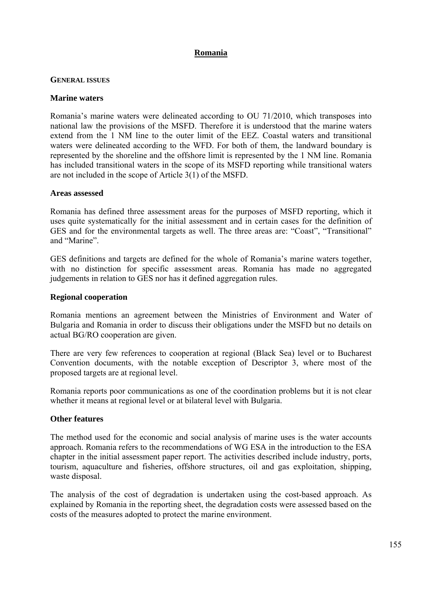# **Romania**

#### **GENERAL ISSUES**

#### **Marine waters**

Romania's marine waters were delineated according to OU 71/2010, which transposes into national law the provisions of the MSFD. Therefore it is understood that the marine waters extend from the 1 NM line to the outer limit of the EEZ. Coastal waters and transitional waters were delineated according to the WFD. For both of them, the landward boundary is represented by the shoreline and the offshore limit is represented by the 1 NM line. Romania has included transitional waters in the scope of its MSFD reporting while transitional waters are not included in the scope of Article 3(1) of the MSFD.

#### **Areas assessed**

Romania has defined three assessment areas for the purposes of MSFD reporting, which it uses quite systematically for the initial assessment and in certain cases for the definition of GES and for the environmental targets as well. The three areas are: "Coast", "Transitional" and "Marine".

GES definitions and targets are defined for the whole of Romania's marine waters together, with no distinction for specific assessment areas. Romania has made no aggregated judgements in relation to GES nor has it defined aggregation rules.

#### **Regional cooperation**

Romania mentions an agreement between the Ministries of Environment and Water of Bulgaria and Romania in order to discuss their obligations under the MSFD but no details on actual BG/RO cooperation are given.

There are very few references to cooperation at regional (Black Sea) level or to Bucharest Convention documents, with the notable exception of Descriptor 3, where most of the proposed targets are at regional level.

Romania reports poor communications as one of the coordination problems but it is not clear whether it means at regional level or at bilateral level with Bulgaria.

# **Other features**

The method used for the economic and social analysis of marine uses is the water accounts approach. Romania refers to the recommendations of WG ESA in the introduction to the ESA chapter in the initial assessment paper report. The activities described include industry, ports, tourism, aquaculture and fisheries, offshore structures, oil and gas exploitation, shipping, waste disposal.

The analysis of the cost of degradation is undertaken using the cost-based approach. As explained by Romania in the reporting sheet, the degradation costs were assessed based on the costs of the measures adopted to protect the marine environment.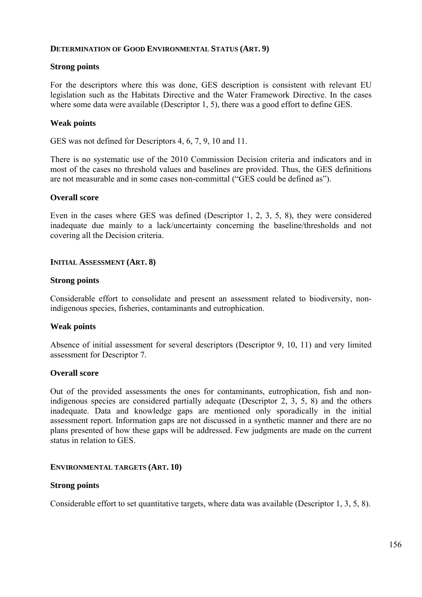# **DETERMINATION OF GOOD ENVIRONMENTAL STATUS (ART. 9)**

# **Strong points**

For the descriptors where this was done, GES description is consistent with relevant EU legislation such as the Habitats Directive and the Water Framework Directive. In the cases where some data were available (Descriptor 1, 5), there was a good effort to define GES.

# **Weak points**

GES was not defined for Descriptors 4, 6, 7, 9, 10 and 11.

There is no systematic use of the 2010 Commission Decision criteria and indicators and in most of the cases no threshold values and baselines are provided. Thus, the GES definitions are not measurable and in some cases non-committal ("GES could be defined as").

# **Overall score**

Even in the cases where GES was defined (Descriptor 1, 2, 3, 5, 8), they were considered inadequate due mainly to a lack/uncertainty concerning the baseline/thresholds and not covering all the Decision criteria.

# **INITIAL ASSESSMENT (ART. 8)**

# **Strong points**

Considerable effort to consolidate and present an assessment related to biodiversity, nonindigenous species, fisheries, contaminants and eutrophication.

# **Weak points**

Absence of initial assessment for several descriptors (Descriptor 9, 10, 11) and very limited assessment for Descriptor 7.

# **Overall score**

Out of the provided assessments the ones for contaminants, eutrophication, fish and nonindigenous species are considered partially adequate (Descriptor 2, 3, 5, 8) and the others inadequate. Data and knowledge gaps are mentioned only sporadically in the initial assessment report. Information gaps are not discussed in a synthetic manner and there are no plans presented of how these gaps will be addressed. Few judgments are made on the current status in relation to GES.

# **ENVIRONMENTAL TARGETS (ART. 10)**

# **Strong points**

Considerable effort to set quantitative targets, where data was available (Descriptor 1, 3, 5, 8).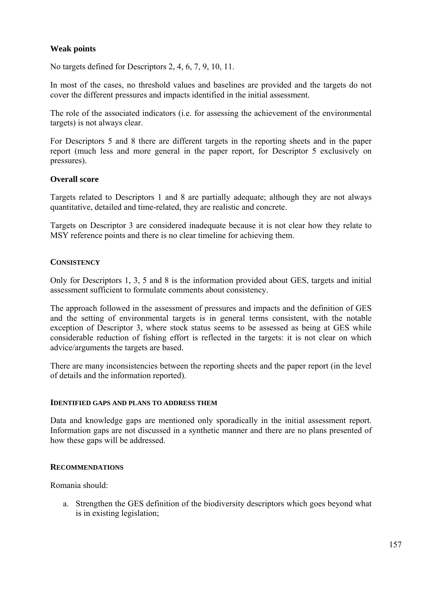# **Weak points**

No targets defined for Descriptors 2, 4, 6, 7, 9, 10, 11.

In most of the cases, no threshold values and baselines are provided and the targets do not cover the different pressures and impacts identified in the initial assessment.

The role of the associated indicators (i.e. for assessing the achievement of the environmental targets) is not always clear.

For Descriptors 5 and 8 there are different targets in the reporting sheets and in the paper report (much less and more general in the paper report, for Descriptor 5 exclusively on pressures).

# **Overall score**

Targets related to Descriptors 1 and 8 are partially adequate; although they are not always quantitative, detailed and time-related, they are realistic and concrete.

Targets on Descriptor 3 are considered inadequate because it is not clear how they relate to MSY reference points and there is no clear timeline for achieving them.

# **CONSISTENCY**

Only for Descriptors 1, 3, 5 and 8 is the information provided about GES, targets and initial assessment sufficient to formulate comments about consistency.

The approach followed in the assessment of pressures and impacts and the definition of GES and the setting of environmental targets is in general terms consistent, with the notable exception of Descriptor 3, where stock status seems to be assessed as being at GES while considerable reduction of fishing effort is reflected in the targets: it is not clear on which advice/arguments the targets are based.

There are many inconsistencies between the reporting sheets and the paper report (in the level of details and the information reported).

#### **IDENTIFIED GAPS AND PLANS TO ADDRESS THEM**

Data and knowledge gaps are mentioned only sporadically in the initial assessment report. Information gaps are not discussed in a synthetic manner and there are no plans presented of how these gaps will be addressed.

# **RECOMMENDATIONS**

Romania should:

a. Strengthen the GES definition of the biodiversity descriptors which goes beyond what is in existing legislation;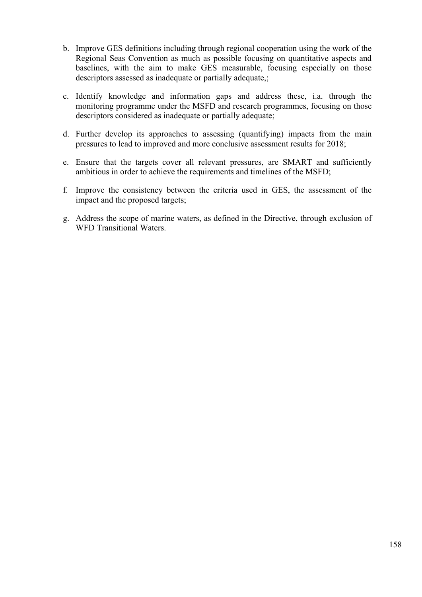- b. Improve GES definitions including through regional cooperation using the work of the Regional Seas Convention as much as possible focusing on quantitative aspects and baselines, with the aim to make GES measurable, focusing especially on those descriptors assessed as inadequate or partially adequate,;
- c. Identify knowledge and information gaps and address these, i.a. through the monitoring programme under the MSFD and research programmes, focusing on those descriptors considered as inadequate or partially adequate;
- d. Further develop its approaches to assessing (quantifying) impacts from the main pressures to lead to improved and more conclusive assessment results for 2018;
- e. Ensure that the targets cover all relevant pressures, are SMART and sufficiently ambitious in order to achieve the requirements and timelines of the MSFD;
- f. Improve the consistency between the criteria used in GES, the assessment of the impact and the proposed targets;
- g. Address the scope of marine waters, as defined in the Directive, through exclusion of WFD Transitional Waters.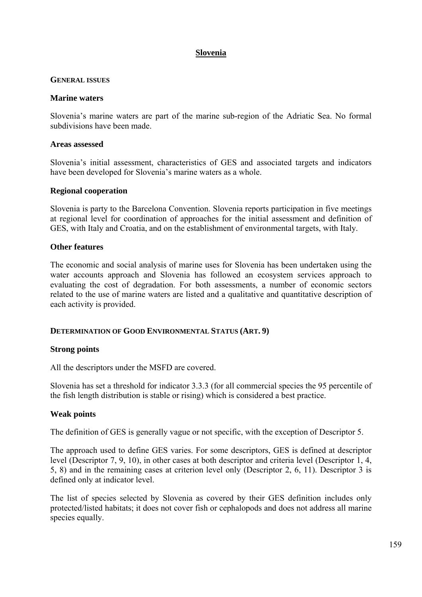# **Slovenia**

# **GENERAL ISSUES**

# **Marine waters**

Slovenia's marine waters are part of the marine sub-region of the Adriatic Sea. No formal subdivisions have been made.

# **Areas assessed**

Slovenia's initial assessment, characteristics of GES and associated targets and indicators have been developed for Slovenia's marine waters as a whole.

# **Regional cooperation**

Slovenia is party to the Barcelona Convention. Slovenia reports participation in five meetings at regional level for coordination of approaches for the initial assessment and definition of GES, with Italy and Croatia, and on the establishment of environmental targets, with Italy.

# **Other features**

The economic and social analysis of marine uses for Slovenia has been undertaken using the water accounts approach and Slovenia has followed an ecosystem services approach to evaluating the cost of degradation. For both assessments, a number of economic sectors related to the use of marine waters are listed and a qualitative and quantitative description of each activity is provided.

# **DETERMINATION OF GOOD ENVIRONMENTAL STATUS (ART. 9)**

# **Strong points**

All the descriptors under the MSFD are covered.

Slovenia has set a threshold for indicator 3.3.3 (for all commercial species the 95 percentile of the fish length distribution is stable or rising) which is considered a best practice.

# **Weak points**

The definition of GES is generally vague or not specific, with the exception of Descriptor 5.

The approach used to define GES varies. For some descriptors, GES is defined at descriptor level (Descriptor 7, 9, 10), in other cases at both descriptor and criteria level (Descriptor 1, 4, 5, 8) and in the remaining cases at criterion level only (Descriptor 2, 6, 11). Descriptor 3 is defined only at indicator level.

The list of species selected by Slovenia as covered by their GES definition includes only protected/listed habitats; it does not cover fish or cephalopods and does not address all marine species equally.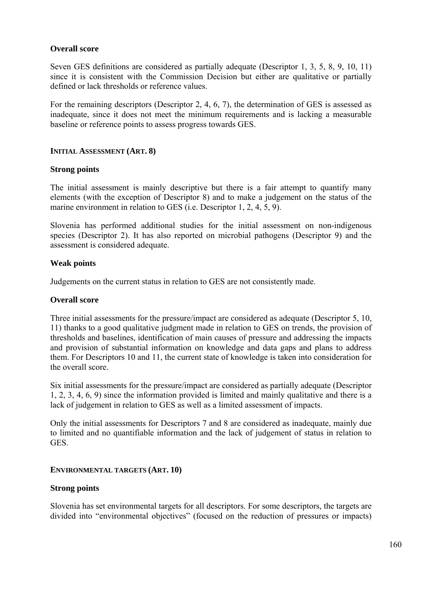# **Overall score**

Seven GES definitions are considered as partially adequate (Descriptor 1, 3, 5, 8, 9, 10, 11) since it is consistent with the Commission Decision but either are qualitative or partially defined or lack thresholds or reference values.

For the remaining descriptors (Descriptor 2, 4, 6, 7), the determination of GES is assessed as inadequate, since it does not meet the minimum requirements and is lacking a measurable baseline or reference points to assess progress towards GES.

# **INITIAL ASSESSMENT (ART. 8)**

# **Strong points**

The initial assessment is mainly descriptive but there is a fair attempt to quantify many elements (with the exception of Descriptor 8) and to make a judgement on the status of the marine environment in relation to GES (i.e. Descriptor 1, 2, 4, 5, 9).

Slovenia has performed additional studies for the initial assessment on non-indigenous species (Descriptor 2). It has also reported on microbial pathogens (Descriptor 9) and the assessment is considered adequate.

# **Weak points**

Judgements on the current status in relation to GES are not consistently made.

# **Overall score**

Three initial assessments for the pressure/impact are considered as adequate (Descriptor 5, 10, 11) thanks to a good qualitative judgment made in relation to GES on trends, the provision of thresholds and baselines, identification of main causes of pressure and addressing the impacts and provision of substantial information on knowledge and data gaps and plans to address them. For Descriptors 10 and 11, the current state of knowledge is taken into consideration for the overall score.

Six initial assessments for the pressure/impact are considered as partially adequate (Descriptor 1, 2, 3, 4, 6, 9) since the information provided is limited and mainly qualitative and there is a lack of judgement in relation to GES as well as a limited assessment of impacts.

Only the initial assessments for Descriptors 7 and 8 are considered as inadequate, mainly due to limited and no quantifiable information and the lack of judgement of status in relation to GES.

# **ENVIRONMENTAL TARGETS (ART. 10)**

# **Strong points**

Slovenia has set environmental targets for all descriptors. For some descriptors, the targets are divided into "environmental objectives" (focused on the reduction of pressures or impacts)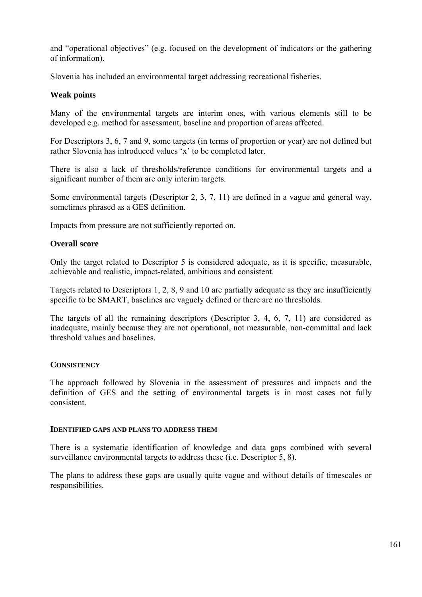and "operational objectives" (e.g. focused on the development of indicators or the gathering of information).

Slovenia has included an environmental target addressing recreational fisheries.

# **Weak points**

Many of the environmental targets are interim ones, with various elements still to be developed e.g. method for assessment, baseline and proportion of areas affected.

For Descriptors 3, 6, 7 and 9, some targets (in terms of proportion or year) are not defined but rather Slovenia has introduced values 'x' to be completed later.

There is also a lack of thresholds/reference conditions for environmental targets and a significant number of them are only interim targets.

Some environmental targets (Descriptor 2, 3, 7, 11) are defined in a vague and general way, sometimes phrased as a GES definition.

Impacts from pressure are not sufficiently reported on.

# **Overall score**

Only the target related to Descriptor 5 is considered adequate, as it is specific, measurable, achievable and realistic, impact-related, ambitious and consistent.

Targets related to Descriptors 1, 2, 8, 9 and 10 are partially adequate as they are insufficiently specific to be SMART, baselines are vaguely defined or there are no thresholds.

The targets of all the remaining descriptors (Descriptor 3, 4, 6, 7, 11) are considered as inadequate, mainly because they are not operational, not measurable, non-committal and lack threshold values and baselines.

# **CONSISTENCY**

The approach followed by Slovenia in the assessment of pressures and impacts and the definition of GES and the setting of environmental targets is in most cases not fully consistent.

# **IDENTIFIED GAPS AND PLANS TO ADDRESS THEM**

There is a systematic identification of knowledge and data gaps combined with several surveillance environmental targets to address these (i.e. Descriptor 5, 8).

The plans to address these gaps are usually quite vague and without details of timescales or responsibilities.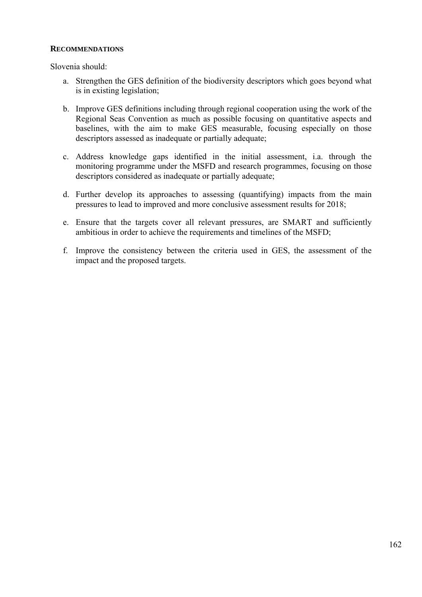#### **RECOMMENDATIONS**

Slovenia should:

- a. Strengthen the GES definition of the biodiversity descriptors which goes beyond what is in existing legislation;
- b. Improve GES definitions including through regional cooperation using the work of the Regional Seas Convention as much as possible focusing on quantitative aspects and baselines, with the aim to make GES measurable, focusing especially on those descriptors assessed as inadequate or partially adequate;
- c. Address knowledge gaps identified in the initial assessment, i.a. through the monitoring programme under the MSFD and research programmes, focusing on those descriptors considered as inadequate or partially adequate;
- d. Further develop its approaches to assessing (quantifying) impacts from the main pressures to lead to improved and more conclusive assessment results for 2018;
- e. Ensure that the targets cover all relevant pressures, are SMART and sufficiently ambitious in order to achieve the requirements and timelines of the MSFD;
- f. Improve the consistency between the criteria used in GES, the assessment of the impact and the proposed targets.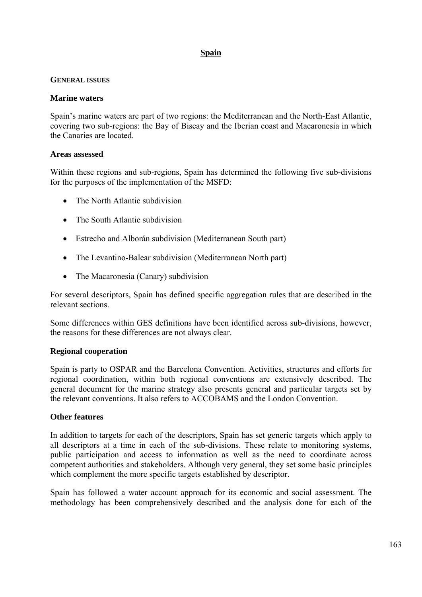# **Spain**

# **GENERAL ISSUES**

# **Marine waters**

Spain's marine waters are part of two regions: the Mediterranean and the North-East Atlantic, covering two sub-regions: the Bay of Biscay and the Iberian coast and Macaronesia in which the Canaries are located.

# **Areas assessed**

Within these regions and sub-regions, Spain has determined the following five sub-divisions for the purposes of the implementation of the MSFD:

- The North Atlantic subdivision
- The South Atlantic subdivision
- Estrecho and Alborán subdivision (Mediterranean South part)
- The Levantino-Balear subdivision (Mediterranean North part)
- The Macaronesia (Canary) subdivision

For several descriptors, Spain has defined specific aggregation rules that are described in the relevant sections.

Some differences within GES definitions have been identified across sub-divisions, however, the reasons for these differences are not always clear.

# **Regional cooperation**

Spain is party to OSPAR and the Barcelona Convention. Activities, structures and efforts for regional coordination, within both regional conventions are extensively described. The general document for the marine strategy also presents general and particular targets set by the relevant conventions. It also refers to ACCOBAMS and the London Convention.

# **Other features**

In addition to targets for each of the descriptors, Spain has set generic targets which apply to all descriptors at a time in each of the sub-divisions. These relate to monitoring systems, public participation and access to information as well as the need to coordinate across competent authorities and stakeholders. Although very general, they set some basic principles which complement the more specific targets established by descriptor.

Spain has followed a water account approach for its economic and social assessment. The methodology has been comprehensively described and the analysis done for each of the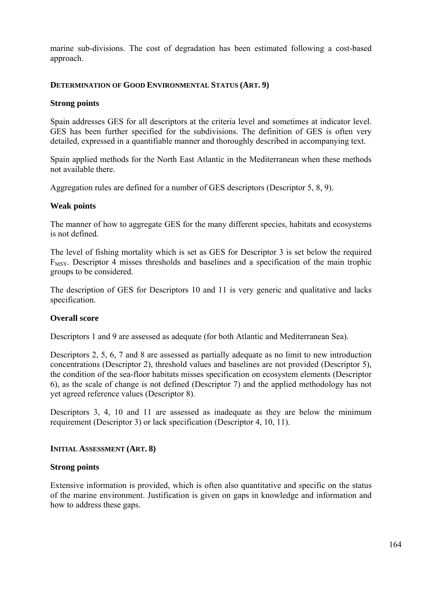marine sub-divisions. The cost of degradation has been estimated following a cost-based approach.

# **DETERMINATION OF GOOD ENVIRONMENTAL STATUS (ART. 9)**

# **Strong points**

Spain addresses GES for all descriptors at the criteria level and sometimes at indicator level. GES has been further specified for the subdivisions. The definition of GES is often very detailed, expressed in a quantifiable manner and thoroughly described in accompanying text.

Spain applied methods for the North East Atlantic in the Mediterranean when these methods not available there.

Aggregation rules are defined for a number of GES descriptors (Descriptor 5, 8, 9).

# **Weak points**

The manner of how to aggregate GES for the many different species, habitats and ecosystems is not defined.

The level of fishing mortality which is set as GES for Descriptor 3 is set below the required  $F_{MSY}$ . Descriptor 4 misses thresholds and baselines and a specification of the main trophic groups to be considered.

The description of GES for Descriptors 10 and 11 is very generic and qualitative and lacks specification.

# **Overall score**

Descriptors 1 and 9 are assessed as adequate (for both Atlantic and Mediterranean Sea).

Descriptors 2, 5, 6, 7 and 8 are assessed as partially adequate as no limit to new introduction concentrations (Descriptor 2), threshold values and baselines are not provided (Descriptor 5), the condition of the sea-floor habitats misses specification on ecosystem elements (Descriptor 6), as the scale of change is not defined (Descriptor 7) and the applied methodology has not yet agreed reference values (Descriptor 8).

Descriptors 3, 4, 10 and 11 are assessed as inadequate as they are below the minimum requirement (Descriptor 3) or lack specification (Descriptor 4, 10, 11).

# **INITIAL ASSESSMENT (ART. 8)**

# **Strong points**

Extensive information is provided, which is often also quantitative and specific on the status of the marine environment. Justification is given on gaps in knowledge and information and how to address these gaps.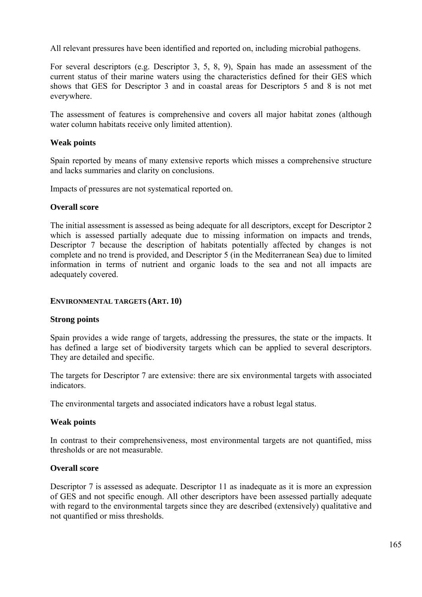All relevant pressures have been identified and reported on, including microbial pathogens.

For several descriptors (e.g. Descriptor 3, 5, 8, 9), Spain has made an assessment of the current status of their marine waters using the characteristics defined for their GES which shows that GES for Descriptor 3 and in coastal areas for Descriptors 5 and 8 is not met everywhere.

The assessment of features is comprehensive and covers all major habitat zones (although water column habitats receive only limited attention).

# **Weak points**

Spain reported by means of many extensive reports which misses a comprehensive structure and lacks summaries and clarity on conclusions.

Impacts of pressures are not systematical reported on.

# **Overall score**

The initial assessment is assessed as being adequate for all descriptors, except for Descriptor 2 which is assessed partially adequate due to missing information on impacts and trends, Descriptor 7 because the description of habitats potentially affected by changes is not complete and no trend is provided, and Descriptor 5 (in the Mediterranean Sea) due to limited information in terms of nutrient and organic loads to the sea and not all impacts are adequately covered.

# **ENVIRONMENTAL TARGETS (ART. 10)**

# **Strong points**

Spain provides a wide range of targets, addressing the pressures, the state or the impacts. It has defined a large set of biodiversity targets which can be applied to several descriptors. They are detailed and specific.

The targets for Descriptor 7 are extensive: there are six environmental targets with associated indicators.

The environmental targets and associated indicators have a robust legal status.

# **Weak points**

In contrast to their comprehensiveness, most environmental targets are not quantified, miss thresholds or are not measurable.

# **Overall score**

Descriptor 7 is assessed as adequate. Descriptor 11 as inadequate as it is more an expression of GES and not specific enough. All other descriptors have been assessed partially adequate with regard to the environmental targets since they are described (extensively) qualitative and not quantified or miss thresholds.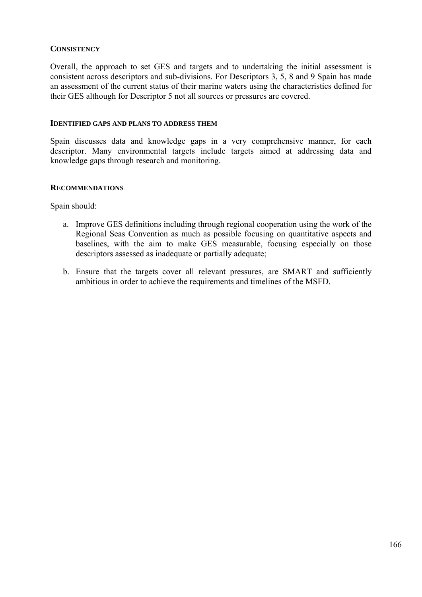# **CONSISTENCY**

Overall, the approach to set GES and targets and to undertaking the initial assessment is consistent across descriptors and sub-divisions. For Descriptors 3, 5, 8 and 9 Spain has made an assessment of the current status of their marine waters using the characteristics defined for their GES although for Descriptor 5 not all sources or pressures are covered.

#### **IDENTIFIED GAPS AND PLANS TO ADDRESS THEM**

Spain discusses data and knowledge gaps in a very comprehensive manner, for each descriptor. Many environmental targets include targets aimed at addressing data and knowledge gaps through research and monitoring.

# **RECOMMENDATIONS**

Spain should:

- a. Improve GES definitions including through regional cooperation using the work of the Regional Seas Convention as much as possible focusing on quantitative aspects and baselines, with the aim to make GES measurable, focusing especially on those descriptors assessed as inadequate or partially adequate;
- b. Ensure that the targets cover all relevant pressures, are SMART and sufficiently ambitious in order to achieve the requirements and timelines of the MSFD.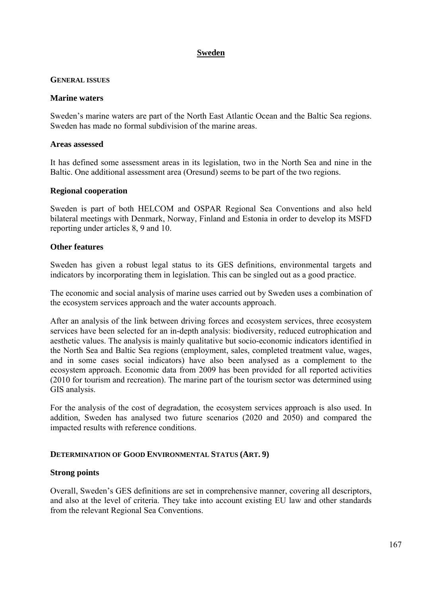# **Sweden**

# **GENERAL ISSUES**

# **Marine waters**

Sweden's marine waters are part of the North East Atlantic Ocean and the Baltic Sea regions. Sweden has made no formal subdivision of the marine areas.

# **Areas assessed**

It has defined some assessment areas in its legislation, two in the North Sea and nine in the Baltic. One additional assessment area (Oresund) seems to be part of the two regions.

# **Regional cooperation**

Sweden is part of both HELCOM and OSPAR Regional Sea Conventions and also held bilateral meetings with Denmark, Norway, Finland and Estonia in order to develop its MSFD reporting under articles 8, 9 and 10.

# **Other features**

Sweden has given a robust legal status to its GES definitions, environmental targets and indicators by incorporating them in legislation. This can be singled out as a good practice.

The economic and social analysis of marine uses carried out by Sweden uses a combination of the ecosystem services approach and the water accounts approach.

After an analysis of the link between driving forces and ecosystem services, three ecosystem services have been selected for an in-depth analysis: biodiversity, reduced eutrophication and aesthetic values. The analysis is mainly qualitative but socio-economic indicators identified in the North Sea and Baltic Sea regions (employment, sales, completed treatment value, wages, and in some cases social indicators) have also been analysed as a complement to the ecosystem approach. Economic data from 2009 has been provided for all reported activities (2010 for tourism and recreation). The marine part of the tourism sector was determined using GIS analysis.

For the analysis of the cost of degradation, the ecosystem services approach is also used. In addition, Sweden has analysed two future scenarios (2020 and 2050) and compared the impacted results with reference conditions.

# **DETERMINATION OF GOOD ENVIRONMENTAL STATUS (ART. 9)**

# **Strong points**

Overall, Sweden's GES definitions are set in comprehensive manner, covering all descriptors, and also at the level of criteria. They take into account existing EU law and other standards from the relevant Regional Sea Conventions.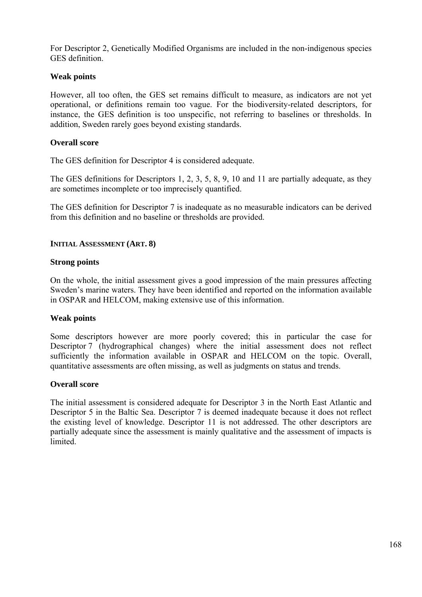For Descriptor 2, Genetically Modified Organisms are included in the non-indigenous species GES definition.

# **Weak points**

However, all too often, the GES set remains difficult to measure, as indicators are not yet operational, or definitions remain too vague. For the biodiversity-related descriptors, for instance, the GES definition is too unspecific, not referring to baselines or thresholds. In addition, Sweden rarely goes beyond existing standards.

# **Overall score**

The GES definition for Descriptor 4 is considered adequate.

The GES definitions for Descriptors 1, 2, 3, 5, 8, 9, 10 and 11 are partially adequate, as they are sometimes incomplete or too imprecisely quantified.

The GES definition for Descriptor 7 is inadequate as no measurable indicators can be derived from this definition and no baseline or thresholds are provided.

# **INITIAL ASSESSMENT (ART. 8)**

# **Strong points**

On the whole, the initial assessment gives a good impression of the main pressures affecting Sweden's marine waters. They have been identified and reported on the information available in OSPAR and HELCOM, making extensive use of this information.

# **Weak points**

Some descriptors however are more poorly covered; this in particular the case for Descriptor 7 (hydrographical changes) where the initial assessment does not reflect sufficiently the information available in OSPAR and HELCOM on the topic. Overall, quantitative assessments are often missing, as well as judgments on status and trends.

# **Overall score**

The initial assessment is considered adequate for Descriptor 3 in the North East Atlantic and Descriptor 5 in the Baltic Sea. Descriptor 7 is deemed inadequate because it does not reflect the existing level of knowledge. Descriptor 11 is not addressed. The other descriptors are partially adequate since the assessment is mainly qualitative and the assessment of impacts is **limited**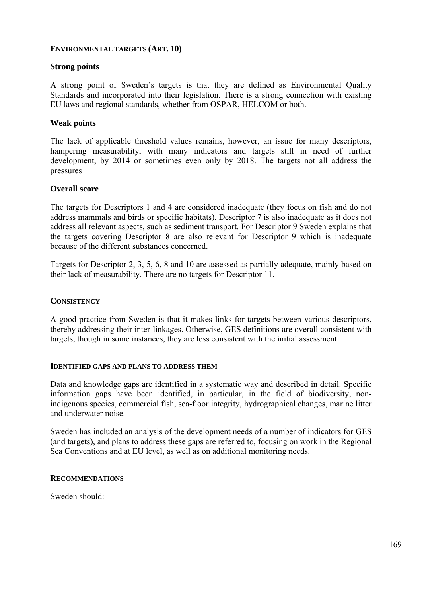# **ENVIRONMENTAL TARGETS (ART. 10)**

# **Strong points**

A strong point of Sweden's targets is that they are defined as Environmental Quality Standards and incorporated into their legislation. There is a strong connection with existing EU laws and regional standards, whether from OSPAR, HELCOM or both.

#### **Weak points**

The lack of applicable threshold values remains, however, an issue for many descriptors, hampering measurability, with many indicators and targets still in need of further development, by 2014 or sometimes even only by 2018. The targets not all address the pressures

#### **Overall score**

The targets for Descriptors 1 and 4 are considered inadequate (they focus on fish and do not address mammals and birds or specific habitats). Descriptor 7 is also inadequate as it does not address all relevant aspects, such as sediment transport. For Descriptor 9 Sweden explains that the targets covering Descriptor 8 are also relevant for Descriptor 9 which is inadequate because of the different substances concerned.

Targets for Descriptor 2, 3, 5, 6, 8 and 10 are assessed as partially adequate, mainly based on their lack of measurability. There are no targets for Descriptor 11.

#### **CONSISTENCY**

A good practice from Sweden is that it makes links for targets between various descriptors, thereby addressing their inter-linkages. Otherwise, GES definitions are overall consistent with targets, though in some instances, they are less consistent with the initial assessment.

#### **IDENTIFIED GAPS AND PLANS TO ADDRESS THEM**

Data and knowledge gaps are identified in a systematic way and described in detail. Specific information gaps have been identified, in particular, in the field of biodiversity, nonindigenous species, commercial fish, sea-floor integrity, hydrographical changes, marine litter and underwater noise.

Sweden has included an analysis of the development needs of a number of indicators for GES (and targets), and plans to address these gaps are referred to, focusing on work in the Regional Sea Conventions and at EU level, as well as on additional monitoring needs.

#### **RECOMMENDATIONS**

Sweden should: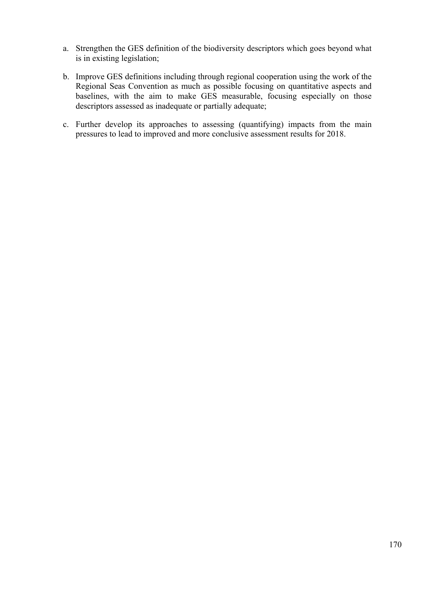- a. Strengthen the GES definition of the biodiversity descriptors which goes beyond what is in existing legislation;
- b. Improve GES definitions including through regional cooperation using the work of the Regional Seas Convention as much as possible focusing on quantitative aspects and baselines, with the aim to make GES measurable, focusing especially on those descriptors assessed as inadequate or partially adequate;
- c. Further develop its approaches to assessing (quantifying) impacts from the main pressures to lead to improved and more conclusive assessment results for 2018.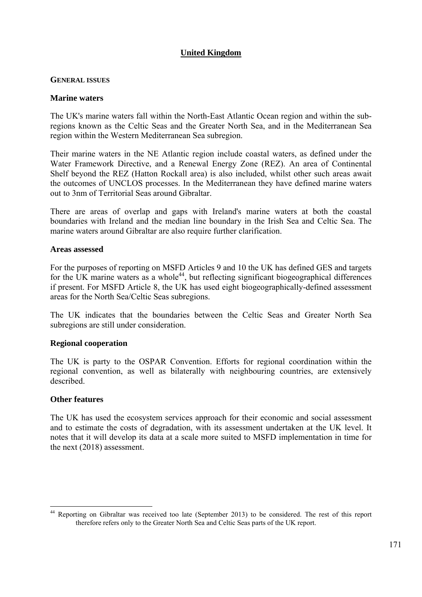# **United Kingdom**

# **GENERAL ISSUES**

# **Marine waters**

The UK's marine waters fall within the North-East Atlantic Ocean region and within the subregions known as the Celtic Seas and the Greater North Sea, and in the Mediterranean Sea region within the Western Mediterranean Sea subregion.

Their marine waters in the NE Atlantic region include coastal waters, as defined under the Water Framework Directive, and a Renewal Energy Zone (REZ). An area of Continental Shelf beyond the REZ (Hatton Rockall area) is also included, whilst other such areas await the outcomes of UNCLOS processes. In the Mediterranean they have defined marine waters out to 3nm of Territorial Seas around Gibraltar.

There are areas of overlap and gaps with Ireland's marine waters at both the coastal boundaries with Ireland and the median line boundary in the Irish Sea and Celtic Sea. The marine waters around Gibraltar are also require further clarification.

#### **Areas assessed**

For the purposes of reporting on MSFD Articles 9 and 10 the UK has defined GES and targets for the UK marine waters as a whole<sup>44</sup>, but reflecting significant biogeographical differences if present. For MSFD Article 8, the UK has used eight biogeographically-defined assessment areas for the North Sea/Celtic Seas subregions.

The UK indicates that the boundaries between the Celtic Seas and Greater North Sea subregions are still under consideration.

# **Regional cooperation**

The UK is party to the OSPAR Convention. Efforts for regional coordination within the regional convention, as well as bilaterally with neighbouring countries, are extensively described.

# **Other features**

The UK has used the ecosystem services approach for their economic and social assessment and to estimate the costs of degradation, with its assessment undertaken at the UK level. It notes that it will develop its data at a scale more suited to MSFD implementation in time for the next (2018) assessment.

<sup>&</sup>lt;u>.</u> <sup>44</sup> Reporting on Gibraltar was received too late (September 2013) to be considered. The rest of this report therefore refers only to the Greater North Sea and Celtic Seas parts of the UK report.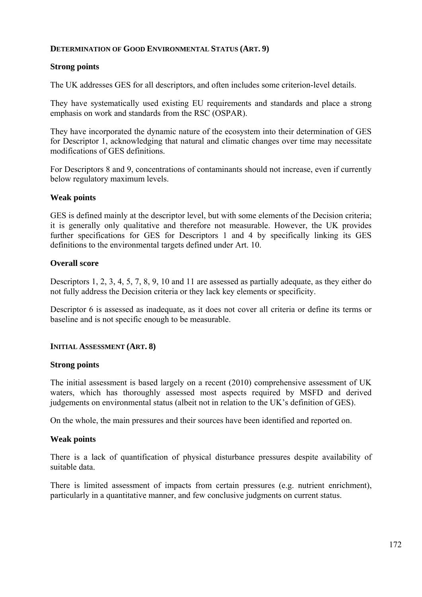# **DETERMINATION OF GOOD ENVIRONMENTAL STATUS (ART. 9)**

# **Strong points**

The UK addresses GES for all descriptors, and often includes some criterion-level details.

They have systematically used existing EU requirements and standards and place a strong emphasis on work and standards from the RSC (OSPAR).

They have incorporated the dynamic nature of the ecosystem into their determination of GES for Descriptor 1, acknowledging that natural and climatic changes over time may necessitate modifications of GES definitions.

For Descriptors 8 and 9, concentrations of contaminants should not increase, even if currently below regulatory maximum levels.

# **Weak points**

GES is defined mainly at the descriptor level, but with some elements of the Decision criteria; it is generally only qualitative and therefore not measurable. However, the UK provides further specifications for GES for Descriptors 1 and 4 by specifically linking its GES definitions to the environmental targets defined under Art. 10.

# **Overall score**

Descriptors 1, 2, 3, 4, 5, 7, 8, 9, 10 and 11 are assessed as partially adequate, as they either do not fully address the Decision criteria or they lack key elements or specificity.

Descriptor 6 is assessed as inadequate, as it does not cover all criteria or define its terms or baseline and is not specific enough to be measurable.

# **INITIAL ASSESSMENT (ART. 8)**

# **Strong points**

The initial assessment is based largely on a recent (2010) comprehensive assessment of UK waters, which has thoroughly assessed most aspects required by MSFD and derived judgements on environmental status (albeit not in relation to the UK's definition of GES).

On the whole, the main pressures and their sources have been identified and reported on.

# **Weak points**

There is a lack of quantification of physical disturbance pressures despite availability of suitable data.

There is limited assessment of impacts from certain pressures (e.g. nutrient enrichment), particularly in a quantitative manner, and few conclusive judgments on current status.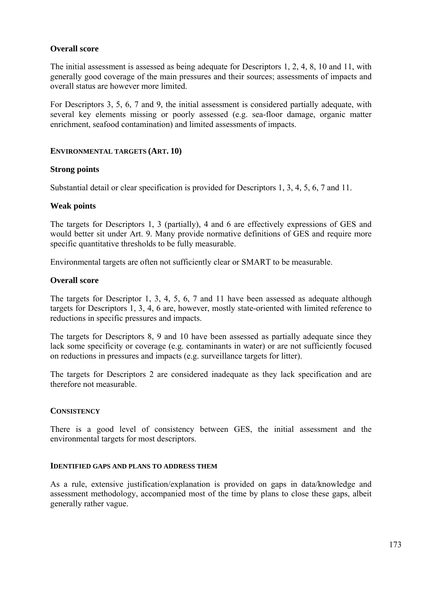# **Overall score**

The initial assessment is assessed as being adequate for Descriptors 1, 2, 4, 8, 10 and 11, with generally good coverage of the main pressures and their sources; assessments of impacts and overall status are however more limited.

For Descriptors 3, 5, 6, 7 and 9, the initial assessment is considered partially adequate, with several key elements missing or poorly assessed (e.g. sea-floor damage, organic matter enrichment, seafood contamination) and limited assessments of impacts.

# **ENVIRONMENTAL TARGETS (ART. 10)**

# **Strong points**

Substantial detail or clear specification is provided for Descriptors 1, 3, 4, 5, 6, 7 and 11.

# **Weak points**

The targets for Descriptors 1, 3 (partially), 4 and 6 are effectively expressions of GES and would better sit under Art. 9. Many provide normative definitions of GES and require more specific quantitative thresholds to be fully measurable.

Environmental targets are often not sufficiently clear or SMART to be measurable.

# **Overall score**

The targets for Descriptor 1, 3, 4, 5, 6, 7 and 11 have been assessed as adequate although targets for Descriptors 1, 3, 4, 6 are, however, mostly state-oriented with limited reference to reductions in specific pressures and impacts.

The targets for Descriptors 8, 9 and 10 have been assessed as partially adequate since they lack some specificity or coverage (e.g. contaminants in water) or are not sufficiently focused on reductions in pressures and impacts (e.g. surveillance targets for litter).

The targets for Descriptors 2 are considered inadequate as they lack specification and are therefore not measurable.

# **CONSISTENCY**

There is a good level of consistency between GES, the initial assessment and the environmental targets for most descriptors.

# **IDENTIFIED GAPS AND PLANS TO ADDRESS THEM**

As a rule, extensive justification/explanation is provided on gaps in data/knowledge and assessment methodology, accompanied most of the time by plans to close these gaps, albeit generally rather vague.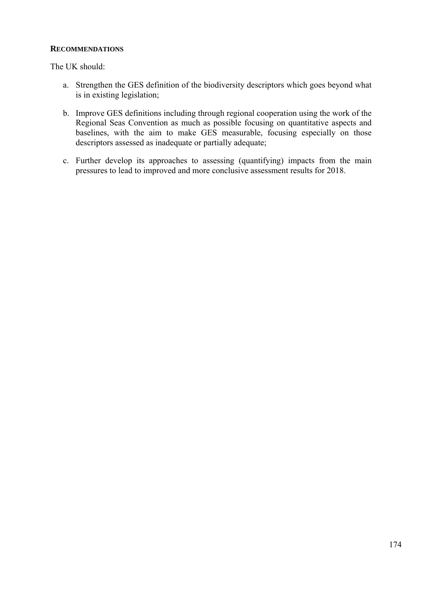# **RECOMMENDATIONS**

The UK should:

- a. Strengthen the GES definition of the biodiversity descriptors which goes beyond what is in existing legislation;
- b. Improve GES definitions including through regional cooperation using the work of the Regional Seas Convention as much as possible focusing on quantitative aspects and baselines, with the aim to make GES measurable, focusing especially on those descriptors assessed as inadequate or partially adequate;
- c. Further develop its approaches to assessing (quantifying) impacts from the main pressures to lead to improved and more conclusive assessment results for 2018.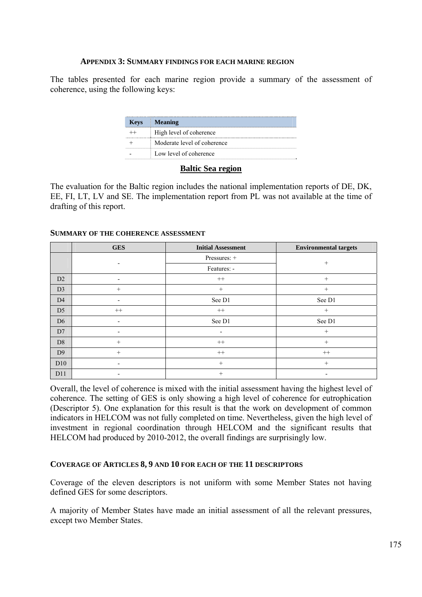#### **APPENDIX 3: SUMMARY FINDINGS FOR EACH MARINE REGION**

The tables presented for each marine region provide a summary of the assessment of coherence, using the following keys:

| <b>Keys</b> | <b>Meaning</b>              |
|-------------|-----------------------------|
|             | High level of coherence     |
|             | Moderate level of coherence |
|             | Low level of coherence      |

#### **Baltic Sea region**

The evaluation for the Baltic region includes the national implementation reports of DE, DK, EE, FI, LT, LV and SE. The implementation report from PL was not available at the time of drafting of this report.

|                | <b>GES</b>               | <b>Initial Assessment</b> | <b>Environmental targets</b> |  |  |
|----------------|--------------------------|---------------------------|------------------------------|--|--|
|                |                          | Pressures: +              | $^{+}$                       |  |  |
|                | $\overline{\phantom{0}}$ | Features: -               |                              |  |  |
| D2             | $\overline{\phantom{a}}$ | $^{++}$                   | $^{+}$                       |  |  |
| D <sub>3</sub> | $+$                      | $^{+}$                    | $^{+}$                       |  |  |
| D <sub>4</sub> |                          | See D1                    | See D1                       |  |  |
| D <sub>5</sub> | $^{++}$                  | $++$                      | $^{+}$                       |  |  |
| D <sub>6</sub> |                          | See D1                    | See D1                       |  |  |
| D7             |                          |                           | $+$                          |  |  |
| D <sub>8</sub> | $+$                      | $^{++}$                   | $^{+}$                       |  |  |
| D <sub>9</sub> | $+$                      | $^{++}$                   | $^{++}$                      |  |  |
| D10            |                          | $+$                       | $+$                          |  |  |
| D11            |                          | $^{+}$                    |                              |  |  |

#### **SUMMARY OF THE COHERENCE ASSESSMENT**

Overall, the level of coherence is mixed with the initial assessment having the highest level of coherence. The setting of GES is only showing a high level of coherence for eutrophication (Descriptor 5). One explanation for this result is that the work on development of common indicators in HELCOM was not fully completed on time. Nevertheless, given the high level of investment in regional coordination through HELCOM and the significant results that HELCOM had produced by 2010-2012, the overall findings are surprisingly low.

# **COVERAGE OF ARTICLES 8, 9 AND 10 FOR EACH OF THE 11 DESCRIPTORS**

Coverage of the eleven descriptors is not uniform with some Member States not having defined GES for some descriptors.

A majority of Member States have made an initial assessment of all the relevant pressures, except two Member States.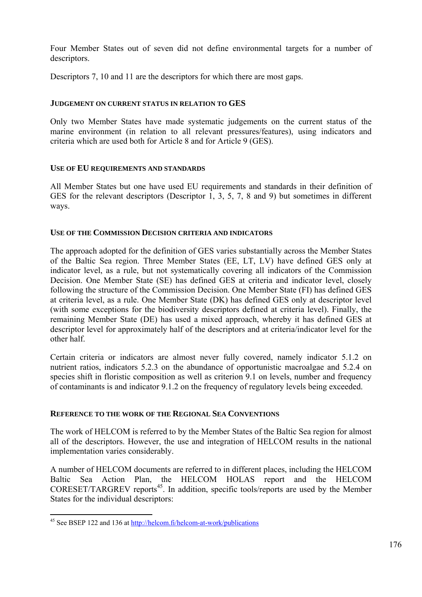Four Member States out of seven did not define environmental targets for a number of descriptors.

Descriptors 7, 10 and 11 are the descriptors for which there are most gaps.

# **JUDGEMENT ON CURRENT STATUS IN RELATION TO GES**

Only two Member States have made systematic judgements on the current status of the marine environment (in relation to all relevant pressures/features), using indicators and criteria which are used both for Article 8 and for Article 9 (GES).

# **USE OF EU REQUIREMENTS AND STANDARDS**

All Member States but one have used EU requirements and standards in their definition of GES for the relevant descriptors (Descriptor 1, 3, 5, 7, 8 and 9) but sometimes in different ways.

# **USE OF THE COMMISSION DECISION CRITERIA AND INDICATORS**

The approach adopted for the definition of GES varies substantially across the Member States of the Baltic Sea region. Three Member States (EE, LT, LV) have defined GES only at indicator level, as a rule, but not systematically covering all indicators of the Commission Decision. One Member State (SE) has defined GES at criteria and indicator level, closely following the structure of the Commission Decision. One Member State (FI) has defined GES at criteria level, as a rule. One Member State (DK) has defined GES only at descriptor level (with some exceptions for the biodiversity descriptors defined at criteria level). Finally, the remaining Member State (DE) has used a mixed approach, whereby it has defined GES at descriptor level for approximately half of the descriptors and at criteria/indicator level for the other half.

Certain criteria or indicators are almost never fully covered, namely indicator 5.1.2 on nutrient ratios, indicators 5.2.3 on the abundance of opportunistic macroalgae and 5.2.4 on species shift in floristic composition as well as criterion 9.1 on levels, number and frequency of contaminants is and indicator 9.1.2 on the frequency of regulatory levels being exceeded.

# **REFERENCE TO THE WORK OF THE REGIONAL SEA CONVENTIONS**

The work of HELCOM is referred to by the Member States of the Baltic Sea region for almost all of the descriptors. However, the use and integration of HELCOM results in the national implementation varies considerably.

A number of HELCOM documents are referred to in different places, including the HELCOM Baltic Sea Action Plan, the HELCOM HOLAS report and the HELCOM  $CORESET/TARGREV$  reports<sup>45</sup>. In addition, specific tools/reports are used by the Member States for the individual descriptors:

1

<sup>&</sup>lt;sup>45</sup> See BSEP 122 and 136 at [http://helc](http://helcom.fi/helcom-at-work/publications)om.fi/helcom-at-work/publications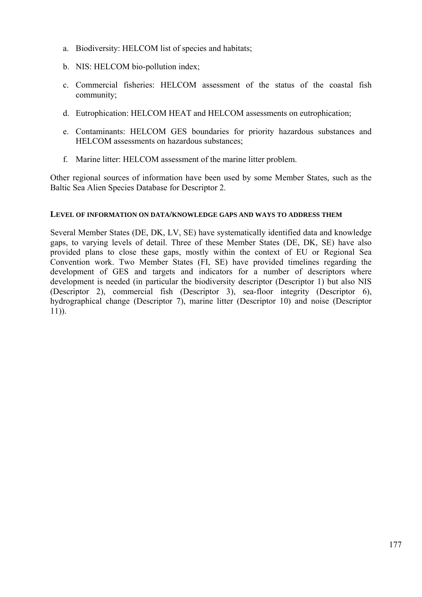- a. Biodiversity: HELCOM list of species and habitats;
- b. NIS: HELCOM bio-pollution index;
- c. Commercial fisheries: HELCOM assessment of the status of the coastal fish community;
- d. Eutrophication: HELCOM HEAT and HELCOM assessments on eutrophication;
- e. Contaminants: HELCOM GES boundaries for priority hazardous substances and HELCOM assessments on hazardous substances;
- f. Marine litter: HELCOM assessment of the marine litter problem.

Other regional sources of information have been used by some Member States, such as the Baltic Sea Alien Species Database for Descriptor 2.

# **LEVEL OF INFORMATION ON DATA/KNOWLEDGE GAPS AND WAYS TO ADDRESS THEM**

Several Member States (DE, DK, LV, SE) have systematically identified data and knowledge gaps, to varying levels of detail. Three of these Member States (DE, DK, SE) have also provided plans to close these gaps, mostly within the context of EU or Regional Sea Convention work. Two Member States (FI, SE) have provided timelines regarding the development of GES and targets and indicators for a number of descriptors where development is needed (in particular the biodiversity descriptor (Descriptor 1) but also NIS (Descriptor 2), commercial fish (Descriptor 3), sea-floor integrity (Descriptor 6), hydrographical change (Descriptor 7), marine litter (Descriptor 10) and noise (Descriptor 11)).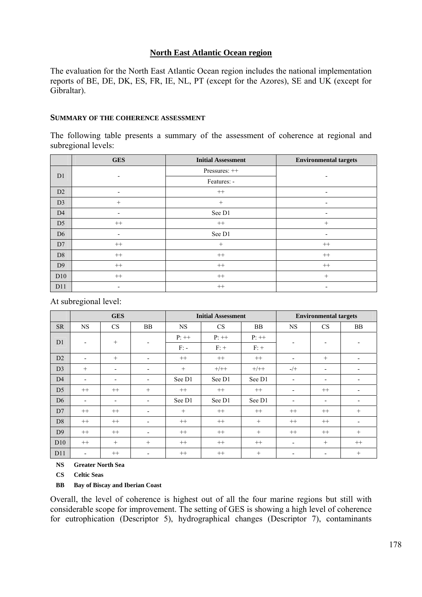# **North East Atlantic Ocean region**

The evaluation for the North East Atlantic Ocean region includes the national implementation reports of BE, DE, DK, ES, FR, IE, NL, PT (except for the Azores), SE and UK (except for Gibraltar).

#### **SUMMARY OF THE COHERENCE ASSESSMENT**

The following table presents a summary of the assessment of coherence at regional and subregional levels:

|                | <b>GES</b> | <b>Initial Assessment</b> | <b>Environmental targets</b> |  |
|----------------|------------|---------------------------|------------------------------|--|
| D <sub>1</sub> |            | Pressures: ++             |                              |  |
|                |            | Features: -               |                              |  |
| D2             |            | $^{++}$                   |                              |  |
| D <sub>3</sub> | $+$        | $^{+}$                    | $\overline{\phantom{a}}$     |  |
| D <sub>4</sub> |            | See D1                    | $\overline{\phantom{a}}$     |  |
| D <sub>5</sub> | $^{++}$    | $^{++}$                   | $^{+}$                       |  |
| D <sub>6</sub> |            | See D1                    | $\overline{\phantom{0}}$     |  |
| D7             | $++$       | $+$                       | $^{++}$                      |  |
| D <sub>8</sub> | $++$       | $^{++}$                   | $^{++}$                      |  |
| D <sub>9</sub> | $++$       | $^{++}$                   | $^{++}$                      |  |
| D10            | $++$       | $^{++}$                   | $+$                          |  |
| D11            |            | $^{++}$                   |                              |  |

At subregional level:

|                 | <b>GES</b>               |                          |                          | <b>Initial Assessment</b> |         |           | <b>Environmental targets</b> |                          |                          |
|-----------------|--------------------------|--------------------------|--------------------------|---------------------------|---------|-----------|------------------------------|--------------------------|--------------------------|
| <b>SR</b>       | <b>NS</b>                | <b>CS</b>                | <b>BB</b>                | <b>NS</b>                 | CS      | <b>BB</b> | NS                           | <b>CS</b>                | <b>BB</b>                |
| D <sub>1</sub>  | $\overline{\phantom{a}}$ | $^{+}$                   | $\overline{\phantom{a}}$ | $P:++$                    | $P:++$  | $P:++$    |                              | -                        | ٠                        |
|                 |                          |                          |                          | $F$ : -                   | $F: +$  | $F: +$    |                              |                          |                          |
| D2              | $\overline{\phantom{a}}$ | $^{+}$                   | $\overline{\phantom{a}}$ | $^{++}$                   | $^{++}$ | $^{++}$   | $\overline{\phantom{a}}$     | $^{+}$                   | $\overline{\phantom{a}}$ |
| D <sub>3</sub>  | $+$                      | $\overline{\phantom{a}}$ | $\overline{\phantom{a}}$ | $+$                       | $+/++$  | $+/++$    | $-/+$                        | -                        | $\overline{\phantom{a}}$ |
| D <sub>4</sub>  | $\overline{\phantom{a}}$ | $\overline{\phantom{a}}$ | $\overline{\phantom{a}}$ | See D1                    | See D1  | See D1    | $\overline{\phantom{0}}$     | -                        |                          |
| D <sub>5</sub>  | $++$                     | $++$                     | $^{+}$                   | $^{++}$                   | $++$    | $++$      |                              | $++$                     | $\overline{\phantom{0}}$ |
| D <sub>6</sub>  | $\overline{\phantom{a}}$ | $\overline{\phantom{a}}$ | $\overline{\phantom{a}}$ | See D1                    | See D1  | See D1    | $\overline{\phantom{a}}$     | -                        | $\overline{\phantom{a}}$ |
| D7              | $^{++}$                  | $^{++}$                  | $\overline{\phantom{a}}$ | $+$                       | $^{++}$ | $^{++}$   | $++$                         | $^{++}$                  | $+$                      |
| D <sub>8</sub>  | $^{++}$                  | $^{++}$                  | $\overline{\phantom{a}}$ | $^{++}$                   | $++$    | $+$       | $++$                         | $^{++}$                  | $\overline{\phantom{0}}$ |
| D <sub>9</sub>  | $^{++}$                  | $^{++}$                  | $\overline{\phantom{a}}$ | $^{++}$                   | $^{++}$ | $^{+}$    | $^{++}$                      | $^{++}$                  | $^{+}$                   |
| D <sub>10</sub> | $^{++}$                  | $^{+}$                   | $+$                      | $^{++}$                   | $++$    | $^{++}$   | $\overline{\phantom{a}}$     | $+$                      | $^{++}$                  |
| D11             | $\blacksquare$           | $^{++}$                  | $\overline{\phantom{a}}$ | $^{++}$                   | $^{++}$ | $^{+}$    | $\overline{\phantom{0}}$     | $\overline{\phantom{0}}$ | $^{+}$                   |

**NS Greater North Sea** 

**CS Celtic Seas** 

**BB Bay of Biscay and Iberian Coast** 

Overall, the level of coherence is highest out of all the four marine regions but still with considerable scope for improvement. The setting of GES is showing a high level of coherence for eutrophication (Descriptor 5), hydrographical changes (Descriptor 7), contaminants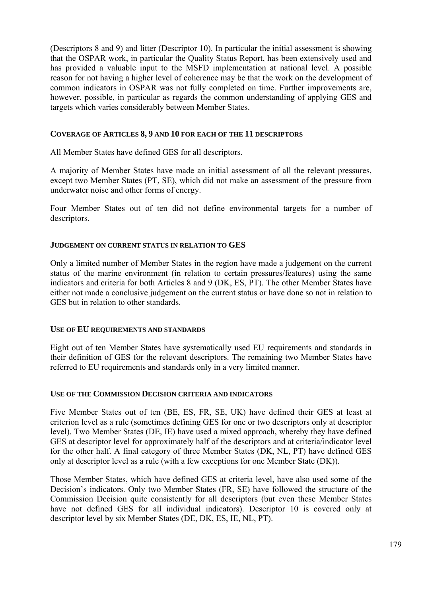(Descriptors 8 and 9) and litter (Descriptor 10). In particular the initial assessment is showing that the OSPAR work, in particular the Quality Status Report, has been extensively used and has provided a valuable input to the MSFD implementation at national level. A possible reason for not having a higher level of coherence may be that the work on the development of common indicators in OSPAR was not fully completed on time. Further improvements are, however, possible, in particular as regards the common understanding of applying GES and targets which varies considerably between Member States.

# **COVERAGE OF ARTICLES 8, 9 AND 10 FOR EACH OF THE 11 DESCRIPTORS**

All Member States have defined GES for all descriptors.

A majority of Member States have made an initial assessment of all the relevant pressures, except two Member States (PT, SE), which did not make an assessment of the pressure from underwater noise and other forms of energy.

Four Member States out of ten did not define environmental targets for a number of descriptors.

# **JUDGEMENT ON CURRENT STATUS IN RELATION TO GES**

Only a limited number of Member States in the region have made a judgement on the current status of the marine environment (in relation to certain pressures/features) using the same indicators and criteria for both Articles 8 and 9 (DK, ES, PT). The other Member States have either not made a conclusive judgement on the current status or have done so not in relation to GES but in relation to other standards.

# **USE OF EU REQUIREMENTS AND STANDARDS**

Eight out of ten Member States have systematically used EU requirements and standards in their definition of GES for the relevant descriptors. The remaining two Member States have referred to EU requirements and standards only in a very limited manner.

# **USE OF THE COMMISSION DECISION CRITERIA AND INDICATORS**

Five Member States out of ten (BE, ES, FR, SE, UK) have defined their GES at least at criterion level as a rule (sometimes defining GES for one or two descriptors only at descriptor level). Two Member States (DE, IE) have used a mixed approach, whereby they have defined GES at descriptor level for approximately half of the descriptors and at criteria/indicator level for the other half. A final category of three Member States (DK, NL, PT) have defined GES only at descriptor level as a rule (with a few exceptions for one Member State (DK)).

Those Member States, which have defined GES at criteria level, have also used some of the Decision's indicators. Only two Member States (FR, SE) have followed the structure of the Commission Decision quite consistently for all descriptors (but even these Member States have not defined GES for all individual indicators). Descriptor 10 is covered only at descriptor level by six Member States (DE, DK, ES, IE, NL, PT).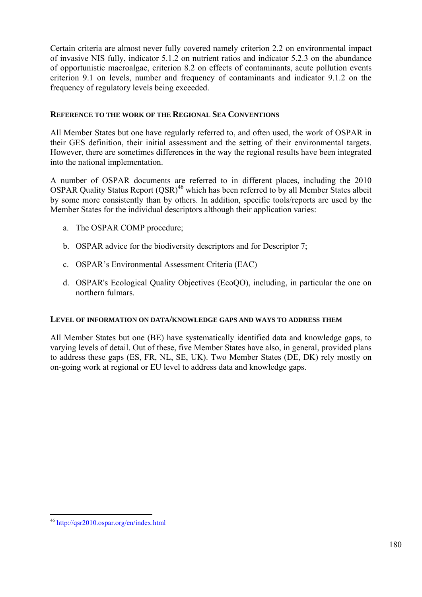Certain criteria are almost never fully covered namely criterion 2.2 on environmental impact of invasive NIS fully, indicator 5.1.2 on nutrient ratios and indicator 5.2.3 on the abundance of opportunistic macroalgae, criterion 8.2 on effects of contaminants, acute pollution events criterion 9.1 on levels, number and frequency of contaminants and indicator 9.1.2 on the frequency of regulatory levels being exceeded.

# **REFERENCE TO THE WORK OF THE REGIONAL SEA CONVENTIONS**

All Member States but one have regularly referred to, and often used, the work of OSPAR in their GES definition, their initial assessment and the setting of their environmental targets. However, there are sometimes differences in the way the regional results have been integrated into the national implementation.

A number of OSPAR documents are referred to in different places, including the 2010 OSPAR Quality Status Report  $(OSR)^{46}$  which has been referred to by all Member States albeit by some more consistently than by others. In addition, specific tools/reports are used by the Member States for the individual descriptors although their application varies:

- a. The OSPAR COMP procedure;
- b. OSPAR advice for the biodiversity descriptors and for Descriptor 7;
- c. OSPAR's Environmental Assessment Criteria (EAC)
- d. OSPAR's Ecological Quality Objectives (EcoQO), including, in particular the one on northern fulmars.

# **LEVEL OF INFORMATION ON DATA/KNOWLEDGE GAPS AND WAYS TO ADDRESS THEM**

All Member States but one (BE) have systematically identified data and knowledge gaps, to varying levels of detail. Out of these, five Member States have also, in general, provided plans to address these gaps (ES, FR, NL, SE, UK). Two Member States (DE, DK) rely mostly on on-going work at regional or EU level to address data and knowledge gaps.

1

<sup>46</sup> <http://qsr2010.ospar.org/en/index.html>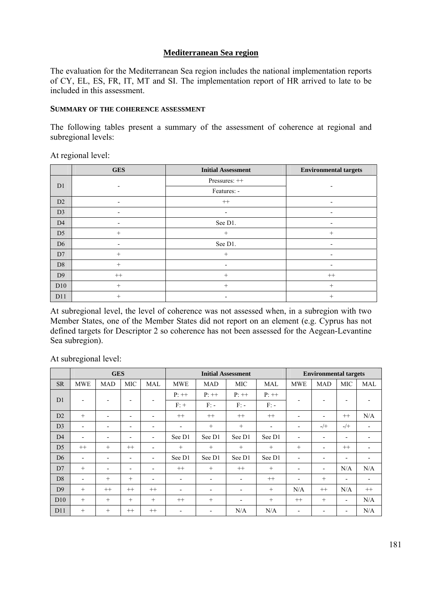# **Mediterranean Sea region**

The evaluation for the Mediterranean Sea region includes the national implementation reports of CY, EL, ES, FR, IT, MT and SI. The implementation report of HR arrived to late to be included in this assessment.

#### **SUMMARY OF THE COHERENCE ASSESSMENT**

The following tables present a summary of the assessment of coherence at regional and subregional levels:

|                | <b>GES</b> | <b>Initial Assessment</b> | <b>Environmental targets</b> |  |
|----------------|------------|---------------------------|------------------------------|--|
| D <sub>1</sub> |            | Pressures: ++             |                              |  |
|                |            | Features: -               |                              |  |
| D2             |            | $^{++}$                   |                              |  |
| D <sub>3</sub> |            |                           | $\overline{\phantom{0}}$     |  |
| D <sub>4</sub> |            | See D1.                   | $\overline{\phantom{0}}$     |  |
| D <sub>5</sub> | $^{+}$     | $+$                       | $+$                          |  |
| D <sub>6</sub> |            | See D1.                   |                              |  |
| D7             | $+$        | $+$                       | ٠                            |  |
| D <sub>8</sub> | $+$        |                           |                              |  |
| D <sub>9</sub> | $^{++}$    | $\qquad \qquad +$         | $^{++}$                      |  |
| D10            | $^{+}$     | $+$                       | $+$                          |  |
| D11            | $^{+}$     |                           | $^{+}$                       |  |

At regional level:

At subregional level, the level of coherence was not assessed when, in a subregion with two Member States, one of the Member States did not report on an element (e.g. Cyprus has not defined targets for Descriptor 2 so coherence has not been assessed for the Aegean-Levantine Sea subregion).

At subregional level:

|                | <b>GES</b>               |                          |                          |                          | <b>Initial Assessment</b> |                          |                          | <b>Environmental targets</b> |                          |                          |                          |            |
|----------------|--------------------------|--------------------------|--------------------------|--------------------------|---------------------------|--------------------------|--------------------------|------------------------------|--------------------------|--------------------------|--------------------------|------------|
| <b>SR</b>      | <b>MWE</b>               | <b>MAD</b>               | <b>MIC</b>               | <b>MAL</b>               | <b>MWE</b>                | <b>MAD</b>               | <b>MIC</b>               | MAL                          | <b>MWE</b>               | <b>MAD</b>               | <b>MIC</b>               | <b>MAL</b> |
| D <sub>1</sub> | $\blacksquare$           |                          |                          |                          | $P:++$                    | $P:++$                   | $P:++$                   | $P:++$                       |                          |                          |                          |            |
|                |                          |                          |                          |                          | $F: +$                    | $F: -$                   | $F: -$                   | $F: -$                       |                          |                          |                          |            |
| D2             | $+$                      | ۰                        | $\overline{\phantom{0}}$ | $\overline{\phantom{0}}$ | $++$                      | $^{++}$                  | $++$                     | $^{++}$                      | ۰                        |                          | $^{++}$                  | N/A        |
| D <sub>3</sub> | $\overline{\phantom{a}}$ | $\overline{\phantom{a}}$ | $\overline{\phantom{a}}$ | $\overline{\phantom{a}}$ | $\overline{\phantom{a}}$  | $+$                      | $+$                      | ٠                            | $\overline{\phantom{a}}$ | $-$ /+                   | $-/+$                    | -          |
| D <sub>4</sub> | $\blacksquare$           | $\overline{\phantom{a}}$ | $\overline{\phantom{a}}$ | $\overline{\phantom{a}}$ | See D1                    | See D1                   | See D1                   | See D1                       | ٠                        | ٠                        | $\overline{\phantom{a}}$ |            |
| D <sub>5</sub> | $++$                     | $^{+}$                   | $++$                     | $\overline{\phantom{0}}$ | $+$                       | $+$                      | $+$                      | $^{+}$                       | $+$                      |                          | $++$                     |            |
| D <sub>6</sub> | $\blacksquare$           | $\blacksquare$           | $\overline{\phantom{a}}$ | $\overline{\phantom{a}}$ | See D1                    | See D1                   | See D1                   | See D1                       | $\overline{\phantom{a}}$ | ٠                        | $\overline{\phantom{0}}$ |            |
| D7             | $+$                      | $\blacksquare$           | $\overline{\phantom{0}}$ | $\overline{\phantom{0}}$ | $++$                      | $+$                      | $++$                     | $^{+}$                       | $\overline{\phantom{a}}$ | -                        | N/A                      | N/A        |
| D <sub>8</sub> | $\overline{\phantom{a}}$ | $^{+}$                   | $+$                      | $\blacksquare$           | $\overline{\phantom{0}}$  | $\overline{\phantom{a}}$ | $\overline{\phantom{a}}$ | $^{++}$                      | $\overline{\phantom{a}}$ | $+$                      | $\overline{\phantom{a}}$ | ٠          |
| D <sub>9</sub> | $+$                      | $^{++}$                  | $++$                     | $++$                     | $\overline{\phantom{0}}$  | $\overline{\phantom{a}}$ | ٠                        | $+$                          | N/A                      | $++$                     | N/A                      | $++$       |
| D10            | $+$                      | $^{+}$                   | $+$                      | $+$                      | $^{++}$                   | $^{+}$                   | $\overline{\phantom{a}}$ | $+$                          | $^{++}$                  | $+$                      | $\overline{\phantom{a}}$ | N/A        |
| D11            | $+$                      | $^{+}$                   | $^{++}$                  | $++$                     | $\overline{\phantom{0}}$  | $\overline{\phantom{a}}$ | N/A                      | N/A                          | $\overline{\phantom{a}}$ | $\overline{\phantom{a}}$ | $\overline{\phantom{a}}$ | N/A        |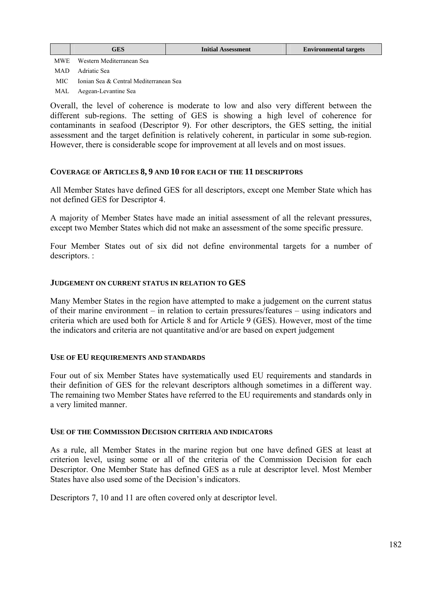MWE Western Mediterranean Sea

MAD Adriatic Sea

MIC Ionian Sea & Central Mediterranean Sea

MAL Aegean-Levantine Sea

Overall, the level of coherence is moderate to low and also very different between the different sub-regions. The setting of GES is showing a high level of coherence for contaminants in seafood (Descriptor 9). For other descriptors, the GES setting, the initial assessment and the target definition is relatively coherent, in particular in some sub-region. However, there is considerable scope for improvement at all levels and on most issues.

## **COVERAGE OF ARTICLES 8, 9 AND 10 FOR EACH OF THE 11 DESCRIPTORS**

All Member States have defined GES for all descriptors, except one Member State which has not defined GES for Descriptor 4.

A majority of Member States have made an initial assessment of all the relevant pressures, except two Member States which did not make an assessment of the some specific pressure.

Four Member States out of six did not define environmental targets for a number of descriptors. :

## **JUDGEMENT ON CURRENT STATUS IN RELATION TO GES**

Many Member States in the region have attempted to make a judgement on the current status of their marine environment – in relation to certain pressures/features – using indicators and criteria which are used both for Article 8 and for Article 9 (GES). However, most of the time the indicators and criteria are not quantitative and/or are based on expert judgement

# **USE OF EU REQUIREMENTS AND STANDARDS**

Four out of six Member States have systematically used EU requirements and standards in their definition of GES for the relevant descriptors although sometimes in a different way. The remaining two Member States have referred to the EU requirements and standards only in a very limited manner.

### **USE OF THE COMMISSION DECISION CRITERIA AND INDICATORS**

As a rule, all Member States in the marine region but one have defined GES at least at criterion level, using some or all of the criteria of the Commission Decision for each Descriptor. One Member State has defined GES as a rule at descriptor level. Most Member States have also used some of the Decision's indicators.

Descriptors 7, 10 and 11 are often covered only at descriptor level.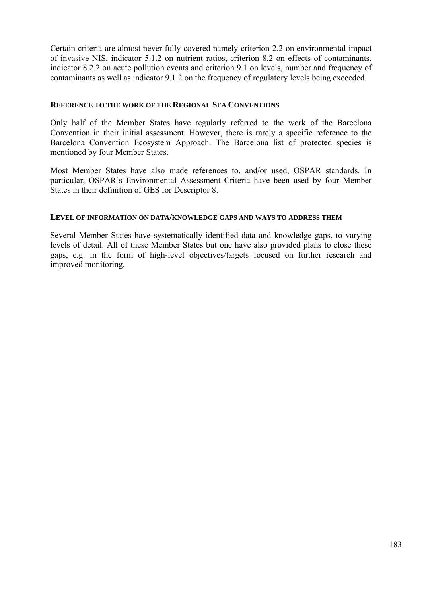Certain criteria are almost never fully covered namely criterion 2.2 on environmental impact of invasive NIS, indicator 5.1.2 on nutrient ratios, criterion 8.2 on effects of contaminants, indicator 8.2.2 on acute pollution events and criterion 9.1 on levels, number and frequency of contaminants as well as indicator 9.1.2 on the frequency of regulatory levels being exceeded.

## **REFERENCE TO THE WORK OF THE REGIONAL SEA CONVENTIONS**

Only half of the Member States have regularly referred to the work of the Barcelona Convention in their initial assessment. However, there is rarely a specific reference to the Barcelona Convention Ecosystem Approach. The Barcelona list of protected species is mentioned by four Member States.

Most Member States have also made references to, and/or used, OSPAR standards. In particular, OSPAR's Environmental Assessment Criteria have been used by four Member States in their definition of GES for Descriptor 8.

## **LEVEL OF INFORMATION ON DATA/KNOWLEDGE GAPS AND WAYS TO ADDRESS THEM**

Several Member States have systematically identified data and knowledge gaps, to varying levels of detail. All of these Member States but one have also provided plans to close these gaps, e.g. in the form of high-level objectives/targets focused on further research and improved monitoring.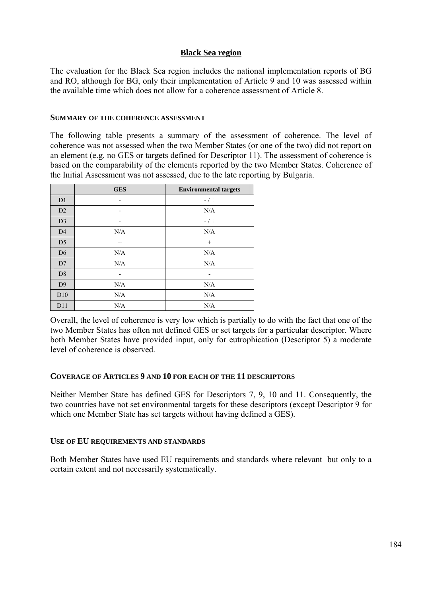# **Black Sea region**

The evaluation for the Black Sea region includes the national implementation reports of BG and RO, although for BG, only their implementation of Article 9 and 10 was assessed within the available time which does not allow for a coherence assessment of Article 8.

### **SUMMARY OF THE COHERENCE ASSESSMENT**

The following table presents a summary of the assessment of coherence. The level of coherence was not assessed when the two Member States (or one of the two) did not report on an element (e.g. no GES or targets defined for Descriptor 11). The assessment of coherence is based on the comparability of the elements reported by the two Member States. Coherence of the Initial Assessment was not assessed, due to the late reporting by Bulgaria.

|                | <b>GES</b> | <b>Environmental targets</b> |
|----------------|------------|------------------------------|
| D <sub>1</sub> |            | $- / +$                      |
| D2             | -          | N/A                          |
| D <sub>3</sub> |            | $- / +$                      |
| D <sub>4</sub> | N/A        | N/A                          |
| D5             | $^{+}$     | $\! + \!\!\!\!$              |
| D <sub>6</sub> | N/A        | N/A                          |
| D7             | N/A        | N/A                          |
| D <sub>8</sub> |            |                              |
| D <sub>9</sub> | N/A        | N/A                          |
| D10            | N/A        | N/A                          |
| D11            | N/A        | N/A                          |

Overall, the level of coherence is very low which is partially to do with the fact that one of the two Member States has often not defined GES or set targets for a particular descriptor. Where both Member States have provided input, only for eutrophication (Descriptor 5) a moderate level of coherence is observed.

### **COVERAGE OF ARTICLES 9 AND 10 FOR EACH OF THE 11 DESCRIPTORS**

Neither Member State has defined GES for Descriptors 7, 9, 10 and 11. Consequently, the two countries have not set environmental targets for these descriptors (except Descriptor 9 for which one Member State has set targets without having defined a GES).

### **USE OF EU REQUIREMENTS AND STANDARDS**

Both Member States have used EU requirements and standards where relevant but only to a certain extent and not necessarily systematically.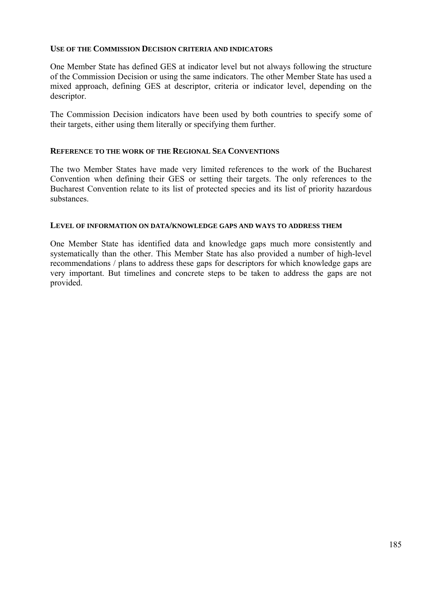### **USE OF THE COMMISSION DECISION CRITERIA AND INDICATORS**

One Member State has defined GES at indicator level but not always following the structure of the Commission Decision or using the same indicators. The other Member State has used a mixed approach, defining GES at descriptor, criteria or indicator level, depending on the descriptor.

The Commission Decision indicators have been used by both countries to specify some of their targets, either using them literally or specifying them further.

## **REFERENCE TO THE WORK OF THE REGIONAL SEA CONVENTIONS**

The two Member States have made very limited references to the work of the Bucharest Convention when defining their GES or setting their targets. The only references to the Bucharest Convention relate to its list of protected species and its list of priority hazardous substances.

### **LEVEL OF INFORMATION ON DATA/KNOWLEDGE GAPS AND WAYS TO ADDRESS THEM**

One Member State has identified data and knowledge gaps much more consistently and systematically than the other. This Member State has also provided a number of high-level recommendations / plans to address these gaps for descriptors for which knowledge gaps are very important. But timelines and concrete steps to be taken to address the gaps are not provided.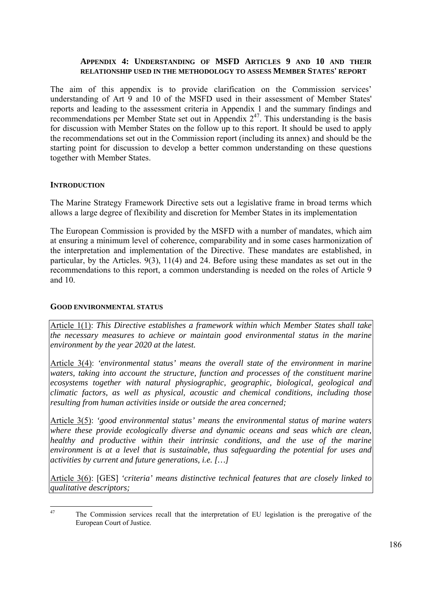## **APPENDIX 4: UNDERSTANDING OF MSFD ARTICLES 9 AND 10 AND THEIR RELATIONSHIP USED IN THE METHODOLOGY TO ASSESS MEMBER STATES' REPORT**

The aim of this appendix is to provide clarification on the Commission services' understanding of Art 9 and 10 of the MSFD used in their assessment of Member States' reports and leading to the assessment criteria in Appendix 1 and the summary findings and recommendations per Member State set out in Appendix  $2^{47}$ . This understanding is the basis for discussion with Member States on the follow up to this report. It should be used to apply the recommendations set out in the Commission report (including its annex) and should be the starting point for discussion to develop a better common understanding on these questions together with Member States.

#### **INTRODUCTION**

The Marine Strategy Framework Directive sets out a legislative frame in broad terms which allows a large degree of flexibility and discretion for Member States in its implementation

The European Commission is provided by the MSFD with a number of mandates, which aim at ensuring a minimum level of coherence, comparability and in some cases harmonization of the interpretation and implementation of the Directive. These mandates are established, in particular, by the Articles. 9(3), 11(4) and 24. Before using these mandates as set out in the recommendations to this report, a common understanding is needed on the roles of Article 9 and 10.

#### **GOOD ENVIRONMENTAL STATUS**

Article 1(1): *This Directive establishes a framework within which Member States shall take the necessary measures to achieve or maintain good environmental status in the marine environment by the year 2020 at the latest.*

Article 3(4): *'environmental status' means the overall state of the environment in marine*  waters, taking into account the structure, function and processes of the constituent marine *ecosystems together with natural physiographic, geographic, biological, geological and climatic factors, as well as physical, acoustic and chemical conditions, including those resulting from human activities inside or outside the area concerned;*

Article 3(5): *'good environmental status' means the environmental status of marine waters where these provide ecologically diverse and dynamic oceans and seas which are clean, healthy and productive within their intrinsic conditions, and the use of the marine environment is at a level that is sustainable, thus safeguarding the potential for uses and activities by current and future generations, i.e. […]*

Article 3(6): [GES] *'criteria' means distinctive technical features that are closely linked to qualitative descriptors;*

 $47$ 47 The Commission services recall that the interpretation of EU legislation is the prerogative of the European Court of Justice.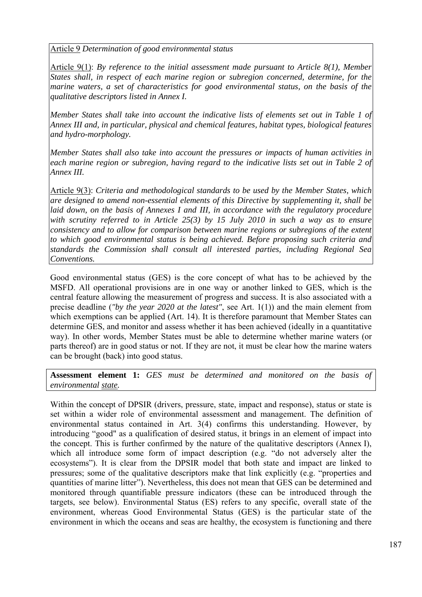Article 9 *Determination of good environmental status*

Article 9(1): *By reference to the initial assessment made pursuant to Article 8(1), Member States shall, in respect of each marine region or subregion concerned, determine, for the marine waters, a set of characteristics for good environmental status, on the basis of the qualitative descriptors listed in Annex I.* 

*Member States shall take into account the indicative lists of elements set out in Table 1 of Annex III and, in particular, physical and chemical features, habitat types, biological features and hydro-morphology.* 

*Member States shall also take into account the pressures or impacts of human activities in each marine region or subregion, having regard to the indicative lists set out in Table 2 of Annex III.*

Article 9(3): *Criteria and methodological standards to be used by the Member States, which are designed to amend non-essential elements of this Directive by supplementing it, shall be laid down, on the basis of Annexes I and III, in accordance with the regulatory procedure* with scrutiny referred to in Article 25(3) by 15 July 2010 in such a way as to ensure *consistency and to allow for comparison between marine regions or subregions of the extent to which good environmental status is being achieved. Before proposing such criteria and standards the Commission shall consult all interested parties, including Regional Sea Conventions.* 

Good environmental status (GES) is the core concept of what has to be achieved by the MSFD. All operational provisions are in one way or another linked to GES, which is the central feature allowing the measurement of progress and success. It is also associated with a precise deadline (*"by the year 2020 at the latest"*, see Art. 1(1)) and the main element from which exemptions can be applied (Art. 14). It is therefore paramount that Member States can determine GES, and monitor and assess whether it has been achieved (ideally in a quantitative way). In other words, Member States must be able to determine whether marine waters (or parts thereof) are in good status or not. If they are not, it must be clear how the marine waters can be brought (back) into good status.

**Assessment element 1:** *GES must be determined and monitored on the basis of environmental state.*

Within the concept of DPSIR (drivers, pressure, state, impact and response), status or state is set within a wider role of environmental assessment and management. The definition of environmental status contained in Art. 3(4) confirms this understanding. However, by introducing "good" as a qualification of desired status, it brings in an element of impact into the concept. This is further confirmed by the nature of the qualitative descriptors (Annex I), which all introduce some form of impact description (e.g. "do not adversely alter the ecosystems"). It is clear from the DPSIR model that both state and impact are linked to pressures; some of the qualitative descriptors make that link explicitly (e.g. "properties and quantities of marine litter"). Nevertheless, this does not mean that GES can be determined and monitored through quantifiable pressure indicators (these can be introduced through the targets, see below). Environmental Status (ES) refers to any specific, overall state of the environment, whereas Good Environmental Status (GES) is the particular state of the environment in which the oceans and seas are healthy, the ecosystem is functioning and there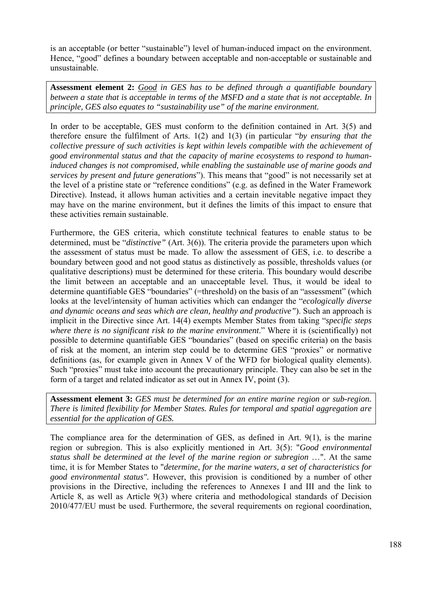is an acceptable (or better "sustainable") level of human-induced impact on the environment. Hence, "good" defines a boundary between acceptable and non-acceptable or sustainable and unsustainable.

**Assessment element 2:** *Good in GES has to be defined through a quantifiable boundary between a state that is acceptable in terms of the MSFD and a state that is not acceptable. In principle, GES also equates to "sustainability use" of the marine environment.*

In order to be acceptable, GES must conform to the definition contained in Art. 3(5) and therefore ensure the fulfilment of Arts. 1(2) and 1(3) (in particular "*by ensuring that the collective pressure of such activities is kept within levels compatible with the achievement of good environmental status and that the capacity of marine ecosystems to respond to humaninduced changes is not compromised, while enabling the sustainable use of marine goods and services by present and future generations*"). This means that "good" is not necessarily set at the level of a pristine state or "reference conditions" (e.g. as defined in the Water Framework Directive). Instead, it allows human activities and a certain inevitable negative impact they may have on the marine environment, but it defines the limits of this impact to ensure that these activities remain sustainable.

Furthermore, the GES criteria, which constitute technical features to enable status to be determined, must be "*distinctive"* (Art. 3(6)). The criteria provide the parameters upon which the assessment of status must be made. To allow the assessment of GES, i.e. to describe a boundary between good and not good status as distinctively as possible, thresholds values (or qualitative descriptions) must be determined for these criteria. This boundary would describe the limit between an acceptable and an unacceptable level*.* Thus, it would be ideal to determine quantifiable GES "boundaries" (=threshold) on the basis of an "assessment" (which looks at the level/intensity of human activities which can endanger the "*ecologically diverse and dynamic oceans and seas which are clean, healthy and productive"*). Such an approach is implicit in the Directive since Art. 14(4) exempts Member States from taking "*specific steps where there is no significant risk to the marine environment*." Where it is (scientifically) not possible to determine quantifiable GES "boundaries" (based on specific criteria) on the basis of risk at the moment, an interim step could be to determine GES "proxies" or normative definitions (as, for example given in Annex V of the WFD for biological quality elements). Such "proxies" must take into account the precautionary principle. They can also be set in the form of a target and related indicator as set out in Annex IV, point (3).

**Assessment element 3:** *GES must be determined for an entire marine region or sub-region. There is limited flexibility for Member States. Rules for temporal and spatial aggregation are essential for the application of GES.*

The compliance area for the determination of GES, as defined in Art. 9(1), is the marine region or subregion. This is also explicitly mentioned in Art. 3(5): "*Good environmental status shall be determined at the level of the marine region or subregion* …". At the same time, it is for Member States to "*determine, for the marine waters, a set of characteristics for good environmental status".* However, this provision is conditioned by a number of other provisions in the Directive, including the references to Annexes I and III and the link to Article 8, as well as Article 9(3) where criteria and methodological standards of Decision 2010/477/EU must be used. Furthermore, the several requirements on regional coordination,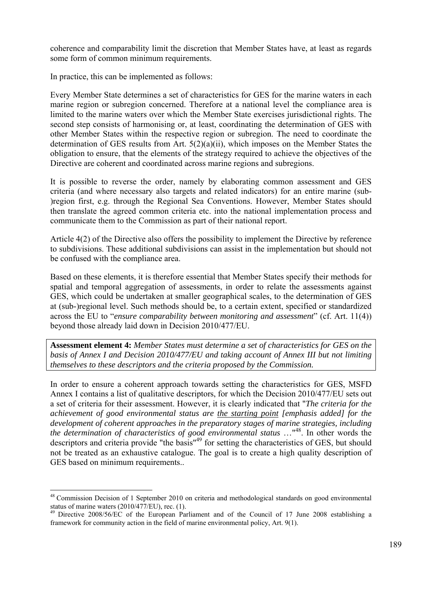coherence and comparability limit the discretion that Member States have, at least as regards some form of common minimum requirements.

In practice, this can be implemented as follows:

Every Member State determines a set of characteristics for GES for the marine waters in each marine region or subregion concerned. Therefore at a national level the compliance area is limited to the marine waters over which the Member State exercises jurisdictional rights. The second step consists of harmonising or, at least, coordinating the determination of GES with other Member States within the respective region or subregion. The need to coordinate the determination of GES results from Art. 5(2)(a)(ii), which imposes on the Member States the obligation to ensure, that the elements of the strategy required to achieve the objectives of the Directive are coherent and coordinated across marine regions and subregions.

It is possible to reverse the order, namely by elaborating common assessment and GES criteria (and where necessary also targets and related indicators) for an entire marine (sub- )region first, e.g. through the Regional Sea Conventions. However, Member States should then translate the agreed common criteria etc. into the national implementation process and communicate them to the Commission as part of their national report.

Article 4(2) of the Directive also offers the possibility to implement the Directive by reference to subdivisions. These additional subdivisions can assist in the implementation but should not be confused with the compliance area.

Based on these elements, it is therefore essential that Member States specify their methods for spatial and temporal aggregation of assessments, in order to relate the assessments against GES, which could be undertaken at smaller geographical scales, to the determination of GES at (sub-)regional level. Such methods should be, to a certain extent, specified or standardized across the EU to "*ensure comparability between monitoring and assessment*" (cf. Art. 11(4)) beyond those already laid down in Decision 2010/477/EU.

**Assessment element 4:** *Member States must determine a set of characteristics for GES on the basis of Annex I and Decision 2010/477/EU and taking account of Annex III but not limiting themselves to these descriptors and the criteria proposed by the Commission.* 

In order to ensure a coherent approach towards setting the characteristics for GES, MSFD Annex I contains a list of qualitative descriptors, for which the Decision 2010/477/EU sets out a set of criteria for their assessment. However, it is clearly indicated that "*The criteria for the achievement of good environmental status are the starting point [emphasis added] for the development of coherent approaches in the preparatory stages of marine strategies, including the determination of characteristics of good environmental status* …<sup>"48</sup>. In other words the descriptors and criteria provide "the basis"<sup>49</sup> for setting the characteristics of GES, but should not be treated as an exhaustive catalogue. The goal is to create a high quality description of GES based on minimum requirements..

1

<sup>&</sup>lt;sup>48</sup> Commission Decision of 1 September 2010 on criteria and methodological standards on good environmental status of marine waters (2010/477/EU), rec. (1).

<sup>&</sup>lt;sup>49</sup> Directive 2008/56/EC of the European Parliament and of the Council of 17 June 2008 establishing a framework for community action in the field of marine environmental policy, Art. 9(1).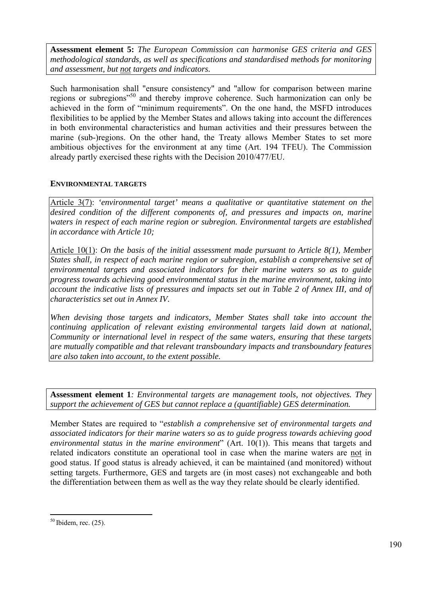**Assessment element 5:** *The European Commission can harmonise GES criteria and GES methodological standards, as well as specifications and standardised methods for monitoring and assessment, but not targets and indicators.*

Such harmonisation shall "ensure consistency" and "allow for comparison between marine regions or subregions"50 and thereby improve coherence. Such harmonization can only be achieved in the form of "minimum requirements". On the one hand, the MSFD introduces flexibilities to be applied by the Member States and allows taking into account the differences in both environmental characteristics and human activities and their pressures between the marine (sub-)regions. On the other hand, the Treaty allows Member States to set more ambitious objectives for the environment at any time (Art. 194 TFEU). The Commission already partly exercised these rights with the Decision 2010/477/EU.

# **ENVIRONMENTAL TARGETS**

Article 3(7): *'environmental target' means a qualitative or quantitative statement on the desired condition of the different components of, and pressures and impacts on, marine waters in respect of each marine region or subregion. Environmental targets are established in accordance with Article 10;*

Article 10(1): *On the basis of the initial assessment made pursuant to Article 8(1), Member States shall, in respect of each marine region or subregion, establish a comprehensive set of environmental targets and associated indicators for their marine waters so as to guide progress towards achieving good environmental status in the marine environment, taking into account the indicative lists of pressures and impacts set out in Table 2 of Annex III, and of characteristics set out in Annex IV.*

*When devising those targets and indicators, Member States shall take into account the continuing application of relevant existing environmental targets laid down at national, Community or international level in respect of the same waters, ensuring that these targets are mutually compatible and that relevant transboundary impacts and transboundary features are also taken into account, to the extent possible.*

**Assessment element 1***: Environmental targets are management tools, not objectives. They support the achievement of GES but cannot replace a (quantifiable) GES determination.* 

Member States are required to "*establish a comprehensive set of environmental targets and associated indicators for their marine waters so as to guide progress towards achieving good environmental status in the marine environment*" (Art. 10(1)). This means that targets and related indicators constitute an operational tool in case when the marine waters are not in good status. If good status is already achieved, it can be maintained (and monitored) without setting targets. Furthermore, GES and targets are (in most cases) not exchangeable and both the differentiation between them as well as the way they relate should be clearly identified.

1

 $50$  Ibidem, rec. (25).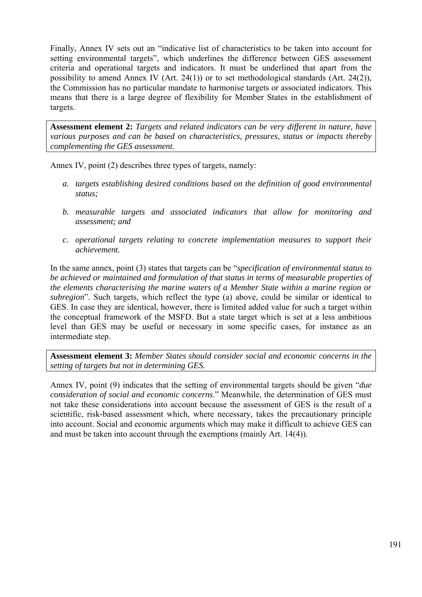Finally, Annex IV sets out an "indicative list of characteristics to be taken into account for setting environmental targets", which underlines the difference between GES assessment criteria and operational targets and indicators. It must be underlined that apart from the possibility to amend Annex IV (Art. 24(1)) or to set methodological standards (Art. 24(2)), the Commission has no particular mandate to harmonise targets or associated indicators. This means that there is a large degree of flexibility for Member States in the establishment of targets.

**Assessment element 2:** *Targets and related indicators can be very different in nature, have various purposes and can be based on characteristics, pressures, status or impacts thereby complementing the GES assessment.*

Annex IV, point (2) describes three types of targets, namely:

- *a. targets establishing desired conditions based on the definition of good environmental status;*
- *b. measurable targets and associated indicators that allow for monitoring and assessment; and*
- *c. operational targets relating to concrete implementation measures to support their achievement.*

In the same annex, point (3) states that targets can be "*specification of environmental status to be achieved or maintained and formulation of that status in terms of measurable properties of the elements characterising the marine waters of a Member State within a marine region or subregion*". Such targets, which reflect the type (a) above, could be similar or identical to GES. In case they are identical, however, there is limited added value for such a target within the conceptual framework of the MSFD. But a state target which is set at a less ambitious level than GES may be useful or necessary in some specific cases, for instance as an intermediate step.

**Assessment element 3:** *Member States should consider social and economic concerns in the setting of targets but not in determining GES.* 

Annex IV, point (9) indicates that the setting of environmental targets should be given "*due consideration of social and economic concerns*." Meanwhile, the determination of GES must not take these considerations into account because the assessment of GES is the result of a scientific, risk-based assessment which, where necessary, takes the precautionary principle into account. Social and economic arguments which may make it difficult to achieve GES can and must be taken into account through the exemptions (mainly Art. 14(4)).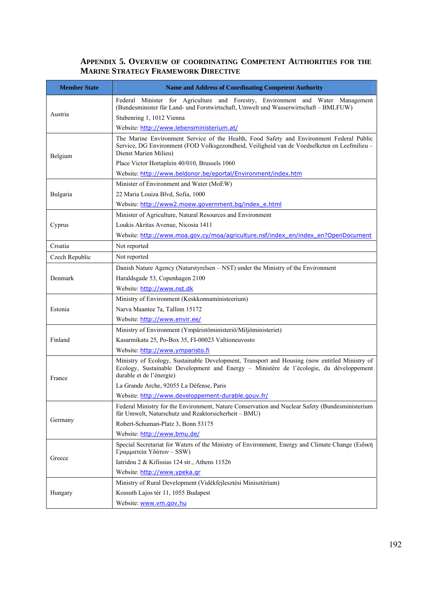# **APPENDIX 5. OVERVIEW OF COORDINATING COMPETENT AUTHORITIES FOR THE MARINE STRATEGY FRAMEWORK DIRECTIVE**

| <b>Member State</b> | <b>Name and Address of Coordinating Competent Authority</b>                                                                                                                                                          |  |  |  |  |
|---------------------|----------------------------------------------------------------------------------------------------------------------------------------------------------------------------------------------------------------------|--|--|--|--|
| Austria             | Federal Minister for Agriculture and Forestry, Environment and Water Management<br>(Bundesminister für Land- und Forstwirtschaft, Umwelt und Wasserwirtschaft - BMLFUW)<br>Stubenring 1, 1012 Vienna                 |  |  |  |  |
|                     | Website: http://www.lebensministerium.at/                                                                                                                                                                            |  |  |  |  |
| Belgium             | The Marine Environment Service of the Health, Food Safety and Environment Federal Public<br>Service, DG Environment (FOD Volksgezondheid, Veiligheid van de Voedselketen en Leefmilieu -<br>Dienst Marien Milieu)    |  |  |  |  |
|                     | Place Victor Hortaplein 40/010, Brussels 1060                                                                                                                                                                        |  |  |  |  |
|                     | Website: http://www.beldonor.be/eportal/Environment/index.htm                                                                                                                                                        |  |  |  |  |
|                     | Minister of Environment and Water (MoEW)                                                                                                                                                                             |  |  |  |  |
| Bulgaria            | 22 Maria Louiza Blvd, Sofia, 1000                                                                                                                                                                                    |  |  |  |  |
|                     | Website: http://www2.moew.government.bg/index_e.html                                                                                                                                                                 |  |  |  |  |
|                     | Minister of Agriculture, Natural Resources and Environment                                                                                                                                                           |  |  |  |  |
| Cyprus              | Loukis Akritas Avenue, Nicosia 1411                                                                                                                                                                                  |  |  |  |  |
|                     | Website: http://www.moa.gov.cy/moa/agriculture.nsf/index en/index en?OpenDocument                                                                                                                                    |  |  |  |  |
| Croatia             | Not reported                                                                                                                                                                                                         |  |  |  |  |
| Czech Republic      | Not reported                                                                                                                                                                                                         |  |  |  |  |
|                     | Danish Nature Agency (Naturstyrelsen – NST) under the Ministry of the Environment                                                                                                                                    |  |  |  |  |
| Denmark             | Haraldsgade 53, Copenhagen 2100                                                                                                                                                                                      |  |  |  |  |
|                     | Website: http://www.nst.dk                                                                                                                                                                                           |  |  |  |  |
|                     | Ministry of Environment (Keskkonnaministeerium)                                                                                                                                                                      |  |  |  |  |
| Estonia             | Narva Maantee 7a, Tallinn 15172                                                                                                                                                                                      |  |  |  |  |
|                     | Website: http://www.envir.ee/                                                                                                                                                                                        |  |  |  |  |
|                     | Ministry of Environment (Ympäristöministeriö/Miljöministeriet)                                                                                                                                                       |  |  |  |  |
| Finland             | Kasarmikatu 25, Po-Box 35, FI-00023 Valtioneuvosto                                                                                                                                                                   |  |  |  |  |
|                     | Website: http://www.ymparisto.fi                                                                                                                                                                                     |  |  |  |  |
| France              | Ministry of Ecology, Sustainable Development, Transport and Housing (now entitled Ministry of<br>Ecology, Sustainable Development and Energy - Ministère de l'écologie, du développement<br>durable et de l'énergie) |  |  |  |  |
|                     | La Grande Arche, 92055 La Défense, Paris                                                                                                                                                                             |  |  |  |  |
|                     | Website: http://www.developpement-durable.gouv.fr/                                                                                                                                                                   |  |  |  |  |
|                     | Federal Ministry for the Environment, Nature Conservation and Nuclear Safety (Bundesministerium<br>für Umwelt, Naturschutz und Reaktorsicherheit - BMU)                                                              |  |  |  |  |
| Germany             | Robert-Schuman-Platz 3, Bonn 53175                                                                                                                                                                                   |  |  |  |  |
|                     | Website: http://www.bmu.de/                                                                                                                                                                                          |  |  |  |  |
|                     | Special Secretariat for Waters of the Ministry of Environment, Energy and Climate Change (Ειδική<br>Γραμματεία Υδάτων - SSW)                                                                                         |  |  |  |  |
| Greece              | Iatridou 2 & Kifissias 124 str., Athens 11526                                                                                                                                                                        |  |  |  |  |
|                     | Website: http://www.ypeka.gr                                                                                                                                                                                         |  |  |  |  |
|                     | Ministry of Rural Development (Vidékfejlesztési Minisztérium)                                                                                                                                                        |  |  |  |  |
| Hungary             | Kossuth Lajos tér 11, 1055 Budapest                                                                                                                                                                                  |  |  |  |  |
|                     | Website: www.vm.gov.hu                                                                                                                                                                                               |  |  |  |  |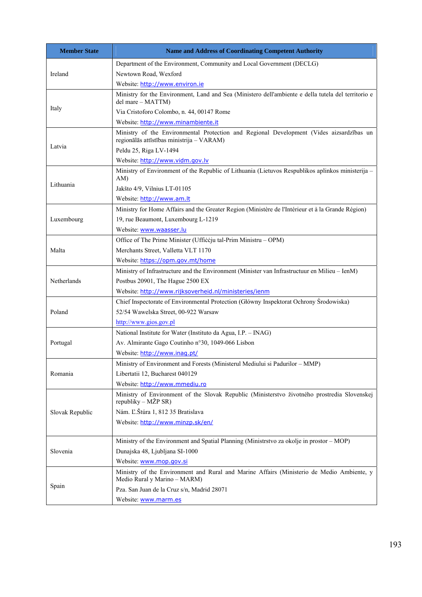| <b>Member State</b> | <b>Name and Address of Coordinating Competent Authority</b>                                                                           |  |  |  |  |
|---------------------|---------------------------------------------------------------------------------------------------------------------------------------|--|--|--|--|
|                     | Department of the Environment, Community and Local Government (DECLG)                                                                 |  |  |  |  |
| Ireland             | Newtown Road, Wexford                                                                                                                 |  |  |  |  |
|                     | Website: http://www.environ.ie                                                                                                        |  |  |  |  |
|                     | Ministry for the Environment, Land and Sea (Ministero dell'ambiente e della tutela del territorio e<br>del mare - MATTM)              |  |  |  |  |
| Italy               | Via Cristoforo Colombo, n. 44, 00147 Rome                                                                                             |  |  |  |  |
|                     | Website: http://www.minambiente.it                                                                                                    |  |  |  |  |
|                     | Ministry of the Environmental Protection and Regional Development (Vides aizsardzības un<br>regionālās attīstības ministrija - VARAM) |  |  |  |  |
| Latvia              | Peldu 25, Riga LV-1494                                                                                                                |  |  |  |  |
|                     | Website: http://www.vidm.gov.lv                                                                                                       |  |  |  |  |
|                     | Ministry of Environment of the Republic of Lithuania (Lietuvos Respublikos aplinkos ministerija -<br>AM)                              |  |  |  |  |
| Lithuania           | Jakšto 4/9, Vilnius LT-01105                                                                                                          |  |  |  |  |
|                     | Website: http://www.am.lt                                                                                                             |  |  |  |  |
|                     | Ministry for Home Affairs and the Greater Region (Ministère de l'Intérieur et à la Grande Région)                                     |  |  |  |  |
| Luxembourg          | 19, rue Beaumont, Luxembourg L-1219                                                                                                   |  |  |  |  |
|                     | Website: www.waasser.lu                                                                                                               |  |  |  |  |
|                     | Office of The Prime Minister (Ufficcju tal-Prim Ministru – OPM)                                                                       |  |  |  |  |
| Malta               | Merchants Street, Valletta VLT 1170                                                                                                   |  |  |  |  |
|                     | Website: https://opm.gov.mt/home                                                                                                      |  |  |  |  |
|                     | Ministry of Infrastructure and the Environment (Minister van Infrastructuur en Milieu – IenM)                                         |  |  |  |  |
| Netherlands         | Postbus 20901, The Hague 2500 EX                                                                                                      |  |  |  |  |
|                     | Website: http://www.rijksoverheid.nl/ministeries/ienm                                                                                 |  |  |  |  |
|                     | Chief Inspectorate of Environmental Protection (Główny Inspektorat Ochrony Środowiska)                                                |  |  |  |  |
| Poland              | 52/54 Wawelska Street, 00-922 Warsaw                                                                                                  |  |  |  |  |
|                     | http://www.gios.gov.pl                                                                                                                |  |  |  |  |
|                     | National Institute for Water (Instituto da Agua, I.P. – INAG)                                                                         |  |  |  |  |
| Portugal            | Av. Almirante Gago Coutinho n°30, 1049-066 Lisbon                                                                                     |  |  |  |  |
|                     | Website: http://www.inag.pt/                                                                                                          |  |  |  |  |
|                     | Ministry of Environment and Forests (Ministerul Mediului si Padurilor - MMP)                                                          |  |  |  |  |
| Romania             | Libertatii 12, Bucharest 040129                                                                                                       |  |  |  |  |
|                     | Website: http://www.mmediu.ro                                                                                                         |  |  |  |  |
|                     | Ministry of Environment of the Slovak Republic (Ministerstvo životného prostredia Slovenskej<br>republiky – MŽP SR)                   |  |  |  |  |
| Slovak Republic     | Nám. Ľ.Štúra 1, 812 35 Bratislava                                                                                                     |  |  |  |  |
|                     | Website: http://www.minzp.sk/en/                                                                                                      |  |  |  |  |
|                     | Ministry of the Environment and Spatial Planning (Ministrstvo za okolje in prostor – MOP)                                             |  |  |  |  |
| Slovenia            | Dunajska 48, Ljubljana SI-1000                                                                                                        |  |  |  |  |
|                     | Website: www.mop.qov.si                                                                                                               |  |  |  |  |
|                     | Ministry of the Environment and Rural and Marine Affairs (Ministerio de Medio Ambiente, y<br>Medio Rural y Marino - MARM)             |  |  |  |  |
| Spain               | Pza. San Juan de la Cruz s/n, Madrid 28071                                                                                            |  |  |  |  |
|                     | Website: www.marm.es                                                                                                                  |  |  |  |  |